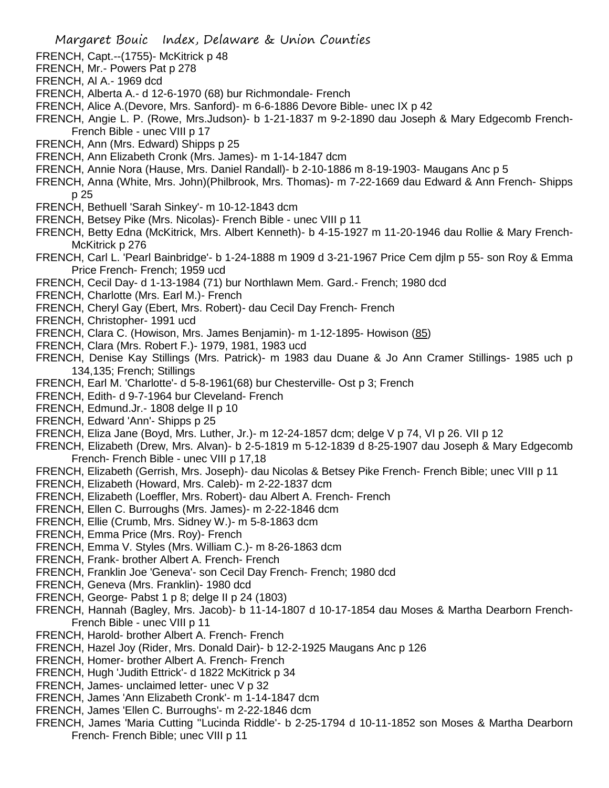- FRENCH, Capt.--(1755)- McKitrick p 48
- FRENCH, Mr.- Powers Pat p 278
- FRENCH, Al A.- 1969 dcd
- FRENCH, Alberta A.- d 12-6-1970 (68) bur Richmondale- French
- FRENCH, Alice A.(Devore, Mrs. Sanford)- m 6-6-1886 Devore Bible- unec IX p 42
- FRENCH, Angie L. P. (Rowe, Mrs.Judson)- b 1-21-1837 m 9-2-1890 dau Joseph & Mary Edgecomb French-French Bible - unec VIII p 17
- FRENCH, Ann (Mrs. Edward) Shipps p 25
- FRENCH, Ann Elizabeth Cronk (Mrs. James)- m 1-14-1847 dcm
- FRENCH, Annie Nora (Hause, Mrs. Daniel Randall)- b 2-10-1886 m 8-19-1903- Maugans Anc p 5
- FRENCH, Anna (White, Mrs. John)(Philbrook, Mrs. Thomas)- m 7-22-1669 dau Edward & Ann French- Shipps p 25
- FRENCH, Bethuell 'Sarah Sinkey'- m 10-12-1843 dcm
- FRENCH, Betsey Pike (Mrs. Nicolas)- French Bible unec VIII p 11
- FRENCH, Betty Edna (McKitrick, Mrs. Albert Kenneth)- b 4-15-1927 m 11-20-1946 dau Rollie & Mary French-McKitrick p 276
- FRENCH, Carl L. 'Pearl Bainbridge'- b 1-24-1888 m 1909 d 3-21-1967 Price Cem djlm p 55- son Roy & Emma Price French- French; 1959 ucd
- FRENCH, Cecil Day- d 1-13-1984 (71) bur Northlawn Mem. Gard.- French; 1980 dcd
- FRENCH, Charlotte (Mrs. Earl M.)- French
- FRENCH, Cheryl Gay (Ebert, Mrs. Robert)- dau Cecil Day French- French
- FRENCH, Christopher- 1991 ucd
- FRENCH, Clara C. (Howison, Mrs. James Benjamin)- m 1-12-1895- Howison (85)
- FRENCH, Clara (Mrs. Robert F.)- 1979, 1981, 1983 ucd
- FRENCH, Denise Kay Stillings (Mrs. Patrick)- m 1983 dau Duane & Jo Ann Cramer Stillings- 1985 uch p 134,135; French; Stillings
- FRENCH, Earl M. 'Charlotte'- d 5-8-1961(68) bur Chesterville- Ost p 3; French
- FRENCH, Edith- d 9-7-1964 bur Cleveland- French
- FRENCH, Edmund.Jr.- 1808 delge II p 10
- FRENCH, Edward 'Ann'- Shipps p 25
- FRENCH, Eliza Jane (Boyd, Mrs. Luther, Jr.)- m 12-24-1857 dcm; delge V p 74, VI p 26. VII p 12
- FRENCH, Elizabeth (Drew, Mrs. Alvan)- b 2-5-1819 m 5-12-1839 d 8-25-1907 dau Joseph & Mary Edgecomb French- French Bible - unec VIII p 17,18
- FRENCH, Elizabeth (Gerrish, Mrs. Joseph)- dau Nicolas & Betsey Pike French- French Bible; unec VIII p 11
- FRENCH, Elizabeth (Howard, Mrs. Caleb)- m 2-22-1837 dcm
- FRENCH, Elizabeth (Loeffler, Mrs. Robert)- dau Albert A. French- French
- FRENCH, Ellen C. Burroughs (Mrs. James)- m 2-22-1846 dcm
- FRENCH, Ellie (Crumb, Mrs. Sidney W.)- m 5-8-1863 dcm
- FRENCH, Emma Price (Mrs. Roy)- French
- FRENCH, Emma V. Styles (Mrs. William C.)- m 8-26-1863 dcm
- FRENCH, Frank- brother Albert A. French- French
- FRENCH, Franklin Joe 'Geneva'- son Cecil Day French- French; 1980 dcd
- FRENCH, Geneva (Mrs. Franklin)- 1980 dcd
- FRENCH, George- Pabst 1 p 8; delge II p 24 (1803)
- FRENCH, Hannah (Bagley, Mrs. Jacob)- b 11-14-1807 d 10-17-1854 dau Moses & Martha Dearborn French-French Bible - unec VIII p 11
- FRENCH, Harold- brother Albert A. French- French
- FRENCH, Hazel Joy (Rider, Mrs. Donald Dair)- b 12-2-1925 Maugans Anc p 126
- FRENCH, Homer- brother Albert A. French- French
- FRENCH, Hugh 'Judith Ettrick'- d 1822 McKitrick p 34
- FRENCH, James- unclaimed letter- unec V p 32
- FRENCH, James 'Ann Elizabeth Cronk'- m 1-14-1847 dcm
- FRENCH, James 'Ellen C. Burroughs'- m 2-22-1846 dcm
- FRENCH, James 'Maria Cutting ''Lucinda Riddle'- b 2-25-1794 d 10-11-1852 son Moses & Martha Dearborn French- French Bible; unec VIII p 11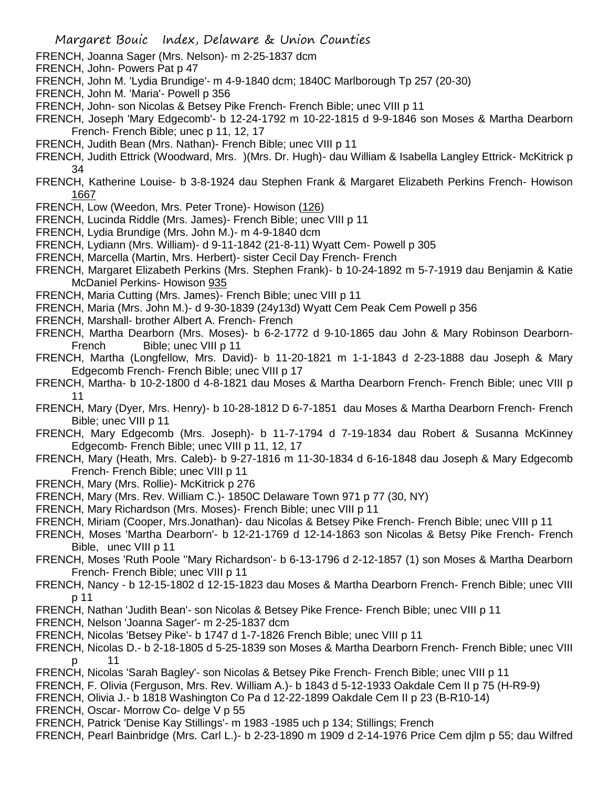- FRENCH, Joanna Sager (Mrs. Nelson)- m 2-25-1837 dcm
- FRENCH, John- Powers Pat p 47
- FRENCH, John M. 'Lydia Brundige'- m 4-9-1840 dcm; 1840C Marlborough Tp 257 (20-30)
- FRENCH, John M. 'Maria'- Powell p 356
- FRENCH, John- son Nicolas & Betsey Pike French- French Bible; unec VIII p 11
- FRENCH, Joseph 'Mary Edgecomb'- b 12-24-1792 m 10-22-1815 d 9-9-1846 son Moses & Martha Dearborn French- French Bible; unec p 11, 12, 17
- FRENCH, Judith Bean (Mrs. Nathan)- French Bible; unec VIII p 11
- FRENCH, Judith Ettrick (Woodward, Mrs. )(Mrs. Dr. Hugh)- dau William & Isabella Langley Ettrick- McKitrick p 34
- FRENCH, Katherine Louise- b 3-8-1924 dau Stephen Frank & Margaret Elizabeth Perkins French- Howison 1667
- FRENCH, Low (Weedon, Mrs. Peter Trone)- Howison (126)
- FRENCH, Lucinda Riddle (Mrs. James)- French Bible; unec VIII p 11
- FRENCH, Lydia Brundige (Mrs. John M.)- m 4-9-1840 dcm
- FRENCH, Lydiann (Mrs. William)- d 9-11-1842 (21-8-11) Wyatt Cem- Powell p 305
- FRENCH, Marcella (Martin, Mrs. Herbert)- sister Cecil Day French- French
- FRENCH, Margaret Elizabeth Perkins (Mrs. Stephen Frank)- b 10-24-1892 m 5-7-1919 dau Benjamin & Katie McDaniel Perkins- Howison 935
- FRENCH, Maria Cutting (Mrs. James)- French Bible; unec VIII p 11
- FRENCH, Maria (Mrs. John M.)- d 9-30-1839 (24y13d) Wyatt Cem Peak Cem Powell p 356
- FRENCH, Marshall- brother Albert A. French- French
- FRENCH, Martha Dearborn (Mrs. Moses)- b 6-2-1772 d 9-10-1865 dau John & Mary Robinson Dearborn-French Bible; unec VIII p 11
- FRENCH, Martha (Longfellow, Mrs. David)- b 11-20-1821 m 1-1-1843 d 2-23-1888 dau Joseph & Mary Edgecomb French- French Bible; unec VIII p 17
- FRENCH, Martha- b 10-2-1800 d 4-8-1821 dau Moses & Martha Dearborn French- French Bible; unec VIII p 11
- FRENCH, Mary (Dyer, Mrs. Henry)- b 10-28-1812 D 6-7-1851 dau Moses & Martha Dearborn French- French Bible; unec VIII p 11
- FRENCH, Mary Edgecomb (Mrs. Joseph)- b 11-7-1794 d 7-19-1834 dau Robert & Susanna McKinney Edgecomb- French Bible; unec VIII p 11, 12, 17
- FRENCH, Mary (Heath, Mrs. Caleb)- b 9-27-1816 m 11-30-1834 d 6-16-1848 dau Joseph & Mary Edgecomb French- French Bible; unec VIII p 11
- FRENCH, Mary (Mrs. Rollie)- McKitrick p 276
- FRENCH, Mary (Mrs. Rev. William C.)- 1850C Delaware Town 971 p 77 (30, NY)
- FRENCH, Mary Richardson (Mrs. Moses)- French Bible; unec VIII p 11
- FRENCH, Miriam (Cooper, Mrs.Jonathan)- dau Nicolas & Betsey Pike French- French Bible; unec VIII p 11
- FRENCH, Moses 'Martha Dearborn'- b 12-21-1769 d 12-14-1863 son Nicolas & Betsy Pike French- French Bible, unec VIII p 11
- FRENCH, Moses 'Ruth Poole ''Mary Richardson'- b 6-13-1796 d 2-12-1857 (1) son Moses & Martha Dearborn French- French Bible; unec VIII p 11
- FRENCH, Nancy b 12-15-1802 d 12-15-1823 dau Moses & Martha Dearborn French- French Bible; unec VIII p 11
- FRENCH, Nathan 'Judith Bean'- son Nicolas & Betsey Pike Frence- French Bible; unec VIII p 11
- FRENCH, Nelson 'Joanna Sager'- m 2-25-1837 dcm
- FRENCH, Nicolas 'Betsey Pike'- b 1747 d 1-7-1826 French Bible; unec VIII p 11
- FRENCH, Nicolas D.- b 2-18-1805 d 5-25-1839 son Moses & Martha Dearborn French- French Bible; unec VIII p 11
- FRENCH, Nicolas 'Sarah Bagley'- son Nicolas & Betsey Pike French- French Bible; unec VIII p 11
- FRENCH, F. Olivia (Ferguson, Mrs. Rev. William A.)- b 1843 d 5-12-1933 Oakdale Cem II p 75 (H-R9-9)
- FRENCH, Olivia J.- b 1818 Washington Co Pa d 12-22-1899 Oakdale Cem II p 23 (B-R10-14)
- FRENCH, Oscar- Morrow Co- delge V p 55
- FRENCH, Patrick 'Denise Kay Stillings'- m 1983 -1985 uch p 134; Stillings; French
- FRENCH, Pearl Bainbridge (Mrs. Carl L.)- b 2-23-1890 m 1909 d 2-14-1976 Price Cem djlm p 55; dau Wilfred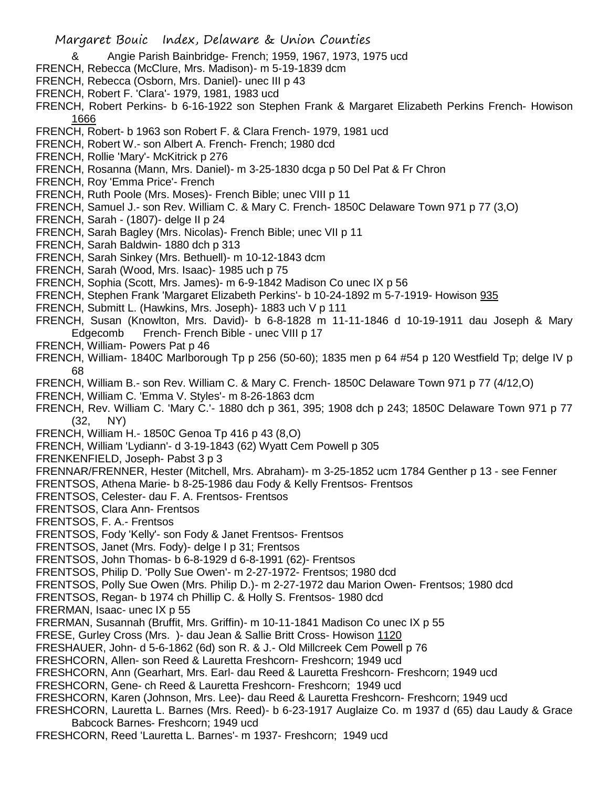- & Angie Parish Bainbridge- French; 1959, 1967, 1973, 1975 ucd
- FRENCH, Rebecca (McClure, Mrs. Madison)- m 5-19-1839 dcm
- FRENCH, Rebecca (Osborn, Mrs. Daniel)- unec III p 43
- FRENCH, Robert F. 'Clara'- 1979, 1981, 1983 ucd
- FRENCH, Robert Perkins- b 6-16-1922 son Stephen Frank & Margaret Elizabeth Perkins French- Howison 1666
- FRENCH, Robert- b 1963 son Robert F. & Clara French- 1979, 1981 ucd
- FRENCH, Robert W.- son Albert A. French- French; 1980 dcd
- FRENCH, Rollie 'Mary'- McKitrick p 276
- FRENCH, Rosanna (Mann, Mrs. Daniel)- m 3-25-1830 dcga p 50 Del Pat & Fr Chron
- FRENCH, Roy 'Emma Price'- French
- FRENCH, Ruth Poole (Mrs. Moses)- French Bible; unec VIII p 11
- FRENCH, Samuel J.- son Rev. William C. & Mary C. French- 1850C Delaware Town 971 p 77 (3,O)
- FRENCH, Sarah (1807)- delge II p 24
- FRENCH, Sarah Bagley (Mrs. Nicolas)- French Bible; unec VII p 11
- FRENCH, Sarah Baldwin- 1880 dch p 313
- FRENCH, Sarah Sinkey (Mrs. Bethuell)- m 10-12-1843 dcm
- FRENCH, Sarah (Wood, Mrs. Isaac)- 1985 uch p 75
- FRENCH, Sophia (Scott, Mrs. James)- m 6-9-1842 Madison Co unec IX p 56
- FRENCH, Stephen Frank 'Margaret Elizabeth Perkins'- b 10-24-1892 m 5-7-1919- Howison 935
- FRENCH, Submitt L. (Hawkins, Mrs. Joseph)- 1883 uch V p 111
- FRENCH, Susan (Knowlton, Mrs. David)- b 6-8-1828 m 11-11-1846 d 10-19-1911 dau Joseph & Mary Edgecomb French- French Bible - unec VIII p 17
- FRENCH, William- Powers Pat p 46
- FRENCH, William- 1840C Marlborough Tp p 256 (50-60); 1835 men p 64 #54 p 120 Westfield Tp; delge IV p 68
- FRENCH, William B.- son Rev. William C. & Mary C. French- 1850C Delaware Town 971 p 77 (4/12,O)
- FRENCH, William C. 'Emma V. Styles'- m 8-26-1863 dcm
- FRENCH, Rev. William C. 'Mary C.'- 1880 dch p 361, 395; 1908 dch p 243; 1850C Delaware Town 971 p 77 (32, NY)
- FRENCH, William H.- 1850C Genoa Tp 416 p 43 (8,O)
- FRENCH, William 'Lydiann'- d 3-19-1843 (62) Wyatt Cem Powell p 305
- FRENKENFIELD, Joseph- Pabst 3 p 3
- FRENNAR/FRENNER, Hester (Mitchell, Mrs. Abraham)- m 3-25-1852 ucm 1784 Genther p 13 see Fenner
- FRENTSOS, Athena Marie- b 8-25-1986 dau Fody & Kelly Frentsos- Frentsos
- FRENTSOS, Celester- dau F. A. Frentsos- Frentsos
- FRENTSOS, Clara Ann- Frentsos
- FRENTSOS, F. A.- Frentsos
- FRENTSOS, Fody 'Kelly'- son Fody & Janet Frentsos- Frentsos
- FRENTSOS, Janet (Mrs. Fody)- delge I p 31; Frentsos
- FRENTSOS, John Thomas- b 6-8-1929 d 6-8-1991 (62)- Frentsos
- FRENTSOS, Philip D. 'Polly Sue Owen'- m 2-27-1972- Frentsos; 1980 dcd
- FRENTSOS, Polly Sue Owen (Mrs. Philip D.)- m 2-27-1972 dau Marion Owen- Frentsos; 1980 dcd
- FRENTSOS, Regan- b 1974 ch Phillip C. & Holly S. Frentsos- 1980 dcd
- FRERMAN, Isaac- unec IX p 55
- FRERMAN, Susannah (Bruffit, Mrs. Griffin)- m 10-11-1841 Madison Co unec IX p 55
- FRESE, Gurley Cross (Mrs. )- dau Jean & Sallie Britt Cross- Howison 1120
- FRESHAUER, John- d 5-6-1862 (6d) son R. & J.- Old Millcreek Cem Powell p 76
- FRESHCORN, Allen- son Reed & Lauretta Freshcorn- Freshcorn; 1949 ucd
- FRESHCORN, Ann (Gearhart, Mrs. Earl- dau Reed & Lauretta Freshcorn- Freshcorn; 1949 ucd
- FRESHCORN, Gene- ch Reed & Lauretta Freshcorn- Freshcorn; 1949 ucd
- FRESHCORN, Karen (Johnson, Mrs. Lee)- dau Reed & Lauretta Freshcorn- Freshcorn; 1949 ucd
- FRESHCORN, Lauretta L. Barnes (Mrs. Reed)- b 6-23-1917 Auglaize Co. m 1937 d (65) dau Laudy & Grace Babcock Barnes- Freshcorn; 1949 ucd
- FRESHCORN, Reed 'Lauretta L. Barnes'- m 1937- Freshcorn; 1949 ucd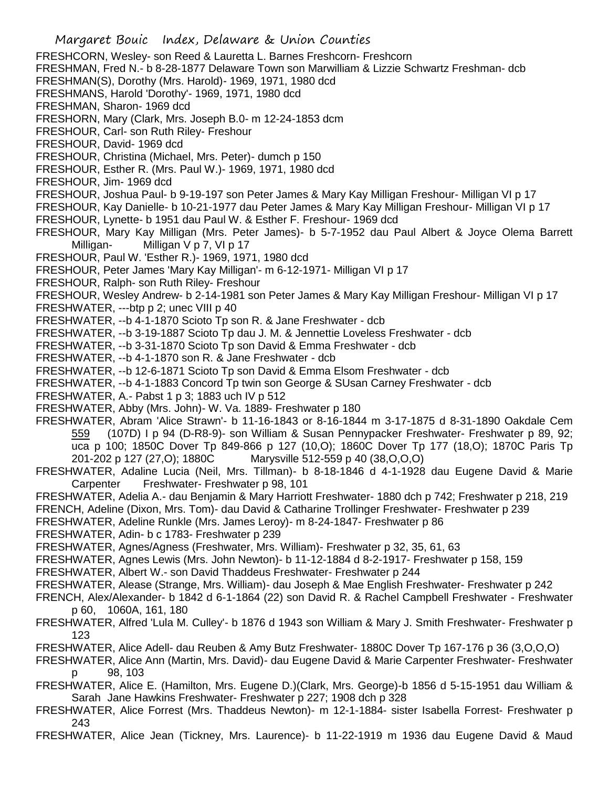- Margaret Bouic Index, Delaware & Union Counties FRESHCORN, Wesley- son Reed & Lauretta L. Barnes Freshcorn- Freshcorn FRESHMAN, Fred N.- b 8-28-1877 Delaware Town son Marwilliam & Lizzie Schwartz Freshman- dcb FRESHMAN(S), Dorothy (Mrs. Harold)- 1969, 1971, 1980 dcd FRESHMANS, Harold 'Dorothy'- 1969, 1971, 1980 dcd FRESHMAN, Sharon- 1969 dcd FRESHORN, Mary (Clark, Mrs. Joseph B.0- m 12-24-1853 dcm FRESHOUR, Carl- son Ruth Riley- Freshour FRESHOUR, David- 1969 dcd FRESHOUR, Christina (Michael, Mrs. Peter)- dumch p 150 FRESHOUR, Esther R. (Mrs. Paul W.)- 1969, 1971, 1980 dcd FRESHOUR, Jim- 1969 dcd FRESHOUR, Joshua Paul- b 9-19-197 son Peter James & Mary Kay Milligan Freshour- Milligan VI p 17 FRESHOUR, Kay Danielle- b 10-21-1977 dau Peter James & Mary Kay Milligan Freshour- Milligan VI p 17 FRESHOUR, Lynette- b 1951 dau Paul W. & Esther F. Freshour- 1969 dcd FRESHOUR, Mary Kay Milligan (Mrs. Peter James)- b 5-7-1952 dau Paul Albert & Joyce Olema Barrett Milligan- Milligan V p 7, VI p 17 FRESHOUR, Paul W. 'Esther R.)- 1969, 1971, 1980 dcd FRESHOUR, Peter James 'Mary Kay Milligan'- m 6-12-1971- Milligan VI p 17 FRESHOUR, Ralph- son Ruth Riley- Freshour FRESHOUR, Wesley Andrew- b 2-14-1981 son Peter James & Mary Kay Milligan Freshour- Milligan VI p 17 FRESHWATER, ---btp p 2; unec VIII p 40 FRESHWATER, --b 4-1-1870 Scioto Tp son R. & Jane Freshwater - dcb FRESHWATER, --b 3-19-1887 Scioto Tp dau J. M. & Jennettie Loveless Freshwater - dcb FRESHWATER, --b 3-31-1870 Scioto Tp son David & Emma Freshwater - dcb FRESHWATER, --b 4-1-1870 son R. & Jane Freshwater - dcb FRESHWATER, --b 12-6-1871 Scioto Tp son David & Emma Elsom Freshwater - dcb FRESHWATER, --b 4-1-1883 Concord Tp twin son George & SUsan Carney Freshwater - dcb FRESHWATER, A.- Pabst 1 p 3; 1883 uch IV p 512 FRESHWATER, Abby (Mrs. John)- W. Va. 1889- Freshwater p 180 FRESHWATER, Abram 'Alice Strawn'- b 11-16-1843 or 8-16-1844 m 3-17-1875 d 8-31-1890 Oakdale Cem 559 (107D) I p 94 (D-R8-9)- son William & Susan Pennypacker Freshwater- Freshwater p 89, 92; uca p 100; 1850C Dover Tp 849-866 p 127 (10,O); 1860C Dover Tp 177 (18,O); 1870C Paris Tp 201-202 p 127 (27,O); 1880C Marysville 512-559 p 40 (38,O,O,O) FRESHWATER, Adaline Lucia (Neil, Mrs. Tillman)- b 8-18-1846 d 4-1-1928 dau Eugene David & Marie Carpenter Freshwater- Freshwater p 98, 101 FRESHWATER, Adelia A.- dau Benjamin & Mary Harriott Freshwater- 1880 dch p 742; Freshwater p 218, 219 FRENCH, Adeline (Dixon, Mrs. Tom)- dau David & Catharine Trollinger Freshwater- Freshwater p 239 FRESHWATER, Adeline Runkle (Mrs. James Leroy)- m 8-24-1847- Freshwater p 86 FRESHWATER, Adin- b c 1783- Freshwater p 239 FRESHWATER, Agnes/Agness (Freshwater, Mrs. William)- Freshwater p 32, 35, 61, 63 FRESHWATER, Agnes Lewis (Mrs. John Newton)- b 11-12-1884 d 8-2-1917- Freshwater p 158, 159 FRESHWATER, Albert W.- son David Thaddeus Freshwater- Freshwater p 244 FRESHWATER, Alease (Strange, Mrs. William)- dau Joseph & Mae English Freshwater- Freshwater p 242 FRENCH, Alex/Alexander- b 1842 d 6-1-1864 (22) son David R. & Rachel Campbell Freshwater - Freshwater p 60, 1060A, 161, 180 FRESHWATER, Alfred 'Lula M. Culley'- b 1876 d 1943 son William & Mary J. Smith Freshwater- Freshwater p 123 FRESHWATER, Alice Adell- dau Reuben & Amy Butz Freshwater- 1880C Dover Tp 167-176 p 36 (3,O,O,O) FRESHWATER, Alice Ann (Martin, Mrs. David)- dau Eugene David & Marie Carpenter Freshwater- Freshwater p 98, 103 FRESHWATER, Alice E. (Hamilton, Mrs. Eugene D.)(Clark, Mrs. George)-b 1856 d 5-15-1951 dau William & Sarah Jane Hawkins Freshwater- Freshwater p 227; 1908 dch p 328 FRESHWATER, Alice Forrest (Mrs. Thaddeus Newton)- m 12-1-1884- sister Isabella Forrest- Freshwater p 243
- FRESHWATER, Alice Jean (Tickney, Mrs. Laurence)- b 11-22-1919 m 1936 dau Eugene David & Maud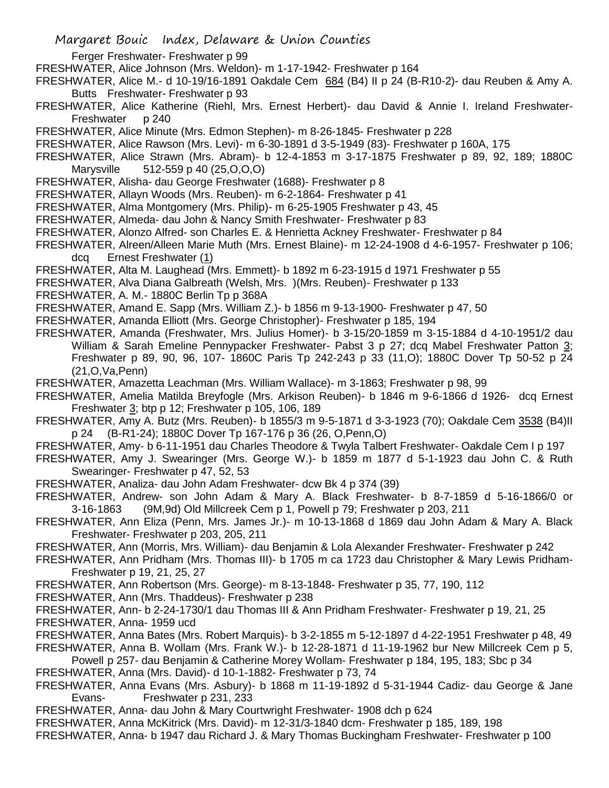- Ferger Freshwater- Freshwater p 99
- FRESHWATER, Alice Johnson (Mrs. Weldon)- m 1-17-1942- Freshwater p 164
- FRESHWATER, Alice M.- d 10-19/16-1891 Oakdale Cem 684 (B4) II p 24 (B-R10-2)- dau Reuben & Amy A. Butts Freshwater- Freshwater p 93
- FRESHWATER, Alice Katherine (Riehl, Mrs. Ernest Herbert)- dau David & Annie I. Ireland Freshwater-Freshwater p 240
- FRESHWATER, Alice Minute (Mrs. Edmon Stephen)- m 8-26-1845- Freshwater p 228
- FRESHWATER, Alice Rawson (Mrs. Levi)- m 6-30-1891 d 3-5-1949 (83)- Freshwater p 160A, 175
- FRESHWATER, Alice Strawn (Mrs. Abram)- b 12-4-1853 m 3-17-1875 Freshwater p 89, 92, 189; 1880C Marysville 512-559 p 40 (25,O,O,O)
- FRESHWATER, Alisha- dau George Freshwater (1688)- Freshwater p 8
- FRESHWATER, Allayn Woods (Mrs. Reuben)- m 6-2-1864- Freshwater p 41
- FRESHWATER, Alma Montgomery (Mrs. Philip)- m 6-25-1905 Freshwater p 43, 45
- FRESHWATER, Almeda- dau John & Nancy Smith Freshwater- Freshwater p 83
- FRESHWATER, Alonzo Alfred- son Charles E. & Henrietta Ackney Freshwater- Freshwater p 84
- FRESHWATER, Alreen/Alleen Marie Muth (Mrs. Ernest Blaine)- m 12-24-1908 d 4-6-1957- Freshwater p 106; dcq Ernest Freshwater (1)
- FRESHWATER, Alta M. Laughead (Mrs. Emmett)- b 1892 m 6-23-1915 d 1971 Freshwater p 55
- FRESHWATER, Alva Diana Galbreath (Welsh, Mrs. )(Mrs. Reuben)- Freshwater p 133
- FRESHWATER, A. M.- 1880C Berlin Tp p 368A
- FRESHWATER, Amand E. Sapp (Mrs. William Z.)- b 1856 m 9-13-1900- Freshwater p 47, 50
- FRESHWATER, Amanda Elliott (Mrs. George Christopher)- Freshwater p 185, 194
- FRESHWATER, Amanda (Freshwater, Mrs. Julius Homer)- b 3-15/20-1859 m 3-15-1884 d 4-10-1951/2 dau William & Sarah Emeline Pennypacker Freshwater- Pabst 3 p 27; dcq Mabel Freshwater Patton 3; Freshwater p 89, 90, 96, 107- 1860C Paris Tp 242-243 p 33 (11,O); 1880C Dover Tp 50-52 p 24 (21,O,Va,Penn)
- FRESHWATER, Amazetta Leachman (Mrs. William Wallace)- m 3-1863; Freshwater p 98, 99
- FRESHWATER, Amelia Matilda Breyfogle (Mrs. Arkison Reuben)- b 1846 m 9-6-1866 d 1926- dcq Ernest Freshwater 3; btp p 12; Freshwater p 105, 106, 189
- FRESHWATER, Amy A. Butz (Mrs. Reuben)- b 1855/3 m 9-5-1871 d 3-3-1923 (70); Oakdale Cem 3538 (B4)II p 24 (B-R1-24); 1880C Dover Tp 167-176 p 36 (26, O,Penn,O)
- FRESHWATER, Amy- b 6-11-1951 dau Charles Theodore & Twyla Talbert Freshwater- Oakdale Cem I p 197
- FRESHWATER, Amy J. Swearinger (Mrs. George W.)- b 1859 m 1877 d 5-1-1923 dau John C. & Ruth Swearinger- Freshwater p 47, 52, 53
- FRESHWATER, Analiza- dau John Adam Freshwater- dcw Bk 4 p 374 (39)
- FRESHWATER, Andrew- son John Adam & Mary A. Black Freshwater- b 8-7-1859 d 5-16-1866/0 or 3-16-1863 (9M,9d) Old Millcreek Cem p 1, Powell p 79; Freshwater p 203, 211
- FRESHWATER, Ann Eliza (Penn, Mrs. James Jr.)- m 10-13-1868 d 1869 dau John Adam & Mary A. Black Freshwater- Freshwater p 203, 205, 211
- FRESHWATER, Ann (Morris, Mrs. William)- dau Benjamin & Lola Alexander Freshwater- Freshwater p 242
- FRESHWATER, Ann Pridham (Mrs. Thomas III)- b 1705 m ca 1723 dau Christopher & Mary Lewis Pridham-Freshwater p 19, 21, 25, 27
- FRESHWATER, Ann Robertson (Mrs. George)- m 8-13-1848- Freshwater p 35, 77, 190, 112
- FRESHWATER, Ann (Mrs. Thaddeus)- Freshwater p 238
- FRESHWATER, Ann- b 2-24-1730/1 dau Thomas III & Ann Pridham Freshwater- Freshwater p 19, 21, 25
- FRESHWATER, Anna- 1959 ucd
- FRESHWATER, Anna Bates (Mrs. Robert Marquis)- b 3-2-1855 m 5-12-1897 d 4-22-1951 Freshwater p 48, 49
- FRESHWATER, Anna B. Wollam (Mrs. Frank W.)- b 12-28-1871 d 11-19-1962 bur New Millcreek Cem p 5,
- Powell p 257- dau Benjamin & Catherine Morey Wollam- Freshwater p 184, 195, 183; Sbc p 34
- FRESHWATER, Anna (Mrs. David)- d 10-1-1882- Freshwater p 73, 74
- FRESHWATER, Anna Evans (Mrs. Asbury)- b 1868 m 11-19-1892 d 5-31-1944 Cadiz- dau George & Jane Evans- Freshwater p 231, 233
- FRESHWATER, Anna- dau John & Mary Courtwright Freshwater- 1908 dch p 624
- FRESHWATER, Anna McKitrick (Mrs. David)- m 12-31/3-1840 dcm- Freshwater p 185, 189, 198
- FRESHWATER, Anna- b 1947 dau Richard J. & Mary Thomas Buckingham Freshwater- Freshwater p 100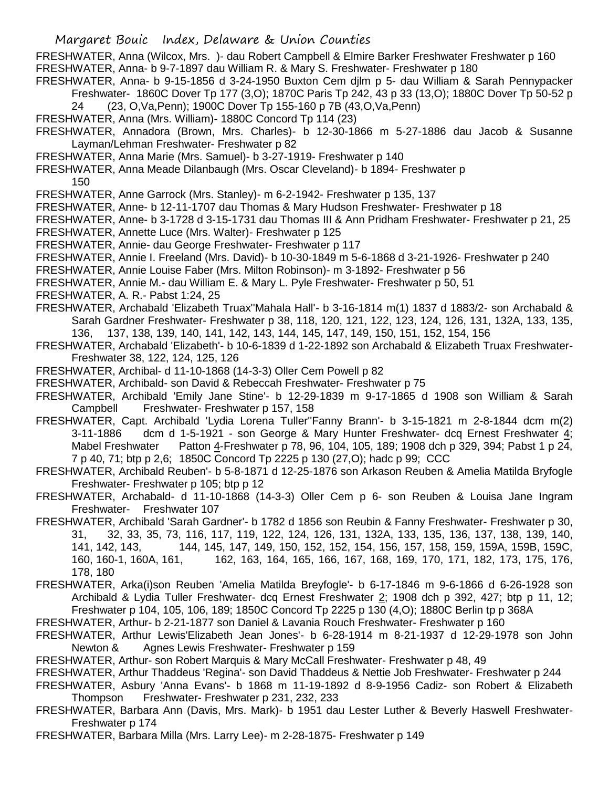FRESHWATER, Anna (Wilcox, Mrs. )- dau Robert Campbell & Elmire Barker Freshwater Freshwater p 160 FRESHWATER, Anna- b 9-7-1897 dau William R. & Mary S. Freshwater- Freshwater p 180

- FRESHWATER, Anna- b 9-15-1856 d 3-24-1950 Buxton Cem djlm p 5- dau William & Sarah Pennypacker Freshwater- 1860C Dover Tp 177 (3,O); 1870C Paris Tp 242, 43 p 33 (13,O); 1880C Dover Tp 50-52 p
	- 24 (23, O,Va,Penn); 1900C Dover Tp 155-160 p 7B (43,O,Va,Penn)
- FRESHWATER, Anna (Mrs. William)- 1880C Concord Tp 114 (23)
- FRESHWATER, Annadora (Brown, Mrs. Charles)- b 12-30-1866 m 5-27-1886 dau Jacob & Susanne Layman/Lehman Freshwater- Freshwater p 82
- FRESHWATER, Anna Marie (Mrs. Samuel)- b 3-27-1919- Freshwater p 140
- FRESHWATER, Anna Meade Dilanbaugh (Mrs. Oscar Cleveland)- b 1894- Freshwater p

150

- FRESHWATER, Anne Garrock (Mrs. Stanley)- m 6-2-1942- Freshwater p 135, 137
- FRESHWATER, Anne- b 12-11-1707 dau Thomas & Mary Hudson Freshwater- Freshwater p 18
- FRESHWATER, Anne- b 3-1728 d 3-15-1731 dau Thomas III & Ann Pridham Freshwater- Freshwater p 21, 25
- FRESHWATER, Annette Luce (Mrs. Walter)- Freshwater p 125
- FRESHWATER, Annie- dau George Freshwater- Freshwater p 117
- FRESHWATER, Annie I. Freeland (Mrs. David)- b 10-30-1849 m 5-6-1868 d 3-21-1926- Freshwater p 240
- FRESHWATER, Annie Louise Faber (Mrs. Milton Robinson)- m 3-1892- Freshwater p 56
- FRESHWATER, Annie M.- dau William E. & Mary L. Pyle Freshwater- Freshwater p 50, 51
- FRESHWATER, A. R.- Pabst 1:24, 25
- FRESHWATER, Archabald 'Elizabeth Truax''Mahala Hall'- b 3-16-1814 m(1) 1837 d 1883/2- son Archabald & Sarah Gardner Freshwater- Freshwater p 38, 118, 120, 121, 122, 123, 124, 126, 131, 132A, 133, 135, 136, 137, 138, 139, 140, 141, 142, 143, 144, 145, 147, 149, 150, 151, 152, 154, 156
- FRESHWATER, Archabald 'Elizabeth'- b 10-6-1839 d 1-22-1892 son Archabald & Elizabeth Truax Freshwater-Freshwater 38, 122, 124, 125, 126
- FRESHWATER, Archibal- d 11-10-1868 (14-3-3) Oller Cem Powell p 82
- FRESHWATER, Archibald- son David & Rebeccah Freshwater- Freshwater p 75
- FRESHWATER, Archibald 'Emily Jane Stine'- b 12-29-1839 m 9-17-1865 d 1908 son William & Sarah Campbell Freshwater- Freshwater p 157, 158
- FRESHWATER, Capt. Archibald 'Lydia Lorena Tuller''Fanny Brann'- b 3-15-1821 m 2-8-1844 dcm m(2) 3-11-1886 dcm d 1-5-1921 - son George & Mary Hunter Freshwater- dcq Ernest Freshwater 4; Mabel Freshwater Patton 4-Freshwater p 78, 96, 104, 105, 189; 1908 dch p 329, 394; Pabst 1 p 24, 7 p 40, 71; btp p 2,6; 1850C Concord Tp 2225 p 130 (27,O); hadc p 99; CCC
- FRESHWATER, Archibald Reuben'- b 5-8-1871 d 12-25-1876 son Arkason Reuben & Amelia Matilda Bryfogle Freshwater- Freshwater p 105; btp p 12
- FRESHWATER, Archabald- d 11-10-1868 (14-3-3) Oller Cem p 6- son Reuben & Louisa Jane Ingram Freshwater- Freshwater 107
- FRESHWATER, Archibald 'Sarah Gardner'- b 1782 d 1856 son Reubin & Fanny Freshwater- Freshwater p 30, 31, 32, 33, 35, 73, 116, 117, 119, 122, 124, 126, 131, 132A, 133, 135, 136, 137, 138, 139, 140, 141, 142, 143, 144, 145, 147, 149, 150, 152, 152, 154, 156, 157, 158, 159, 159A, 159B, 159C, 160, 160-1, 160A, 161, 162, 163, 164, 165, 166, 167, 168, 169, 170, 171, 182, 173, 175, 176, 178, 180
- FRESHWATER, Arka(i)son Reuben 'Amelia Matilda Breyfogle'- b 6-17-1846 m 9-6-1866 d 6-26-1928 son Archibald & Lydia Tuller Freshwater- dcq Ernest Freshwater 2; 1908 dch p 392, 427; btp p 11, 12; Freshwater p 104, 105, 106, 189; 1850C Concord Tp 2225 p 130 (4,O); 1880C Berlin tp p 368A
- FRESHWATER, Arthur- b 2-21-1877 son Daniel & Lavania Rouch Freshwater- Freshwater p 160
- FRESHWATER, Arthur Lewis'Elizabeth Jean Jones'- b 6-28-1914 m 8-21-1937 d 12-29-1978 son John Newton & Agnes Lewis Freshwater- Freshwater p 159
- FRESHWATER, Arthur- son Robert Marquis & Mary McCall Freshwater- Freshwater p 48, 49
- FRESHWATER, Arthur Thaddeus 'Regina'- son David Thaddeus & Nettie Job Freshwater- Freshwater p 244
- FRESHWATER, Asbury 'Anna Evans'- b 1868 m 11-19-1892 d 8-9-1956 Cadiz- son Robert & Elizabeth Thompson Freshwater- Freshwater p 231, 232, 233
- FRESHWATER, Barbara Ann (Davis, Mrs. Mark)- b 1951 dau Lester Luther & Beverly Haswell Freshwater-Freshwater p 174
- FRESHWATER, Barbara Milla (Mrs. Larry Lee)- m 2-28-1875- Freshwater p 149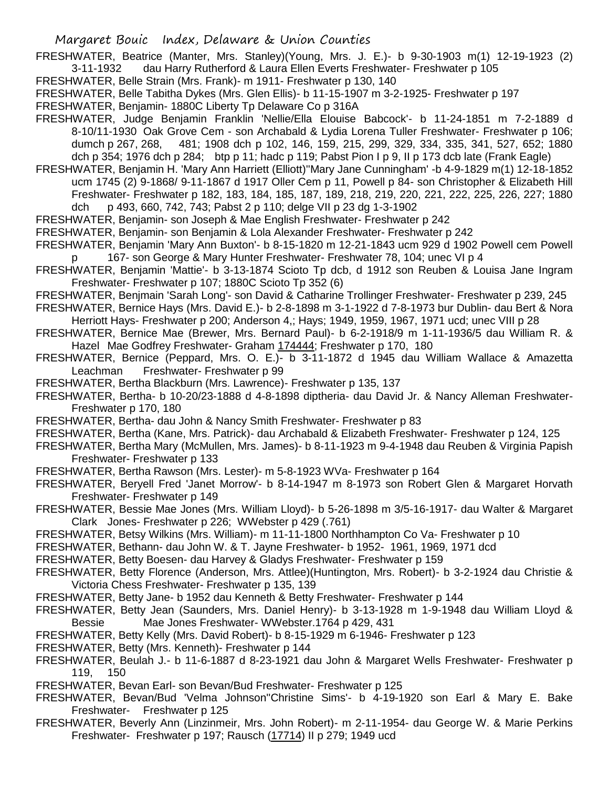FRESHWATER, Beatrice (Manter, Mrs. Stanley)(Young, Mrs. J. E.)- b 9-30-1903 m(1) 12-19-1923 (2) 3-11-1932 dau Harry Rutherford & Laura Ellen Everts Freshwater- Freshwater p 105

FRESHWATER, Belle Strain (Mrs. Frank)- m 1911- Freshwater p 130, 140

FRESHWATER, Belle Tabitha Dykes (Mrs. Glen Ellis)- b 11-15-1907 m 3-2-1925- Freshwater p 197

- FRESHWATER, Benjamin- 1880C Liberty Tp Delaware Co p 316A
- FRESHWATER, Judge Benjamin Franklin 'Nellie/Ella Elouise Babcock'- b 11-24-1851 m 7-2-1889 d 8-10/11-1930 Oak Grove Cem - son Archabald & Lydia Lorena Tuller Freshwater- Freshwater p 106; dumch p 267, 268, 481; 1908 dch p 102, 146, 159, 215, 299, 329, 334, 335, 341, 527, 652; 1880 dch p 354; 1976 dch p 284; btp p 11; hadc p 119; Pabst Pion I p 9, II p 173 dcb late (Frank Eagle)
- FRESHWATER, Benjamin H. 'Mary Ann Harriett (Elliott)''Mary Jane Cunningham' -b 4-9-1829 m(1) 12-18-1852 ucm 1745 (2) 9-1868/ 9-11-1867 d 1917 Oller Cem p 11, Powell p 84- son Christopher & Elizabeth Hill Freshwater- Freshwater p 182, 183, 184, 185, 187, 189, 218, 219, 220, 221, 222, 225, 226, 227; 1880 dch p 493, 660, 742, 743; Pabst 2 p 110; delge VII p 23 dg 1-3-1902
- FRESHWATER, Benjamin- son Joseph & Mae English Freshwater- Freshwater p 242
- FRESHWATER, Benjamin- son Benjamin & Lola Alexander Freshwater- Freshwater p 242
- FRESHWATER, Benjamin 'Mary Ann Buxton'- b 8-15-1820 m 12-21-1843 ucm 929 d 1902 Powell cem Powell p 167- son George & Mary Hunter Freshwater- Freshwater 78, 104; unec VI p 4
- FRESHWATER, Benjamin 'Mattie'- b 3-13-1874 Scioto Tp dcb, d 1912 son Reuben & Louisa Jane Ingram Freshwater- Freshwater p 107; 1880C Scioto Tp 352 (6)
- FRESHWATER, Benjmain 'Sarah Long'- son David & Catharine Trollinger Freshwater- Freshwater p 239, 245
- FRESHWATER, Bernice Hays (Mrs. David E.)- b 2-8-1898 m 3-1-1922 d 7-8-1973 bur Dublin- dau Bert & Nora Herriott Hays- Freshwater p 200; Anderson 4,; Hays; 1949, 1959, 1967, 1971 ucd; unec VIII p 28
- FRESHWATER, Bernice Mae (Brewer, Mrs. Bernard Paul)- b 6-2-1918/9 m 1-11-1936/5 dau William R. & Hazel Mae Godfrey Freshwater- Graham 174444; Freshwater p 170, 180
- FRESHWATER, Bernice (Peppard, Mrs. O. E.)- b 3-11-1872 d 1945 dau William Wallace & Amazetta Leachman Freshwater- Freshwater p 99
- FRESHWATER, Bertha Blackburn (Mrs. Lawrence)- Freshwater p 135, 137
- FRESHWATER, Bertha- b 10-20/23-1888 d 4-8-1898 diptheria- dau David Jr. & Nancy Alleman Freshwater-Freshwater p 170, 180
- FRESHWATER, Bertha- dau John & Nancy Smith Freshwater- Freshwater p 83
- FRESHWATER, Bertha (Kane, Mrs. Patrick)- dau Archabald & Elizabeth Freshwater- Freshwater p 124, 125
- FRESHWATER, Bertha Mary (McMullen, Mrs. James)- b 8-11-1923 m 9-4-1948 dau Reuben & Virginia Papish Freshwater- Freshwater p 133
- FRESHWATER, Bertha Rawson (Mrs. Lester)- m 5-8-1923 WVa- Freshwater p 164
- FRESHWATER, Beryell Fred 'Janet Morrow'- b 8-14-1947 m 8-1973 son Robert Glen & Margaret Horvath Freshwater- Freshwater p 149
- FRESHWATER, Bessie Mae Jones (Mrs. William Lloyd)- b 5-26-1898 m 3/5-16-1917- dau Walter & Margaret Clark Jones- Freshwater p 226; WWebster p 429 (.761)
- FRESHWATER, Betsy Wilkins (Mrs. William)- m 11-11-1800 Northhampton Co Va- Freshwater p 10
- FRESHWATER, Bethann- dau John W. & T. Jayne Freshwater- b 1952- 1961, 1969, 1971 dcd
- FRESHWATER, Betty Boesen- dau Harvey & Gladys Freshwater- Freshwater p 159
- FRESHWATER, Betty Florence (Anderson, Mrs. Attlee)(Huntington, Mrs. Robert)- b 3-2-1924 dau Christie & Victoria Chess Freshwater- Freshwater p 135, 139
- FRESHWATER, Betty Jane- b 1952 dau Kenneth & Betty Freshwater- Freshwater p 144
- FRESHWATER, Betty Jean (Saunders, Mrs. Daniel Henry)- b 3-13-1928 m 1-9-1948 dau William Lloyd & Bessie Mae Jones Freshwater- WWebster.1764 p 429, 431
- FRESHWATER, Betty Kelly (Mrs. David Robert)- b 8-15-1929 m 6-1946- Freshwater p 123
- FRESHWATER, Betty (Mrs. Kenneth)- Freshwater p 144
- FRESHWATER, Beulah J.- b 11-6-1887 d 8-23-1921 dau John & Margaret Wells Freshwater- Freshwater p 119, 150
- FRESHWATER, Bevan Earl- son Bevan/Bud Freshwater- Freshwater p 125
- FRESHWATER, Bevan/Bud 'Velma Johnson''Christine Sims'- b 4-19-1920 son Earl & Mary E. Bake Freshwater- Freshwater p 125
- FRESHWATER, Beverly Ann (Linzinmeir, Mrs. John Robert)- m 2-11-1954- dau George W. & Marie Perkins Freshwater- Freshwater p 197; Rausch (17714) II p 279; 1949 ucd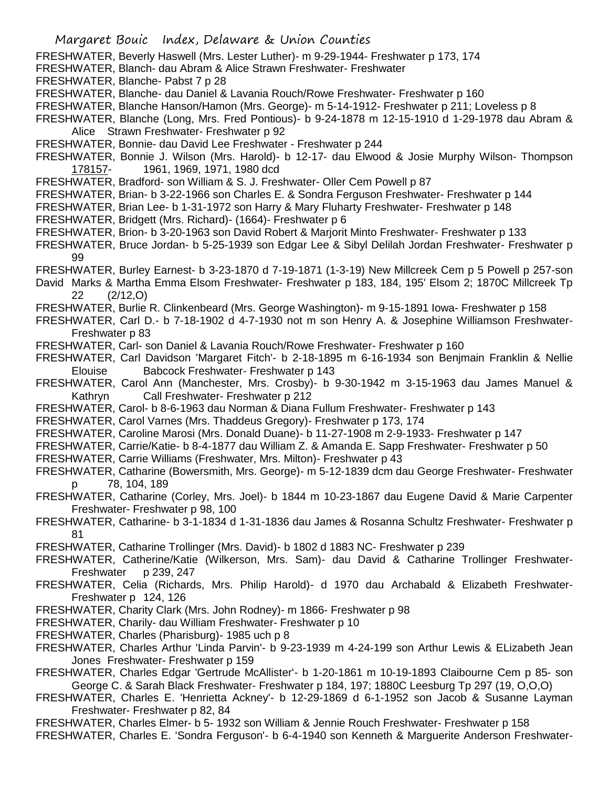- FRESHWATER, Beverly Haswell (Mrs. Lester Luther)- m 9-29-1944- Freshwater p 173, 174
- FRESHWATER, Blanch- dau Abram & Alice Strawn Freshwater- Freshwater
- FRESHWATER, Blanche- Pabst 7 p 28
- FRESHWATER, Blanche- dau Daniel & Lavania Rouch/Rowe Freshwater- Freshwater p 160
- FRESHWATER, Blanche Hanson/Hamon (Mrs. George)- m 5-14-1912- Freshwater p 211; Loveless p 8
- FRESHWATER, Blanche (Long, Mrs. Fred Pontious)- b 9-24-1878 m 12-15-1910 d 1-29-1978 dau Abram & Alice Strawn Freshwater- Freshwater p 92
- FRESHWATER, Bonnie- dau David Lee Freshwater Freshwater p 244
- FRESHWATER, Bonnie J. Wilson (Mrs. Harold)- b 12-17- dau Elwood & Josie Murphy Wilson- Thompson 178157- 1961, 1969, 1971, 1980 dcd
- FRESHWATER, Bradford- son William & S. J. Freshwater- Oller Cem Powell p 87
- FRESHWATER, Brian- b 3-22-1966 son Charles E. & Sondra Ferguson Freshwater- Freshwater p 144
- FRESHWATER, Brian Lee- b 1-31-1972 son Harry & Mary Fluharty Freshwater- Freshwater p 148
- FRESHWATER, Bridgett (Mrs. Richard)- (1664)- Freshwater p 6
- FRESHWATER, Brion- b 3-20-1963 son David Robert & Marjorit Minto Freshwater- Freshwater p 133
- FRESHWATER, Bruce Jordan- b 5-25-1939 son Edgar Lee & Sibyl Delilah Jordan Freshwater- Freshwater p 99
- FRESHWATER, Burley Earnest- b 3-23-1870 d 7-19-1871 (1-3-19) New Millcreek Cem p 5 Powell p 257-son
- David Marks & Martha Emma Elsom Freshwater- Freshwater p 183, 184, 195' Elsom 2; 1870C Millcreek Tp 22 (2/12,O)
- FRESHWATER, Burlie R. Clinkenbeard (Mrs. George Washington)- m 9-15-1891 Iowa- Freshwater p 158
- FRESHWATER, Carl D.- b 7-18-1902 d 4-7-1930 not m son Henry A. & Josephine Williamson Freshwater-Freshwater p 83
- FRESHWATER, Carl- son Daniel & Lavania Rouch/Rowe Freshwater- Freshwater p 160
- FRESHWATER, Carl Davidson 'Margaret Fitch'- b 2-18-1895 m 6-16-1934 son Benjmain Franklin & Nellie Elouise Babcock Freshwater- Freshwater p 143
- FRESHWATER, Carol Ann (Manchester, Mrs. Crosby)- b 9-30-1942 m 3-15-1963 dau James Manuel & Kathryn Call Freshwater- Freshwater p 212
- FRESHWATER, Carol- b 8-6-1963 dau Norman & Diana Fullum Freshwater- Freshwater p 143
- FRESHWATER, Carol Varnes (Mrs. Thaddeus Gregory)- Freshwater p 173, 174
- FRESHWATER, Caroline Marosi (Mrs. Donald Duane)- b 11-27-1908 m 2-9-1933- Freshwater p 147
- FRESHWATER, Carrie/Katie- b 8-4-1877 dau William Z. & Amanda E. Sapp Freshwater- Freshwater p 50
- FRESHWATER, Carrie Williams (Freshwater, Mrs. Milton)- Freshwater p 43
- FRESHWATER, Catharine (Bowersmith, Mrs. George)- m 5-12-1839 dcm dau George Freshwater- Freshwater p 78, 104, 189
- FRESHWATER, Catharine (Corley, Mrs. Joel)- b 1844 m 10-23-1867 dau Eugene David & Marie Carpenter Freshwater- Freshwater p 98, 100
- FRESHWATER, Catharine- b 3-1-1834 d 1-31-1836 dau James & Rosanna Schultz Freshwater- Freshwater p 81
- FRESHWATER, Catharine Trollinger (Mrs. David)- b 1802 d 1883 NC- Freshwater p 239
- FRESHWATER, Catherine/Katie (Wilkerson, Mrs. Sam)- dau David & Catharine Trollinger Freshwater-Freshwater p 239, 247
- FRESHWATER, Celia (Richards, Mrs. Philip Harold)- d 1970 dau Archabald & Elizabeth Freshwater-Freshwater p 124, 126
- FRESHWATER, Charity Clark (Mrs. John Rodney)- m 1866- Freshwater p 98
- FRESHWATER, Charily- dau William Freshwater- Freshwater p 10
- FRESHWATER, Charles (Pharisburg)- 1985 uch p 8
- FRESHWATER, Charles Arthur 'Linda Parvin'- b 9-23-1939 m 4-24-199 son Arthur Lewis & ELizabeth Jean Jones Freshwater- Freshwater p 159
- FRESHWATER, Charles Edgar 'Gertrude McAllister'- b 1-20-1861 m 10-19-1893 Claibourne Cem p 85- son George C. & Sarah Black Freshwater- Freshwater p 184, 197; 1880C Leesburg Tp 297 (19, O,O,O)
- FRESHWATER, Charles E. 'Henrietta Ackney'- b 12-29-1869 d 6-1-1952 son Jacob & Susanne Layman Freshwater- Freshwater p 82, 84
- FRESHWATER, Charles Elmer- b 5- 1932 son William & Jennie Rouch Freshwater- Freshwater p 158
- FRESHWATER, Charles E. 'Sondra Ferguson'- b 6-4-1940 son Kenneth & Marguerite Anderson Freshwater-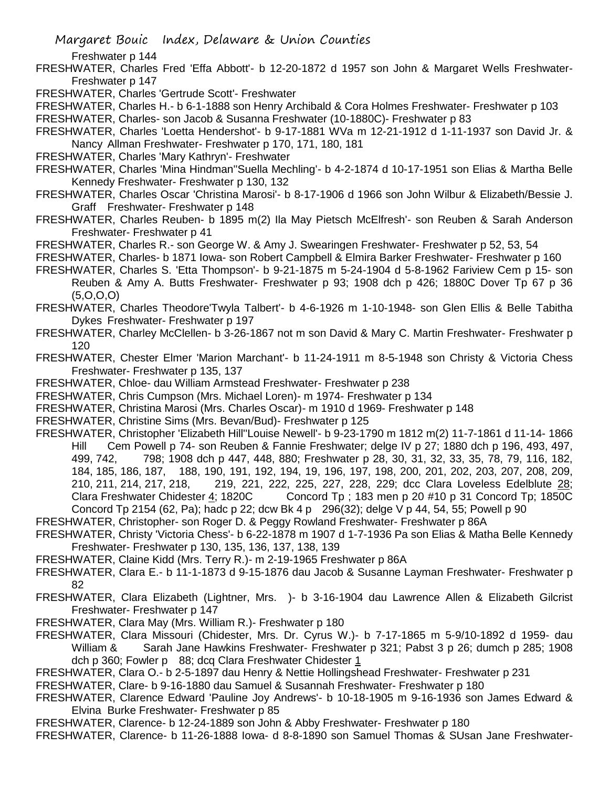Margaret Bouic Index, Delaware & Union Counties

Freshwater p 144

- FRESHWATER, Charles Fred 'Effa Abbott'- b 12-20-1872 d 1957 son John & Margaret Wells Freshwater-Freshwater p 147
- FRESHWATER, Charles 'Gertrude Scott'- Freshwater
- FRESHWATER, Charles H.- b 6-1-1888 son Henry Archibald & Cora Holmes Freshwater- Freshwater p 103
- FRESHWATER, Charles- son Jacob & Susanna Freshwater (10-1880C)- Freshwater p 83

FRESHWATER, Charles 'Loetta Hendershot'- b 9-17-1881 WVa m 12-21-1912 d 1-11-1937 son David Jr. & Nancy Allman Freshwater- Freshwater p 170, 171, 180, 181

- FRESHWATER, Charles 'Mary Kathryn'- Freshwater
- FRESHWATER, Charles 'Mina Hindman''Suella Mechling'- b 4-2-1874 d 10-17-1951 son Elias & Martha Belle Kennedy Freshwater- Freshwater p 130, 132
- FRESHWATER, Charles Oscar 'Christina Marosi'- b 8-17-1906 d 1966 son John Wilbur & Elizabeth/Bessie J. Graff Freshwater- Freshwater p 148
- FRESHWATER, Charles Reuben- b 1895 m(2) Ila May Pietsch McElfresh'- son Reuben & Sarah Anderson Freshwater- Freshwater p 41
- FRESHWATER, Charles R.- son George W. & Amy J. Swearingen Freshwater- Freshwater p 52, 53, 54
- FRESHWATER, Charles- b 1871 Iowa- son Robert Campbell & Elmira Barker Freshwater- Freshwater p 160
- FRESHWATER, Charles S. 'Etta Thompson'- b 9-21-1875 m 5-24-1904 d 5-8-1962 Fariview Cem p 15- son Reuben & Amy A. Butts Freshwater- Freshwater p 93; 1908 dch p 426; 1880C Dover Tp 67 p 36 (5,O,O,O)
- FRESHWATER, Charles Theodore'Twyla Talbert'- b 4-6-1926 m 1-10-1948- son Glen Ellis & Belle Tabitha Dykes Freshwater- Freshwater p 197
- FRESHWATER, Charley McClellen- b 3-26-1867 not m son David & Mary C. Martin Freshwater- Freshwater p 120
- FRESHWATER, Chester Elmer 'Marion Marchant'- b 11-24-1911 m 8-5-1948 son Christy & Victoria Chess Freshwater- Freshwater p 135, 137
- FRESHWATER, Chloe- dau William Armstead Freshwater- Freshwater p 238
- FRESHWATER, Chris Cumpson (Mrs. Michael Loren)- m 1974- Freshwater p 134
- FRESHWATER, Christina Marosi (Mrs. Charles Oscar)- m 1910 d 1969- Freshwater p 148
- FRESHWATER, Christine Sims (Mrs. Bevan/Bud)- Freshwater p 125
- FRESHWATER, Christopher 'Elizabeth Hill''Louise Newell'- b 9-23-1790 m 1812 m(2) 11-7-1861 d 11-14- 1866 Hill Cem Powell p 74- son Reuben & Fannie Freshwater; delge IV p 27; 1880 dch p 196, 493, 497, 499, 742, 798; 1908 dch p 447, 448, 880; Freshwater p 28, 30, 31, 32, 33, 35, 78, 79, 116, 182, 184, 185, 186, 187, 188, 190, 191, 192, 194, 19, 196, 197, 198, 200, 201, 202, 203, 207, 208, 209, 210, 211, 214, 217, 218, 219, 221, 222, 225, 227, 228, 229; dcc Clara Loveless Edelblute 28; Clara Freshwater Chidester 4; 1820C Concord Tp ; 183 men p 20 #10 p 31 Concord Tp; 1850C Concord Tp 2154 (62, Pa); hadc p 22; dcw Bk 4 p 296(32); delge V p 44, 54, 55; Powell p 90
- FRESHWATER, Christopher- son Roger D. & Peggy Rowland Freshwater- Freshwater p 86A
- FRESHWATER, Christy 'Victoria Chess'- b 6-22-1878 m 1907 d 1-7-1936 Pa son Elias & Matha Belle Kennedy Freshwater- Freshwater p 130, 135, 136, 137, 138, 139
- FRESHWATER, Claine Kidd (Mrs. Terry R.)- m 2-19-1965 Freshwater p 86A
- FRESHWATER, Clara E.- b 11-1-1873 d 9-15-1876 dau Jacob & Susanne Layman Freshwater- Freshwater p 82
- FRESHWATER, Clara Elizabeth (Lightner, Mrs. )- b 3-16-1904 dau Lawrence Allen & Elizabeth Gilcrist Freshwater- Freshwater p 147
- FRESHWATER, Clara May (Mrs. William R.)- Freshwater p 180
- FRESHWATER, Clara Missouri (Chidester, Mrs. Dr. Cyrus W.)- b 7-17-1865 m 5-9/10-1892 d 1959- dau William & Sarah Jane Hawkins Freshwater- Freshwater p 321; Pabst 3 p 26; dumch p 285; 1908 dch p 360; Fowler p 88; dcq Clara Freshwater Chidester 1
- FRESHWATER, Clara O.- b 2-5-1897 dau Henry & Nettie Hollingshead Freshwater- Freshwater p 231
- FRESHWATER, Clare- b 9-16-1880 dau Samuel & Susannah Freshwater- Freshwater p 180
- FRESHWATER, Clarence Edward 'Pauline Joy Andrews'- b 10-18-1905 m 9-16-1936 son James Edward & Elvina Burke Freshwater- Freshwater p 85
- FRESHWATER, Clarence- b 12-24-1889 son John & Abby Freshwater- Freshwater p 180

FRESHWATER, Clarence- b 11-26-1888 Iowa- d 8-8-1890 son Samuel Thomas & SUsan Jane Freshwater-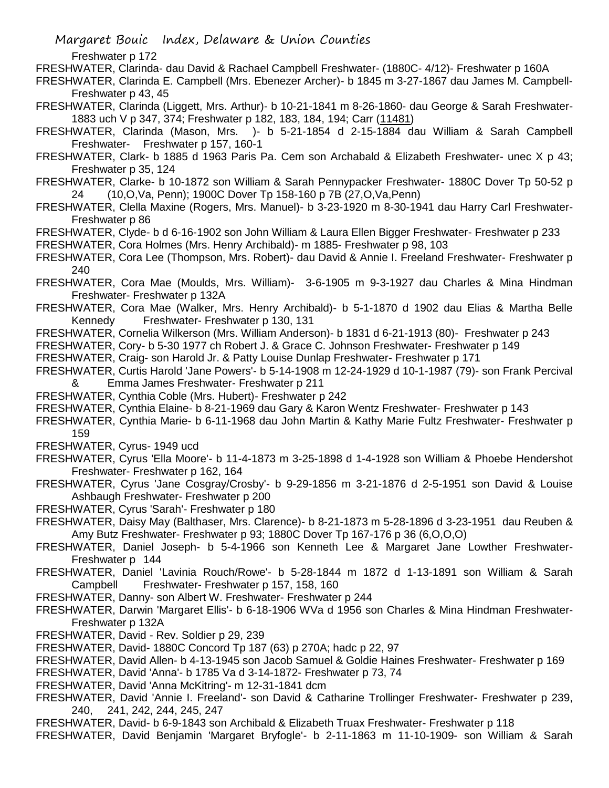Freshwater p 172

FRESHWATER, Clarinda- dau David & Rachael Campbell Freshwater- (1880C- 4/12)- Freshwater p 160A

FRESHWATER, Clarinda E. Campbell (Mrs. Ebenezer Archer)- b 1845 m 3-27-1867 dau James M. Campbell-Freshwater p 43, 45

FRESHWATER, Clarinda (Liggett, Mrs. Arthur)- b 10-21-1841 m 8-26-1860- dau George & Sarah Freshwater-1883 uch V p 347, 374; Freshwater p 182, 183, 184, 194; Carr (11481)

FRESHWATER, Clarinda (Mason, Mrs. )- b 5-21-1854 d 2-15-1884 dau William & Sarah Campbell Freshwater- Freshwater p 157, 160-1

FRESHWATER, Clark- b 1885 d 1963 Paris Pa. Cem son Archabald & Elizabeth Freshwater- unec X p 43; Freshwater p 35, 124

FRESHWATER, Clarke- b 10-1872 son William & Sarah Pennypacker Freshwater- 1880C Dover Tp 50-52 p 24 (10,O,Va, Penn); 1900C Dover Tp 158-160 p 7B (27,O,Va,Penn)

FRESHWATER, Clella Maxine (Rogers, Mrs. Manuel)- b 3-23-1920 m 8-30-1941 dau Harry Carl Freshwater-Freshwater p 86

FRESHWATER, Clyde- b d 6-16-1902 son John William & Laura Ellen Bigger Freshwater- Freshwater p 233

FRESHWATER, Cora Holmes (Mrs. Henry Archibald)- m 1885- Freshwater p 98, 103

FRESHWATER, Cora Lee (Thompson, Mrs. Robert)- dau David & Annie I. Freeland Freshwater- Freshwater p 240

FRESHWATER, Cora Mae (Moulds, Mrs. William)- 3-6-1905 m 9-3-1927 dau Charles & Mina Hindman Freshwater- Freshwater p 132A

FRESHWATER, Cora Mae (Walker, Mrs. Henry Archibald)- b 5-1-1870 d 1902 dau Elias & Martha Belle Kennedy Freshwater- Freshwater p 130, 131

FRESHWATER, Cornelia Wilkerson (Mrs. William Anderson)- b 1831 d 6-21-1913 (80)- Freshwater p 243

FRESHWATER, Cory- b 5-30 1977 ch Robert J. & Grace C. Johnson Freshwater- Freshwater p 149

FRESHWATER, Craig- son Harold Jr. & Patty Louise Dunlap Freshwater- Freshwater p 171

FRESHWATER, Curtis Harold 'Jane Powers'- b 5-14-1908 m 12-24-1929 d 10-1-1987 (79)- son Frank Percival & Emma James Freshwater- Freshwater p 211

FRESHWATER, Cynthia Coble (Mrs. Hubert)- Freshwater p 242

FRESHWATER, Cynthia Elaine- b 8-21-1969 dau Gary & Karon Wentz Freshwater- Freshwater p 143

FRESHWATER, Cynthia Marie- b 6-11-1968 dau John Martin & Kathy Marie Fultz Freshwater- Freshwater p 159

FRESHWATER, Cyrus- 1949 ucd

FRESHWATER, Cyrus 'Ella Moore'- b 11-4-1873 m 3-25-1898 d 1-4-1928 son William & Phoebe Hendershot Freshwater- Freshwater p 162, 164

FRESHWATER, Cyrus 'Jane Cosgray/Crosby'- b 9-29-1856 m 3-21-1876 d 2-5-1951 son David & Louise Ashbaugh Freshwater- Freshwater p 200

FRESHWATER, Cyrus 'Sarah'- Freshwater p 180

FRESHWATER, Daisy May (Balthaser, Mrs. Clarence)- b 8-21-1873 m 5-28-1896 d 3-23-1951 dau Reuben & Amy Butz Freshwater- Freshwater p 93; 1880C Dover Tp 167-176 p 36 (6,O,O,O)

FRESHWATER, Daniel Joseph- b 5-4-1966 son Kenneth Lee & Margaret Jane Lowther Freshwater-Freshwater p 144

FRESHWATER, Daniel 'Lavinia Rouch/Rowe'- b 5-28-1844 m 1872 d 1-13-1891 son William & Sarah Campbell Freshwater- Freshwater p 157, 158, 160

FRESHWATER, Danny- son Albert W. Freshwater- Freshwater p 244

FRESHWATER, Darwin 'Margaret Ellis'- b 6-18-1906 WVa d 1956 son Charles & Mina Hindman Freshwater-Freshwater p 132A

FRESHWATER, David - Rev. Soldier p 29, 239

FRESHWATER, David- 1880C Concord Tp 187 (63) p 270A; hadc p 22, 97

FRESHWATER, David Allen- b 4-13-1945 son Jacob Samuel & Goldie Haines Freshwater- Freshwater p 169

FRESHWATER, David 'Anna'- b 1785 Va d 3-14-1872- Freshwater p 73, 74

FRESHWATER, David 'Anna McKitring'- m 12-31-1841 dcm

FRESHWATER, David 'Annie I. Freeland'- son David & Catharine Trollinger Freshwater- Freshwater p 239, 240, 241, 242, 244, 245, 247

FRESHWATER, David- b 6-9-1843 son Archibald & Elizabeth Truax Freshwater- Freshwater p 118

FRESHWATER, David Benjamin 'Margaret Bryfogle'- b 2-11-1863 m 11-10-1909- son William & Sarah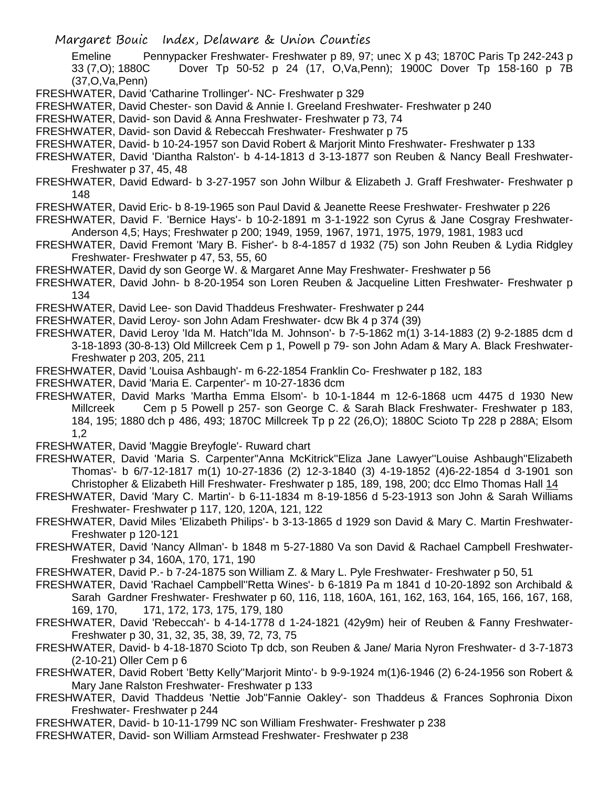Emeline Pennypacker Freshwater- Freshwater p 89, 97; unec X p 43; 1870C Paris Tp 242-243 p 33 (7,O); 1880C Dover Tp 50-52 p 24 (17, O,Va,Penn); 1900C Dover Tp 158-160 p 7B (37,O,Va,Penn)

FRESHWATER, David 'Catharine Trollinger'- NC- Freshwater p 329

FRESHWATER, David Chester- son David & Annie I. Greeland Freshwater- Freshwater p 240

FRESHWATER, David- son David & Anna Freshwater- Freshwater p 73, 74

FRESHWATER, David- son David & Rebeccah Freshwater- Freshwater p 75

FRESHWATER, David- b 10-24-1957 son David Robert & Marjorit Minto Freshwater- Freshwater p 133

- FRESHWATER, David 'Diantha Ralston'- b 4-14-1813 d 3-13-1877 son Reuben & Nancy Beall Freshwater-Freshwater p 37, 45, 48
- FRESHWATER, David Edward- b 3-27-1957 son John Wilbur & Elizabeth J. Graff Freshwater- Freshwater p 148
- FRESHWATER, David Eric- b 8-19-1965 son Paul David & Jeanette Reese Freshwater- Freshwater p 226
- FRESHWATER, David F. 'Bernice Hays'- b 10-2-1891 m 3-1-1922 son Cyrus & Jane Cosgray Freshwater-Anderson 4,5; Hays; Freshwater p 200; 1949, 1959, 1967, 1971, 1975, 1979, 1981, 1983 ucd
- FRESHWATER, David Fremont 'Mary B. Fisher'- b 8-4-1857 d 1932 (75) son John Reuben & Lydia Ridgley Freshwater- Freshwater p 47, 53, 55, 60
- FRESHWATER, David dy son George W. & Margaret Anne May Freshwater- Freshwater p 56
- FRESHWATER, David John- b 8-20-1954 son Loren Reuben & Jacqueline Litten Freshwater- Freshwater p 134
- FRESHWATER, David Lee- son David Thaddeus Freshwater- Freshwater p 244

FRESHWATER, David Leroy- son John Adam Freshwater- dcw Bk 4 p 374 (39)

- FRESHWATER, David Leroy 'Ida M. Hatch''Ida M. Johnson'- b 7-5-1862 m(1) 3-14-1883 (2) 9-2-1885 dcm d 3-18-1893 (30-8-13) Old Millcreek Cem p 1, Powell p 79- son John Adam & Mary A. Black Freshwater-Freshwater p 203, 205, 211
- FRESHWATER, David 'Louisa Ashbaugh'- m 6-22-1854 Franklin Co- Freshwater p 182, 183
- FRESHWATER, David 'Maria E. Carpenter'- m 10-27-1836 dcm
- FRESHWATER, David Marks 'Martha Emma Elsom'- b 10-1-1844 m 12-6-1868 ucm 4475 d 1930 New Millcreek Cem p 5 Powell p 257- son George C. & Sarah Black Freshwater- Freshwater p 183, 184, 195; 1880 dch p 486, 493; 1870C Millcreek Tp p 22 (26,O); 1880C Scioto Tp 228 p 288A; Elsom 1,2
- FRESHWATER, David 'Maggie Breyfogle'- Ruward chart
- FRESHWATER, David 'Maria S. Carpenter''Anna McKitrick''Eliza Jane Lawyer''Louise Ashbaugh''Elizabeth Thomas'- b 6/7-12-1817 m(1) 10-27-1836 (2) 12-3-1840 (3) 4-19-1852 (4)6-22-1854 d 3-1901 son Christopher & Elizabeth Hill Freshwater- Freshwater p 185, 189, 198, 200; dcc Elmo Thomas Hall 14
- FRESHWATER, David 'Mary C. Martin'- b 6-11-1834 m 8-19-1856 d 5-23-1913 son John & Sarah Williams Freshwater- Freshwater p 117, 120, 120A, 121, 122
- FRESHWATER, David Miles 'Elizabeth Philips'- b 3-13-1865 d 1929 son David & Mary C. Martin Freshwater-Freshwater p 120-121
- FRESHWATER, David 'Nancy Allman'- b 1848 m 5-27-1880 Va son David & Rachael Campbell Freshwater-Freshwater p 34, 160A, 170, 171, 190
- FRESHWATER, David P.- b 7-24-1875 son William Z. & Mary L. Pyle Freshwater- Freshwater p 50, 51
- FRESHWATER, David 'Rachael Campbell''Retta Wines'- b 6-1819 Pa m 1841 d 10-20-1892 son Archibald & Sarah Gardner Freshwater- Freshwater p 60, 116, 118, 160A, 161, 162, 163, 164, 165, 166, 167, 168, 169, 170, 171, 172, 173, 175, 179, 180
- FRESHWATER, David 'Rebeccah'- b 4-14-1778 d 1-24-1821 (42y9m) heir of Reuben & Fanny Freshwater-Freshwater p 30, 31, 32, 35, 38, 39, 72, 73, 75
- FRESHWATER, David- b 4-18-1870 Scioto Tp dcb, son Reuben & Jane/ Maria Nyron Freshwater- d 3-7-1873 (2-10-21) Oller Cem p 6
- FRESHWATER, David Robert 'Betty Kelly''Marjorit Minto'- b 9-9-1924 m(1)6-1946 (2) 6-24-1956 son Robert & Mary Jane Ralston Freshwater- Freshwater p 133
- FRESHWATER, David Thaddeus 'Nettie Job''Fannie Oakley'- son Thaddeus & Frances Sophronia Dixon Freshwater- Freshwater p 244
- FRESHWATER, David- b 10-11-1799 NC son William Freshwater- Freshwater p 238
- FRESHWATER, David- son William Armstead Freshwater- Freshwater p 238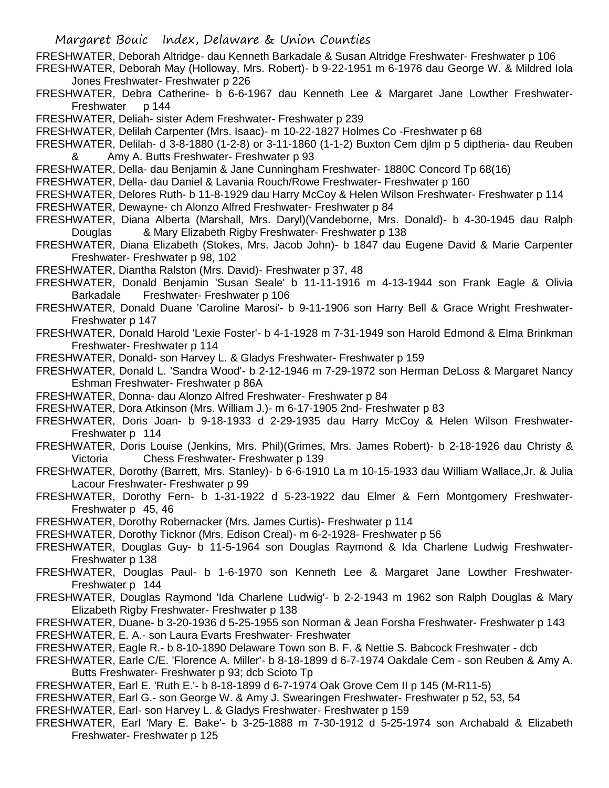FRESHWATER, Deborah Altridge- dau Kenneth Barkadale & Susan Altridge Freshwater- Freshwater p 106 FRESHWATER, Deborah May (Holloway, Mrs. Robert)- b 9-22-1951 m 6-1976 dau George W. & Mildred Iola

Jones Freshwater- Freshwater p 226

FRESHWATER, Debra Catherine- b 6-6-1967 dau Kenneth Lee & Margaret Jane Lowther Freshwater-Freshwater p 144

FRESHWATER, Deliah- sister Adem Freshwater- Freshwater p 239

FRESHWATER, Delilah Carpenter (Mrs. Isaac)- m 10-22-1827 Holmes Co -Freshwater p 68

FRESHWATER, Delilah- d 3-8-1880 (1-2-8) or 3-11-1860 (1-1-2) Buxton Cem djlm p 5 diptheria- dau Reuben & Amy A. Butts Freshwater- Freshwater p 93

FRESHWATER, Della- dau Benjamin & Jane Cunningham Freshwater- 1880C Concord Tp 68(16)

FRESHWATER, Della- dau Daniel & Lavania Rouch/Rowe Freshwater- Freshwater p 160

FRESHWATER, Delores Ruth- b 11-8-1929 dau Harry McCoy & Helen Wilson Freshwater- Freshwater p 114

FRESHWATER, Dewayne- ch Alonzo Alfred Freshwater- Freshwater p 84

- FRESHWATER, Diana Alberta (Marshall, Mrs. Daryl)(Vandeborne, Mrs. Donald)- b 4-30-1945 dau Ralph Douglas & Mary Elizabeth Rigby Freshwater- Freshwater p 138
- FRESHWATER, Diana Elizabeth (Stokes, Mrs. Jacob John)- b 1847 dau Eugene David & Marie Carpenter Freshwater- Freshwater p 98, 102
- FRESHWATER, Diantha Ralston (Mrs. David)- Freshwater p 37, 48
- FRESHWATER, Donald Benjamin 'Susan Seale' b 11-11-1916 m 4-13-1944 son Frank Eagle & Olivia Barkadale Freshwater- Freshwater p 106
- FRESHWATER, Donald Duane 'Caroline Marosi'- b 9-11-1906 son Harry Bell & Grace Wright Freshwater-Freshwater p 147
- FRESHWATER, Donald Harold 'Lexie Foster'- b 4-1-1928 m 7-31-1949 son Harold Edmond & Elma Brinkman Freshwater- Freshwater p 114
- FRESHWATER, Donald- son Harvey L. & Gladys Freshwater- Freshwater p 159
- FRESHWATER, Donald L. 'Sandra Wood'- b 2-12-1946 m 7-29-1972 son Herman DeLoss & Margaret Nancy Eshman Freshwater- Freshwater p 86A
- FRESHWATER, Donna- dau Alonzo Alfred Freshwater- Freshwater p 84
- FRESHWATER, Dora Atkinson (Mrs. William J.)- m 6-17-1905 2nd- Freshwater p 83
- FRESHWATER, Doris Joan- b 9-18-1933 d 2-29-1935 dau Harry McCoy & Helen Wilson Freshwater-Freshwater p 114
- FRESHWATER, Doris Louise (Jenkins, Mrs. Phil)(Grimes, Mrs. James Robert)- b 2-18-1926 dau Christy & Victoria Chess Freshwater- Freshwater p 139
- FRESHWATER, Dorothy (Barrett, Mrs. Stanley)- b 6-6-1910 La m 10-15-1933 dau William Wallace,Jr. & Julia Lacour Freshwater- Freshwater p 99
- FRESHWATER, Dorothy Fern- b 1-31-1922 d 5-23-1922 dau Elmer & Fern Montgomery Freshwater-Freshwater p 45, 46
- FRESHWATER, Dorothy Robernacker (Mrs. James Curtis)- Freshwater p 114

FRESHWATER, Dorothy Ticknor (Mrs. Edison Creal)- m 6-2-1928- Freshwater p 56

- FRESHWATER, Douglas Guy- b 11-5-1964 son Douglas Raymond & Ida Charlene Ludwig Freshwater-Freshwater p 138
- FRESHWATER, Douglas Paul- b 1-6-1970 son Kenneth Lee & Margaret Jane Lowther Freshwater-Freshwater p 144
- FRESHWATER, Douglas Raymond 'Ida Charlene Ludwig'- b 2-2-1943 m 1962 son Ralph Douglas & Mary Elizabeth Rigby Freshwater- Freshwater p 138
- FRESHWATER, Duane- b 3-20-1936 d 5-25-1955 son Norman & Jean Forsha Freshwater- Freshwater p 143 FRESHWATER, E. A.- son Laura Evarts Freshwater- Freshwater
- FRESHWATER, Eagle R.- b 8-10-1890 Delaware Town son B. F. & Nettie S. Babcock Freshwater dcb
- FRESHWATER, Earle C/E. 'Florence A. Miller'- b 8-18-1899 d 6-7-1974 Oakdale Cem son Reuben & Amy A. Butts Freshwater- Freshwater p 93; dcb Scioto Tp
- FRESHWATER, Earl E. 'Ruth E.'- b 8-18-1899 d 6-7-1974 Oak Grove Cem II p 145 (M-R11-5)
- FRESHWATER, Earl G.- son George W. & Amy J. Swearingen Freshwater- Freshwater p 52, 53, 54

FRESHWATER, Earl- son Harvey L. & Gladys Freshwater- Freshwater p 159

FRESHWATER, Earl 'Mary E. Bake'- b 3-25-1888 m 7-30-1912 d 5-25-1974 son Archabald & Elizabeth Freshwater- Freshwater p 125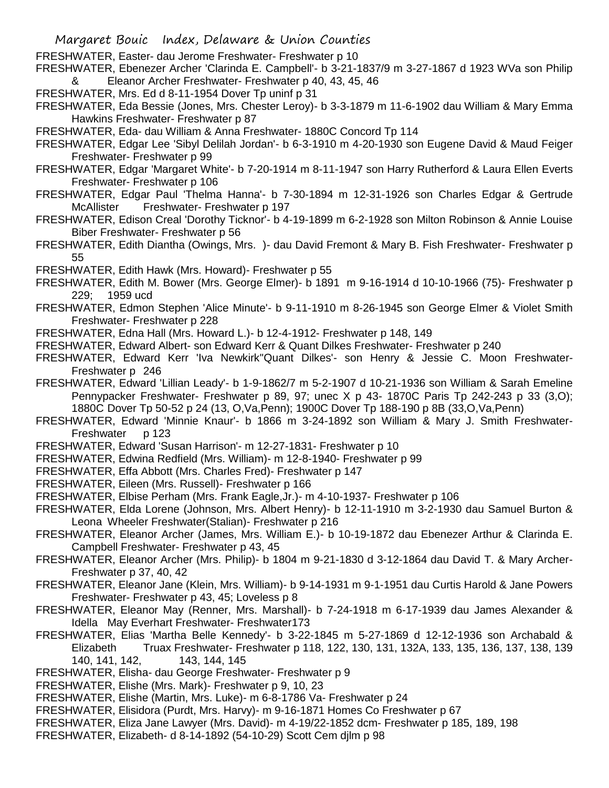- Margaret Bouic Index, Delaware & Union Counties
- FRESHWATER, Easter- dau Jerome Freshwater- Freshwater p 10
- FRESHWATER, Ebenezer Archer 'Clarinda E. Campbell'- b 3-21-1837/9 m 3-27-1867 d 1923 WVa son Philip Eleanor Archer Freshwater- Freshwater p 40, 43, 45, 46
- FRESHWATER, Mrs. Ed d 8-11-1954 Dover Tp uninf p 31
- FRESHWATER, Eda Bessie (Jones, Mrs. Chester Leroy)- b 3-3-1879 m 11-6-1902 dau William & Mary Emma Hawkins Freshwater- Freshwater p 87
- FRESHWATER, Eda- dau William & Anna Freshwater- 1880C Concord Tp 114
- FRESHWATER, Edgar Lee 'Sibyl Delilah Jordan'- b 6-3-1910 m 4-20-1930 son Eugene David & Maud Feiger Freshwater- Freshwater p 99
- FRESHWATER, Edgar 'Margaret White'- b 7-20-1914 m 8-11-1947 son Harry Rutherford & Laura Ellen Everts Freshwater- Freshwater p 106
- FRESHWATER, Edgar Paul 'Thelma Hanna'- b 7-30-1894 m 12-31-1926 son Charles Edgar & Gertrude McAllister Freshwater- Freshwater p 197
- FRESHWATER, Edison Creal 'Dorothy Ticknor'- b 4-19-1899 m 6-2-1928 son Milton Robinson & Annie Louise Biber Freshwater- Freshwater p 56
- FRESHWATER, Edith Diantha (Owings, Mrs. )- dau David Fremont & Mary B. Fish Freshwater- Freshwater p 55
- FRESHWATER, Edith Hawk (Mrs. Howard)- Freshwater p 55
- FRESHWATER, Edith M. Bower (Mrs. George Elmer)- b 1891 m 9-16-1914 d 10-10-1966 (75)- Freshwater p 229; 1959 ucd
- FRESHWATER, Edmon Stephen 'Alice Minute'- b 9-11-1910 m 8-26-1945 son George Elmer & Violet Smith Freshwater- Freshwater p 228
- FRESHWATER, Edna Hall (Mrs. Howard L.)- b 12-4-1912- Freshwater p 148, 149
- FRESHWATER, Edward Albert- son Edward Kerr & Quant Dilkes Freshwater- Freshwater p 240
- FRESHWATER, Edward Kerr 'Iva Newkirk''Quant Dilkes'- son Henry & Jessie C. Moon Freshwater-Freshwater p 246
- FRESHWATER, Edward 'Lillian Leady'- b 1-9-1862/7 m 5-2-1907 d 10-21-1936 son William & Sarah Emeline Pennypacker Freshwater- Freshwater p 89, 97; unec X p 43- 1870C Paris Tp 242-243 p 33 (3,O); 1880C Dover Tp 50-52 p 24 (13, O,Va,Penn); 1900C Dover Tp 188-190 p 8B (33,O,Va,Penn)
- FRESHWATER, Edward 'Minnie Knaur'- b 1866 m 3-24-1892 son William & Mary J. Smith Freshwater-Freshwater p 123
- FRESHWATER, Edward 'Susan Harrison'- m 12-27-1831- Freshwater p 10
- FRESHWATER, Edwina Redfield (Mrs. William)- m 12-8-1940- Freshwater p 99
- FRESHWATER, Effa Abbott (Mrs. Charles Fred)- Freshwater p 147
- FRESHWATER, Eileen (Mrs. Russell)- Freshwater p 166
- FRESHWATER, Elbise Perham (Mrs. Frank Eagle,Jr.)- m 4-10-1937- Freshwater p 106
- FRESHWATER, Elda Lorene (Johnson, Mrs. Albert Henry)- b 12-11-1910 m 3-2-1930 dau Samuel Burton & Leona Wheeler Freshwater(Stalian)- Freshwater p 216
- FRESHWATER, Eleanor Archer (James, Mrs. William E.)- b 10-19-1872 dau Ebenezer Arthur & Clarinda E. Campbell Freshwater- Freshwater p 43, 45
- FRESHWATER, Eleanor Archer (Mrs. Philip)- b 1804 m 9-21-1830 d 3-12-1864 dau David T. & Mary Archer-Freshwater p 37, 40, 42
- FRESHWATER, Eleanor Jane (Klein, Mrs. William)- b 9-14-1931 m 9-1-1951 dau Curtis Harold & Jane Powers Freshwater- Freshwater p 43, 45; Loveless p 8
- FRESHWATER, Eleanor May (Renner, Mrs. Marshall)- b 7-24-1918 m 6-17-1939 dau James Alexander & Idella May Everhart Freshwater- Freshwater173
- FRESHWATER, Elias 'Martha Belle Kennedy'- b 3-22-1845 m 5-27-1869 d 12-12-1936 son Archabald & Elizabeth Truax Freshwater- Freshwater p 118, 122, 130, 131, 132A, 133, 135, 136, 137, 138, 139 140, 141, 142, 143, 144, 145
- FRESHWATER, Elisha- dau George Freshwater- Freshwater p 9
- FRESHWATER, Elishe (Mrs. Mark)- Freshwater p 9, 10, 23
- FRESHWATER, Elishe (Martin, Mrs. Luke)- m 6-8-1786 Va- Freshwater p 24
- FRESHWATER, Elisidora (Purdt, Mrs. Harvy)- m 9-16-1871 Homes Co Freshwater p 67
- FRESHWATER, Eliza Jane Lawyer (Mrs. David)- m 4-19/22-1852 dcm- Freshwater p 185, 189, 198
- FRESHWATER, Elizabeth- d 8-14-1892 (54-10-29) Scott Cem djlm p 98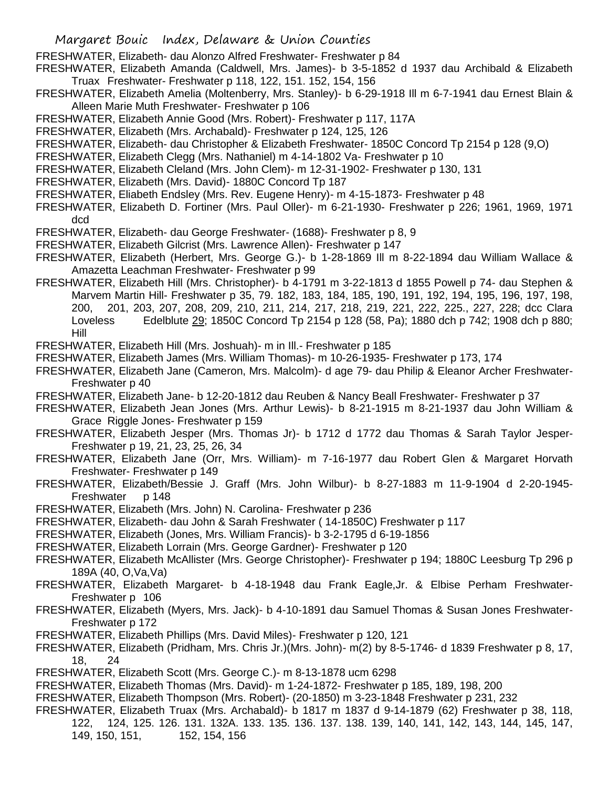FRESHWATER, Elizabeth- dau Alonzo Alfred Freshwater- Freshwater p 84

- FRESHWATER, Elizabeth Amanda (Caldwell, Mrs. James)- b 3-5-1852 d 1937 dau Archibald & Elizabeth Truax Freshwater- Freshwater p 118, 122, 151. 152, 154, 156
- FRESHWATER, Elizabeth Amelia (Moltenberry, Mrs. Stanley)- b 6-29-1918 Ill m 6-7-1941 dau Ernest Blain & Alleen Marie Muth Freshwater- Freshwater p 106
- FRESHWATER, Elizabeth Annie Good (Mrs. Robert)- Freshwater p 117, 117A
- FRESHWATER, Elizabeth (Mrs. Archabald)- Freshwater p 124, 125, 126
- FRESHWATER, Elizabeth- dau Christopher & Elizabeth Freshwater- 1850C Concord Tp 2154 p 128 (9,O)
- FRESHWATER, Elizabeth Clegg (Mrs. Nathaniel) m 4-14-1802 Va- Freshwater p 10
- FRESHWATER, Elizabeth Cleland (Mrs. John Clem)- m 12-31-1902- Freshwater p 130, 131
- FRESHWATER, Elizabeth (Mrs. David)- 1880C Concord Tp 187
- FRESHWATER, Eliabeth Endsley (Mrs. Rev. Eugene Henry)- m 4-15-1873- Freshwater p 48
- FRESHWATER, Elizabeth D. Fortiner (Mrs. Paul Oller)- m 6-21-1930- Freshwater p 226; 1961, 1969, 1971 dcd
- FRESHWATER, Elizabeth- dau George Freshwater- (1688)- Freshwater p 8, 9
- FRESHWATER, Elizabeth Gilcrist (Mrs. Lawrence Allen)- Freshwater p 147
- FRESHWATER, Elizabeth (Herbert, Mrs. George G.)- b 1-28-1869 Ill m 8-22-1894 dau William Wallace & Amazetta Leachman Freshwater- Freshwater p 99
- FRESHWATER, Elizabeth Hill (Mrs. Christopher)- b 4-1791 m 3-22-1813 d 1855 Powell p 74- dau Stephen & Marvem Martin Hill- Freshwater p 35, 79. 182, 183, 184, 185, 190, 191, 192, 194, 195, 196, 197, 198, 200, 201, 203, 207, 208, 209, 210, 211, 214, 217, 218, 219, 221, 222, 225., 227, 228; dcc Clara Loveless Edelblute 29; 1850C Concord Tp 2154 p 128 (58, Pa); 1880 dch p 742; 1908 dch p 880; Hill

FRESHWATER, Elizabeth Hill (Mrs. Joshuah)- m in Ill.- Freshwater p 185

- FRESHWATER, Elizabeth James (Mrs. William Thomas)- m 10-26-1935- Freshwater p 173, 174
- FRESHWATER, Elizabeth Jane (Cameron, Mrs. Malcolm)- d age 79- dau Philip & Eleanor Archer Freshwater-Freshwater p 40
- FRESHWATER, Elizabeth Jane- b 12-20-1812 dau Reuben & Nancy Beall Freshwater- Freshwater p 37
- FRESHWATER, Elizabeth Jean Jones (Mrs. Arthur Lewis)- b 8-21-1915 m 8-21-1937 dau John William & Grace Riggle Jones- Freshwater p 159
- FRESHWATER, Elizabeth Jesper (Mrs. Thomas Jr)- b 1712 d 1772 dau Thomas & Sarah Taylor Jesper-Freshwater p 19, 21, 23, 25, 26, 34
- FRESHWATER, Elizabeth Jane (Orr, Mrs. William)- m 7-16-1977 dau Robert Glen & Margaret Horvath Freshwater- Freshwater p 149
- FRESHWATER, Elizabeth/Bessie J. Graff (Mrs. John Wilbur)- b 8-27-1883 m 11-9-1904 d 2-20-1945- Freshwater p 148
- FRESHWATER, Elizabeth (Mrs. John) N. Carolina- Freshwater p 236
- FRESHWATER, Elizabeth- dau John & Sarah Freshwater ( 14-1850C) Freshwater p 117
- FRESHWATER, Elizabeth (Jones, Mrs. William Francis)- b 3-2-1795 d 6-19-1856
- FRESHWATER, Elizabeth Lorrain (Mrs. George Gardner)- Freshwater p 120
- FRESHWATER, Elizabeth McAllister (Mrs. George Christopher)- Freshwater p 194; 1880C Leesburg Tp 296 p 189A (40, O,Va,Va)
- FRESHWATER, Elizabeth Margaret- b 4-18-1948 dau Frank Eagle,Jr. & Elbise Perham Freshwater-Freshwater p 106
- FRESHWATER, Elizabeth (Myers, Mrs. Jack)- b 4-10-1891 dau Samuel Thomas & Susan Jones Freshwater-Freshwater p 172
- FRESHWATER, Elizabeth Phillips (Mrs. David Miles)- Freshwater p 120, 121
- FRESHWATER, Elizabeth (Pridham, Mrs. Chris Jr.)(Mrs. John)- m(2) by 8-5-1746- d 1839 Freshwater p 8, 17, 18, 24
- FRESHWATER, Elizabeth Scott (Mrs. George C.)- m 8-13-1878 ucm 6298
- FRESHWATER, Elizabeth Thomas (Mrs. David)- m 1-24-1872- Freshwater p 185, 189, 198, 200
- FRESHWATER, Elizabeth Thompson (Mrs. Robert)- (20-1850) m 3-23-1848 Freshwater p 231, 232
- FRESHWATER, Elizabeth Truax (Mrs. Archabald)- b 1817 m 1837 d 9-14-1879 (62) Freshwater p 38, 118, 122, 124, 125. 126. 131. 132A. 133. 135. 136. 137. 138. 139, 140, 141, 142, 143, 144, 145, 147, 149, 150, 151, 152, 154, 156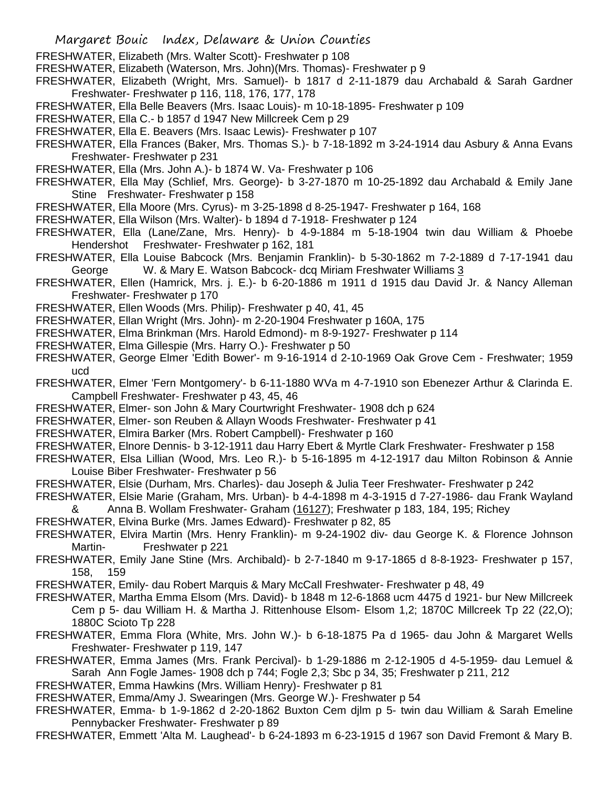- FRESHWATER, Elizabeth (Mrs. Walter Scott)- Freshwater p 108
- FRESHWATER, Elizabeth (Waterson, Mrs. John)(Mrs. Thomas)- Freshwater p 9

FRESHWATER, Elizabeth (Wright, Mrs. Samuel)- b 1817 d 2-11-1879 dau Archabald & Sarah Gardner Freshwater- Freshwater p 116, 118, 176, 177, 178

- FRESHWATER, Ella Belle Beavers (Mrs. Isaac Louis)- m 10-18-1895- Freshwater p 109
- FRESHWATER, Ella C.- b 1857 d 1947 New Millcreek Cem p 29
- FRESHWATER, Ella E. Beavers (Mrs. Isaac Lewis)- Freshwater p 107
- FRESHWATER, Ella Frances (Baker, Mrs. Thomas S.)- b 7-18-1892 m 3-24-1914 dau Asbury & Anna Evans Freshwater- Freshwater p 231
- FRESHWATER, Ella (Mrs. John A.)- b 1874 W. Va- Freshwater p 106
- FRESHWATER, Ella May (Schlief, Mrs. George)- b 3-27-1870 m 10-25-1892 dau Archabald & Emily Jane Stine Freshwater- Freshwater p 158
- FRESHWATER, Ella Moore (Mrs. Cyrus)- m 3-25-1898 d 8-25-1947- Freshwater p 164, 168
- FRESHWATER, Ella Wilson (Mrs. Walter)- b 1894 d 7-1918- Freshwater p 124
- FRESHWATER, Ella (Lane/Zane, Mrs. Henry)- b 4-9-1884 m 5-18-1904 twin dau William & Phoebe Hendershot Freshwater- Freshwater p 162, 181
- FRESHWATER, Ella Louise Babcock (Mrs. Benjamin Franklin)- b 5-30-1862 m 7-2-1889 d 7-17-1941 dau George W. & Mary E. Watson Babcock- dcq Miriam Freshwater Williams 3
- FRESHWATER, Ellen (Hamrick, Mrs. j. E.)- b 6-20-1886 m 1911 d 1915 dau David Jr. & Nancy Alleman Freshwater- Freshwater p 170
- FRESHWATER, Ellen Woods (Mrs. Philip)- Freshwater p 40, 41, 45
- FRESHWATER, Ellan Wright (Mrs. John)- m 2-20-1904 Freshwater p 160A, 175
- FRESHWATER, Elma Brinkman (Mrs. Harold Edmond)- m 8-9-1927- Freshwater p 114
- FRESHWATER, Elma Gillespie (Mrs. Harry O.)- Freshwater p 50
- FRESHWATER, George Elmer 'Edith Bower'- m 9-16-1914 d 2-10-1969 Oak Grove Cem Freshwater; 1959 ucd
- FRESHWATER, Elmer 'Fern Montgomery'- b 6-11-1880 WVa m 4-7-1910 son Ebenezer Arthur & Clarinda E. Campbell Freshwater- Freshwater p 43, 45, 46
- FRESHWATER, Elmer- son John & Mary Courtwright Freshwater- 1908 dch p 624
- FRESHWATER, Elmer- son Reuben & Allayn Woods Freshwater- Freshwater p 41
- FRESHWATER, Elmira Barker (Mrs. Robert Campbell)- Freshwater p 160
- FRESHWATER, Elnore Dennis- b 3-12-1911 dau Harry Ebert & Myrtle Clark Freshwater- Freshwater p 158
- FRESHWATER, Elsa Lillian (Wood, Mrs. Leo R.)- b 5-16-1895 m 4-12-1917 dau Milton Robinson & Annie Louise Biber Freshwater- Freshwater p 56
- FRESHWATER, Elsie (Durham, Mrs. Charles)- dau Joseph & Julia Teer Freshwater- Freshwater p 242
- FRESHWATER, Elsie Marie (Graham, Mrs. Urban)- b 4-4-1898 m 4-3-1915 d 7-27-1986- dau Frank Wayland & Anna B. Wollam Freshwater- Graham (16127); Freshwater p 183, 184, 195; Richey
- FRESHWATER, Elvina Burke (Mrs. James Edward)- Freshwater p 82, 85
- FRESHWATER, Elvira Martin (Mrs. Henry Franklin)- m 9-24-1902 div- dau George K. & Florence Johnson Martin- Freshwater p 221
- FRESHWATER, Emily Jane Stine (Mrs. Archibald)- b 2-7-1840 m 9-17-1865 d 8-8-1923- Freshwater p 157, 158, 159
- FRESHWATER, Emily- dau Robert Marquis & Mary McCall Freshwater- Freshwater p 48, 49
- FRESHWATER, Martha Emma Elsom (Mrs. David)- b 1848 m 12-6-1868 ucm 4475 d 1921- bur New Millcreek Cem p 5- dau William H. & Martha J. Rittenhouse Elsom- Elsom 1,2; 1870C Millcreek Tp 22 (22,O); 1880C Scioto Tp 228
- FRESHWATER, Emma Flora (White, Mrs. John W.)- b 6-18-1875 Pa d 1965- dau John & Margaret Wells Freshwater- Freshwater p 119, 147
- FRESHWATER, Emma James (Mrs. Frank Percival)- b 1-29-1886 m 2-12-1905 d 4-5-1959- dau Lemuel & Sarah Ann Fogle James- 1908 dch p 744; Fogle 2,3; Sbc p 34, 35; Freshwater p 211, 212
- FRESHWATER, Emma Hawkins (Mrs. William Henry)- Freshwater p 81
- FRESHWATER, Emma/Amy J. Swearingen (Mrs. George W.)- Freshwater p 54
- FRESHWATER, Emma- b 1-9-1862 d 2-20-1862 Buxton Cem djlm p 5- twin dau William & Sarah Emeline Pennybacker Freshwater- Freshwater p 89
- FRESHWATER, Emmett 'Alta M. Laughead'- b 6-24-1893 m 6-23-1915 d 1967 son David Fremont & Mary B.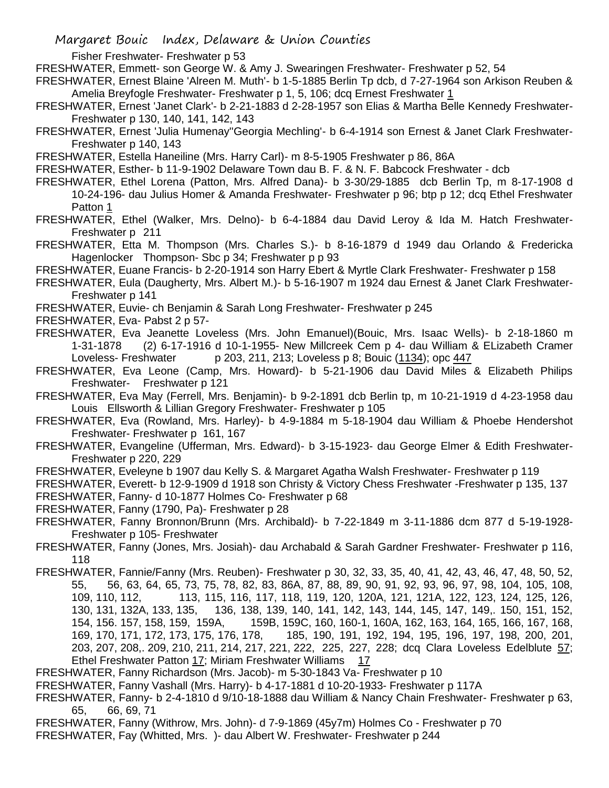Fisher Freshwater- Freshwater p 53

FRESHWATER, Emmett- son George W. & Amy J. Swearingen Freshwater- Freshwater p 52, 54

FRESHWATER, Ernest Blaine 'Alreen M. Muth'- b 1-5-1885 Berlin Tp dcb, d 7-27-1964 son Arkison Reuben & Amelia Breyfogle Freshwater- Freshwater p 1, 5, 106; dcq Ernest Freshwater 1

- FRESHWATER, Ernest 'Janet Clark'- b 2-21-1883 d 2-28-1957 son Elias & Martha Belle Kennedy Freshwater-Freshwater p 130, 140, 141, 142, 143
- FRESHWATER, Ernest 'Julia Humenay''Georgia Mechling'- b 6-4-1914 son Ernest & Janet Clark Freshwater-Freshwater p 140, 143

FRESHWATER, Estella Haneiline (Mrs. Harry Carl)- m 8-5-1905 Freshwater p 86, 86A

FRESHWATER, Esther- b 11-9-1902 Delaware Town dau B. F. & N. F. Babcock Freshwater - dcb

FRESHWATER, Ethel Lorena (Patton, Mrs. Alfred Dana)- b 3-30/29-1885 dcb Berlin Tp, m 8-17-1908 d 10-24-196- dau Julius Homer & Amanda Freshwater- Freshwater p 96; btp p 12; dcq Ethel Freshwater Patton 1

FRESHWATER, Ethel (Walker, Mrs. Delno)- b 6-4-1884 dau David Leroy & Ida M. Hatch Freshwater-Freshwater p 211

FRESHWATER, Etta M. Thompson (Mrs. Charles S.)- b 8-16-1879 d 1949 dau Orlando & Fredericka Hagenlocker Thompson- Sbc p 34; Freshwater p p 93

FRESHWATER, Euane Francis- b 2-20-1914 son Harry Ebert & Myrtle Clark Freshwater- Freshwater p 158

FRESHWATER, Eula (Daugherty, Mrs. Albert M.)- b 5-16-1907 m 1924 dau Ernest & Janet Clark Freshwater-Freshwater p 141

FRESHWATER, Euvie- ch Benjamin & Sarah Long Freshwater- Freshwater p 245

FRESHWATER, Eva- Pabst 2 p 57-

- FRESHWATER, Eva Jeanette Loveless (Mrs. John Emanuel)(Bouic, Mrs. Isaac Wells)- b 2-18-1860 m 1-31-1878 (2) 6-17-1916 d 10-1-1955- New Millcreek Cem p 4- dau William & ELizabeth Cramer Loveless- Freshwater p 203, 211, 213; Loveless p 8; Bouic (1134); opc 447
- FRESHWATER, Eva Leone (Camp, Mrs. Howard)- b 5-21-1906 dau David Miles & Elizabeth Philips Freshwater- Freshwater p 121
- FRESHWATER, Eva May (Ferrell, Mrs. Benjamin)- b 9-2-1891 dcb Berlin tp, m 10-21-1919 d 4-23-1958 dau Louis Ellsworth & Lillian Gregory Freshwater- Freshwater p 105
- FRESHWATER, Eva (Rowland, Mrs. Harley)- b 4-9-1884 m 5-18-1904 dau William & Phoebe Hendershot Freshwater- Freshwater p 161, 167
- FRESHWATER, Evangeline (Ufferman, Mrs. Edward)- b 3-15-1923- dau George Elmer & Edith Freshwater-Freshwater p 220, 229
- FRESHWATER, Eveleyne b 1907 dau Kelly S. & Margaret Agatha Walsh Freshwater- Freshwater p 119

FRESHWATER, Everett- b 12-9-1909 d 1918 son Christy & Victory Chess Freshwater -Freshwater p 135, 137 FRESHWATER, Fanny- d 10-1877 Holmes Co- Freshwater p 68

- FRESHWATER, Fanny (1790, Pa)- Freshwater p 28
- FRESHWATER, Fanny Bronnon/Brunn (Mrs. Archibald)- b 7-22-1849 m 3-11-1886 dcm 877 d 5-19-1928- Freshwater p 105- Freshwater
- FRESHWATER, Fanny (Jones, Mrs. Josiah)- dau Archabald & Sarah Gardner Freshwater- Freshwater p 116, 118

FRESHWATER, Fannie/Fanny (Mrs. Reuben)- Freshwater p 30, 32, 33, 35, 40, 41, 42, 43, 46, 47, 48, 50, 52, 55, 56, 63, 64, 65, 73, 75, 78, 82, 83, 86A, 87, 88, 89, 90, 91, 92, 93, 96, 97, 98, 104, 105, 108, 109, 110, 112, 113, 115, 116, 117, 118, 119, 120, 120A, 121, 121A, 122, 123, 124, 125, 126, 130, 131, 132A, 133, 135, 136, 138, 139, 140, 141, 142, 143, 144, 145, 147, 149,. 150, 151, 152, 154, 156. 157, 158, 159, 159A, 159B, 159C, 160, 160-1, 160A, 162, 163, 164, 165, 166, 167, 168, 185, 190, 191, 192, 194, 195, 196, 197, 198, 200, 201, 203, 207, 208,. 209, 210, 211, 214, 217, 221, 222, 225, 227, 228; dcq Clara Loveless Edelblute 57; Ethel Freshwater Patton 17; Miriam Freshwater Williams 17

FRESHWATER, Fanny Richardson (Mrs. Jacob)- m 5-30-1843 Va- Freshwater p 10

- FRESHWATER, Fanny Vashall (Mrs. Harry)- b 4-17-1881 d 10-20-1933- Freshwater p 117A
- FRESHWATER, Fanny- b 2-4-1810 d 9/10-18-1888 dau William & Nancy Chain Freshwater- Freshwater p 63, 65, 66, 69, 71
- FRESHWATER, Fanny (Withrow, Mrs. John)- d 7-9-1869 (45y7m) Holmes Co Freshwater p 70 FRESHWATER, Fay (Whitted, Mrs. )- dau Albert W. Freshwater- Freshwater p 244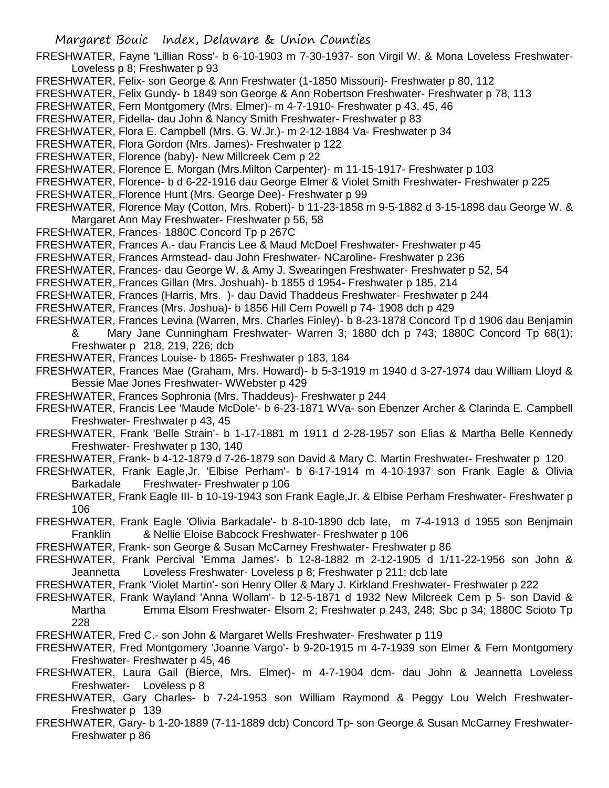- FRESHWATER, Fayne 'Lillian Ross'- b 6-10-1903 m 7-30-1937- son Virgil W. & Mona Loveless Freshwater-Loveless p 8; Freshwater p 93
- FRESHWATER, Felix- son George & Ann Freshwater (1-1850 Missouri)- Freshwater p 80, 112
- FRESHWATER, Felix Gundy- b 1849 son George & Ann Robertson Freshwater- Freshwater p 78, 113
- FRESHWATER, Fern Montgomery (Mrs. Elmer)- m 4-7-1910- Freshwater p 43, 45, 46
- FRESHWATER, Fidella- dau John & Nancy Smith Freshwater- Freshwater p 83
- FRESHWATER, Flora E. Campbell (Mrs. G. W.Jr.)- m 2-12-1884 Va- Freshwater p 34
- FRESHWATER, Flora Gordon (Mrs. James)- Freshwater p 122
- FRESHWATER, Florence (baby)- New Millcreek Cem p 22
- FRESHWATER, Florence E. Morgan (Mrs.Milton Carpenter)- m 11-15-1917- Freshwater p 103
- FRESHWATER, Florence- b d 6-22-1916 dau George Elmer & Violet Smith Freshwater- Freshwater p 225
- FRESHWATER, Florence Hunt (Mrs. George Dee)- Freshwater p 99
- FRESHWATER, Florence May (Cotton, Mrs. Robert)- b 11-23-1858 m 9-5-1882 d 3-15-1898 dau George W. & Margaret Ann May Freshwater- Freshwater p 56, 58
- FRESHWATER, Frances- 1880C Concord Tp p 267C
- FRESHWATER, Frances A.- dau Francis Lee & Maud McDoel Freshwater- Freshwater p 45
- FRESHWATER, Frances Armstead- dau John Freshwater- NCaroline- Freshwater p 236
- FRESHWATER, Frances- dau George W. & Amy J. Swearingen Freshwater- Freshwater p 52, 54
- FRESHWATER, Frances Gillan (Mrs. Joshuah)- b 1855 d 1954- Freshwater p 185, 214
- FRESHWATER, Frances (Harris, Mrs. )- dau David Thaddeus Freshwater- Freshwater p 244
- FRESHWATER, Frances (Mrs. Joshua)- b 1856 Hill Cem Powell p 74- 1908 dch p 429
- FRESHWATER, Frances Levina (Warren, Mrs. Charles Finley)- b 8-23-1878 Concord Tp d 1906 dau Benjamin & Mary Jane Cunningham Freshwater- Warren 3; 1880 dch p 743; 1880C Concord Tp 68(1);
	- Freshwater p 218, 219, 226; dcb
- FRESHWATER, Frances Louise- b 1865- Freshwater p 183, 184
- FRESHWATER, Frances Mae (Graham, Mrs. Howard)- b 5-3-1919 m 1940 d 3-27-1974 dau William Lloyd & Bessie Mae Jones Freshwater- WWebster p 429
- FRESHWATER, Frances Sophronia (Mrs. Thaddeus)- Freshwater p 244
- FRESHWATER, Francis Lee 'Maude McDole'- b 6-23-1871 WVa- son Ebenzer Archer & Clarinda E. Campbell Freshwater- Freshwater p 43, 45
- FRESHWATER, Frank 'Belle Strain'- b 1-17-1881 m 1911 d 2-28-1957 son Elias & Martha Belle Kennedy Freshwater- Freshwater p 130, 140
- FRESHWATER, Frank- b 4-12-1879 d 7-26-1879 son David & Mary C. Martin Freshwater- Freshwater p 120
- FRESHWATER, Frank Eagle,Jr. 'Elbise Perham'- b 6-17-1914 m 4-10-1937 son Frank Eagle & Olivia Barkadale Freshwater- Freshwater p 106
- FRESHWATER, Frank Eagle III- b 10-19-1943 son Frank Eagle,Jr. & Elbise Perham Freshwater- Freshwater p 106
- FRESHWATER, Frank Eagle 'Olivia Barkadale'- b 8-10-1890 dcb late, m 7-4-1913 d 1955 son Benjmain Franklin & Nellie Eloise Babcock Freshwater- Freshwater p 106
- FRESHWATER, Frank- son George & Susan McCarney Freshwater- Freshwater p 86
- FRESHWATER, Frank Percival 'Emma James'- b 12-8-1882 m 2-12-1905 d 1/11-22-1956 son John & Jeannetta Loveless Freshwater- Loveless p 8; Freshwater p 211; dcb late
- FRESHWATER, Frank 'Violet Martin'- son Henry Oller & Mary J. Kirkland Freshwater- Freshwater p 222
- FRESHWATER, Frank Wayland 'Anna Wollam'- b 12-5-1871 d 1932 New Milcreek Cem p 5- son David & Martha Emma Elsom Freshwater- Elsom 2; Freshwater p 243, 248; Sbc p 34; 1880C Scioto Tp 228
- FRESHWATER, Fred C.- son John & Margaret Wells Freshwater- Freshwater p 119
- FRESHWATER, Fred Montgomery 'Joanne Vargo'- b 9-20-1915 m 4-7-1939 son Elmer & Fern Montgomery Freshwater- Freshwater p 45, 46
- FRESHWATER, Laura Gail (Bierce, Mrs. Elmer)- m 4-7-1904 dcm- dau John & Jeannetta Loveless Freshwater- Loveless p 8
- FRESHWATER, Gary Charles- b 7-24-1953 son William Raymond & Peggy Lou Welch Freshwater-Freshwater p 139
- FRESHWATER, Gary- b 1-20-1889 (7-11-1889 dcb) Concord Tp- son George & Susan McCarney Freshwater-Freshwater p 86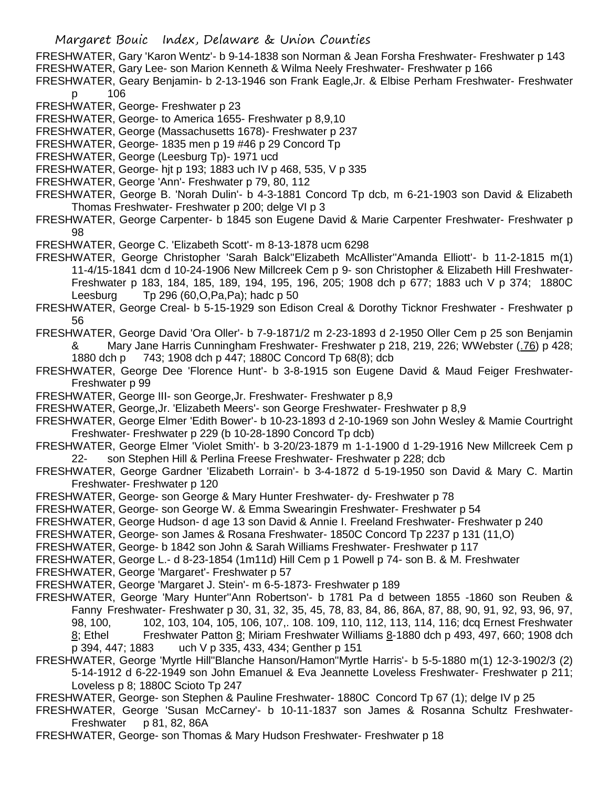FRESHWATER, Gary 'Karon Wentz'- b 9-14-1838 son Norman & Jean Forsha Freshwater- Freshwater p 143 FRESHWATER, Gary Lee- son Marion Kenneth & Wilma Neely Freshwater- Freshwater p 166

- FRESHWATER, Geary Benjamin- b 2-13-1946 son Frank Eagle,Jr. & Elbise Perham Freshwater- Freshwater p 106
- FRESHWATER, George- Freshwater p 23
- FRESHWATER, George- to America 1655- Freshwater p 8,9,10
- FRESHWATER, George (Massachusetts 1678)- Freshwater p 237
- FRESHWATER, George- 1835 men p 19 #46 p 29 Concord Tp
- FRESHWATER, George (Leesburg Tp)- 1971 ucd
- FRESHWATER, George- hjt p 193; 1883 uch IV p 468, 535, V p 335
- FRESHWATER, George 'Ann'- Freshwater p 79, 80, 112
- FRESHWATER, George B. 'Norah Dulin'- b 4-3-1881 Concord Tp dcb, m 6-21-1903 son David & Elizabeth Thomas Freshwater- Freshwater p 200; delge VI p 3
- FRESHWATER, George Carpenter- b 1845 son Eugene David & Marie Carpenter Freshwater- Freshwater p 98

FRESHWATER, George C. 'Elizabeth Scott'- m 8-13-1878 ucm 6298

- FRESHWATER, George Christopher 'Sarah Balck''Elizabeth McAllister''Amanda Elliott'- b 11-2-1815 m(1) 11-4/15-1841 dcm d 10-24-1906 New Millcreek Cem p 9- son Christopher & Elizabeth Hill Freshwater-Freshwater p 183, 184, 185, 189, 194, 195, 196, 205; 1908 dch p 677; 1883 uch V p 374; 1880C Leesburg Tp 296 (60,O,Pa,Pa); hadc p 50
- FRESHWATER, George Creal- b 5-15-1929 son Edison Creal & Dorothy Ticknor Freshwater Freshwater p 56
- FRESHWATER, George David 'Ora Oller'- b 7-9-1871/2 m 2-23-1893 d 2-1950 Oller Cem p 25 son Benjamin & Mary Jane Harris Cunningham Freshwater- Freshwater p 218, 219, 226; WWebster (.76) p 428; 1880 dch p 743; 1908 dch p 447; 1880C Concord Tp 68(8); dcb
- FRESHWATER, George Dee 'Florence Hunt'- b 3-8-1915 son Eugene David & Maud Feiger Freshwater-Freshwater p 99
- FRESHWATER, George III- son George,Jr. Freshwater- Freshwater p 8,9
- FRESHWATER, George,Jr. 'Elizabeth Meers'- son George Freshwater- Freshwater p 8,9
- FRESHWATER, George Elmer 'Edith Bower'- b 10-23-1893 d 2-10-1969 son John Wesley & Mamie Courtright Freshwater- Freshwater p 229 (b 10-28-1890 Concord Tp dcb)
- FRESHWATER, George Elmer 'Violet Smith'- b 3-20/23-1879 m 1-1-1900 d 1-29-1916 New Millcreek Cem p 22- son Stephen Hill & Perlina Freese Freshwater- Freshwater p 228; dcb
- FRESHWATER, George Gardner 'Elizabeth Lorrain'- b 3-4-1872 d 5-19-1950 son David & Mary C. Martin Freshwater- Freshwater p 120
- FRESHWATER, George- son George & Mary Hunter Freshwater- dy- Freshwater p 78
- FRESHWATER, George- son George W. & Emma Swearingin Freshwater- Freshwater p 54
- FRESHWATER, George Hudson- d age 13 son David & Annie I. Freeland Freshwater- Freshwater p 240
- FRESHWATER, George- son James & Rosana Freshwater- 1850C Concord Tp 2237 p 131 (11,O)
- FRESHWATER, George- b 1842 son John & Sarah Williams Freshwater- Freshwater p 117
- FRESHWATER, George L.- d 8-23-1854 (1m11d) Hill Cem p 1 Powell p 74- son B. & M. Freshwater
- FRESHWATER, George 'Margaret'- Freshwater p 57
- FRESHWATER, George 'Margaret J. Stein'- m 6-5-1873- Freshwater p 189
- FRESHWATER, George 'Mary Hunter''Ann Robertson'- b 1781 Pa d between 1855 -1860 son Reuben & Fanny Freshwater- Freshwater p 30, 31, 32, 35, 45, 78, 83, 84, 86, 86A, 87, 88, 90, 91, 92, 93, 96, 97, 98, 100, 102, 103, 104, 105, 106, 107,. 108. 109, 110, 112, 113, 114, 116; dcq Ernest Freshwater  $8$ ; Ethel Freshwater Patton  $8$ ; Miriam Freshwater Williams  $8-1880$  dch p 493, 497, 660; 1908 dch p 394, 447; 1883 uch V p 335, 433, 434; Genther p 151
- FRESHWATER, George 'Myrtle Hill''Blanche Hanson/Hamon''Myrtle Harris'- b 5-5-1880 m(1) 12-3-1902/3 (2) 5-14-1912 d 6-22-1949 son John Emanuel & Eva Jeannette Loveless Freshwater- Freshwater p 211; Loveless p 8; 1880C Scioto Tp 247
- FRESHWATER, George- son Stephen & Pauline Freshwater- 1880C Concord Tp 67 (1); delge IV p 25
- FRESHWATER, George 'Susan McCarney'- b 10-11-1837 son James & Rosanna Schultz Freshwater-Freshwater p 81, 82, 86A
- FRESHWATER, George- son Thomas & Mary Hudson Freshwater- Freshwater p 18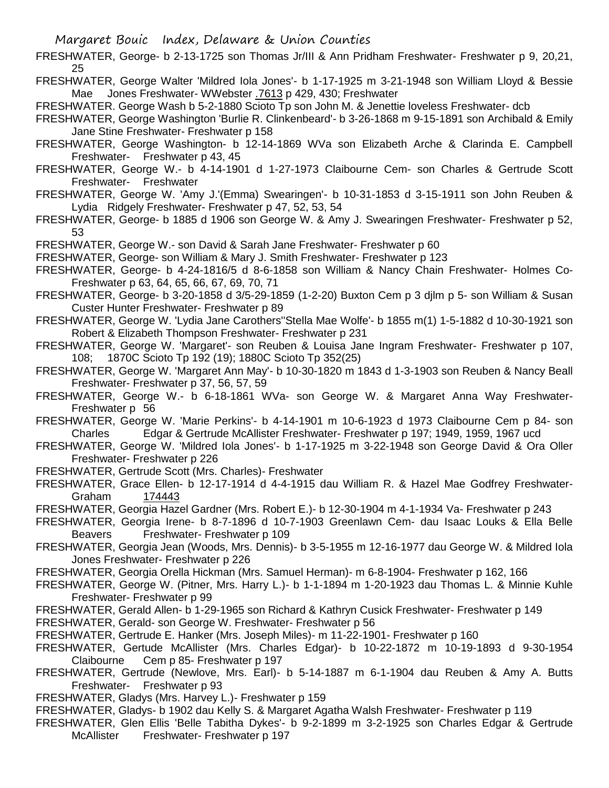FRESHWATER, George- b 2-13-1725 son Thomas Jr/III & Ann Pridham Freshwater- Freshwater p 9, 20,21, 25

FRESHWATER, George Walter 'Mildred Iola Jones'- b 1-17-1925 m 3-21-1948 son William Lloyd & Bessie Mae Jones Freshwater- WWebster .7613 p 429, 430; Freshwater

FRESHWATER. George Wash b 5-2-1880 Scioto Tp son John M. & Jenettie loveless Freshwater- dcb

- FRESHWATER, George Washington 'Burlie R. Clinkenbeard'- b 3-26-1868 m 9-15-1891 son Archibald & Emily Jane Stine Freshwater- Freshwater p 158
- FRESHWATER, George Washington- b 12-14-1869 WVa son Elizabeth Arche & Clarinda E. Campbell Freshwater- Freshwater p 43, 45
- FRESHWATER, George W.- b 4-14-1901 d 1-27-1973 Claibourne Cem- son Charles & Gertrude Scott Freshwater- Freshwater
- FRESHWATER, George W. 'Amy J.'(Emma) Swearingen'- b 10-31-1853 d 3-15-1911 son John Reuben & Lydia Ridgely Freshwater- Freshwater p 47, 52, 53, 54
- FRESHWATER, George- b 1885 d 1906 son George W. & Amy J. Swearingen Freshwater- Freshwater p 52, 53
- FRESHWATER, George W.- son David & Sarah Jane Freshwater- Freshwater p 60
- FRESHWATER, George- son William & Mary J. Smith Freshwater- Freshwater p 123
- FRESHWATER, George- b 4-24-1816/5 d 8-6-1858 son William & Nancy Chain Freshwater- Holmes Co-Freshwater p 63, 64, 65, 66, 67, 69, 70, 71
- FRESHWATER, George- b 3-20-1858 d 3/5-29-1859 (1-2-20) Buxton Cem p 3 djlm p 5- son William & Susan Custer Hunter Freshwater- Freshwater p 89
- FRESHWATER, George W. 'Lydia Jane Carothers''Stella Mae Wolfe'- b 1855 m(1) 1-5-1882 d 10-30-1921 son Robert & Elizabeth Thompson Freshwater- Freshwater p 231
- FRESHWATER, George W. 'Margaret'- son Reuben & Louisa Jane Ingram Freshwater- Freshwater p 107, 108; 1870C Scioto Tp 192 (19); 1880C Scioto Tp 352(25)
- FRESHWATER, George W. 'Margaret Ann May'- b 10-30-1820 m 1843 d 1-3-1903 son Reuben & Nancy Beall Freshwater- Freshwater p 37, 56, 57, 59
- FRESHWATER, George W.- b 6-18-1861 WVa- son George W. & Margaret Anna Way Freshwater-Freshwater p 56
- FRESHWATER, George W. 'Marie Perkins'- b 4-14-1901 m 10-6-1923 d 1973 Claibourne Cem p 84- son Charles Edgar & Gertrude McAllister Freshwater- Freshwater p 197; 1949, 1959, 1967 ucd
- FRESHWATER, George W. 'Mildred Iola Jones'- b 1-17-1925 m 3-22-1948 son George David & Ora Oller Freshwater- Freshwater p 226
- FRESHWATER, Gertrude Scott (Mrs. Charles)- Freshwater
- FRESHWATER, Grace Ellen- b 12-17-1914 d 4-4-1915 dau William R. & Hazel Mae Godfrey Freshwater-Graham 174443
- FRESHWATER, Georgia Hazel Gardner (Mrs. Robert E.)- b 12-30-1904 m 4-1-1934 Va- Freshwater p 243
- FRESHWATER, Georgia Irene- b 8-7-1896 d 10-7-1903 Greenlawn Cem- dau Isaac Louks & Ella Belle Beavers Freshwater- Freshwater p 109
- FRESHWATER, Georgia Jean (Woods, Mrs. Dennis)- b 3-5-1955 m 12-16-1977 dau George W. & Mildred Iola Jones Freshwater- Freshwater p 226
- FRESHWATER, Georgia Orella Hickman (Mrs. Samuel Herman)- m 6-8-1904- Freshwater p 162, 166
- FRESHWATER, George W. (Pitner, Mrs. Harry L.)- b 1-1-1894 m 1-20-1923 dau Thomas L. & Minnie Kuhle Freshwater- Freshwater p 99
- FRESHWATER, Gerald Allen- b 1-29-1965 son Richard & Kathryn Cusick Freshwater- Freshwater p 149 FRESHWATER, Gerald- son George W. Freshwater- Freshwater p 56
- FRESHWATER, Gertrude E. Hanker (Mrs. Joseph Miles)- m 11-22-1901- Freshwater p 160
- FRESHWATER, Gertude McAllister (Mrs. Charles Edgar)- b 10-22-1872 m 10-19-1893 d 9-30-1954 Claibourne Cem p 85- Freshwater p 197
- FRESHWATER, Gertrude (Newlove, Mrs. Earl)- b 5-14-1887 m 6-1-1904 dau Reuben & Amy A. Butts Freshwater- Freshwater p 93
- FRESHWATER, Gladys (Mrs. Harvey L.)- Freshwater p 159
- FRESHWATER, Gladys- b 1902 dau Kelly S. & Margaret Agatha Walsh Freshwater- Freshwater p 119
- FRESHWATER, Glen Ellis 'Belle Tabitha Dykes'- b 9-2-1899 m 3-2-1925 son Charles Edgar & Gertrude McAllister Freshwater- Freshwater p 197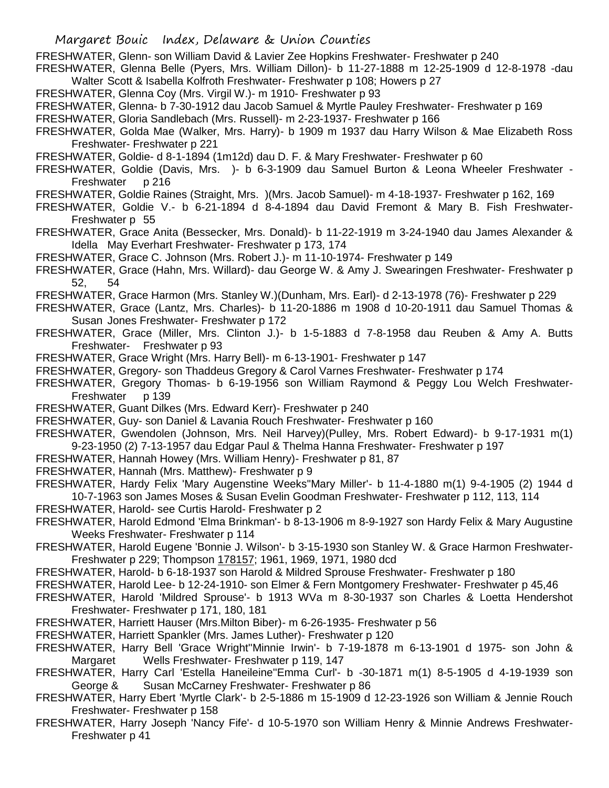FRESHWATER, Glenn- son William David & Lavier Zee Hopkins Freshwater- Freshwater p 240

FRESHWATER, Glenna Belle (Pyers, Mrs. William Dillon)- b 11-27-1888 m 12-25-1909 d 12-8-1978 -dau Walter Scott & Isabella Kolfroth Freshwater- Freshwater p 108; Howers p 27

FRESHWATER, Glenna Coy (Mrs. Virgil W.)- m 1910- Freshwater p 93

FRESHWATER, Glenna- b 7-30-1912 dau Jacob Samuel & Myrtle Pauley Freshwater- Freshwater p 169

FRESHWATER, Gloria Sandlebach (Mrs. Russell)- m 2-23-1937- Freshwater p 166

- FRESHWATER, Golda Mae (Walker, Mrs. Harry)- b 1909 m 1937 dau Harry Wilson & Mae Elizabeth Ross Freshwater- Freshwater p 221
- FRESHWATER, Goldie- d 8-1-1894 (1m12d) dau D. F. & Mary Freshwater- Freshwater p 60

FRESHWATER, Goldie (Davis, Mrs. )- b 6-3-1909 dau Samuel Burton & Leona Wheeler Freshwater - Freshwater p 216

- FRESHWATER, Goldie Raines (Straight, Mrs. )(Mrs. Jacob Samuel)- m 4-18-1937- Freshwater p 162, 169
- FRESHWATER, Goldie V.- b 6-21-1894 d 8-4-1894 dau David Fremont & Mary B. Fish Freshwater-Freshwater p 55

FRESHWATER, Grace Anita (Bessecker, Mrs. Donald)- b 11-22-1919 m 3-24-1940 dau James Alexander & Idella May Everhart Freshwater- Freshwater p 173, 174

FRESHWATER, Grace C. Johnson (Mrs. Robert J.)- m 11-10-1974- Freshwater p 149

- FRESHWATER, Grace (Hahn, Mrs. Willard)- dau George W. & Amy J. Swearingen Freshwater- Freshwater p 52, 54
- FRESHWATER, Grace Harmon (Mrs. Stanley W.)(Dunham, Mrs. Earl)- d 2-13-1978 (76)- Freshwater p 229
- FRESHWATER, Grace (Lantz, Mrs. Charles)- b 11-20-1886 m 1908 d 10-20-1911 dau Samuel Thomas & Susan Jones Freshwater- Freshwater p 172
- FRESHWATER, Grace (Miller, Mrs. Clinton J.)- b 1-5-1883 d 7-8-1958 dau Reuben & Amy A. Butts Freshwater- Freshwater p 93
- FRESHWATER, Grace Wright (Mrs. Harry Bell)- m 6-13-1901- Freshwater p 147
- FRESHWATER, Gregory- son Thaddeus Gregory & Carol Varnes Freshwater- Freshwater p 174
- FRESHWATER, Gregory Thomas- b 6-19-1956 son William Raymond & Peggy Lou Welch Freshwater-Freshwater p 139
- FRESHWATER, Guant Dilkes (Mrs. Edward Kerr)- Freshwater p 240
- FRESHWATER, Guy- son Daniel & Lavania Rouch Freshwater- Freshwater p 160
- FRESHWATER, Gwendolen (Johnson, Mrs. Neil Harvey)(Pulley, Mrs. Robert Edward)- b 9-17-1931 m(1) 9-23-1950 (2) 7-13-1957 dau Edgar Paul & Thelma Hanna Freshwater- Freshwater p 197
- FRESHWATER, Hannah Howey (Mrs. William Henry)- Freshwater p 81, 87
- FRESHWATER, Hannah (Mrs. Matthew)- Freshwater p 9

FRESHWATER, Hardy Felix 'Mary Augenstine Weeks''Mary Miller'- b 11-4-1880 m(1) 9-4-1905 (2) 1944 d 10-7-1963 son James Moses & Susan Evelin Goodman Freshwater- Freshwater p 112, 113, 114

- FRESHWATER, Harold- see Curtis Harold- Freshwater p 2
- FRESHWATER, Harold Edmond 'Elma Brinkman'- b 8-13-1906 m 8-9-1927 son Hardy Felix & Mary Augustine Weeks Freshwater- Freshwater p 114
- FRESHWATER, Harold Eugene 'Bonnie J. Wilson'- b 3-15-1930 son Stanley W. & Grace Harmon Freshwater-Freshwater p 229; Thompson 178157; 1961, 1969, 1971, 1980 dcd
- FRESHWATER, Harold- b 6-18-1937 son Harold & Mildred Sprouse Freshwater- Freshwater p 180

FRESHWATER, Harold Lee- b 12-24-1910- son Elmer & Fern Montgomery Freshwater- Freshwater p 45,46

- FRESHWATER, Harold 'Mildred Sprouse'- b 1913 WVa m 8-30-1937 son Charles & Loetta Hendershot Freshwater- Freshwater p 171, 180, 181
- FRESHWATER, Harriett Hauser (Mrs.Milton Biber)- m 6-26-1935- Freshwater p 56
- FRESHWATER, Harriett Spankler (Mrs. James Luther)- Freshwater p 120
- FRESHWATER, Harry Bell 'Grace Wright''Minnie Irwin'- b 7-19-1878 m 6-13-1901 d 1975- son John & Margaret Wells Freshwater- Freshwater p 119, 147
- FRESHWATER, Harry Carl 'Estella Haneileine''Emma Curl'- b -30-1871 m(1) 8-5-1905 d 4-19-1939 son George & Susan McCarney Freshwater- Freshwater p 86
- FRESHWATER, Harry Ebert 'Myrtle Clark'- b 2-5-1886 m 15-1909 d 12-23-1926 son William & Jennie Rouch Freshwater- Freshwater p 158
- FRESHWATER, Harry Joseph 'Nancy Fife'- d 10-5-1970 son William Henry & Minnie Andrews Freshwater-Freshwater p 41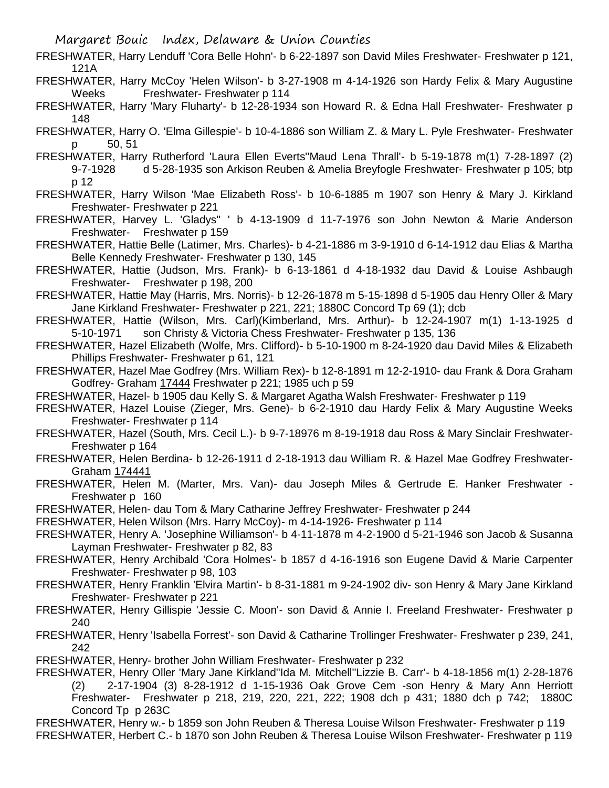FRESHWATER, Harry Lenduff 'Cora Belle Hohn'- b 6-22-1897 son David Miles Freshwater- Freshwater p 121, 121A

FRESHWATER, Harry McCoy 'Helen Wilson'- b 3-27-1908 m 4-14-1926 son Hardy Felix & Mary Augustine Weeks Freshwater- Freshwater p 114

FRESHWATER, Harry 'Mary Fluharty'- b 12-28-1934 son Howard R. & Edna Hall Freshwater- Freshwater p 148

FRESHWATER, Harry O. 'Elma Gillespie'- b 10-4-1886 son William Z. & Mary L. Pyle Freshwater- Freshwater p 50, 51

FRESHWATER, Harry Rutherford 'Laura Ellen Everts''Maud Lena Thrall'- b 5-19-1878 m(1) 7-28-1897 (2) 9-7-1928 d 5-28-1935 son Arkison Reuben & Amelia Breyfogle Freshwater- Freshwater p 105; btp p 12

- FRESHWATER, Harry Wilson 'Mae Elizabeth Ross'- b 10-6-1885 m 1907 son Henry & Mary J. Kirkland Freshwater- Freshwater p 221
- FRESHWATER, Harvey L. 'Gladys'' ' b 4-13-1909 d 11-7-1976 son John Newton & Marie Anderson Freshwater- Freshwater p 159
- FRESHWATER, Hattie Belle (Latimer, Mrs. Charles)- b 4-21-1886 m 3-9-1910 d 6-14-1912 dau Elias & Martha Belle Kennedy Freshwater- Freshwater p 130, 145
- FRESHWATER, Hattie (Judson, Mrs. Frank)- b 6-13-1861 d 4-18-1932 dau David & Louise Ashbaugh Freshwater- Freshwater p 198, 200
- FRESHWATER, Hattie May (Harris, Mrs. Norris)- b 12-26-1878 m 5-15-1898 d 5-1905 dau Henry Oller & Mary Jane Kirkland Freshwater- Freshwater p 221, 221; 1880C Concord Tp 69 (1); dcb
- FRESHWATER, Hattie (Wilson, Mrs. Carl)(Kimberland, Mrs. Arthur)- b 12-24-1907 m(1) 1-13-1925 d 5-10-1971 son Christy & Victoria Chess Freshwater- Freshwater p 135, 136
- FRESHWATER, Hazel Elizabeth (Wolfe, Mrs. Clifford)- b 5-10-1900 m 8-24-1920 dau David Miles & Elizabeth Phillips Freshwater- Freshwater p 61, 121
- FRESHWATER, Hazel Mae Godfrey (Mrs. William Rex)- b 12-8-1891 m 12-2-1910- dau Frank & Dora Graham Godfrey- Graham 17444 Freshwater p 221; 1985 uch p 59
- FRESHWATER, Hazel- b 1905 dau Kelly S. & Margaret Agatha Walsh Freshwater- Freshwater p 119
- FRESHWATER, Hazel Louise (Zieger, Mrs. Gene)- b 6-2-1910 dau Hardy Felix & Mary Augustine Weeks Freshwater- Freshwater p 114
- FRESHWATER, Hazel (South, Mrs. Cecil L.)- b 9-7-18976 m 8-19-1918 dau Ross & Mary Sinclair Freshwater-Freshwater p 164
- FRESHWATER, Helen Berdina- b 12-26-1911 d 2-18-1913 dau William R. & Hazel Mae Godfrey Freshwater-Graham 174441
- FRESHWATER, Helen M. (Marter, Mrs. Van)- dau Joseph Miles & Gertrude E. Hanker Freshwater Freshwater p 160
- FRESHWATER, Helen- dau Tom & Mary Catharine Jeffrey Freshwater- Freshwater p 244
- FRESHWATER, Helen Wilson (Mrs. Harry McCoy)- m 4-14-1926- Freshwater p 114
- FRESHWATER, Henry A. 'Josephine Williamson'- b 4-11-1878 m 4-2-1900 d 5-21-1946 son Jacob & Susanna Layman Freshwater- Freshwater p 82, 83
- FRESHWATER, Henry Archibald 'Cora Holmes'- b 1857 d 4-16-1916 son Eugene David & Marie Carpenter Freshwater- Freshwater p 98, 103
- FRESHWATER, Henry Franklin 'Elvira Martin'- b 8-31-1881 m 9-24-1902 div- son Henry & Mary Jane Kirkland Freshwater- Freshwater p 221
- FRESHWATER, Henry Gillispie 'Jessie C. Moon'- son David & Annie I. Freeland Freshwater- Freshwater p 240
- FRESHWATER, Henry 'Isabella Forrest'- son David & Catharine Trollinger Freshwater- Freshwater p 239, 241, 242
- FRESHWATER, Henry- brother John William Freshwater- Freshwater p 232
- FRESHWATER, Henry Oller 'Mary Jane Kirkland''Ida M. Mitchell''Lizzie B. Carr'- b 4-18-1856 m(1) 2-28-1876 (2) 2-17-1904 (3) 8-28-1912 d 1-15-1936 Oak Grove Cem -son Henry & Mary Ann Herriott Freshwater- Freshwater p 218, 219, 220, 221, 222; 1908 dch p 431; 1880 dch p 742; 1880C Concord Tp p 263C
- FRESHWATER, Henry w.- b 1859 son John Reuben & Theresa Louise Wilson Freshwater- Freshwater p 119 FRESHWATER, Herbert C.- b 1870 son John Reuben & Theresa Louise Wilson Freshwater- Freshwater p 119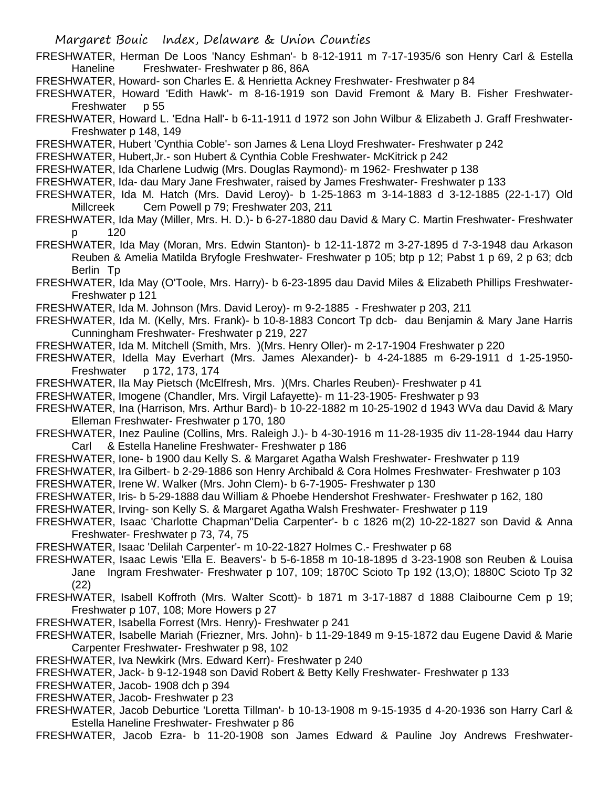- FRESHWATER, Herman De Loos 'Nancy Eshman'- b 8-12-1911 m 7-17-1935/6 son Henry Carl & Estella Haneline Freshwater- Freshwater p 86, 86A
- FRESHWATER, Howard- son Charles E. & Henrietta Ackney Freshwater- Freshwater p 84
- FRESHWATER, Howard 'Edith Hawk'- m 8-16-1919 son David Fremont & Mary B. Fisher Freshwater-Freshwater p 55
- FRESHWATER, Howard L. 'Edna Hall'- b 6-11-1911 d 1972 son John Wilbur & Elizabeth J. Graff Freshwater-Freshwater p 148, 149
- FRESHWATER, Hubert 'Cynthia Coble'- son James & Lena Lloyd Freshwater- Freshwater p 242
- FRESHWATER, Hubert,Jr.- son Hubert & Cynthia Coble Freshwater- McKitrick p 242
- FRESHWATER, Ida Charlene Ludwig (Mrs. Douglas Raymond)- m 1962- Freshwater p 138
- FRESHWATER, Ida- dau Mary Jane Freshwater, raised by James Freshwater- Freshwater p 133
- FRESHWATER, Ida M. Hatch (Mrs. David Leroy)- b 1-25-1863 m 3-14-1883 d 3-12-1885 (22-1-17) Old Millcreek Cem Powell p 79; Freshwater 203, 211
- FRESHWATER, Ida May (Miller, Mrs. H. D.)- b 6-27-1880 dau David & Mary C. Martin Freshwater- Freshwater p 120
- FRESHWATER, Ida May (Moran, Mrs. Edwin Stanton)- b 12-11-1872 m 3-27-1895 d 7-3-1948 dau Arkason Reuben & Amelia Matilda Bryfogle Freshwater- Freshwater p 105; btp p 12; Pabst 1 p 69, 2 p 63; dcb Berlin Tp
- FRESHWATER, Ida May (O'Toole, Mrs. Harry)- b 6-23-1895 dau David Miles & Elizabeth Phillips Freshwater-Freshwater p 121
- FRESHWATER, Ida M. Johnson (Mrs. David Leroy)- m 9-2-1885 Freshwater p 203, 211
- FRESHWATER, Ida M. (Kelly, Mrs. Frank)- b 10-8-1883 Concort Tp dcb- dau Benjamin & Mary Jane Harris Cunningham Freshwater- Freshwater p 219, 227
- FRESHWATER, Ida M. Mitchell (Smith, Mrs. )(Mrs. Henry Oller)- m 2-17-1904 Freshwater p 220
- FRESHWATER, Idella May Everhart (Mrs. James Alexander)- b 4-24-1885 m 6-29-1911 d 1-25-1950- Freshwater p 172, 173, 174
- FRESHWATER, Ila May Pietsch (McElfresh, Mrs. )(Mrs. Charles Reuben)- Freshwater p 41
- FRESHWATER, Imogene (Chandler, Mrs. Virgil Lafayette)- m 11-23-1905- Freshwater p 93
- FRESHWATER, Ina (Harrison, Mrs. Arthur Bard)- b 10-22-1882 m 10-25-1902 d 1943 WVa dau David & Mary Elleman Freshwater- Freshwater p 170, 180
- FRESHWATER, Inez Pauline (Collins, Mrs. Raleigh J.)- b 4-30-1916 m 11-28-1935 div 11-28-1944 dau Harry Carl & Estella Haneline Freshwater- Freshwater p 186
- FRESHWATER, Ione- b 1900 dau Kelly S. & Margaret Agatha Walsh Freshwater- Freshwater p 119
- FRESHWATER, Ira Gilbert- b 2-29-1886 son Henry Archibald & Cora Holmes Freshwater- Freshwater p 103
- FRESHWATER, Irene W. Walker (Mrs. John Clem)- b 6-7-1905- Freshwater p 130
- FRESHWATER, Iris- b 5-29-1888 dau William & Phoebe Hendershot Freshwater- Freshwater p 162, 180
- FRESHWATER, Irving- son Kelly S. & Margaret Agatha Walsh Freshwater- Freshwater p 119
- FRESHWATER, Isaac 'Charlotte Chapman''Delia Carpenter'- b c 1826 m(2) 10-22-1827 son David & Anna Freshwater- Freshwater p 73, 74, 75
- FRESHWATER, Isaac 'Delilah Carpenter'- m 10-22-1827 Holmes C.- Freshwater p 68
- FRESHWATER, Isaac Lewis 'Ella E. Beavers'- b 5-6-1858 m 10-18-1895 d 3-23-1908 son Reuben & Louisa Jane Ingram Freshwater- Freshwater p 107, 109; 1870C Scioto Tp 192 (13,O); 1880C Scioto Tp 32 (22)
- FRESHWATER, Isabell Koffroth (Mrs. Walter Scott)- b 1871 m 3-17-1887 d 1888 Claibourne Cem p 19; Freshwater p 107, 108; More Howers p 27
- FRESHWATER, Isabella Forrest (Mrs. Henry)- Freshwater p 241
- FRESHWATER, Isabelle Mariah (Friezner, Mrs. John)- b 11-29-1849 m 9-15-1872 dau Eugene David & Marie Carpenter Freshwater- Freshwater p 98, 102
- FRESHWATER, Iva Newkirk (Mrs. Edward Kerr)- Freshwater p 240
- FRESHWATER, Jack- b 9-12-1948 son David Robert & Betty Kelly Freshwater- Freshwater p 133
- FRESHWATER, Jacob- 1908 dch p 394
- FRESHWATER, Jacob- Freshwater p 23
- FRESHWATER, Jacob Deburtice 'Loretta Tillman'- b 10-13-1908 m 9-15-1935 d 4-20-1936 son Harry Carl & Estella Haneline Freshwater- Freshwater p 86
- FRESHWATER, Jacob Ezra- b 11-20-1908 son James Edward & Pauline Joy Andrews Freshwater-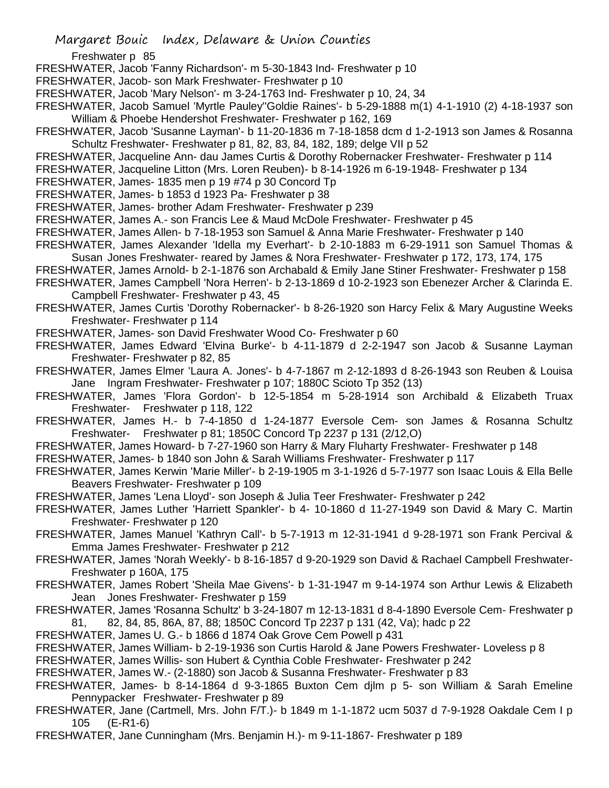Freshwater p 85

- FRESHWATER, Jacob 'Fanny Richardson'- m 5-30-1843 Ind- Freshwater p 10
- FRESHWATER, Jacob- son Mark Freshwater- Freshwater p 10
- FRESHWATER, Jacob 'Mary Nelson'- m 3-24-1763 Ind- Freshwater p 10, 24, 34
- FRESHWATER, Jacob Samuel 'Myrtle Pauley''Goldie Raines'- b 5-29-1888 m(1) 4-1-1910 (2) 4-18-1937 son William & Phoebe Hendershot Freshwater- Freshwater p 162, 169
- FRESHWATER, Jacob 'Susanne Layman'- b 11-20-1836 m 7-18-1858 dcm d 1-2-1913 son James & Rosanna Schultz Freshwater- Freshwater p 81, 82, 83, 84, 182, 189; delge VII p 52
- FRESHWATER, Jacqueline Ann- dau James Curtis & Dorothy Robernacker Freshwater- Freshwater p 114
- FRESHWATER, Jacqueline Litton (Mrs. Loren Reuben)- b 8-14-1926 m 6-19-1948- Freshwater p 134
- FRESHWATER, James- 1835 men p 19 #74 p 30 Concord Tp
- FRESHWATER, James- b 1853 d 1923 Pa- Freshwater p 38
- FRESHWATER, James- brother Adam Freshwater- Freshwater p 239
- FRESHWATER, James A.- son Francis Lee & Maud McDole Freshwater- Freshwater p 45
- FRESHWATER, James Allen- b 7-18-1953 son Samuel & Anna Marie Freshwater- Freshwater p 140
- FRESHWATER, James Alexander 'Idella my Everhart'- b 2-10-1883 m 6-29-1911 son Samuel Thomas & Susan Jones Freshwater- reared by James & Nora Freshwater- Freshwater p 172, 173, 174, 175
- FRESHWATER, James Arnold- b 2-1-1876 son Archabald & Emily Jane Stiner Freshwater- Freshwater p 158
- FRESHWATER, James Campbell 'Nora Herren'- b 2-13-1869 d 10-2-1923 son Ebenezer Archer & Clarinda E. Campbell Freshwater- Freshwater p 43, 45
- FRESHWATER, James Curtis 'Dorothy Robernacker'- b 8-26-1920 son Harcy Felix & Mary Augustine Weeks Freshwater- Freshwater p 114
- FRESHWATER, James- son David Freshwater Wood Co- Freshwater p 60
- FRESHWATER, James Edward 'Elvina Burke'- b 4-11-1879 d 2-2-1947 son Jacob & Susanne Layman Freshwater- Freshwater p 82, 85
- FRESHWATER, James Elmer 'Laura A. Jones'- b 4-7-1867 m 2-12-1893 d 8-26-1943 son Reuben & Louisa Jane Ingram Freshwater- Freshwater p 107; 1880C Scioto Tp 352 (13)
- FRESHWATER, James 'Flora Gordon'- b 12-5-1854 m 5-28-1914 son Archibald & Elizabeth Truax Freshwater- Freshwater p 118, 122
- FRESHWATER, James H.- b 7-4-1850 d 1-24-1877 Eversole Cem- son James & Rosanna Schultz Freshwater- Freshwater p 81; 1850C Concord Tp 2237 p 131 (2/12,O)
- FRESHWATER, James Howard- b 7-27-1960 son Harry & Mary Fluharty Freshwater- Freshwater p 148
- FRESHWATER, James- b 1840 son John & Sarah Williams Freshwater- Freshwater p 117
- FRESHWATER, James Kerwin 'Marie Miller'- b 2-19-1905 m 3-1-1926 d 5-7-1977 son Isaac Louis & Ella Belle Beavers Freshwater- Freshwater p 109
- FRESHWATER, James 'Lena Lloyd'- son Joseph & Julia Teer Freshwater- Freshwater p 242
- FRESHWATER, James Luther 'Harriett Spankler'- b 4- 10-1860 d 11-27-1949 son David & Mary C. Martin Freshwater- Freshwater p 120
- FRESHWATER, James Manuel 'Kathryn Call'- b 5-7-1913 m 12-31-1941 d 9-28-1971 son Frank Percival & Emma James Freshwater- Freshwater p 212
- FRESHWATER, James 'Norah Weekly'- b 8-16-1857 d 9-20-1929 son David & Rachael Campbell Freshwater-Freshwater p 160A, 175
- FRESHWATER, James Robert 'Sheila Mae Givens'- b 1-31-1947 m 9-14-1974 son Arthur Lewis & Elizabeth Jean Jones Freshwater- Freshwater p 159
- FRESHWATER, James 'Rosanna Schultz' b 3-24-1807 m 12-13-1831 d 8-4-1890 Eversole Cem- Freshwater p 81, 82, 84, 85, 86A, 87, 88; 1850C Concord Tp 2237 p 131 (42, Va); hadc p 22
- FRESHWATER, James U. G.- b 1866 d 1874 Oak Grove Cem Powell p 431
- FRESHWATER, James William- b 2-19-1936 son Curtis Harold & Jane Powers Freshwater- Loveless p 8
- FRESHWATER, James Willis- son Hubert & Cynthia Coble Freshwater- Freshwater p 242
- FRESHWATER, James W.- (2-1880) son Jacob & Susanna Freshwater- Freshwater p 83
- FRESHWATER, James- b 8-14-1864 d 9-3-1865 Buxton Cem djlm p 5- son William & Sarah Emeline Pennypacker Freshwater- Freshwater p 89
- FRESHWATER, Jane (Cartmell, Mrs. John F/T.)- b 1849 m 1-1-1872 ucm 5037 d 7-9-1928 Oakdale Cem I p 105 (E-R1-6)
- FRESHWATER, Jane Cunningham (Mrs. Benjamin H.)- m 9-11-1867- Freshwater p 189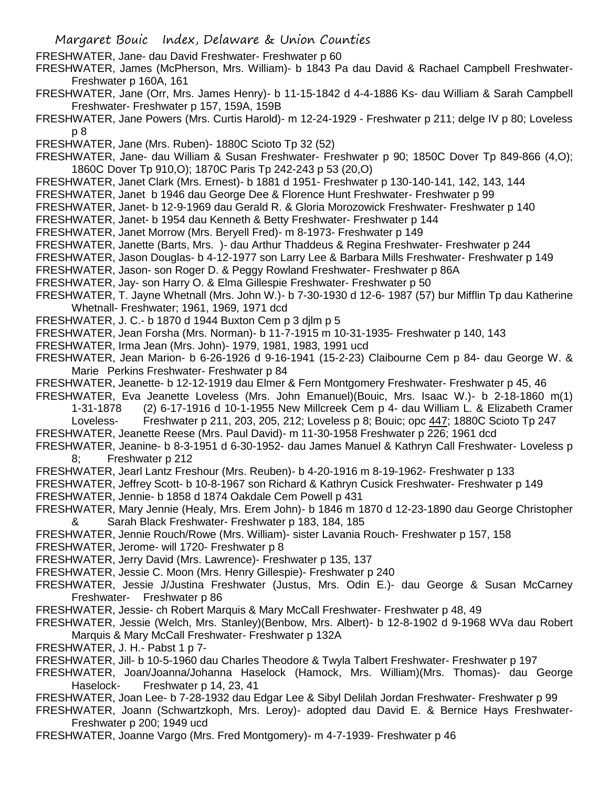- Margaret Bouic Index, Delaware & Union Counties
- FRESHWATER, Jane- dau David Freshwater- Freshwater p 60
- FRESHWATER, James (McPherson, Mrs. William)- b 1843 Pa dau David & Rachael Campbell Freshwater-Freshwater p 160A, 161
- FRESHWATER, Jane (Orr, Mrs. James Henry)- b 11-15-1842 d 4-4-1886 Ks- dau William & Sarah Campbell Freshwater- Freshwater p 157, 159A, 159B
- FRESHWATER, Jane Powers (Mrs. Curtis Harold)- m 12-24-1929 Freshwater p 211; delge IV p 80; Loveless p 8
- FRESHWATER, Jane (Mrs. Ruben)- 1880C Scioto Tp 32 (52)
- FRESHWATER, Jane- dau William & Susan Freshwater- Freshwater p 90; 1850C Dover Tp 849-866 (4,O); 1860C Dover Tp 910,O); 1870C Paris Tp 242-243 p 53 (20,O)
- FRESHWATER, Janet Clark (Mrs. Ernest)- b 1881 d 1951- Freshwater p 130-140-141, 142, 143, 144
- FRESHWATER, Janet b 1946 dau George Dee & Florence Hunt Freshwater- Freshwater p 99
- FRESHWATER, Janet- b 12-9-1969 dau Gerald R. & Gloria Morozowick Freshwater- Freshwater p 140
- FRESHWATER, Janet- b 1954 dau Kenneth & Betty Freshwater- Freshwater p 144
- FRESHWATER, Janet Morrow (Mrs. Beryell Fred)- m 8-1973- Freshwater p 149
- FRESHWATER, Janette (Barts, Mrs. )- dau Arthur Thaddeus & Regina Freshwater- Freshwater p 244
- FRESHWATER, Jason Douglas- b 4-12-1977 son Larry Lee & Barbara Mills Freshwater- Freshwater p 149
- FRESHWATER, Jason- son Roger D. & Peggy Rowland Freshwater- Freshwater p 86A
- FRESHWATER, Jay- son Harry O. & Elma Gillespie Freshwater- Freshwater p 50
- FRESHWATER, T. Jayne Whetnall (Mrs. John W.)- b 7-30-1930 d 12-6- 1987 (57) bur Mifflin Tp dau Katherine Whetnall- Freshwater; 1961, 1969, 1971 dcd
- FRESHWATER, J. C.- b 1870 d 1944 Buxton Cem p 3 djlm p 5
- FRESHWATER, Jean Forsha (Mrs. Norman)- b 11-7-1915 m 10-31-1935- Freshwater p 140, 143
- FRESHWATER, Irma Jean (Mrs. John)- 1979, 1981, 1983, 1991 ucd
- FRESHWATER, Jean Marion- b 6-26-1926 d 9-16-1941 (15-2-23) Claibourne Cem p 84- dau George W. & Marie Perkins Freshwater- Freshwater p 84
- FRESHWATER, Jeanette- b 12-12-1919 dau Elmer & Fern Montgomery Freshwater- Freshwater p 45, 46
- FRESHWATER, Eva Jeanette Loveless (Mrs. John Emanuel)(Bouic, Mrs. Isaac W.)- b 2-18-1860 m(1)
	- 1-31-1878 (2) 6-17-1916 d 10-1-1955 New Millcreek Cem p 4- dau William L. & Elizabeth Cramer
	- Loveless- Freshwater p 211, 203, 205, 212; Loveless p 8; Bouic; opc 447; 1880C Scioto Tp 247
- FRESHWATER, Jeanette Reese (Mrs. Paul David)- m 11-30-1958 Freshwater p 226; 1961 dcd
- FRESHWATER, Jeanine- b 8-3-1951 d 6-30-1952- dau James Manuel & Kathryn Call Freshwater- Loveless p 8; Freshwater p 212
- FRESHWATER, Jearl Lantz Freshour (Mrs. Reuben)- b 4-20-1916 m 8-19-1962- Freshwater p 133
- FRESHWATER, Jeffrey Scott- b 10-8-1967 son Richard & Kathryn Cusick Freshwater- Freshwater p 149 FRESHWATER, Jennie- b 1858 d 1874 Oakdale Cem Powell p 431
- FRESHWATER, Mary Jennie (Healy, Mrs. Erem John)- b 1846 m 1870 d 12-23-1890 dau George Christopher & Sarah Black Freshwater- Freshwater p 183, 184, 185
- FRESHWATER, Jennie Rouch/Rowe (Mrs. William)- sister Lavania Rouch- Freshwater p 157, 158
- FRESHWATER, Jerome- will 1720- Freshwater p 8
- FRESHWATER, Jerry David (Mrs. Lawrence)- Freshwater p 135, 137
- FRESHWATER, Jessie C. Moon (Mrs. Henry Gillespie)- Freshwater p 240
- FRESHWATER, Jessie J/Justina Freshwater (Justus, Mrs. Odin E.)- dau George & Susan McCarney Freshwater- Freshwater p 86
- FRESHWATER, Jessie- ch Robert Marquis & Mary McCall Freshwater- Freshwater p 48, 49
- FRESHWATER, Jessie (Welch, Mrs. Stanley)(Benbow, Mrs. Albert)- b 12-8-1902 d 9-1968 WVa dau Robert Marquis & Mary McCall Freshwater- Freshwater p 132A
- FRESHWATER, J. H.- Pabst 1 p 7-
- FRESHWATER, Jill- b 10-5-1960 dau Charles Theodore & Twyla Talbert Freshwater- Freshwater p 197
- FRESHWATER, Joan/Joanna/Johanna Haselock (Hamock, Mrs. William)(Mrs. Thomas)- dau George Haselock- Freshwater p 14, 23, 41
- FRESHWATER, Joan Lee- b 7-28-1932 dau Edgar Lee & Sibyl Delilah Jordan Freshwater- Freshwater p 99
- FRESHWATER, Joann (Schwartzkoph, Mrs. Leroy)- adopted dau David E. & Bernice Hays Freshwater-Freshwater p 200; 1949 ucd
- FRESHWATER, Joanne Vargo (Mrs. Fred Montgomery)- m 4-7-1939- Freshwater p 46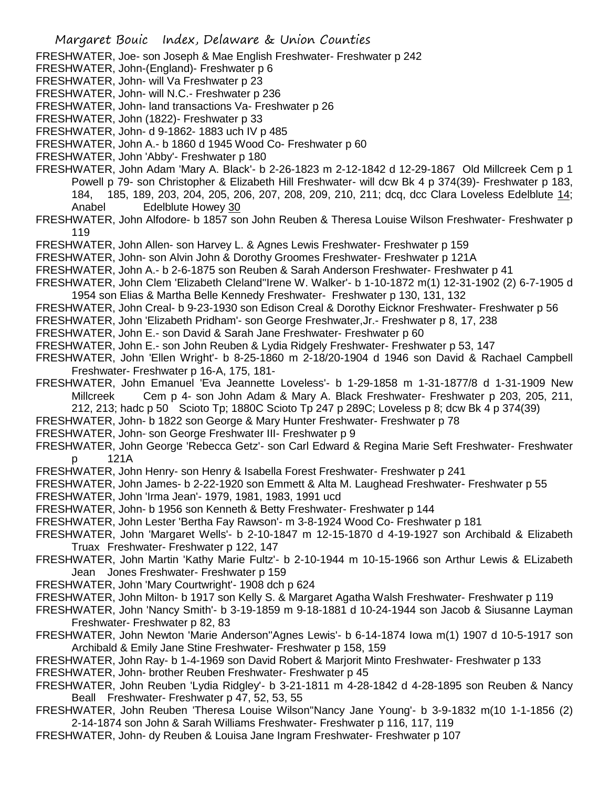FRESHWATER, Joe- son Joseph & Mae English Freshwater- Freshwater p 242

- FRESHWATER, John-(England)- Freshwater p 6
- FRESHWATER, John- will Va Freshwater p 23
- FRESHWATER, John- will N.C.- Freshwater p 236
- FRESHWATER, John- land transactions Va- Freshwater p 26
- FRESHWATER, John (1822)- Freshwater p 33
- FRESHWATER, John- d 9-1862- 1883 uch IV p 485
- FRESHWATER, John A.- b 1860 d 1945 Wood Co- Freshwater p 60
- FRESHWATER, John 'Abby'- Freshwater p 180
- FRESHWATER, John Adam 'Mary A. Black'- b 2-26-1823 m 2-12-1842 d 12-29-1867 Old Millcreek Cem p 1 Powell p 79- son Christopher & Elizabeth Hill Freshwater- will dcw Bk 4 p 374(39)- Freshwater p 183, 184, 185, 189, 203, 204, 205, 206, 207, 208, 209, 210, 211; dcq, dcc Clara Loveless Edelblute 14; Anabel Edelblute Howey 30
- FRESHWATER, John Alfodore- b 1857 son John Reuben & Theresa Louise Wilson Freshwater- Freshwater p 119
- FRESHWATER, John Allen- son Harvey L. & Agnes Lewis Freshwater- Freshwater p 159
- FRESHWATER, John- son Alvin John & Dorothy Groomes Freshwater- Freshwater p 121A
- FRESHWATER, John A.- b 2-6-1875 son Reuben & Sarah Anderson Freshwater- Freshwater p 41
- FRESHWATER, John Clem 'Elizabeth Cleland''Irene W. Walker'- b 1-10-1872 m(1) 12-31-1902 (2) 6-7-1905 d 1954 son Elias & Martha Belle Kennedy Freshwater- Freshwater p 130, 131, 132
- FRESHWATER, John Creal- b 9-23-1930 son Edison Creal & Dorothy Eicknor Freshwater- Freshwater p 56
- FRESHWATER, John 'Elizabeth Pridham'- son George Freshwater,Jr.- Freshwater p 8, 17, 238
- FRESHWATER, John E.- son David & Sarah Jane Freshwater- Freshwater p 60
- FRESHWATER, John E.- son John Reuben & Lydia Ridgely Freshwater- Freshwater p 53, 147
- FRESHWATER, John 'Ellen Wright'- b 8-25-1860 m 2-18/20-1904 d 1946 son David & Rachael Campbell Freshwater- Freshwater p 16-A, 175, 181-
- FRESHWATER, John Emanuel 'Eva Jeannette Loveless'- b 1-29-1858 m 1-31-1877/8 d 1-31-1909 New Millcreek Cem p 4- son John Adam & Mary A. Black Freshwater- Freshwater p 203, 205, 211,
	- 212, 213; hadc p 50 Scioto Tp; 1880C Scioto Tp 247 p 289C; Loveless p 8; dcw Bk 4 p 374(39)
- FRESHWATER, John- b 1822 son George & Mary Hunter Freshwater- Freshwater p 78
- FRESHWATER, John- son George Freshwater III- Freshwater p 9
- FRESHWATER, John George 'Rebecca Getz'- son Carl Edward & Regina Marie Seft Freshwater- Freshwater p 121A
- FRESHWATER, John Henry- son Henry & Isabella Forest Freshwater- Freshwater p 241
- FRESHWATER, John James- b 2-22-1920 son Emmett & Alta M. Laughead Freshwater- Freshwater p 55
- FRESHWATER, John 'Irma Jean'- 1979, 1981, 1983, 1991 ucd
- FRESHWATER, John- b 1956 son Kenneth & Betty Freshwater- Freshwater p 144
- FRESHWATER, John Lester 'Bertha Fay Rawson'- m 3-8-1924 Wood Co- Freshwater p 181
- FRESHWATER, John 'Margaret Wells'- b 2-10-1847 m 12-15-1870 d 4-19-1927 son Archibald & Elizabeth Truax Freshwater- Freshwater p 122, 147
- FRESHWATER, John Martin 'Kathy Marie Fultz'- b 2-10-1944 m 10-15-1966 son Arthur Lewis & ELizabeth Jean Jones Freshwater- Freshwater p 159
- FRESHWATER, John 'Mary Courtwright'- 1908 dch p 624
- FRESHWATER, John Milton- b 1917 son Kelly S. & Margaret Agatha Walsh Freshwater- Freshwater p 119
- FRESHWATER, John 'Nancy Smith'- b 3-19-1859 m 9-18-1881 d 10-24-1944 son Jacob & Siusanne Layman Freshwater- Freshwater p 82, 83
- FRESHWATER, John Newton 'Marie Anderson''Agnes Lewis'- b 6-14-1874 Iowa m(1) 1907 d 10-5-1917 son Archibald & Emily Jane Stine Freshwater- Freshwater p 158, 159
- FRESHWATER, John Ray- b 1-4-1969 son David Robert & Marjorit Minto Freshwater- Freshwater p 133 FRESHWATER, John- brother Reuben Freshwater- Freshwater p 45
- FRESHWATER, John Reuben 'Lydia Ridgley'- b 3-21-1811 m 4-28-1842 d 4-28-1895 son Reuben & Nancy Beall Freshwater- Freshwater p 47, 52, 53, 55
- FRESHWATER, John Reuben 'Theresa Louise Wilson''Nancy Jane Young'- b 3-9-1832 m(10 1-1-1856 (2) 2-14-1874 son John & Sarah Williams Freshwater- Freshwater p 116, 117, 119
- FRESHWATER, John- dy Reuben & Louisa Jane Ingram Freshwater- Freshwater p 107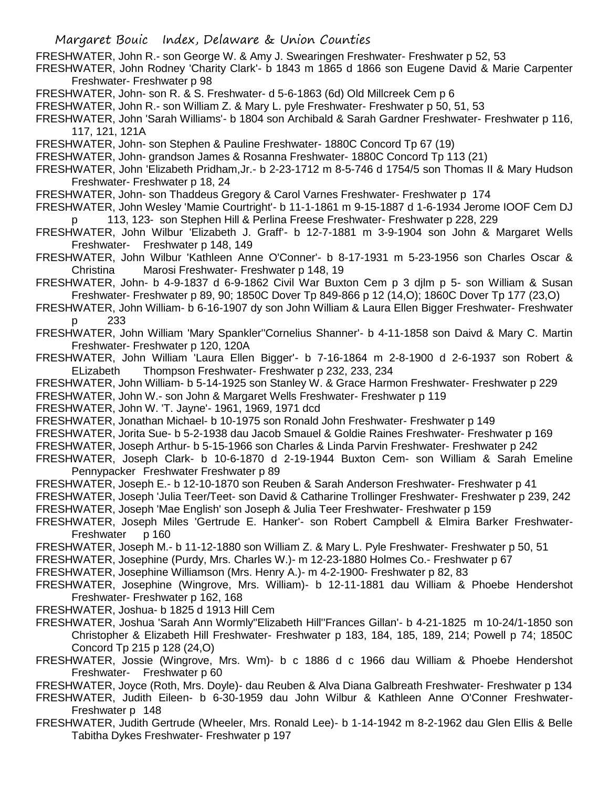- FRESHWATER, John R.- son George W. & Amy J. Swearingen Freshwater- Freshwater p 52, 53
- FRESHWATER, John Rodney 'Charity Clark'- b 1843 m 1865 d 1866 son Eugene David & Marie Carpenter Freshwater- Freshwater p 98
- FRESHWATER, John- son R. & S. Freshwater- d 5-6-1863 (6d) Old Millcreek Cem p 6
- FRESHWATER, John R.- son William Z. & Mary L. pyle Freshwater- Freshwater p 50, 51, 53
- FRESHWATER, John 'Sarah Williams'- b 1804 son Archibald & Sarah Gardner Freshwater- Freshwater p 116, 117, 121, 121A
- FRESHWATER, John- son Stephen & Pauline Freshwater- 1880C Concord Tp 67 (19)
- FRESHWATER, John- grandson James & Rosanna Freshwater- 1880C Concord Tp 113 (21)
- FRESHWATER, John 'Elizabeth Pridham,Jr.- b 2-23-1712 m 8-5-746 d 1754/5 son Thomas II & Mary Hudson Freshwater- Freshwater p 18, 24
- FRESHWATER, John- son Thaddeus Gregory & Carol Varnes Freshwater- Freshwater p 174
- FRESHWATER, John Wesley 'Mamie Courtright'- b 11-1-1861 m 9-15-1887 d 1-6-1934 Jerome IOOF Cem DJ p 113, 123- son Stephen Hill & Perlina Freese Freshwater- Freshwater p 228, 229
- FRESHWATER, John Wilbur 'Elizabeth J. Graff'- b 12-7-1881 m 3-9-1904 son John & Margaret Wells Freshwater- Freshwater p 148, 149
- FRESHWATER, John Wilbur 'Kathleen Anne O'Conner'- b 8-17-1931 m 5-23-1956 son Charles Oscar & Christina Marosi Freshwater- Freshwater p 148, 19
- FRESHWATER, John- b 4-9-1837 d 6-9-1862 Civil War Buxton Cem p 3 djlm p 5- son William & Susan Freshwater- Freshwater p 89, 90; 1850C Dover Tp 849-866 p 12 (14,O); 1860C Dover Tp 177 (23,O)
- FRESHWATER, John William- b 6-16-1907 dy son John William & Laura Ellen Bigger Freshwater- Freshwater p 233
- FRESHWATER, John William 'Mary Spankler''Cornelius Shanner'- b 4-11-1858 son Daivd & Mary C. Martin Freshwater- Freshwater p 120, 120A
- FRESHWATER, John William 'Laura Ellen Bigger'- b 7-16-1864 m 2-8-1900 d 2-6-1937 son Robert & ELizabeth Thompson Freshwater- Freshwater p 232, 233, 234
- FRESHWATER, John William- b 5-14-1925 son Stanley W. & Grace Harmon Freshwater- Freshwater p 229 FRESHWATER, John W.- son John & Margaret Wells Freshwater- Freshwater p 119
- FRESHWATER, John W. 'T. Jayne'- 1961, 1969, 1971 dcd
- FRESHWATER, Jonathan Michael- b 10-1975 son Ronald John Freshwater- Freshwater p 149
- FRESHWATER, Jorita Sue- b 5-2-1938 dau Jacob Smauel & Goldie Raines Freshwater- Freshwater p 169
- FRESHWATER, Joseph Arthur- b 5-15-1966 son Charles & Linda Parvin Freshwater- Freshwater p 242
- FRESHWATER, Joseph Clark- b 10-6-1870 d 2-19-1944 Buxton Cem- son William & Sarah Emeline Pennypacker Freshwater Freshwater p 89
- FRESHWATER, Joseph E.- b 12-10-1870 son Reuben & Sarah Anderson Freshwater- Freshwater p 41
- FRESHWATER, Joseph 'Julia Teer/Teet- son David & Catharine Trollinger Freshwater- Freshwater p 239, 242 FRESHWATER, Joseph 'Mae English' son Joseph & Julia Teer Freshwater- Freshwater p 159
- FRESHWATER, Joseph Miles 'Gertrude E. Hanker'- son Robert Campbell & Elmira Barker Freshwater-Freshwater p 160
- FRESHWATER, Joseph M.- b 11-12-1880 son William Z. & Mary L. Pyle Freshwater- Freshwater p 50, 51
- FRESHWATER, Josephine (Purdy, Mrs. Charles W.)- m 12-23-1880 Holmes Co.- Freshwater p 67
- FRESHWATER, Josephine Williamson (Mrs. Henry A.)- m 4-2-1900- Freshwater p 82, 83
- FRESHWATER, Josephine (Wingrove, Mrs. William)- b 12-11-1881 dau William & Phoebe Hendershot Freshwater- Freshwater p 162, 168
- FRESHWATER, Joshua- b 1825 d 1913 Hill Cem
- FRESHWATER, Joshua 'Sarah Ann Wormly''Elizabeth Hill''Frances Gillan'- b 4-21-1825 m 10-24/1-1850 son Christopher & Elizabeth Hill Freshwater- Freshwater p 183, 184, 185, 189, 214; Powell p 74; 1850C Concord Tp 215 p 128 (24,O)
- FRESHWATER, Jossie (Wingrove, Mrs. Wm)- b c 1886 d c 1966 dau William & Phoebe Hendershot Freshwater- Freshwater p 60
- FRESHWATER, Joyce (Roth, Mrs. Doyle)- dau Reuben & Alva Diana Galbreath Freshwater- Freshwater p 134
- FRESHWATER, Judith Eileen- b 6-30-1959 dau John Wilbur & Kathleen Anne O'Conner Freshwater-Freshwater p 148
- FRESHWATER, Judith Gertrude (Wheeler, Mrs. Ronald Lee)- b 1-14-1942 m 8-2-1962 dau Glen Ellis & Belle Tabitha Dykes Freshwater- Freshwater p 197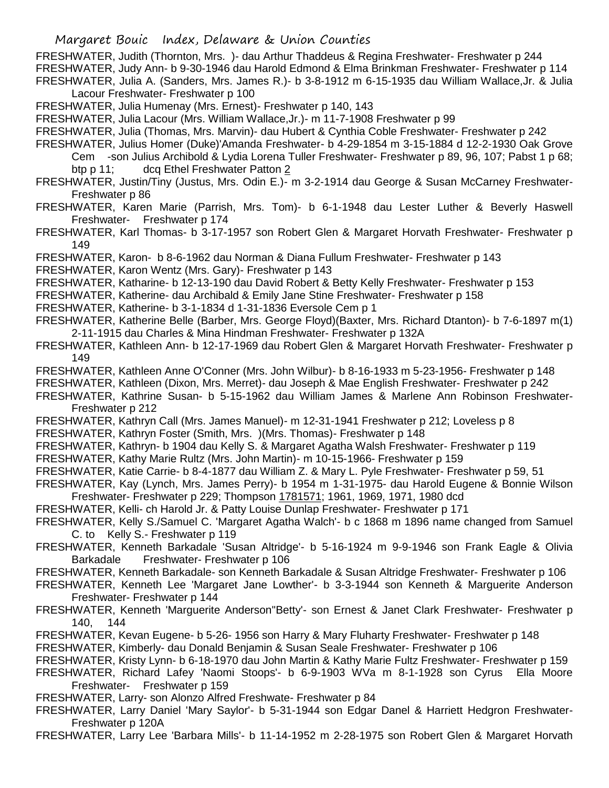FRESHWATER, Judith (Thornton, Mrs. )- dau Arthur Thaddeus & Regina Freshwater- Freshwater p 244 FRESHWATER, Judy Ann- b 9-30-1946 dau Harold Edmond & Elma Brinkman Freshwater- Freshwater p 114 FRESHWATER, Julia A. (Sanders, Mrs. James R.)- b 3-8-1912 m 6-15-1935 dau William Wallace,Jr. & Julia Lacour Freshwater- Freshwater p 100

FRESHWATER, Julia Humenay (Mrs. Ernest)- Freshwater p 140, 143

- FRESHWATER, Julia Lacour (Mrs. William Wallace,Jr.)- m 11-7-1908 Freshwater p 99
- FRESHWATER, Julia (Thomas, Mrs. Marvin)- dau Hubert & Cynthia Coble Freshwater- Freshwater p 242
- FRESHWATER, Julius Homer (Duke)'Amanda Freshwater- b 4-29-1854 m 3-15-1884 d 12-2-1930 Oak Grove Cem -son Julius Archibold & Lydia Lorena Tuller Freshwater- Freshwater p 89, 96, 107; Pabst 1 p 68;

btp p 11; dcq Ethel Freshwater Patton 2

- FRESHWATER, Justin/Tiny (Justus, Mrs. Odin E.)- m 3-2-1914 dau George & Susan McCarney Freshwater-Freshwater p 86
- FRESHWATER, Karen Marie (Parrish, Mrs. Tom)- b 6-1-1948 dau Lester Luther & Beverly Haswell Freshwater- Freshwater p 174
- FRESHWATER, Karl Thomas- b 3-17-1957 son Robert Glen & Margaret Horvath Freshwater- Freshwater p 149
- FRESHWATER, Karon- b 8-6-1962 dau Norman & Diana Fullum Freshwater- Freshwater p 143

FRESHWATER, Karon Wentz (Mrs. Gary)- Freshwater p 143

- FRESHWATER, Katharine- b 12-13-190 dau David Robert & Betty Kelly Freshwater- Freshwater p 153
- FRESHWATER, Katherine- dau Archibald & Emily Jane Stine Freshwater- Freshwater p 158

FRESHWATER, Katherine- b 3-1-1834 d 1-31-1836 Eversole Cem p 1

- FRESHWATER, Katherine Belle (Barber, Mrs. George Floyd)(Baxter, Mrs. Richard Dtanton)- b 7-6-1897 m(1) 2-11-1915 dau Charles & Mina Hindman Freshwater- Freshwater p 132A
- FRESHWATER, Kathleen Ann- b 12-17-1969 dau Robert Glen & Margaret Horvath Freshwater- Freshwater p 149
- FRESHWATER, Kathleen Anne O'Conner (Mrs. John Wilbur)- b 8-16-1933 m 5-23-1956- Freshwater p 148
- FRESHWATER, Kathleen (Dixon, Mrs. Merret)- dau Joseph & Mae English Freshwater- Freshwater p 242
- FRESHWATER, Kathrine Susan- b 5-15-1962 dau William James & Marlene Ann Robinson Freshwater-Freshwater p 212
- FRESHWATER, Kathryn Call (Mrs. James Manuel)- m 12-31-1941 Freshwater p 212; Loveless p 8

FRESHWATER, Kathryn Foster (Smith, Mrs. )(Mrs. Thomas)- Freshwater p 148

- FRESHWATER, Kathryn- b 1904 dau Kelly S. & Margaret Agatha Walsh Freshwater- Freshwater p 119
- FRESHWATER, Kathy Marie Rultz (Mrs. John Martin)- m 10-15-1966- Freshwater p 159
- FRESHWATER, Katie Carrie- b 8-4-1877 dau William Z. & Mary L. Pyle Freshwater- Freshwater p 59, 51
- FRESHWATER, Kay (Lynch, Mrs. James Perry)- b 1954 m 1-31-1975- dau Harold Eugene & Bonnie Wilson Freshwater- Freshwater p 229; Thompson 1781571; 1961, 1969, 1971, 1980 dcd
- FRESHWATER, Kelli- ch Harold Jr. & Patty Louise Dunlap Freshwater- Freshwater p 171
- FRESHWATER, Kelly S./Samuel C. 'Margaret Agatha Walch'- b c 1868 m 1896 name changed from Samuel C. to Kelly S.- Freshwater p 119
- FRESHWATER, Kenneth Barkadale 'Susan Altridge'- b 5-16-1924 m 9-9-1946 son Frank Eagle & Olivia Barkadale Freshwater- Freshwater p 106
- FRESHWATER, Kenneth Barkadale- son Kenneth Barkadale & Susan Altridge Freshwater- Freshwater p 106
- FRESHWATER, Kenneth Lee 'Margaret Jane Lowther'- b 3-3-1944 son Kenneth & Marguerite Anderson Freshwater- Freshwater p 144
- FRESHWATER, Kenneth 'Marguerite Anderson''Betty'- son Ernest & Janet Clark Freshwater- Freshwater p 140, 144
- FRESHWATER, Kevan Eugene- b 5-26- 1956 son Harry & Mary Fluharty Freshwater- Freshwater p 148 FRESHWATER, Kimberly- dau Donald Benjamin & Susan Seale Freshwater- Freshwater p 106
- FRESHWATER, Kristy Lynn- b 6-18-1970 dau John Martin & Kathy Marie Fultz Freshwater- Freshwater p 159
- FRESHWATER, Richard Lafey 'Naomi Stoops'- b 6-9-1903 WVa m 8-1-1928 son Cyrus Ella Moore Freshwater- Freshwater p 159
- FRESHWATER, Larry- son Alonzo Alfred Freshwate- Freshwater p 84
- FRESHWATER, Larry Daniel 'Mary Saylor'- b 5-31-1944 son Edgar Danel & Harriett Hedgron Freshwater-Freshwater p 120A

FRESHWATER, Larry Lee 'Barbara Mills'- b 11-14-1952 m 2-28-1975 son Robert Glen & Margaret Horvath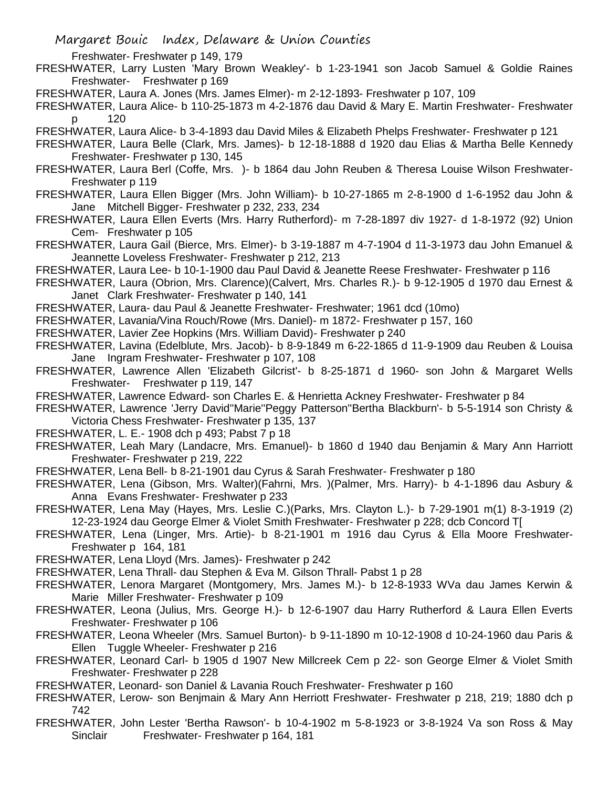Freshwater- Freshwater p 149, 179

- FRESHWATER, Larry Lusten 'Mary Brown Weakley'- b 1-23-1941 son Jacob Samuel & Goldie Raines Freshwater- Freshwater p 169
- FRESHWATER, Laura A. Jones (Mrs. James Elmer)- m 2-12-1893- Freshwater p 107, 109
- FRESHWATER, Laura Alice- b 110-25-1873 m 4-2-1876 dau David & Mary E. Martin Freshwater- Freshwater p 120
- FRESHWATER, Laura Alice- b 3-4-1893 dau David Miles & Elizabeth Phelps Freshwater- Freshwater p 121
- FRESHWATER, Laura Belle (Clark, Mrs. James)- b 12-18-1888 d 1920 dau Elias & Martha Belle Kennedy Freshwater- Freshwater p 130, 145
- FRESHWATER, Laura Berl (Coffe, Mrs. )- b 1864 dau John Reuben & Theresa Louise Wilson Freshwater-Freshwater p 119
- FRESHWATER, Laura Ellen Bigger (Mrs. John William)- b 10-27-1865 m 2-8-1900 d 1-6-1952 dau John & Jane Mitchell Bigger- Freshwater p 232, 233, 234
- FRESHWATER, Laura Ellen Everts (Mrs. Harry Rutherford)- m 7-28-1897 div 1927- d 1-8-1972 (92) Union Cem- Freshwater p 105
- FRESHWATER, Laura Gail (Bierce, Mrs. Elmer)- b 3-19-1887 m 4-7-1904 d 11-3-1973 dau John Emanuel & Jeannette Loveless Freshwater- Freshwater p 212, 213
- FRESHWATER, Laura Lee- b 10-1-1900 dau Paul David & Jeanette Reese Freshwater- Freshwater p 116
- FRESHWATER, Laura (Obrion, Mrs. Clarence)(Calvert, Mrs. Charles R.)- b 9-12-1905 d 1970 dau Ernest & Janet Clark Freshwater- Freshwater p 140, 141
- FRESHWATER, Laura- dau Paul & Jeanette Freshwater- Freshwater; 1961 dcd (10mo)
- FRESHWATER, Lavania/Vina Rouch/Rowe (Mrs. Daniel)- m 1872- Freshwater p 157, 160
- FRESHWATER, Lavier Zee Hopkins (Mrs. William David)- Freshwater p 240
- FRESHWATER, Lavina (Edelblute, Mrs. Jacob)- b 8-9-1849 m 6-22-1865 d 11-9-1909 dau Reuben & Louisa Jane Ingram Freshwater- Freshwater p 107, 108
- FRESHWATER, Lawrence Allen 'Elizabeth Gilcrist'- b 8-25-1871 d 1960- son John & Margaret Wells Freshwater- Freshwater p 119, 147
- FRESHWATER, Lawrence Edward- son Charles E. & Henrietta Ackney Freshwater- Freshwater p 84
- FRESHWATER, Lawrence 'Jerry David''Marie''Peggy Patterson''Bertha Blackburn'- b 5-5-1914 son Christy & Victoria Chess Freshwater- Freshwater p 135, 137
- FRESHWATER, L. E.- 1908 dch p 493; Pabst 7 p 18
- FRESHWATER, Leah Mary (Landacre, Mrs. Emanuel)- b 1860 d 1940 dau Benjamin & Mary Ann Harriott Freshwater- Freshwater p 219, 222
- FRESHWATER, Lena Bell- b 8-21-1901 dau Cyrus & Sarah Freshwater- Freshwater p 180
- FRESHWATER, Lena (Gibson, Mrs. Walter)(Fahrni, Mrs. )(Palmer, Mrs. Harry)- b 4-1-1896 dau Asbury & Anna Evans Freshwater- Freshwater p 233
- FRESHWATER, Lena May (Hayes, Mrs. Leslie C.)(Parks, Mrs. Clayton L.)- b 7-29-1901 m(1) 8-3-1919 (2) 12-23-1924 dau George Elmer & Violet Smith Freshwater- Freshwater p 228; dcb Concord T[
- FRESHWATER, Lena (Linger, Mrs. Artie)- b 8-21-1901 m 1916 dau Cyrus & Ella Moore Freshwater-Freshwater p 164, 181
- FRESHWATER, Lena Lloyd (Mrs. James)- Freshwater p 242
- FRESHWATER, Lena Thrall- dau Stephen & Eva M. Gilson Thrall- Pabst 1 p 28
- FRESHWATER, Lenora Margaret (Montgomery, Mrs. James M.)- b 12-8-1933 WVa dau James Kerwin & Marie Miller Freshwater- Freshwater p 109
- FRESHWATER, Leona (Julius, Mrs. George H.)- b 12-6-1907 dau Harry Rutherford & Laura Ellen Everts Freshwater- Freshwater p 106
- FRESHWATER, Leona Wheeler (Mrs. Samuel Burton)- b 9-11-1890 m 10-12-1908 d 10-24-1960 dau Paris & Ellen Tuggle Wheeler- Freshwater p 216
- FRESHWATER, Leonard Carl- b 1905 d 1907 New Millcreek Cem p 22- son George Elmer & Violet Smith Freshwater- Freshwater p 228
- FRESHWATER, Leonard- son Daniel & Lavania Rouch Freshwater- Freshwater p 160
- FRESHWATER, Lerow- son Benjmain & Mary Ann Herriott Freshwater- Freshwater p 218, 219; 1880 dch p 742
- FRESHWATER, John Lester 'Bertha Rawson'- b 10-4-1902 m 5-8-1923 or 3-8-1924 Va son Ross & May Sinclair Freshwater- Freshwater p 164, 181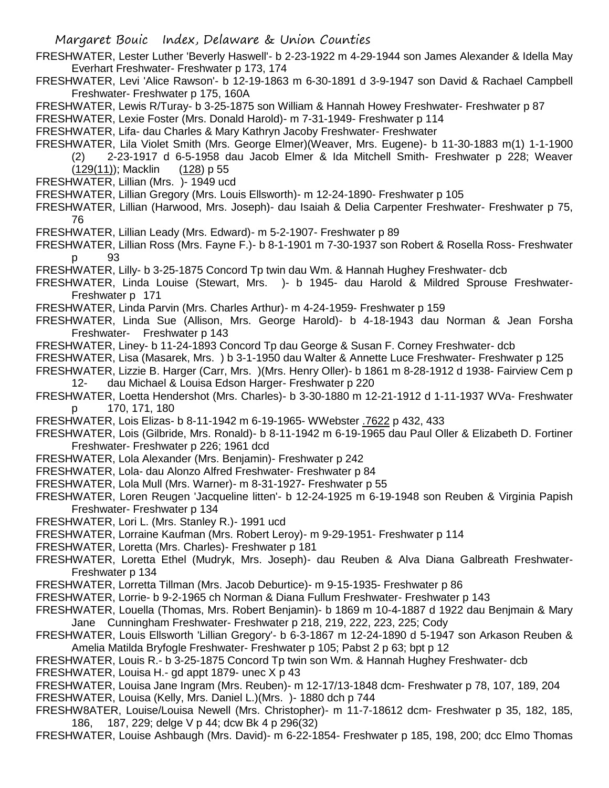- FRESHWATER, Lester Luther 'Beverly Haswell'- b 2-23-1922 m 4-29-1944 son James Alexander & Idella May Everhart Freshwater- Freshwater p 173, 174
- FRESHWATER, Levi 'Alice Rawson'- b 12-19-1863 m 6-30-1891 d 3-9-1947 son David & Rachael Campbell Freshwater- Freshwater p 175, 160A
- FRESHWATER, Lewis R/Turay- b 3-25-1875 son William & Hannah Howey Freshwater- Freshwater p 87

FRESHWATER, Lexie Foster (Mrs. Donald Harold)- m 7-31-1949- Freshwater p 114

FRESHWATER, Lifa- dau Charles & Mary Kathryn Jacoby Freshwater- Freshwater

FRESHWATER, Lila Violet Smith (Mrs. George Elmer)(Weaver, Mrs. Eugene)- b 11-30-1883 m(1) 1-1-1900

(2) 2-23-1917 d 6-5-1958 dau Jacob Elmer & Ida Mitchell Smith- Freshwater p 228; Weaver (129(11)); Macklin (128) p 55

FRESHWATER, Lillian (Mrs. )- 1949 ucd

- FRESHWATER, Lillian Gregory (Mrs. Louis Ellsworth)- m 12-24-1890- Freshwater p 105
- FRESHWATER, Lillian (Harwood, Mrs. Joseph)- dau Isaiah & Delia Carpenter Freshwater- Freshwater p 75, 76
- FRESHWATER, Lillian Leady (Mrs. Edward)- m 5-2-1907- Freshwater p 89
- FRESHWATER, Lillian Ross (Mrs. Fayne F.)- b 8-1-1901 m 7-30-1937 son Robert & Rosella Ross- Freshwater p 93
- FRESHWATER, Lilly- b 3-25-1875 Concord Tp twin dau Wm. & Hannah Hughey Freshwater- dcb
- FRESHWATER, Linda Louise (Stewart, Mrs. )- b 1945- dau Harold & Mildred Sprouse Freshwater-Freshwater p 171

FRESHWATER, Linda Parvin (Mrs. Charles Arthur)- m 4-24-1959- Freshwater p 159

- FRESHWATER, Linda Sue (Allison, Mrs. George Harold)- b 4-18-1943 dau Norman & Jean Forsha Freshwater- Freshwater p 143
- FRESHWATER, Liney- b 11-24-1893 Concord Tp dau George & Susan F. Corney Freshwater- dcb
- FRESHWATER, Lisa (Masarek, Mrs. ) b 3-1-1950 dau Walter & Annette Luce Freshwater- Freshwater p 125
- FRESHWATER, Lizzie B. Harger (Carr, Mrs. )(Mrs. Henry Oller)- b 1861 m 8-28-1912 d 1938- Fairview Cem p 12- dau Michael & Louisa Edson Harger- Freshwater p 220
- FRESHWATER, Loetta Hendershot (Mrs. Charles)- b 3-30-1880 m 12-21-1912 d 1-11-1937 WVa- Freshwater p 170, 171, 180
- FRESHWATER, Lois Elizas- b 8-11-1942 m 6-19-1965- WWebster .7622 p 432, 433
- FRESHWATER, Lois (Gilbride, Mrs. Ronald)- b 8-11-1942 m 6-19-1965 dau Paul Oller & Elizabeth D. Fortiner Freshwater- Freshwater p 226; 1961 dcd
- FRESHWATER, Lola Alexander (Mrs. Benjamin)- Freshwater p 242
- FRESHWATER, Lola- dau Alonzo Alfred Freshwater- Freshwater p 84
- FRESHWATER, Lola Mull (Mrs. Warner)- m 8-31-1927- Freshwater p 55
- FRESHWATER, Loren Reugen 'Jacqueline litten'- b 12-24-1925 m 6-19-1948 son Reuben & Virginia Papish Freshwater- Freshwater p 134
- FRESHWATER, Lori L. (Mrs. Stanley R.)- 1991 ucd
- FRESHWATER, Lorraine Kaufman (Mrs. Robert Leroy)- m 9-29-1951- Freshwater p 114
- FRESHWATER, Loretta (Mrs. Charles)- Freshwater p 181
- FRESHWATER, Loretta Ethel (Mudryk, Mrs. Joseph)- dau Reuben & Alva Diana Galbreath Freshwater-Freshwater p 134
- FRESHWATER, Lorretta Tillman (Mrs. Jacob Deburtice)- m 9-15-1935- Freshwater p 86
- FRESHWATER, Lorrie- b 9-2-1965 ch Norman & Diana Fullum Freshwater- Freshwater p 143
- FRESHWATER, Louella (Thomas, Mrs. Robert Benjamin)- b 1869 m 10-4-1887 d 1922 dau Benjmain & Mary Jane Cunningham Freshwater- Freshwater p 218, 219, 222, 223, 225; Cody
- FRESHWATER, Louis Ellsworth 'Lillian Gregory'- b 6-3-1867 m 12-24-1890 d 5-1947 son Arkason Reuben & Amelia Matilda Bryfogle Freshwater- Freshwater p 105; Pabst 2 p 63; bpt p 12
- FRESHWATER, Louis R.- b 3-25-1875 Concord Tp twin son Wm. & Hannah Hughey Freshwater- dcb
- FRESHWATER, Louisa H.- gd appt 1879- unec X p 43
- FRESHWATER, Louisa Jane Ingram (Mrs. Reuben)- m 12-17/13-1848 dcm- Freshwater p 78, 107, 189, 204 FRESHWATER, Louisa (Kelly, Mrs. Daniel L.)(Mrs. )- 1880 dch p 744
- FRESHW8ATER, Louise/Louisa Newell (Mrs. Christopher)- m 11-7-18612 dcm- Freshwater p 35, 182, 185, 186, 187, 229; delge V p 44; dcw Bk 4 p 296(32)
- FRESHWATER, Louise Ashbaugh (Mrs. David)- m 6-22-1854- Freshwater p 185, 198, 200; dcc Elmo Thomas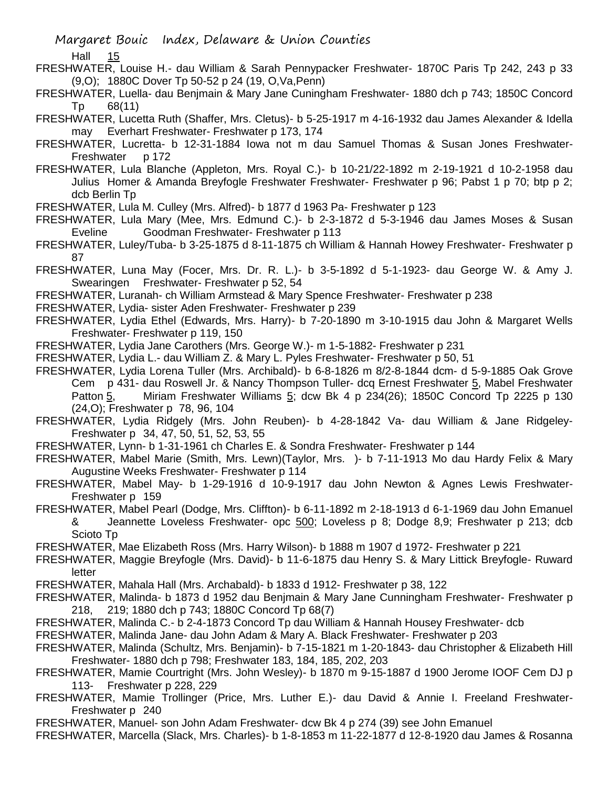Hall 15

FRESHWATER, Louise H.- dau William & Sarah Pennypacker Freshwater- 1870C Paris Tp 242, 243 p 33 (9,O); 1880C Dover Tp 50-52 p 24 (19, O,Va,Penn)

FRESHWATER, Luella- dau Benjmain & Mary Jane Cuningham Freshwater- 1880 dch p 743; 1850C Concord Tp 68(11)

FRESHWATER, Lucetta Ruth (Shaffer, Mrs. Cletus)- b 5-25-1917 m 4-16-1932 dau James Alexander & Idella may Everhart Freshwater- Freshwater p 173, 174

FRESHWATER, Lucretta- b 12-31-1884 Iowa not m dau Samuel Thomas & Susan Jones Freshwater-Freshwater p 172

FRESHWATER, Lula Blanche (Appleton, Mrs. Royal C.)- b 10-21/22-1892 m 2-19-1921 d 10-2-1958 dau Julius Homer & Amanda Breyfogle Freshwater Freshwater- Freshwater p 96; Pabst 1 p 70; btp p 2; dcb Berlin Tp

FRESHWATER, Lula M. Culley (Mrs. Alfred)- b 1877 d 1963 Pa- Freshwater p 123

FRESHWATER, Lula Mary (Mee, Mrs. Edmund C.)- b 2-3-1872 d 5-3-1946 dau James Moses & Susan Eveline Goodman Freshwater- Freshwater p 113

FRESHWATER, Luley/Tuba- b 3-25-1875 d 8-11-1875 ch William & Hannah Howey Freshwater- Freshwater p 87

FRESHWATER, Luna May (Focer, Mrs. Dr. R. L.)- b 3-5-1892 d 5-1-1923- dau George W. & Amy J. Swearingen Freshwater- Freshwater p 52, 54

FRESHWATER, Luranah- ch William Armstead & Mary Spence Freshwater- Freshwater p 238

FRESHWATER, Lydia- sister Aden Freshwater- Freshwater p 239

FRESHWATER, Lydia Ethel (Edwards, Mrs. Harry)- b 7-20-1890 m 3-10-1915 dau John & Margaret Wells Freshwater- Freshwater p 119, 150

FRESHWATER, Lydia Jane Carothers (Mrs. George W.)- m 1-5-1882- Freshwater p 231

FRESHWATER, Lydia L.- dau William Z. & Mary L. Pyles Freshwater- Freshwater p 50, 51

FRESHWATER, Lydia Lorena Tuller (Mrs. Archibald)- b 6-8-1826 m 8/2-8-1844 dcm- d 5-9-1885 Oak Grove Cem p 431- dau Roswell Jr. & Nancy Thompson Tuller- dcq Ernest Freshwater 5, Mabel Freshwater Patton 5, Miriam Freshwater Williams 5; dcw Bk 4 p 234(26); 1850C Concord Tp 2225 p 130 (24,O); Freshwater p 78, 96, 104

FRESHWATER, Lydia Ridgely (Mrs. John Reuben)- b 4-28-1842 Va- dau William & Jane Ridgeley-Freshwater p 34, 47, 50, 51, 52, 53, 55

FRESHWATER, Lynn- b 1-31-1961 ch Charles E. & Sondra Freshwater- Freshwater p 144

FRESHWATER, Mabel Marie (Smith, Mrs. Lewn)(Taylor, Mrs. )- b 7-11-1913 Mo dau Hardy Felix & Mary Augustine Weeks Freshwater- Freshwater p 114

FRESHWATER, Mabel May- b 1-29-1916 d 10-9-1917 dau John Newton & Agnes Lewis Freshwater-Freshwater p 159

FRESHWATER, Mabel Pearl (Dodge, Mrs. Cliffton)- b 6-11-1892 m 2-18-1913 d 6-1-1969 dau John Emanuel & Jeannette Loveless Freshwater- opc 500; Loveless p 8; Dodge 8,9; Freshwater p 213; dcb Scioto Tp

FRESHWATER, Mae Elizabeth Ross (Mrs. Harry Wilson)- b 1888 m 1907 d 1972- Freshwater p 221

FRESHWATER, Maggie Breyfogle (Mrs. David)- b 11-6-1875 dau Henry S. & Mary Littick Breyfogle- Ruward letter

FRESHWATER, Mahala Hall (Mrs. Archabald)- b 1833 d 1912- Freshwater p 38, 122

FRESHWATER, Malinda- b 1873 d 1952 dau Benjmain & Mary Jane Cunningham Freshwater- Freshwater p 218, 219; 1880 dch p 743; 1880C Concord Tp 68(7)

FRESHWATER, Malinda C.- b 2-4-1873 Concord Tp dau William & Hannah Housey Freshwater- dcb

FRESHWATER, Malinda Jane- dau John Adam & Mary A. Black Freshwater- Freshwater p 203

FRESHWATER, Malinda (Schultz, Mrs. Benjamin)- b 7-15-1821 m 1-20-1843- dau Christopher & Elizabeth Hill Freshwater- 1880 dch p 798; Freshwater 183, 184, 185, 202, 203

FRESHWATER, Mamie Courtright (Mrs. John Wesley)- b 1870 m 9-15-1887 d 1900 Jerome IOOF Cem DJ p 113- Freshwater p 228, 229

FRESHWATER, Mamie Trollinger (Price, Mrs. Luther E.)- dau David & Annie I. Freeland Freshwater-Freshwater p 240

FRESHWATER, Manuel- son John Adam Freshwater- dcw Bk 4 p 274 (39) see John Emanuel

FRESHWATER, Marcella (Slack, Mrs. Charles)- b 1-8-1853 m 11-22-1877 d 12-8-1920 dau James & Rosanna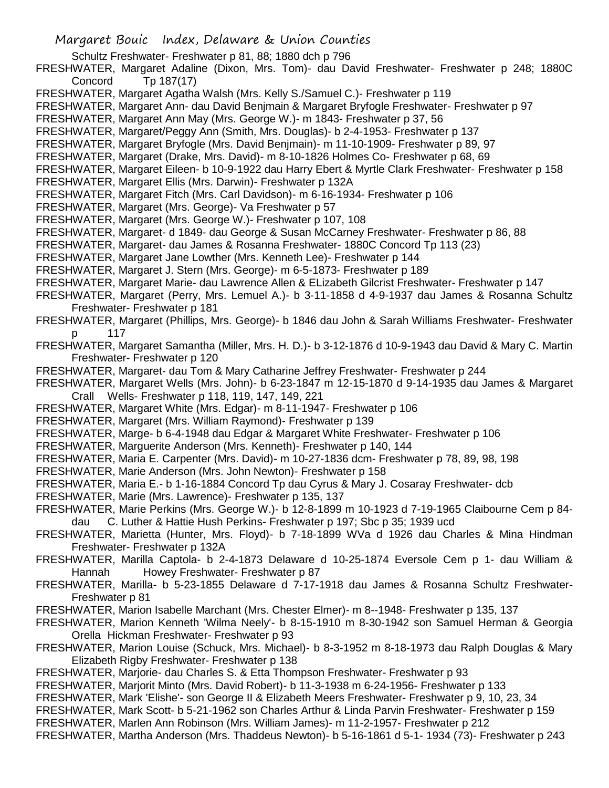- Schultz Freshwater- Freshwater p 81, 88; 1880 dch p 796
- FRESHWATER, Margaret Adaline (Dixon, Mrs. Tom)- dau David Freshwater- Freshwater p 248; 1880C Concord Tp 187(17)
- FRESHWATER, Margaret Agatha Walsh (Mrs. Kelly S./Samuel C.)- Freshwater p 119
- FRESHWATER, Margaret Ann- dau David Benjmain & Margaret Bryfogle Freshwater- Freshwater p 97
- FRESHWATER, Margaret Ann May (Mrs. George W.)- m 1843- Freshwater p 37, 56
- FRESHWATER, Margaret/Peggy Ann (Smith, Mrs. Douglas)- b 2-4-1953- Freshwater p 137
- FRESHWATER, Margaret Bryfogle (Mrs. David Benjmain)- m 11-10-1909- Freshwater p 89, 97
- FRESHWATER, Margaret (Drake, Mrs. David)- m 8-10-1826 Holmes Co- Freshwater p 68, 69
- FRESHWATER, Margaret Eileen- b 10-9-1922 dau Harry Ebert & Myrtle Clark Freshwater- Freshwater p 158
- FRESHWATER, Margaret Ellis (Mrs. Darwin)- Freshwater p 132A
- FRESHWATER, Margaret Fitch (Mrs. Carl Davidson)- m 6-16-1934- Freshwater p 106
- FRESHWATER, Margaret (Mrs. George)- Va Freshwater p 57
- FRESHWATER, Margaret (Mrs. George W.)- Freshwater p 107, 108
- FRESHWATER, Margaret- d 1849- dau George & Susan McCarney Freshwater- Freshwater p 86, 88
- FRESHWATER, Margaret- dau James & Rosanna Freshwater- 1880C Concord Tp 113 (23)
- FRESHWATER, Margaret Jane Lowther (Mrs. Kenneth Lee)- Freshwater p 144
- FRESHWATER, Margaret J. Stern (Mrs. George)- m 6-5-1873- Freshwater p 189
- FRESHWATER, Margaret Marie- dau Lawrence Allen & ELizabeth Gilcrist Freshwater- Freshwater p 147
- FRESHWATER, Margaret (Perry, Mrs. Lemuel A.)- b 3-11-1858 d 4-9-1937 dau James & Rosanna Schultz Freshwater- Freshwater p 181
- FRESHWATER, Margaret (Phillips, Mrs. George)- b 1846 dau John & Sarah Williams Freshwater- Freshwater p 117
- FRESHWATER, Margaret Samantha (Miller, Mrs. H. D.)- b 3-12-1876 d 10-9-1943 dau David & Mary C. Martin Freshwater- Freshwater p 120
- FRESHWATER, Margaret- dau Tom & Mary Catharine Jeffrey Freshwater- Freshwater p 244
- FRESHWATER, Margaret Wells (Mrs. John)- b 6-23-1847 m 12-15-1870 d 9-14-1935 dau James & Margaret Crall Wells- Freshwater p 118, 119, 147, 149, 221
- FRESHWATER, Margaret White (Mrs. Edgar)- m 8-11-1947- Freshwater p 106
- FRESHWATER, Margaret (Mrs. William Raymond)- Freshwater p 139
- FRESHWATER, Marge- b 6-4-1948 dau Edgar & Margaret White Freshwater- Freshwater p 106
- FRESHWATER, Marguerite Anderson (Mrs. Kenneth)- Freshwater p 140, 144
- FRESHWATER, Maria E. Carpenter (Mrs. David)- m 10-27-1836 dcm- Freshwater p 78, 89, 98, 198
- FRESHWATER, Marie Anderson (Mrs. John Newton)- Freshwater p 158
- FRESHWATER, Maria E.- b 1-16-1884 Concord Tp dau Cyrus & Mary J. Cosaray Freshwater- dcb
- FRESHWATER, Marie (Mrs. Lawrence)- Freshwater p 135, 137
- FRESHWATER, Marie Perkins (Mrs. George W.)- b 12-8-1899 m 10-1923 d 7-19-1965 Claibourne Cem p 84 dau C. Luther & Hattie Hush Perkins- Freshwater p 197; Sbc p 35; 1939 ucd
- FRESHWATER, Marietta (Hunter, Mrs. Floyd)- b 7-18-1899 WVa d 1926 dau Charles & Mina Hindman Freshwater- Freshwater p 132A
- FRESHWATER, Marilla Captola- b 2-4-1873 Delaware d 10-25-1874 Eversole Cem p 1- dau William & Hannah Howey Freshwater- Freshwater p 87
- FRESHWATER, Marilla- b 5-23-1855 Delaware d 7-17-1918 dau James & Rosanna Schultz Freshwater-Freshwater p 81
- FRESHWATER, Marion Isabelle Marchant (Mrs. Chester Elmer)- m 8--1948- Freshwater p 135, 137
- FRESHWATER, Marion Kenneth 'Wilma Neely'- b 8-15-1910 m 8-30-1942 son Samuel Herman & Georgia Orella Hickman Freshwater- Freshwater p 93
- FRESHWATER, Marion Louise (Schuck, Mrs. Michael)- b 8-3-1952 m 8-18-1973 dau Ralph Douglas & Mary Elizabeth Rigby Freshwater- Freshwater p 138
- FRESHWATER, Marjorie- dau Charles S. & Etta Thompson Freshwater- Freshwater p 93
- FRESHWATER, Marjorit Minto (Mrs. David Robert)- b 11-3-1938 m 6-24-1956- Freshwater p 133
- FRESHWATER, Mark 'Elishe'- son George II & Elizabeth Meers Freshwater- Freshwater p 9, 10, 23, 34
- FRESHWATER, Mark Scott- b 5-21-1962 son Charles Arthur & Linda Parvin Freshwater- Freshwater p 159
- FRESHWATER, Marlen Ann Robinson (Mrs. William James)- m 11-2-1957- Freshwater p 212
- FRESHWATER, Martha Anderson (Mrs. Thaddeus Newton)- b 5-16-1861 d 5-1- 1934 (73)- Freshwater p 243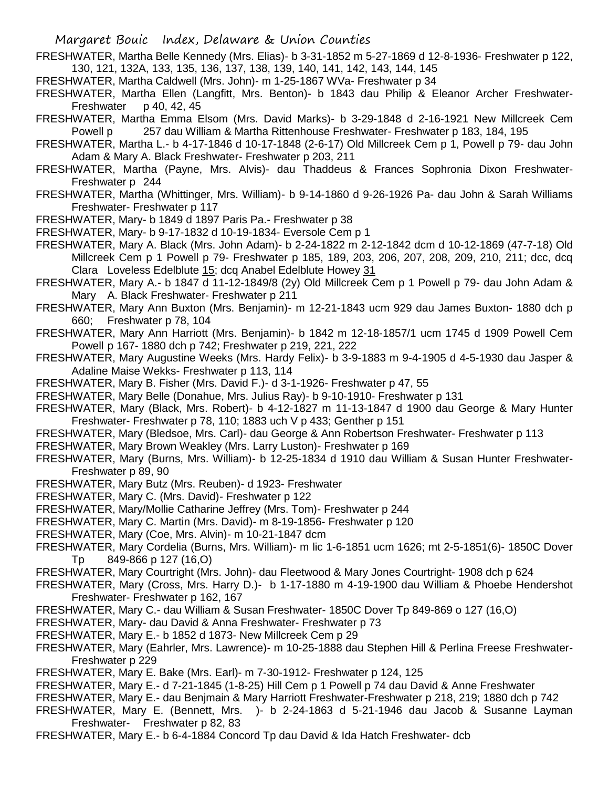- FRESHWATER, Martha Belle Kennedy (Mrs. Elias)- b 3-31-1852 m 5-27-1869 d 12-8-1936- Freshwater p 122, 130, 121, 132A, 133, 135, 136, 137, 138, 139, 140, 141, 142, 143, 144, 145
- FRESHWATER, Martha Caldwell (Mrs. John)- m 1-25-1867 WVa- Freshwater p 34
- FRESHWATER, Martha Ellen (Langfitt, Mrs. Benton)- b 1843 dau Philip & Eleanor Archer Freshwater-Freshwater  $p$  40, 42, 45
- FRESHWATER, Martha Emma Elsom (Mrs. David Marks)- b 3-29-1848 d 2-16-1921 New Millcreek Cem Powell p 257 dau William & Martha Rittenhouse Freshwater- Freshwater p 183, 184, 195
- FRESHWATER, Martha L.- b 4-17-1846 d 10-17-1848 (2-6-17) Old Millcreek Cem p 1, Powell p 79- dau John Adam & Mary A. Black Freshwater- Freshwater p 203, 211
- FRESHWATER, Martha (Payne, Mrs. Alvis)- dau Thaddeus & Frances Sophronia Dixon Freshwater-Freshwater p 244
- FRESHWATER, Martha (Whittinger, Mrs. William)- b 9-14-1860 d 9-26-1926 Pa- dau John & Sarah Williams Freshwater- Freshwater p 117
- FRESHWATER, Mary- b 1849 d 1897 Paris Pa.- Freshwater p 38
- FRESHWATER, Mary- b 9-17-1832 d 10-19-1834- Eversole Cem p 1
- FRESHWATER, Mary A. Black (Mrs. John Adam)- b 2-24-1822 m 2-12-1842 dcm d 10-12-1869 (47-7-18) Old Millcreek Cem p 1 Powell p 79- Freshwater p 185, 189, 203, 206, 207, 208, 209, 210, 211; dcc, dcq Clara Loveless Edelblute 15; dcq Anabel Edelblute Howey 31
- FRESHWATER, Mary A.- b 1847 d 11-12-1849/8 (2y) Old Millcreek Cem p 1 Powell p 79- dau John Adam & Mary A. Black Freshwater- Freshwater p 211
- FRESHWATER, Mary Ann Buxton (Mrs. Benjamin)- m 12-21-1843 ucm 929 dau James Buxton- 1880 dch p 660; Freshwater p 78, 104
- FRESHWATER, Mary Ann Harriott (Mrs. Benjamin)- b 1842 m 12-18-1857/1 ucm 1745 d 1909 Powell Cem Powell p 167- 1880 dch p 742; Freshwater p 219, 221, 222
- FRESHWATER, Mary Augustine Weeks (Mrs. Hardy Felix)- b 3-9-1883 m 9-4-1905 d 4-5-1930 dau Jasper & Adaline Maise Wekks- Freshwater p 113, 114
- FRESHWATER, Mary B. Fisher (Mrs. David F.)- d 3-1-1926- Freshwater p 47, 55
- FRESHWATER, Mary Belle (Donahue, Mrs. Julius Ray)- b 9-10-1910- Freshwater p 131
- FRESHWATER, Mary (Black, Mrs. Robert)- b 4-12-1827 m 11-13-1847 d 1900 dau George & Mary Hunter Freshwater- Freshwater p 78, 110; 1883 uch V p 433; Genther p 151
- FRESHWATER, Mary (Bledsoe, Mrs. Carl)- dau George & Ann Robertson Freshwater- Freshwater p 113
- FRESHWATER, Mary Brown Weakley (Mrs. Larry Luston)- Freshwater p 169
- FRESHWATER, Mary (Burns, Mrs. William)- b 12-25-1834 d 1910 dau William & Susan Hunter Freshwater-Freshwater p 89, 90
- FRESHWATER, Mary Butz (Mrs. Reuben)- d 1923- Freshwater
- FRESHWATER, Mary C. (Mrs. David)- Freshwater p 122
- FRESHWATER, Mary/Mollie Catharine Jeffrey (Mrs. Tom)- Freshwater p 244
- FRESHWATER, Mary C. Martin (Mrs. David)- m 8-19-1856- Freshwater p 120
- FRESHWATER, Mary (Coe, Mrs. Alvin)- m 10-21-1847 dcm
- FRESHWATER, Mary Cordelia (Burns, Mrs. William)- m lic 1-6-1851 ucm 1626; mt 2-5-1851(6)- 1850C Dover Tp 849-866 p 127 (16,O)
- FRESHWATER, Mary Courtright (Mrs. John)- dau Fleetwood & Mary Jones Courtright- 1908 dch p 624
- FRESHWATER, Mary (Cross, Mrs. Harry D.)- b 1-17-1880 m 4-19-1900 dau William & Phoebe Hendershot Freshwater- Freshwater p 162, 167
- FRESHWATER, Mary C.- dau William & Susan Freshwater- 1850C Dover Tp 849-869 o 127 (16,O)
- FRESHWATER, Mary- dau David & Anna Freshwater- Freshwater p 73
- FRESHWATER, Mary E.- b 1852 d 1873- New Millcreek Cem p 29
- FRESHWATER, Mary (Eahrler, Mrs. Lawrence)- m 10-25-1888 dau Stephen Hill & Perlina Freese Freshwater-Freshwater p 229
- FRESHWATER, Mary E. Bake (Mrs. Earl)- m 7-30-1912- Freshwater p 124, 125
- FRESHWATER, Mary E.- d 7-21-1845 (1-8-25) Hill Cem p 1 Powell p 74 dau David & Anne Freshwater
- FRESHWATER, Mary E.- dau Benjmain & Mary Harriott Freshwater-Freshwater p 218, 219; 1880 dch p 742
- FRESHWATER, Mary E. (Bennett, Mrs. )- b 2-24-1863 d 5-21-1946 dau Jacob & Susanne Layman Freshwater- Freshwater p 82, 83
- FRESHWATER, Mary E.- b 6-4-1884 Concord Tp dau David & Ida Hatch Freshwater- dcb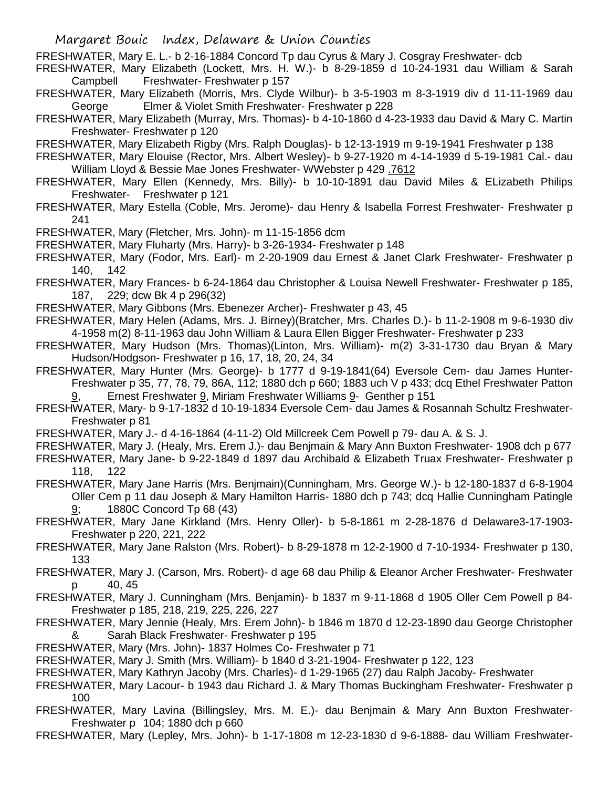FRESHWATER, Mary E. L.- b 2-16-1884 Concord Tp dau Cyrus & Mary J. Cosgray Freshwater- dcb

- FRESHWATER, Mary Elizabeth (Lockett, Mrs. H. W.)- b 8-29-1859 d 10-24-1931 dau William & Sarah Campbell Freshwater- Freshwater p 157
- FRESHWATER, Mary Elizabeth (Morris, Mrs. Clyde Wilbur)- b 3-5-1903 m 8-3-1919 div d 11-11-1969 dau George Elmer & Violet Smith Freshwater- Freshwater p 228
- FRESHWATER, Mary Elizabeth (Murray, Mrs. Thomas)- b 4-10-1860 d 4-23-1933 dau David & Mary C. Martin Freshwater- Freshwater p 120
- FRESHWATER, Mary Elizabeth Rigby (Mrs. Ralph Douglas)- b 12-13-1919 m 9-19-1941 Freshwater p 138
- FRESHWATER, Mary Elouise (Rector, Mrs. Albert Wesley)- b 9-27-1920 m 4-14-1939 d 5-19-1981 Cal.- dau William Lloyd & Bessie Mae Jones Freshwater- WWebster p 429 .7612
- FRESHWATER, Mary Ellen (Kennedy, Mrs. Billy)- b 10-10-1891 dau David Miles & ELizabeth Philips Freshwater- Freshwater p 121
- FRESHWATER, Mary Estella (Coble, Mrs. Jerome)- dau Henry & Isabella Forrest Freshwater- Freshwater p 241
- FRESHWATER, Mary (Fletcher, Mrs. John)- m 11-15-1856 dcm
- FRESHWATER, Mary Fluharty (Mrs. Harry)- b 3-26-1934- Freshwater p 148
- FRESHWATER, Mary (Fodor, Mrs. Earl)- m 2-20-1909 dau Ernest & Janet Clark Freshwater- Freshwater p 140, 142
- FRESHWATER, Mary Frances- b 6-24-1864 dau Christopher & Louisa Newell Freshwater- Freshwater p 185, 187, 229; dcw Bk 4 p 296(32)
- FRESHWATER, Mary Gibbons (Mrs. Ebenezer Archer)- Freshwater p 43, 45
- FRESHWATER, Mary Helen (Adams, Mrs. J. Birney)(Bratcher, Mrs. Charles D.)- b 11-2-1908 m 9-6-1930 div 4-1958 m(2) 8-11-1963 dau John William & Laura Ellen Bigger Freshwater- Freshwater p 233
- FRESHWATER, Mary Hudson (Mrs. Thomas)(Linton, Mrs. William)- m(2) 3-31-1730 dau Bryan & Mary Hudson/Hodgson- Freshwater p 16, 17, 18, 20, 24, 34
- FRESHWATER, Mary Hunter (Mrs. George)- b 1777 d 9-19-1841(64) Eversole Cem- dau James Hunter-Freshwater p 35, 77, 78, 79, 86A, 112; 1880 dch p 660; 1883 uch V p 433; dcq Ethel Freshwater Patton 9, Ernest Freshwater 9, Miriam Freshwater Williams 9- Genther p 151
- FRESHWATER, Mary- b 9-17-1832 d 10-19-1834 Eversole Cem- dau James & Rosannah Schultz Freshwater-Freshwater p 81
- FRESHWATER, Mary J.- d 4-16-1864 (4-11-2) Old Millcreek Cem Powell p 79- dau A. & S. J.
- FRESHWATER, Mary J. (Healy, Mrs. Erem J.)- dau Benjmain & Mary Ann Buxton Freshwater- 1908 dch p 677
- FRESHWATER, Mary Jane- b 9-22-1849 d 1897 dau Archibald & Elizabeth Truax Freshwater- Freshwater p 118, 122
- FRESHWATER, Mary Jane Harris (Mrs. Benjmain)(Cunningham, Mrs. George W.)- b 12-180-1837 d 6-8-1904 Oller Cem p 11 dau Joseph & Mary Hamilton Harris- 1880 dch p 743; dcq Hallie Cunningham Patingle 9; 1880C Concord Tp 68 (43)
- FRESHWATER, Mary Jane Kirkland (Mrs. Henry Oller)- b 5-8-1861 m 2-28-1876 d Delaware3-17-1903- Freshwater p 220, 221, 222
- FRESHWATER, Mary Jane Ralston (Mrs. Robert)- b 8-29-1878 m 12-2-1900 d 7-10-1934- Freshwater p 130, 133
- FRESHWATER, Mary J. (Carson, Mrs. Robert)- d age 68 dau Philip & Eleanor Archer Freshwater- Freshwater p 40, 45
- FRESHWATER, Mary J. Cunningham (Mrs. Benjamin)- b 1837 m 9-11-1868 d 1905 Oller Cem Powell p 84- Freshwater p 185, 218, 219, 225, 226, 227
- FRESHWATER, Mary Jennie (Healy, Mrs. Erem John)- b 1846 m 1870 d 12-23-1890 dau George Christopher & Sarah Black Freshwater- Freshwater p 195
- FRESHWATER, Mary (Mrs. John)- 1837 Holmes Co- Freshwater p 71
- FRESHWATER, Mary J. Smith (Mrs. William)- b 1840 d 3-21-1904- Freshwater p 122, 123
- FRESHWATER, Mary Kathryn Jacoby (Mrs. Charles)- d 1-29-1965 (27) dau Ralph Jacoby- Freshwater
- FRESHWATER, Mary Lacour- b 1943 dau Richard J. & Mary Thomas Buckingham Freshwater- Freshwater p 100
- FRESHWATER, Mary Lavina (Billingsley, Mrs. M. E.)- dau Benjmain & Mary Ann Buxton Freshwater-Freshwater p 104; 1880 dch p 660
- FRESHWATER, Mary (Lepley, Mrs. John)- b 1-17-1808 m 12-23-1830 d 9-6-1888- dau William Freshwater-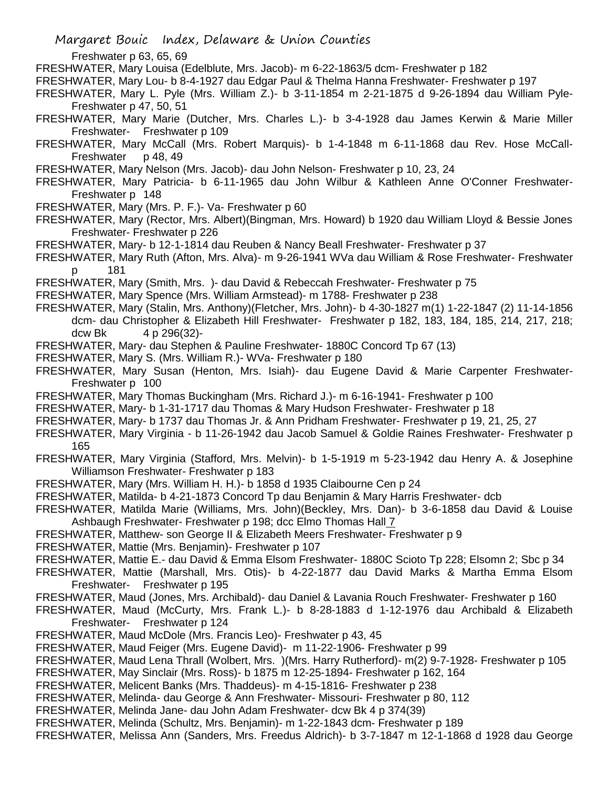Freshwater p 63, 65, 69

FRESHWATER, Mary Louisa (Edelblute, Mrs. Jacob)- m 6-22-1863/5 dcm- Freshwater p 182

FRESHWATER, Mary Lou- b 8-4-1927 dau Edgar Paul & Thelma Hanna Freshwater- Freshwater p 197

- FRESHWATER, Mary L. Pyle (Mrs. William Z.)- b 3-11-1854 m 2-21-1875 d 9-26-1894 dau William Pyle-Freshwater p 47, 50, 51
- FRESHWATER, Mary Marie (Dutcher, Mrs. Charles L.)- b 3-4-1928 dau James Kerwin & Marie Miller Freshwater- Freshwater p 109
- FRESHWATER, Mary McCall (Mrs. Robert Marquis)- b 1-4-1848 m 6-11-1868 dau Rev. Hose McCall-Freshwater p 48, 49

FRESHWATER, Mary Nelson (Mrs. Jacob)- dau John Nelson- Freshwater p 10, 23, 24

FRESHWATER, Mary Patricia- b 6-11-1965 dau John Wilbur & Kathleen Anne O'Conner Freshwater-Freshwater p 148

FRESHWATER, Mary (Mrs. P. F.)- Va- Freshwater p 60

FRESHWATER, Mary (Rector, Mrs. Albert)(Bingman, Mrs. Howard) b 1920 dau William Lloyd & Bessie Jones Freshwater- Freshwater p 226

FRESHWATER, Mary- b 12-1-1814 dau Reuben & Nancy Beall Freshwater- Freshwater p 37

FRESHWATER, Mary Ruth (Afton, Mrs. Alva)- m 9-26-1941 WVa dau William & Rose Freshwater- Freshwater p 181

FRESHWATER, Mary (Smith, Mrs. )- dau David & Rebeccah Freshwater- Freshwater p 75

FRESHWATER, Mary Spence (Mrs. William Armstead)- m 1788- Freshwater p 238

FRESHWATER, Mary (Stalin, Mrs. Anthony)(Fletcher, Mrs. John)- b 4-30-1827 m(1) 1-22-1847 (2) 11-14-1856 dcm- dau Christopher & Elizabeth Hill Freshwater- Freshwater p 182, 183, 184, 185, 214, 217, 218; dcw Bk 4 p 296(32)-

FRESHWATER, Mary- dau Stephen & Pauline Freshwater- 1880C Concord Tp 67 (13)

- FRESHWATER, Mary S. (Mrs. William R.)- WVa- Freshwater p 180
- FRESHWATER, Mary Susan (Henton, Mrs. Isiah)- dau Eugene David & Marie Carpenter Freshwater-Freshwater p 100
- FRESHWATER, Mary Thomas Buckingham (Mrs. Richard J.)- m 6-16-1941- Freshwater p 100

FRESHWATER, Mary- b 1-31-1717 dau Thomas & Mary Hudson Freshwater- Freshwater p 18

- FRESHWATER, Mary- b 1737 dau Thomas Jr. & Ann Pridham Freshwater- Freshwater p 19, 21, 25, 27
- FRESHWATER, Mary Virginia b 11-26-1942 dau Jacob Samuel & Goldie Raines Freshwater- Freshwater p 165
- FRESHWATER, Mary Virginia (Stafford, Mrs. Melvin)- b 1-5-1919 m 5-23-1942 dau Henry A. & Josephine Williamson Freshwater- Freshwater p 183
- FRESHWATER, Mary (Mrs. William H. H.)- b 1858 d 1935 Claibourne Cen p 24
- FRESHWATER, Matilda- b 4-21-1873 Concord Tp dau Benjamin & Mary Harris Freshwater- dcb
- FRESHWATER, Matilda Marie (Williams, Mrs. John)(Beckley, Mrs. Dan)- b 3-6-1858 dau David & Louise Ashbaugh Freshwater- Freshwater p 198; dcc Elmo Thomas Hall 7
- FRESHWATER, Matthew- son George II & Elizabeth Meers Freshwater- Freshwater p 9
- FRESHWATER, Mattie (Mrs. Benjamin)- Freshwater p 107
- FRESHWATER, Mattie E.- dau David & Emma Elsom Freshwater- 1880C Scioto Tp 228; Elsomn 2; Sbc p 34
- FRESHWATER, Mattie (Marshall, Mrs. Otis)- b 4-22-1877 dau David Marks & Martha Emma Elsom Freshwater- Freshwater p 195
- FRESHWATER, Maud (Jones, Mrs. Archibald)- dau Daniel & Lavania Rouch Freshwater- Freshwater p 160
- FRESHWATER, Maud (McCurty, Mrs. Frank L.)- b 8-28-1883 d 1-12-1976 dau Archibald & Elizabeth Freshwater- Freshwater p 124
- FRESHWATER, Maud McDole (Mrs. Francis Leo)- Freshwater p 43, 45
- FRESHWATER, Maud Feiger (Mrs. Eugene David)- m 11-22-1906- Freshwater p 99
- FRESHWATER, Maud Lena Thrall (Wolbert, Mrs. )(Mrs. Harry Rutherford)- m(2) 9-7-1928- Freshwater p 105
- FRESHWATER, May Sinclair (Mrs. Ross)- b 1875 m 12-25-1894- Freshwater p 162, 164
- FRESHWATER, Melicent Banks (Mrs. Thaddeus)- m 4-15-1816- Freshwater p 238
- FRESHWATER, Melinda- dau George & Ann Freshwater- Missouri- Freshwater p 80, 112
- FRESHWATER, Melinda Jane- dau John Adam Freshwater- dcw Bk 4 p 374(39)
- FRESHWATER, Melinda (Schultz, Mrs. Benjamin)- m 1-22-1843 dcm- Freshwater p 189
- FRESHWATER, Melissa Ann (Sanders, Mrs. Freedus Aldrich)- b 3-7-1847 m 12-1-1868 d 1928 dau George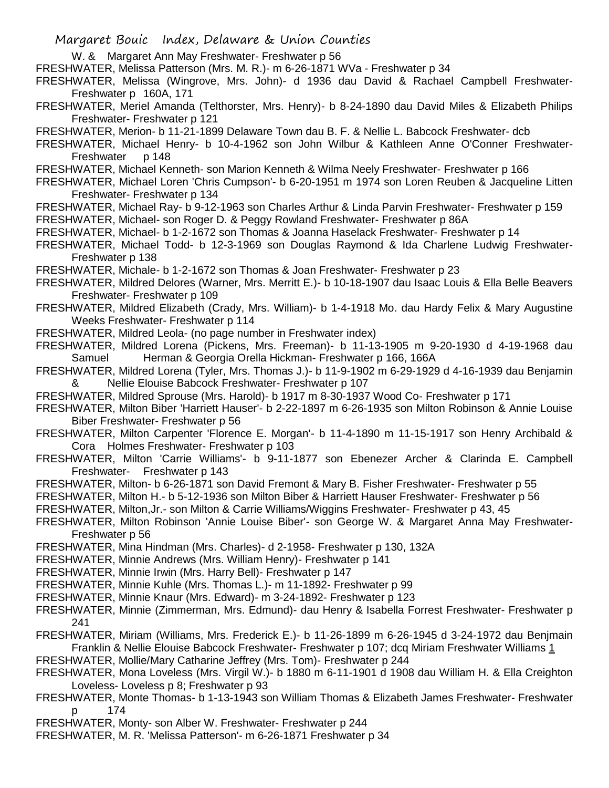- W. & Margaret Ann May Freshwater- Freshwater p 56
- FRESHWATER, Melissa Patterson (Mrs. M. R.)- m 6-26-1871 WVa Freshwater p 34

FRESHWATER, Melissa (Wingrove, Mrs. John)- d 1936 dau David & Rachael Campbell Freshwater-Freshwater p 160A, 171

FRESHWATER, Meriel Amanda (Telthorster, Mrs. Henry)- b 8-24-1890 dau David Miles & Elizabeth Philips Freshwater- Freshwater p 121

FRESHWATER, Merion- b 11-21-1899 Delaware Town dau B. F. & Nellie L. Babcock Freshwater- dcb

FRESHWATER, Michael Henry- b 10-4-1962 son John Wilbur & Kathleen Anne O'Conner Freshwater-Freshwater p 148

FRESHWATER, Michael Kenneth- son Marion Kenneth & Wilma Neely Freshwater- Freshwater p 166

FRESHWATER, Michael Loren 'Chris Cumpson'- b 6-20-1951 m 1974 son Loren Reuben & Jacqueline Litten Freshwater- Freshwater p 134

FRESHWATER, Michael Ray- b 9-12-1963 son Charles Arthur & Linda Parvin Freshwater- Freshwater p 159 FRESHWATER, Michael- son Roger D. & Peggy Rowland Freshwater- Freshwater p 86A

- FRESHWATER, Michael- b 1-2-1672 son Thomas & Joanna Haselack Freshwater- Freshwater p 14
- FRESHWATER, Michael Todd- b 12-3-1969 son Douglas Raymond & Ida Charlene Ludwig Freshwater-Freshwater p 138
- FRESHWATER, Michale- b 1-2-1672 son Thomas & Joan Freshwater- Freshwater p 23
- FRESHWATER, Mildred Delores (Warner, Mrs. Merritt E.)- b 10-18-1907 dau Isaac Louis & Ella Belle Beavers Freshwater- Freshwater p 109
- FRESHWATER, Mildred Elizabeth (Crady, Mrs. William)- b 1-4-1918 Mo. dau Hardy Felix & Mary Augustine Weeks Freshwater- Freshwater p 114
- FRESHWATER, Mildred Leola- (no page number in Freshwater index)

FRESHWATER, Mildred Lorena (Pickens, Mrs. Freeman)- b 11-13-1905 m 9-20-1930 d 4-19-1968 dau Samuel Herman & Georgia Orella Hickman- Freshwater p 166, 166A

- FRESHWATER, Mildred Lorena (Tyler, Mrs. Thomas J.)- b 11-9-1902 m 6-29-1929 d 4-16-1939 dau Benjamin & Nellie Elouise Babcock Freshwater- Freshwater p 107
- FRESHWATER, Mildred Sprouse (Mrs. Harold)- b 1917 m 8-30-1937 Wood Co- Freshwater p 171
- FRESHWATER, Milton Biber 'Harriett Hauser'- b 2-22-1897 m 6-26-1935 son Milton Robinson & Annie Louise Biber Freshwater- Freshwater p 56
- FRESHWATER, Milton Carpenter 'Florence E. Morgan'- b 11-4-1890 m 11-15-1917 son Henry Archibald & Cora Holmes Freshwater- Freshwater p 103
- FRESHWATER, Milton 'Carrie Williams'- b 9-11-1877 son Ebenezer Archer & Clarinda E. Campbell Freshwater- Freshwater p 143
- FRESHWATER, Milton- b 6-26-1871 son David Fremont & Mary B. Fisher Freshwater- Freshwater p 55
- FRESHWATER, Milton H.- b 5-12-1936 son Milton Biber & Harriett Hauser Freshwater- Freshwater p 56

FRESHWATER, Milton,Jr.- son Milton & Carrie Williams/Wiggins Freshwater- Freshwater p 43, 45

FRESHWATER, Milton Robinson 'Annie Louise Biber'- son George W. & Margaret Anna May Freshwater-Freshwater p 56

- FRESHWATER, Mina Hindman (Mrs. Charles)- d 2-1958- Freshwater p 130, 132A
- FRESHWATER, Minnie Andrews (Mrs. William Henry)- Freshwater p 141
- FRESHWATER, Minnie Irwin (Mrs. Harry Bell)- Freshwater p 147
- FRESHWATER, Minnie Kuhle (Mrs. Thomas L.)- m 11-1892- Freshwater p 99
- FRESHWATER, Minnie Knaur (Mrs. Edward)- m 3-24-1892- Freshwater p 123
- FRESHWATER, Minnie (Zimmerman, Mrs. Edmund)- dau Henry & Isabella Forrest Freshwater- Freshwater p 241
- FRESHWATER, Miriam (Williams, Mrs. Frederick E.)- b 11-26-1899 m 6-26-1945 d 3-24-1972 dau Benjmain Franklin & Nellie Elouise Babcock Freshwater- Freshwater p 107; dcq Miriam Freshwater Williams 1
- FRESHWATER, Mollie/Mary Catharine Jeffrey (Mrs. Tom)- Freshwater p 244
- FRESHWATER, Mona Loveless (Mrs. Virgil W.)- b 1880 m 6-11-1901 d 1908 dau William H. & Ella Creighton Loveless- Loveless p 8; Freshwater p 93
- FRESHWATER, Monte Thomas- b 1-13-1943 son William Thomas & Elizabeth James Freshwater- Freshwater p 174
- FRESHWATER, Monty- son Alber W. Freshwater- Freshwater p 244
- FRESHWATER, M. R. 'Melissa Patterson'- m 6-26-1871 Freshwater p 34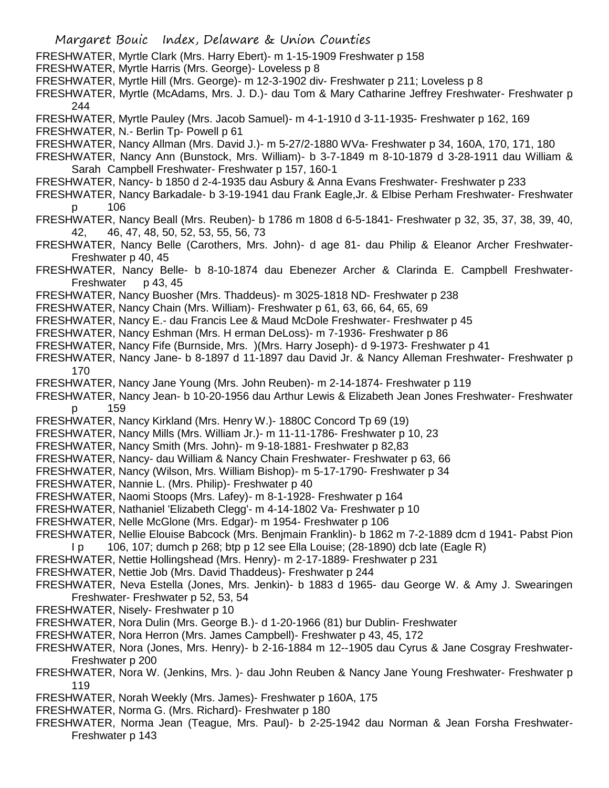FRESHWATER, Myrtle Clark (Mrs. Harry Ebert)- m 1-15-1909 Freshwater p 158

- FRESHWATER, Myrtle Harris (Mrs. George)- Loveless p 8
- FRESHWATER, Myrtle Hill (Mrs. George)- m 12-3-1902 div- Freshwater p 211; Loveless p 8
- FRESHWATER, Myrtle (McAdams, Mrs. J. D.)- dau Tom & Mary Catharine Jeffrey Freshwater- Freshwater p 244
- FRESHWATER, Myrtle Pauley (Mrs. Jacob Samuel)- m 4-1-1910 d 3-11-1935- Freshwater p 162, 169
- FRESHWATER, N.- Berlin Tp- Powell p 61
- FRESHWATER, Nancy Allman (Mrs. David J.)- m 5-27/2-1880 WVa- Freshwater p 34, 160A, 170, 171, 180
- FRESHWATER, Nancy Ann (Bunstock, Mrs. William)- b 3-7-1849 m 8-10-1879 d 3-28-1911 dau William & Sarah Campbell Freshwater- Freshwater p 157, 160-1
- FRESHWATER, Nancy- b 1850 d 2-4-1935 dau Asbury & Anna Evans Freshwater- Freshwater p 233
- FRESHWATER, Nancy Barkadale- b 3-19-1941 dau Frank Eagle,Jr. & Elbise Perham Freshwater- Freshwater p 106
- FRESHWATER, Nancy Beall (Mrs. Reuben)- b 1786 m 1808 d 6-5-1841- Freshwater p 32, 35, 37, 38, 39, 40, 42, 46, 47, 48, 50, 52, 53, 55, 56, 73
- FRESHWATER, Nancy Belle (Carothers, Mrs. John)- d age 81- dau Philip & Eleanor Archer Freshwater-Freshwater p 40, 45
- FRESHWATER, Nancy Belle- b 8-10-1874 dau Ebenezer Archer & Clarinda E. Campbell Freshwater-Freshwater p 43, 45
- FRESHWATER, Nancy Buosher (Mrs. Thaddeus)- m 3025-1818 ND- Freshwater p 238
- FRESHWATER, Nancy Chain (Mrs. William)- Freshwater p 61, 63, 66, 64, 65, 69
- FRESHWATER, Nancy E.- dau Francis Lee & Maud McDole Freshwater- Freshwater p 45
- FRESHWATER, Nancy Eshman (Mrs. H erman DeLoss)- m 7-1936- Freshwater p 86
- FRESHWATER, Nancy Fife (Burnside, Mrs. )(Mrs. Harry Joseph)- d 9-1973- Freshwater p 41
- FRESHWATER, Nancy Jane- b 8-1897 d 11-1897 dau David Jr. & Nancy Alleman Freshwater- Freshwater p 170
- FRESHWATER, Nancy Jane Young (Mrs. John Reuben)- m 2-14-1874- Freshwater p 119
- FRESHWATER, Nancy Jean- b 10-20-1956 dau Arthur Lewis & Elizabeth Jean Jones Freshwater- Freshwater p 159
- FRESHWATER, Nancy Kirkland (Mrs. Henry W.)- 1880C Concord Tp 69 (19)
- FRESHWATER, Nancy Mills (Mrs. William Jr.)- m 11-11-1786- Freshwater p 10, 23
- FRESHWATER, Nancy Smith (Mrs. John)- m 9-18-1881- Freshwater p 82,83
- FRESHWATER, Nancy- dau William & Nancy Chain Freshwater- Freshwater p 63, 66
- FRESHWATER, Nancy (Wilson, Mrs. William Bishop)- m 5-17-1790- Freshwater p 34
- FRESHWATER, Nannie L. (Mrs. Philip)- Freshwater p 40
- FRESHWATER, Naomi Stoops (Mrs. Lafey)- m 8-1-1928- Freshwater p 164
- FRESHWATER, Nathaniel 'Elizabeth Clegg'- m 4-14-1802 Va- Freshwater p 10
- FRESHWATER, Nelle McGlone (Mrs. Edgar)- m 1954- Freshwater p 106
- FRESHWATER, Nellie Elouise Babcock (Mrs. Benjmain Franklin)- b 1862 m 7-2-1889 dcm d 1941- Pabst Pion
- I p 106, 107; dumch p 268; btp p 12 see Ella Louise; (28-1890) dcb late (Eagle R)
- FRESHWATER, Nettie Hollingshead (Mrs. Henry)- m 2-17-1889- Freshwater p 231
- FRESHWATER, Nettie Job (Mrs. David Thaddeus)- Freshwater p 244
- FRESHWATER, Neva Estella (Jones, Mrs. Jenkin)- b 1883 d 1965- dau George W. & Amy J. Swearingen Freshwater- Freshwater p 52, 53, 54
- FRESHWATER, Nisely- Freshwater p 10
- FRESHWATER, Nora Dulin (Mrs. George B.)- d 1-20-1966 (81) bur Dublin- Freshwater
- FRESHWATER, Nora Herron (Mrs. James Campbell)- Freshwater p 43, 45, 172
- FRESHWATER, Nora (Jones, Mrs. Henry)- b 2-16-1884 m 12--1905 dau Cyrus & Jane Cosgray Freshwater-Freshwater p 200
- FRESHWATER, Nora W. (Jenkins, Mrs. )- dau John Reuben & Nancy Jane Young Freshwater- Freshwater p 119
- FRESHWATER, Norah Weekly (Mrs. James)- Freshwater p 160A, 175
- FRESHWATER, Norma G. (Mrs. Richard)- Freshwater p 180
- FRESHWATER, Norma Jean (Teague, Mrs. Paul)- b 2-25-1942 dau Norman & Jean Forsha Freshwater-Freshwater p 143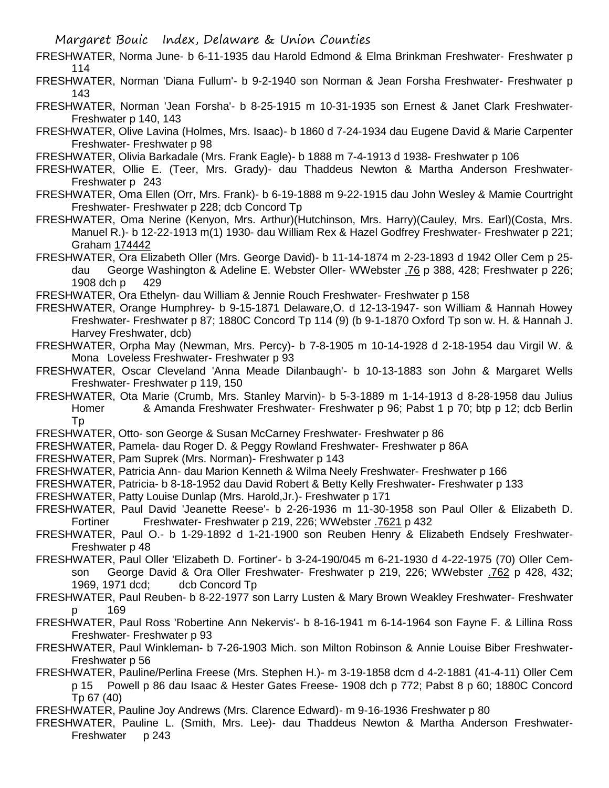- FRESHWATER, Norma June- b 6-11-1935 dau Harold Edmond & Elma Brinkman Freshwater- Freshwater p 114
- FRESHWATER, Norman 'Diana Fullum'- b 9-2-1940 son Norman & Jean Forsha Freshwater- Freshwater p 143
- FRESHWATER, Norman 'Jean Forsha'- b 8-25-1915 m 10-31-1935 son Ernest & Janet Clark Freshwater-Freshwater p 140, 143
- FRESHWATER, Olive Lavina (Holmes, Mrs. Isaac)- b 1860 d 7-24-1934 dau Eugene David & Marie Carpenter Freshwater- Freshwater p 98
- FRESHWATER, Olivia Barkadale (Mrs. Frank Eagle)- b 1888 m 7-4-1913 d 1938- Freshwater p 106
- FRESHWATER, Ollie E. (Teer, Mrs. Grady)- dau Thaddeus Newton & Martha Anderson Freshwater-Freshwater p 243
- FRESHWATER, Oma Ellen (Orr, Mrs. Frank)- b 6-19-1888 m 9-22-1915 dau John Wesley & Mamie Courtright Freshwater- Freshwater p 228; dcb Concord Tp
- FRESHWATER, Oma Nerine (Kenyon, Mrs. Arthur)(Hutchinson, Mrs. Harry)(Cauley, Mrs. Earl)(Costa, Mrs. Manuel R.)- b 12-22-1913 m(1) 1930- dau William Rex & Hazel Godfrey Freshwater- Freshwater p 221; Graham 174442
- FRESHWATER, Ora Elizabeth Oller (Mrs. George David)- b 11-14-1874 m 2-23-1893 d 1942 Oller Cem p 25 dau George Washington & Adeline E. Webster Oller- WWebster .76 p 388, 428; Freshwater p 226; 1908 dch p 429
- FRESHWATER, Ora Ethelyn- dau William & Jennie Rouch Freshwater- Freshwater p 158
- FRESHWATER, Orange Humphrey- b 9-15-1871 Delaware,O. d 12-13-1947- son William & Hannah Howey Freshwater- Freshwater p 87; 1880C Concord Tp 114 (9) (b 9-1-1870 Oxford Tp son w. H. & Hannah J. Harvey Freshwater, dcb)
- FRESHWATER, Orpha May (Newman, Mrs. Percy)- b 7-8-1905 m 10-14-1928 d 2-18-1954 dau Virgil W. & Mona Loveless Freshwater- Freshwater p 93
- FRESHWATER, Oscar Cleveland 'Anna Meade Dilanbaugh'- b 10-13-1883 son John & Margaret Wells Freshwater- Freshwater p 119, 150
- FRESHWATER, Ota Marie (Crumb, Mrs. Stanley Marvin)- b 5-3-1889 m 1-14-1913 d 8-28-1958 dau Julius Homer & Amanda Freshwater Freshwater- Freshwater p 96; Pabst 1 p 70; btp p 12; dcb Berlin Tp
- FRESHWATER, Otto- son George & Susan McCarney Freshwater- Freshwater p 86
- FRESHWATER, Pamela- dau Roger D. & Peggy Rowland Freshwater- Freshwater p 86A
- FRESHWATER, Pam Suprek (Mrs. Norman)- Freshwater p 143
- FRESHWATER, Patricia Ann- dau Marion Kenneth & Wilma Neely Freshwater- Freshwater p 166
- FRESHWATER, Patricia- b 8-18-1952 dau David Robert & Betty Kelly Freshwater- Freshwater p 133
- FRESHWATER, Patty Louise Dunlap (Mrs. Harold,Jr.)- Freshwater p 171
- FRESHWATER, Paul David 'Jeanette Reese'- b 2-26-1936 m 11-30-1958 son Paul Oller & Elizabeth D. Fortiner Freshwater- Freshwater p 219, 226; WWebster .7621 p 432
- FRESHWATER, Paul O.- b 1-29-1892 d 1-21-1900 son Reuben Henry & Elizabeth Endsely Freshwater-Freshwater p 48
- FRESHWATER, Paul Oller 'Elizabeth D. Fortiner'- b 3-24-190/045 m 6-21-1930 d 4-22-1975 (70) Oller Cemson George David & Ora Oller Freshwater- Freshwater p 219, 226; WWebster .762 p 428, 432; 1969, 1971 dcd; dcb Concord Tp
- FRESHWATER, Paul Reuben- b 8-22-1977 son Larry Lusten & Mary Brown Weakley Freshwater- Freshwater p 169
- FRESHWATER, Paul Ross 'Robertine Ann Nekervis'- b 8-16-1941 m 6-14-1964 son Fayne F. & Lillina Ross Freshwater- Freshwater p 93
- FRESHWATER, Paul Winkleman- b 7-26-1903 Mich. son Milton Robinson & Annie Louise Biber Freshwater-Freshwater p 56
- FRESHWATER, Pauline/Perlina Freese (Mrs. Stephen H.)- m 3-19-1858 dcm d 4-2-1881 (41-4-11) Oller Cem p 15 Powell p 86 dau Isaac & Hester Gates Freese- 1908 dch p 772; Pabst 8 p 60; 1880C Concord Tp 67 (40)
- FRESHWATER, Pauline Joy Andrews (Mrs. Clarence Edward)- m 9-16-1936 Freshwater p 80
- FRESHWATER, Pauline L. (Smith, Mrs. Lee)- dau Thaddeus Newton & Martha Anderson Freshwater-Freshwater p 243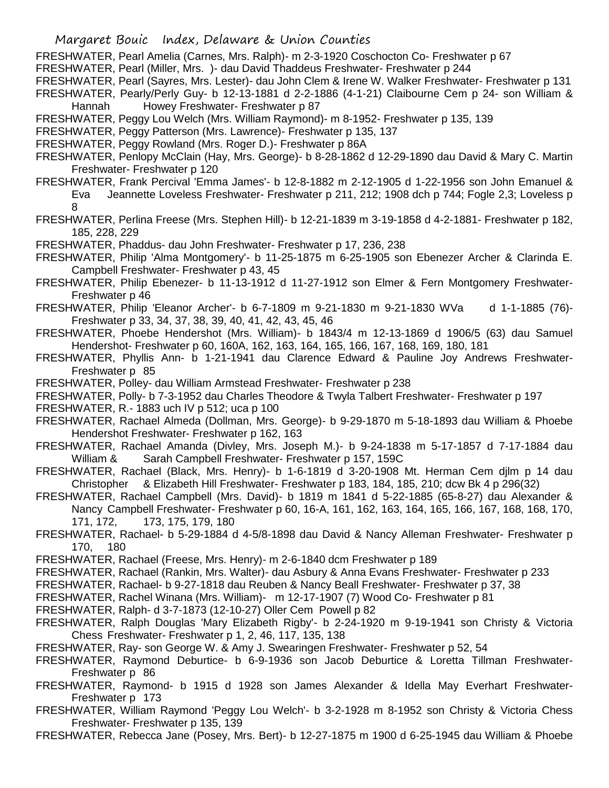- FRESHWATER, Pearl Amelia (Carnes, Mrs. Ralph)- m 2-3-1920 Coschocton Co- Freshwater p 67
- FRESHWATER, Pearl (Miller, Mrs. )- dau David Thaddeus Freshwater- Freshwater p 244
- FRESHWATER, Pearl (Sayres, Mrs. Lester)- dau John Clem & Irene W. Walker Freshwater- Freshwater p 131
- FRESHWATER, Pearly/Perly Guy- b 12-13-1881 d 2-2-1886 (4-1-21) Claibourne Cem p 24- son William & Hannah Howey Freshwater- Freshwater p 87
- FRESHWATER, Peggy Lou Welch (Mrs. William Raymond)- m 8-1952- Freshwater p 135, 139
- FRESHWATER, Peggy Patterson (Mrs. Lawrence)- Freshwater p 135, 137
- FRESHWATER, Peggy Rowland (Mrs. Roger D.)- Freshwater p 86A
- FRESHWATER, Penlopy McClain (Hay, Mrs. George)- b 8-28-1862 d 12-29-1890 dau David & Mary C. Martin Freshwater- Freshwater p 120
- FRESHWATER, Frank Percival 'Emma James'- b 12-8-1882 m 2-12-1905 d 1-22-1956 son John Emanuel & Eva Jeannette Loveless Freshwater- Freshwater p 211, 212; 1908 dch p 744; Fogle 2,3; Loveless p 8
- FRESHWATER, Perlina Freese (Mrs. Stephen Hill)- b 12-21-1839 m 3-19-1858 d 4-2-1881- Freshwater p 182, 185, 228, 229
- FRESHWATER, Phaddus- dau John Freshwater- Freshwater p 17, 236, 238
- FRESHWATER, Philip 'Alma Montgomery'- b 11-25-1875 m 6-25-1905 son Ebenezer Archer & Clarinda E. Campbell Freshwater- Freshwater p 43, 45
- FRESHWATER, Philip Ebenezer- b 11-13-1912 d 11-27-1912 son Elmer & Fern Montgomery Freshwater-Freshwater p 46
- FRESHWATER, Philip 'Eleanor Archer'- b 6-7-1809 m 9-21-1830 m 9-21-1830 WVa d 1-1-1885 (76)- Freshwater p 33, 34, 37, 38, 39, 40, 41, 42, 43, 45, 46
- FRESHWATER, Phoebe Hendershot (Mrs. William)- b 1843/4 m 12-13-1869 d 1906/5 (63) dau Samuel Hendershot- Freshwater p 60, 160A, 162, 163, 164, 165, 166, 167, 168, 169, 180, 181
- FRESHWATER, Phyllis Ann- b 1-21-1941 dau Clarence Edward & Pauline Joy Andrews Freshwater-Freshwater p 85
- FRESHWATER, Polley- dau William Armstead Freshwater- Freshwater p 238
- FRESHWATER, Polly- b 7-3-1952 dau Charles Theodore & Twyla Talbert Freshwater- Freshwater p 197

FRESHWATER, R.- 1883 uch IV p 512; uca p 100

- FRESHWATER, Rachael Almeda (Dollman, Mrs. George)- b 9-29-1870 m 5-18-1893 dau William & Phoebe Hendershot Freshwater- Freshwater p 162, 163
- FRESHWATER, Rachael Amanda (Divley, Mrs. Joseph M.)- b 9-24-1838 m 5-17-1857 d 7-17-1884 dau William & Sarah Campbell Freshwater- Freshwater p 157, 159C
- FRESHWATER, Rachael (Black, Mrs. Henry)- b 1-6-1819 d 3-20-1908 Mt. Herman Cem djlm p 14 dau Christopher & Elizabeth Hill Freshwater- Freshwater p 183, 184, 185, 210; dcw Bk 4 p 296(32)
- FRESHWATER, Rachael Campbell (Mrs. David)- b 1819 m 1841 d 5-22-1885 (65-8-27) dau Alexander & Nancy Campbell Freshwater- Freshwater p 60, 16-A, 161, 162, 163, 164, 165, 166, 167, 168, 168, 170, 171, 172, 173, 175, 179, 180
- FRESHWATER, Rachael- b 5-29-1884 d 4-5/8-1898 dau David & Nancy Alleman Freshwater- Freshwater p 170, 180
- FRESHWATER, Rachael (Freese, Mrs. Henry)- m 2-6-1840 dcm Freshwater p 189
- FRESHWATER, Rachael (Rankin, Mrs. Walter)- dau Asbury & Anna Evans Freshwater- Freshwater p 233
- FRESHWATER, Rachael- b 9-27-1818 dau Reuben & Nancy Beall Freshwater- Freshwater p 37, 38
- FRESHWATER, Rachel Winana (Mrs. William)- m 12-17-1907 (7) Wood Co- Freshwater p 81
- FRESHWATER, Ralph- d 3-7-1873 (12-10-27) Oller Cem Powell p 82
- FRESHWATER, Ralph Douglas 'Mary Elizabeth Rigby'- b 2-24-1920 m 9-19-1941 son Christy & Victoria Chess Freshwater- Freshwater p 1, 2, 46, 117, 135, 138
- FRESHWATER, Ray- son George W. & Amy J. Swearingen Freshwater- Freshwater p 52, 54
- FRESHWATER, Raymond Deburtice- b 6-9-1936 son Jacob Deburtice & Loretta Tillman Freshwater-Freshwater p 86
- FRESHWATER, Raymond- b 1915 d 1928 son James Alexander & Idella May Everhart Freshwater-Freshwater p 173
- FRESHWATER, William Raymond 'Peggy Lou Welch'- b 3-2-1928 m 8-1952 son Christy & Victoria Chess Freshwater- Freshwater p 135, 139
- FRESHWATER, Rebecca Jane (Posey, Mrs. Bert)- b 12-27-1875 m 1900 d 6-25-1945 dau William & Phoebe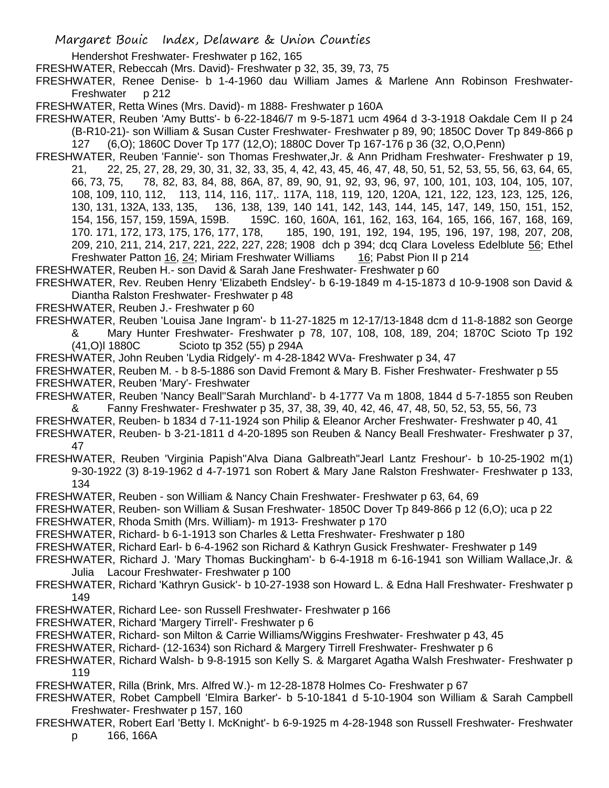Hendershot Freshwater- Freshwater p 162, 165

FRESHWATER, Rebeccah (Mrs. David)- Freshwater p 32, 35, 39, 73, 75

FRESHWATER, Renee Denise- b 1-4-1960 dau William James & Marlene Ann Robinson Freshwater-Freshwater p 212

FRESHWATER, Retta Wines (Mrs. David)- m 1888- Freshwater p 160A

FRESHWATER, Reuben 'Amy Butts'- b 6-22-1846/7 m 9-5-1871 ucm 4964 d 3-3-1918 Oakdale Cem II p 24 (B-R10-21)- son William & Susan Custer Freshwater- Freshwater p 89, 90; 1850C Dover Tp 849-866 p 127 (6,O); 1860C Dover Tp 177 (12,O); 1880C Dover Tp 167-176 p 36 (32, O,O,Penn)

FRESHWATER, Reuben 'Fannie'- son Thomas Freshwater,Jr. & Ann Pridham Freshwater- Freshwater p 19, 21, 22, 25, 27, 28, 29, 30, 31, 32, 33, 35, 4, 42, 43, 45, 46, 47, 48, 50, 51, 52, 53, 55, 56, 63, 64, 65, 66, 73, 75, 78, 82, 83, 84, 88, 86A, 87, 89, 90, 91, 92, 93, 96, 97, 100, 101, 103, 104, 105, 107, 108, 109, 110, 112, 113, 114, 116, 117,. 117A, 118, 119, 120, 120A, 121, 122, 123, 123, 125, 126, 130, 131, 132A, 133, 135, 136, 138, 139, 140 141, 142, 143, 144, 145, 147, 149, 150, 151, 152, 154, 156, 157, 159, 159A, 159B. 159C. 160, 160A, 161, 162, 163, 164, 165, 166, 167, 168, 169, 170. 171, 172, 173, 175, 176, 177, 178, 185, 190, 191, 192, 194, 195, 196, 197, 198, 207, 208, 209, 210, 211, 214, 217, 221, 222, 227, 228; 1908 dch p 394; dcq Clara Loveless Edelblute 56; Ethel Freshwater Patton 16, 24; Miriam Freshwater Williams 16; Pabst Pion II p 214

FRESHWATER, Reuben H.- son David & Sarah Jane Freshwater- Freshwater p 60

FRESHWATER, Rev. Reuben Henry 'Elizabeth Endsley'- b 6-19-1849 m 4-15-1873 d 10-9-1908 son David & Diantha Ralston Freshwater- Freshwater p 48

FRESHWATER, Reuben J.- Freshwater p 60

FRESHWATER, Reuben 'Louisa Jane Ingram'- b 11-27-1825 m 12-17/13-1848 dcm d 11-8-1882 son George & Mary Hunter Freshwater- Freshwater p 78, 107, 108, 108, 189, 204; 1870C Scioto Tp 192

(41,O)l 1880C Scioto tp 352 (55) p 294A

FRESHWATER, John Reuben 'Lydia Ridgely'- m 4-28-1842 WVa- Freshwater p 34, 47

FRESHWATER, Reuben M. - b 8-5-1886 son David Fremont & Mary B. Fisher Freshwater- Freshwater p 55 FRESHWATER, Reuben 'Mary'- Freshwater

FRESHWATER, Reuben 'Nancy Beall''Sarah Murchland'- b 4-1777 Va m 1808, 1844 d 5-7-1855 son Reuben & Fanny Freshwater- Freshwater p 35, 37, 38, 39, 40, 42, 46, 47, 48, 50, 52, 53, 55, 56, 73

FRESHWATER, Reuben- b 1834 d 7-11-1924 son Philip & Eleanor Archer Freshwater- Freshwater p 40, 41

- FRESHWATER, Reuben- b 3-21-1811 d 4-20-1895 son Reuben & Nancy Beall Freshwater- Freshwater p 37, 47
- FRESHWATER, Reuben 'Virginia Papish''Alva Diana Galbreath''Jearl Lantz Freshour'- b 10-25-1902 m(1) 9-30-1922 (3) 8-19-1962 d 4-7-1971 son Robert & Mary Jane Ralston Freshwater- Freshwater p 133, 134

FRESHWATER, Reuben - son William & Nancy Chain Freshwater- Freshwater p 63, 64, 69

FRESHWATER, Reuben- son William & Susan Freshwater- 1850C Dover Tp 849-866 p 12 (6,O); uca p 22

FRESHWATER, Rhoda Smith (Mrs. William)- m 1913- Freshwater p 170

FRESHWATER, Richard- b 6-1-1913 son Charles & Letta Freshwater- Freshwater p 180

FRESHWATER, Richard Earl- b 6-4-1962 son Richard & Kathryn Gusick Freshwater- Freshwater p 149

FRESHWATER, Richard J. 'Mary Thomas Buckingham'- b 6-4-1918 m 6-16-1941 son William Wallace,Jr. & Julia Lacour Freshwater- Freshwater p 100

FRESHWATER, Richard 'Kathryn Gusick'- b 10-27-1938 son Howard L. & Edna Hall Freshwater- Freshwater p 149

- FRESHWATER, Richard Lee- son Russell Freshwater- Freshwater p 166
- FRESHWATER, Richard 'Margery Tirrell'- Freshwater p 6

FRESHWATER, Richard- son Milton & Carrie Williams/Wiggins Freshwater- Freshwater p 43, 45

FRESHWATER, Richard- (12-1634) son Richard & Margery Tirrell Freshwater- Freshwater p 6

FRESHWATER, Richard Walsh- b 9-8-1915 son Kelly S. & Margaret Agatha Walsh Freshwater- Freshwater p 119

FRESHWATER, Rilla (Brink, Mrs. Alfred W.)- m 12-28-1878 Holmes Co- Freshwater p 67

FRESHWATER, Robet Campbell 'Elmira Barker'- b 5-10-1841 d 5-10-1904 son William & Sarah Campbell Freshwater- Freshwater p 157, 160

FRESHWATER, Robert Earl 'Betty I. McKnight'- b 6-9-1925 m 4-28-1948 son Russell Freshwater- Freshwater p 166, 166A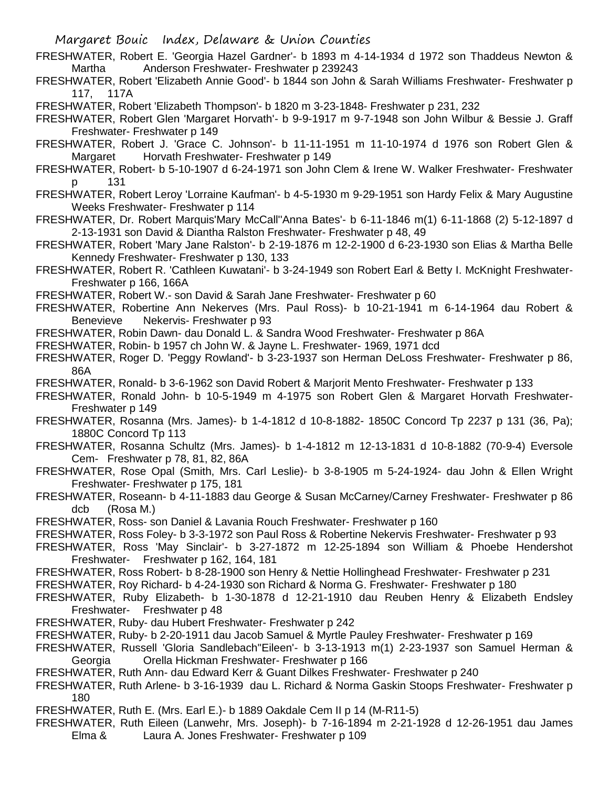- FRESHWATER, Robert E. 'Georgia Hazel Gardner'- b 1893 m 4-14-1934 d 1972 son Thaddeus Newton & Martha **Anderson Freshwater- Freshwater p 239243**
- FRESHWATER, Robert 'Elizabeth Annie Good'- b 1844 son John & Sarah Williams Freshwater- Freshwater p 117, 117A
- FRESHWATER, Robert 'Elizabeth Thompson'- b 1820 m 3-23-1848- Freshwater p 231, 232
- FRESHWATER, Robert Glen 'Margaret Horvath'- b 9-9-1917 m 9-7-1948 son John Wilbur & Bessie J. Graff Freshwater- Freshwater p 149
- FRESHWATER, Robert J. 'Grace C. Johnson'- b 11-11-1951 m 11-10-1974 d 1976 son Robert Glen & Margaret Horvath Freshwater- Freshwater p 149
- FRESHWATER, Robert- b 5-10-1907 d 6-24-1971 son John Clem & Irene W. Walker Freshwater- Freshwater p 131
- FRESHWATER, Robert Leroy 'Lorraine Kaufman'- b 4-5-1930 m 9-29-1951 son Hardy Felix & Mary Augustine Weeks Freshwater- Freshwater p 114
- FRESHWATER, Dr. Robert Marquis'Mary McCall''Anna Bates'- b 6-11-1846 m(1) 6-11-1868 (2) 5-12-1897 d 2-13-1931 son David & Diantha Ralston Freshwater- Freshwater p 48, 49
- FRESHWATER, Robert 'Mary Jane Ralston'- b 2-19-1876 m 12-2-1900 d 6-23-1930 son Elias & Martha Belle Kennedy Freshwater- Freshwater p 130, 133
- FRESHWATER, Robert R. 'Cathleen Kuwatani'- b 3-24-1949 son Robert Earl & Betty I. McKnight Freshwater-Freshwater p 166, 166A
- FRESHWATER, Robert W.- son David & Sarah Jane Freshwater- Freshwater p 60
- FRESHWATER, Robertine Ann Nekerves (Mrs. Paul Ross)- b 10-21-1941 m 6-14-1964 dau Robert & Benevieve Nekervis- Freshwater p 93
- FRESHWATER, Robin Dawn- dau Donald L. & Sandra Wood Freshwater- Freshwater p 86A
- FRESHWATER, Robin- b 1957 ch John W. & Jayne L. Freshwater- 1969, 1971 dcd
- FRESHWATER, Roger D. 'Peggy Rowland'- b 3-23-1937 son Herman DeLoss Freshwater- Freshwater p 86, 86A
- FRESHWATER, Ronald- b 3-6-1962 son David Robert & Marjorit Mento Freshwater- Freshwater p 133
- FRESHWATER, Ronald John- b 10-5-1949 m 4-1975 son Robert Glen & Margaret Horvath Freshwater-Freshwater p 149
- FRESHWATER, Rosanna (Mrs. James)- b 1-4-1812 d 10-8-1882- 1850C Concord Tp 2237 p 131 (36, Pa); 1880C Concord Tp 113
- FRESHWATER, Rosanna Schultz (Mrs. James)- b 1-4-1812 m 12-13-1831 d 10-8-1882 (70-9-4) Eversole Cem- Freshwater p 78, 81, 82, 86A
- FRESHWATER, Rose Opal (Smith, Mrs. Carl Leslie)- b 3-8-1905 m 5-24-1924- dau John & Ellen Wright Freshwater- Freshwater p 175, 181
- FRESHWATER, Roseann- b 4-11-1883 dau George & Susan McCarney/Carney Freshwater- Freshwater p 86 dcb (Rosa M.)
- FRESHWATER, Ross- son Daniel & Lavania Rouch Freshwater- Freshwater p 160
- FRESHWATER, Ross Foley- b 3-3-1972 son Paul Ross & Robertine Nekervis Freshwater- Freshwater p 93
- FRESHWATER, Ross 'May Sinclair'- b 3-27-1872 m 12-25-1894 son William & Phoebe Hendershot Freshwater- Freshwater p 162, 164, 181
- FRESHWATER, Ross Robert- b 8-28-1900 son Henry & Nettie Hollinghead Freshwater- Freshwater p 231
- FRESHWATER, Roy Richard- b 4-24-1930 son Richard & Norma G. Freshwater- Freshwater p 180
- FRESHWATER, Ruby Elizabeth- b 1-30-1878 d 12-21-1910 dau Reuben Henry & Elizabeth Endsley Freshwater- Freshwater p 48
- FRESHWATER, Ruby- dau Hubert Freshwater- Freshwater p 242
- FRESHWATER, Ruby- b 2-20-1911 dau Jacob Samuel & Myrtle Pauley Freshwater- Freshwater p 169
- FRESHWATER, Russell 'Gloria Sandlebach''Eileen'- b 3-13-1913 m(1) 2-23-1937 son Samuel Herman & Georgia Orella Hickman Freshwater- Freshwater p 166
- FRESHWATER, Ruth Ann- dau Edward Kerr & Guant Dilkes Freshwater- Freshwater p 240
- FRESHWATER, Ruth Arlene- b 3-16-1939 dau L. Richard & Norma Gaskin Stoops Freshwater- Freshwater p 180
- FRESHWATER, Ruth E. (Mrs. Earl E.)- b 1889 Oakdale Cem II p 14 (M-R11-5)
- FRESHWATER, Ruth Eileen (Lanwehr, Mrs. Joseph)- b 7-16-1894 m 2-21-1928 d 12-26-1951 dau James Elma & Laura A. Jones Freshwater- Freshwater p 109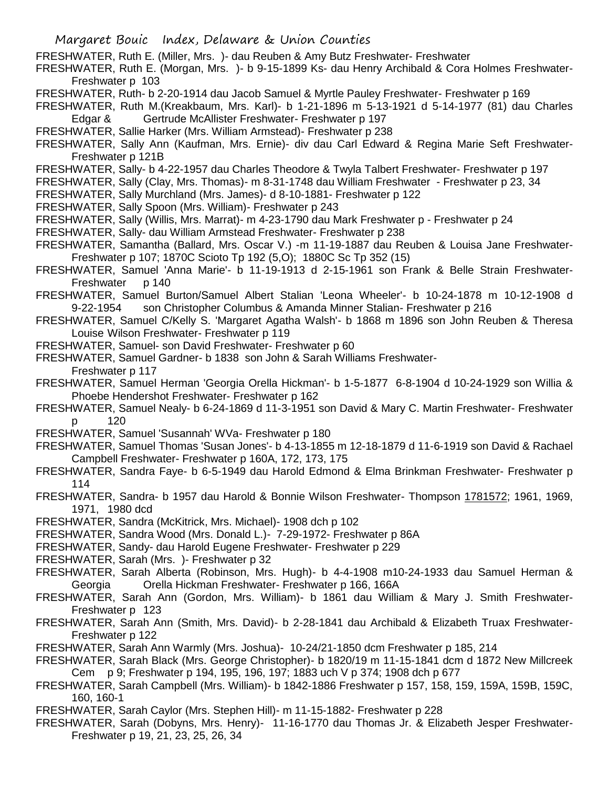FRESHWATER, Ruth E. (Miller, Mrs. )- dau Reuben & Amy Butz Freshwater- Freshwater

FRESHWATER, Ruth E. (Morgan, Mrs. )- b 9-15-1899 Ks- dau Henry Archibald & Cora Holmes Freshwater-Freshwater p 103

FRESHWATER, Ruth- b 2-20-1914 dau Jacob Samuel & Myrtle Pauley Freshwater- Freshwater p 169

FRESHWATER, Ruth M.(Kreakbaum, Mrs. Karl)- b 1-21-1896 m 5-13-1921 d 5-14-1977 (81) dau Charles Edgar & Gertrude McAllister Freshwater- Freshwater p 197

- FRESHWATER, Sallie Harker (Mrs. William Armstead)- Freshwater p 238
- FRESHWATER, Sally Ann (Kaufman, Mrs. Ernie)- div dau Carl Edward & Regina Marie Seft Freshwater-Freshwater p 121B
- FRESHWATER, Sally- b 4-22-1957 dau Charles Theodore & Twyla Talbert Freshwater- Freshwater p 197
- FRESHWATER, Sally (Clay, Mrs. Thomas)- m 8-31-1748 dau William Freshwater Freshwater p 23, 34
- FRESHWATER, Sally Murchland (Mrs. James)- d 8-10-1881- Freshwater p 122
- FRESHWATER, Sally Spoon (Mrs. William)- Freshwater p 243
- FRESHWATER, Sally (Willis, Mrs. Marrat)- m 4-23-1790 dau Mark Freshwater p Freshwater p 24
- FRESHWATER, Sally- dau William Armstead Freshwater- Freshwater p 238

FRESHWATER, Samantha (Ballard, Mrs. Oscar V.) -m 11-19-1887 dau Reuben & Louisa Jane Freshwater-Freshwater p 107; 1870C Scioto Tp 192 (5,O); 1880C Sc Tp 352 (15)

- FRESHWATER, Samuel 'Anna Marie'- b 11-19-1913 d 2-15-1961 son Frank & Belle Strain Freshwater-Freshwater p 140
- FRESHWATER, Samuel Burton/Samuel Albert Stalian 'Leona Wheeler'- b 10-24-1878 m 10-12-1908 d 9-22-1954 son Christopher Columbus & Amanda Minner Stalian- Freshwater p 216
- FRESHWATER, Samuel C/Kelly S. 'Margaret Agatha Walsh'- b 1868 m 1896 son John Reuben & Theresa Louise Wilson Freshwater- Freshwater p 119
- FRESHWATER, Samuel- son David Freshwater- Freshwater p 60
- FRESHWATER, Samuel Gardner- b 1838 son John & Sarah Williams Freshwater-Freshwater p 117
- FRESHWATER, Samuel Herman 'Georgia Orella Hickman'- b 1-5-1877 6-8-1904 d 10-24-1929 son Willia & Phoebe Hendershot Freshwater- Freshwater p 162
- FRESHWATER, Samuel Nealy- b 6-24-1869 d 11-3-1951 son David & Mary C. Martin Freshwater- Freshwater p 120
- FRESHWATER, Samuel 'Susannah' WVa- Freshwater p 180
- FRESHWATER, Samuel Thomas 'Susan Jones'- b 4-13-1855 m 12-18-1879 d 11-6-1919 son David & Rachael Campbell Freshwater- Freshwater p 160A, 172, 173, 175
- FRESHWATER, Sandra Faye- b 6-5-1949 dau Harold Edmond & Elma Brinkman Freshwater- Freshwater p 114
- FRESHWATER, Sandra- b 1957 dau Harold & Bonnie Wilson Freshwater- Thompson 1781572; 1961, 1969, 1971, 1980 dcd
- FRESHWATER, Sandra (McKitrick, Mrs. Michael)- 1908 dch p 102
- FRESHWATER, Sandra Wood (Mrs. Donald L.)- 7-29-1972- Freshwater p 86A
- FRESHWATER, Sandy- dau Harold Eugene Freshwater- Freshwater p 229
- FRESHWATER, Sarah (Mrs. )- Freshwater p 32
- FRESHWATER, Sarah Alberta (Robinson, Mrs. Hugh)- b 4-4-1908 m10-24-1933 dau Samuel Herman & Georgia Orella Hickman Freshwater- Freshwater p 166, 166A
- FRESHWATER, Sarah Ann (Gordon, Mrs. William)- b 1861 dau William & Mary J. Smith Freshwater-Freshwater p 123
- FRESHWATER, Sarah Ann (Smith, Mrs. David)- b 2-28-1841 dau Archibald & Elizabeth Truax Freshwater-Freshwater p 122
- FRESHWATER, Sarah Ann Warmly (Mrs. Joshua)- 10-24/21-1850 dcm Freshwater p 185, 214
- FRESHWATER, Sarah Black (Mrs. George Christopher)- b 1820/19 m 11-15-1841 dcm d 1872 New Millcreek Cem p 9; Freshwater p 194, 195, 196, 197; 1883 uch V p 374; 1908 dch p 677
- FRESHWATER, Sarah Campbell (Mrs. William)- b 1842-1886 Freshwater p 157, 158, 159, 159A, 159B, 159C, 160, 160-1
- FRESHWATER, Sarah Caylor (Mrs. Stephen Hill)- m 11-15-1882- Freshwater p 228
- FRESHWATER, Sarah (Dobyns, Mrs. Henry)- 11-16-1770 dau Thomas Jr. & Elizabeth Jesper Freshwater-Freshwater p 19, 21, 23, 25, 26, 34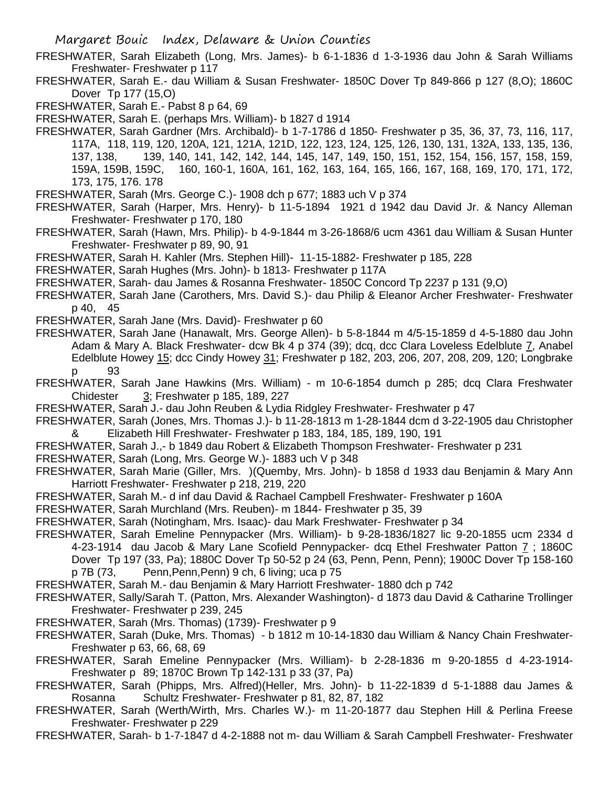FRESHWATER, Sarah Elizabeth (Long, Mrs. James)- b 6-1-1836 d 1-3-1936 dau John & Sarah Williams Freshwater- Freshwater p 117

FRESHWATER, Sarah E.- dau William & Susan Freshwater- 1850C Dover Tp 849-866 p 127 (8,O); 1860C Dover Tp 177 (15,O)

FRESHWATER, Sarah E.- Pabst 8 p 64, 69

FRESHWATER, Sarah E. (perhaps Mrs. William)- b 1827 d 1914

FRESHWATER, Sarah Gardner (Mrs. Archibald)- b 1-7-1786 d 1850- Freshwater p 35, 36, 37, 73, 116, 117, 117A, 118, 119, 120, 120A, 121, 121A, 121D, 122, 123, 124, 125, 126, 130, 131, 132A, 133, 135, 136, 137, 138, 139, 140, 141, 142, 142, 144, 145, 147, 149, 150, 151, 152, 154, 156, 157, 158, 159, 159A, 159B, 159C, 160, 160-1, 160A, 161, 162, 163, 164, 165, 166, 167, 168, 169, 170, 171, 172, 173, 175, 176. 178

FRESHWATER, Sarah (Mrs. George C.)- 1908 dch p 677; 1883 uch V p 374

FRESHWATER, Sarah (Harper, Mrs. Henry)- b 11-5-1894 1921 d 1942 dau David Jr. & Nancy Alleman Freshwater- Freshwater p 170, 180

FRESHWATER, Sarah (Hawn, Mrs. Philip)- b 4-9-1844 m 3-26-1868/6 ucm 4361 dau William & Susan Hunter Freshwater- Freshwater p 89, 90, 91

FRESHWATER, Sarah H. Kahler (Mrs. Stephen Hill)- 11-15-1882- Freshwater p 185, 228

FRESHWATER, Sarah Hughes (Mrs. John)- b 1813- Freshwater p 117A

FRESHWATER, Sarah- dau James & Rosanna Freshwater- 1850C Concord Tp 2237 p 131 (9,O)

FRESHWATER, Sarah Jane (Carothers, Mrs. David S.)- dau Philip & Eleanor Archer Freshwater- Freshwater p 40, 45

FRESHWATER, Sarah Jane (Mrs. David)- Freshwater p 60

FRESHWATER, Sarah Jane (Hanawalt, Mrs. George Allen)- b 5-8-1844 m 4/5-15-1859 d 4-5-1880 dau John Adam & Mary A. Black Freshwater- dcw Bk 4 p 374 (39); dcq, dcc Clara Loveless Edelblute 7, Anabel Edelblute Howey 15; dcc Cindy Howey 31; Freshwater p 182, 203, 206, 207, 208, 209, 120; Longbrake p 93

FRESHWATER, Sarah Jane Hawkins (Mrs. William) - m 10-6-1854 dumch p 285; dcq Clara Freshwater Chidester 3; Freshwater p 185, 189, 227

FRESHWATER, Sarah J.- dau John Reuben & Lydia Ridgley Freshwater- Freshwater p 47

- FRESHWATER, Sarah (Jones, Mrs. Thomas J.)- b 11-28-1813 m 1-28-1844 dcm d 3-22-1905 dau Christopher & Elizabeth Hill Freshwater- Freshwater p 183, 184, 185, 189, 190, 191
- FRESHWATER, Sarah J.,- b 1849 dau Robert & Elizabeth Thompson Freshwater- Freshwater p 231
- FRESHWATER, Sarah (Long, Mrs. George W.)- 1883 uch V p 348
- FRESHWATER, Sarah Marie (Giller, Mrs. )(Quemby, Mrs. John)- b 1858 d 1933 dau Benjamin & Mary Ann Harriott Freshwater- Freshwater p 218, 219, 220
- FRESHWATER, Sarah M.- d inf dau David & Rachael Campbell Freshwater- Freshwater p 160A

FRESHWATER, Sarah Murchland (Mrs. Reuben)- m 1844- Freshwater p 35, 39

FRESHWATER, Sarah (Notingham, Mrs. Isaac)- dau Mark Freshwater- Freshwater p 34

FRESHWATER, Sarah Emeline Pennypacker (Mrs. William)- b 9-28-1836/1827 lic 9-20-1855 ucm 2334 d 4-23-1914 dau Jacob & Mary Lane Scofield Pennypacker- dcq Ethel Freshwater Patton 7; 1860C Dover Tp 197 (33, Pa); 1880C Dover Tp 50-52 p 24 (63, Penn, Penn, Penn); 1900C Dover Tp 158-160 p 7B (73, Penn,Penn,Penn) 9 ch, 6 living; uca p 75

FRESHWATER, Sarah M.- dau Benjamin & Mary Harriott Freshwater- 1880 dch p 742

- FRESHWATER, Sally/Sarah T. (Patton, Mrs. Alexander Washington)- d 1873 dau David & Catharine Trollinger Freshwater- Freshwater p 239, 245
- FRESHWATER, Sarah (Mrs. Thomas) (1739)- Freshwater p 9
- FRESHWATER, Sarah (Duke, Mrs. Thomas) b 1812 m 10-14-1830 dau William & Nancy Chain Freshwater-Freshwater p 63, 66, 68, 69
- FRESHWATER, Sarah Emeline Pennypacker (Mrs. William)- b 2-28-1836 m 9-20-1855 d 4-23-1914- Freshwater p 89; 1870C Brown Tp 142-131 p 33 (37, Pa)

FRESHWATER, Sarah (Phipps, Mrs. Alfred)(Heller, Mrs. John)- b 11-22-1839 d 5-1-1888 dau James & Rosanna Schultz Freshwater- Freshwater p 81, 82, 87, 182

FRESHWATER, Sarah (Werth/Wirth, Mrs. Charles W.)- m 11-20-1877 dau Stephen Hill & Perlina Freese Freshwater- Freshwater p 229

FRESHWATER, Sarah- b 1-7-1847 d 4-2-1888 not m- dau William & Sarah Campbell Freshwater- Freshwater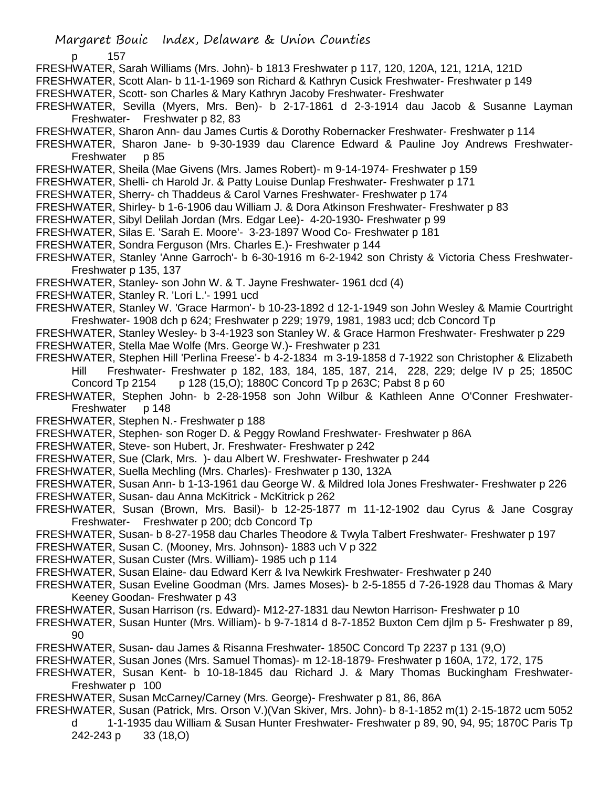p 157

FRESHWATER, Sarah Williams (Mrs. John)- b 1813 Freshwater p 117, 120, 120A, 121, 121A, 121D

FRESHWATER, Scott Alan- b 11-1-1969 son Richard & Kathryn Cusick Freshwater- Freshwater p 149

FRESHWATER, Scott- son Charles & Mary Kathryn Jacoby Freshwater- Freshwater

FRESHWATER, Sevilla (Myers, Mrs. Ben)- b 2-17-1861 d 2-3-1914 dau Jacob & Susanne Layman Freshwater- Freshwater p 82, 83

FRESHWATER, Sharon Ann- dau James Curtis & Dorothy Robernacker Freshwater- Freshwater p 114

FRESHWATER, Sharon Jane- b 9-30-1939 dau Clarence Edward & Pauline Joy Andrews Freshwater-Freshwater p 85

FRESHWATER, Sheila (Mae Givens (Mrs. James Robert)- m 9-14-1974- Freshwater p 159

FRESHWATER, Shelli- ch Harold Jr. & Patty Louise Dunlap Freshwater- Freshwater p 171

FRESHWATER, Sherry- ch Thaddeus & Carol Varnes Freshwater- Freshwater p 174

FRESHWATER, Shirley- b 1-6-1906 dau William J. & Dora Atkinson Freshwater- Freshwater p 83

FRESHWATER, Sibyl Delilah Jordan (Mrs. Edgar Lee)- 4-20-1930- Freshwater p 99

FRESHWATER, Silas E. 'Sarah E. Moore'- 3-23-1897 Wood Co- Freshwater p 181

FRESHWATER, Sondra Ferguson (Mrs. Charles E.)- Freshwater p 144

FRESHWATER, Stanley 'Anne Garroch'- b 6-30-1916 m 6-2-1942 son Christy & Victoria Chess Freshwater-Freshwater p 135, 137

FRESHWATER, Stanley- son John W. & T. Jayne Freshwater- 1961 dcd (4)

FRESHWATER, Stanley R. 'Lori L.'- 1991 ucd

FRESHWATER, Stanley W. 'Grace Harmon'- b 10-23-1892 d 12-1-1949 son John Wesley & Mamie Courtright Freshwater- 1908 dch p 624; Freshwater p 229; 1979, 1981, 1983 ucd; dcb Concord Tp

FRESHWATER, Stanley Wesley- b 3-4-1923 son Stanley W. & Grace Harmon Freshwater- Freshwater p 229 FRESHWATER, Stella Mae Wolfe (Mrs. George W.)- Freshwater p 231

FRESHWATER, Stephen Hill 'Perlina Freese'- b 4-2-1834 m 3-19-1858 d 7-1922 son Christopher & Elizabeth Hill Freshwater- Freshwater p 182, 183, 184, 185, 187, 214, 228, 229; delge IV p 25; 1850C Concord Tp 2154 p 128 (15, O); 1880C Concord Tp p 263C; Pabst 8 p 60

FRESHWATER, Stephen John- b 2-28-1958 son John Wilbur & Kathleen Anne O'Conner Freshwater-Freshwater p 148

FRESHWATER, Stephen N.- Freshwater p 188

FRESHWATER, Stephen- son Roger D. & Peggy Rowland Freshwater- Freshwater p 86A

FRESHWATER, Steve- son Hubert, Jr. Freshwater- Freshwater p 242

FRESHWATER, Sue (Clark, Mrs. )- dau Albert W. Freshwater- Freshwater p 244

FRESHWATER, Suella Mechling (Mrs. Charles)- Freshwater p 130, 132A

FRESHWATER, Susan Ann- b 1-13-1961 dau George W. & Mildred Iola Jones Freshwater- Freshwater p 226

FRESHWATER, Susan- dau Anna McKitrick - McKitrick p 262

FRESHWATER, Susan (Brown, Mrs. Basil)- b 12-25-1877 m 11-12-1902 dau Cyrus & Jane Cosgray Freshwater- Freshwater p 200; dcb Concord Tp

FRESHWATER, Susan- b 8-27-1958 dau Charles Theodore & Twyla Talbert Freshwater- Freshwater p 197

FRESHWATER, Susan C. (Mooney, Mrs. Johnson)- 1883 uch V p 322

FRESHWATER, Susan Custer (Mrs. William)- 1985 uch p 114

FRESHWATER, Susan Elaine- dau Edward Kerr & Iva Newkirk Freshwater- Freshwater p 240

FRESHWATER, Susan Eveline Goodman (Mrs. James Moses)- b 2-5-1855 d 7-26-1928 dau Thomas & Mary Keeney Goodan- Freshwater p 43

FRESHWATER, Susan Harrison (rs. Edward)- M12-27-1831 dau Newton Harrison- Freshwater p 10

FRESHWATER, Susan Hunter (Mrs. William)- b 9-7-1814 d 8-7-1852 Buxton Cem djlm p 5- Freshwater p 89, 90

FRESHWATER, Susan- dau James & Risanna Freshwater- 1850C Concord Tp 2237 p 131 (9,O)

FRESHWATER, Susan Jones (Mrs. Samuel Thomas)- m 12-18-1879- Freshwater p 160A, 172, 172, 175

FRESHWATER, Susan Kent- b 10-18-1845 dau Richard J. & Mary Thomas Buckingham Freshwater-Freshwater p 100

FRESHWATER, Susan McCarney/Carney (Mrs. George)- Freshwater p 81, 86, 86A

FRESHWATER, Susan (Patrick, Mrs. Orson V.)(Van Skiver, Mrs. John)- b 8-1-1852 m(1) 2-15-1872 ucm 5052 d 1-1-1935 dau William & Susan Hunter Freshwater- Freshwater p 89, 90, 94, 95; 1870C Paris Tp 242-243 p 33 (18,O)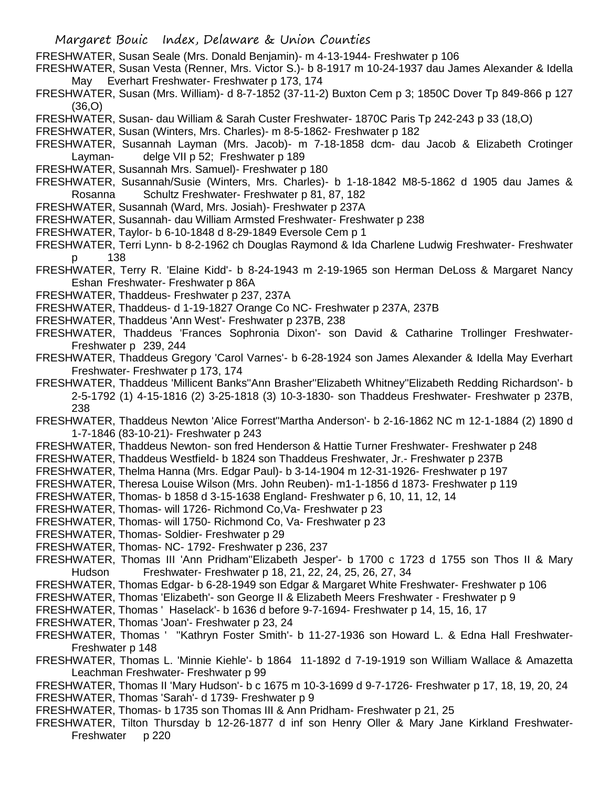- FRESHWATER, Susan Seale (Mrs. Donald Benjamin)- m 4-13-1944- Freshwater p 106
- FRESHWATER, Susan Vesta (Renner, Mrs. Victor S.)- b 8-1917 m 10-24-1937 dau James Alexander & Idella May Everhart Freshwater- Freshwater p 173, 174
- FRESHWATER, Susan (Mrs. William)- d 8-7-1852 (37-11-2) Buxton Cem p 3; 1850C Dover Tp 849-866 p 127 (36,O)
- FRESHWATER, Susan- dau William & Sarah Custer Freshwater- 1870C Paris Tp 242-243 p 33 (18,O)

FRESHWATER, Susan (Winters, Mrs. Charles)- m 8-5-1862- Freshwater p 182

- FRESHWATER, Susannah Layman (Mrs. Jacob)- m 7-18-1858 dcm- dau Jacob & Elizabeth Crotinger Layman- delge VII p 52; Freshwater p 189
- FRESHWATER, Susannah Mrs. Samuel)- Freshwater p 180
- FRESHWATER, Susannah/Susie (Winters, Mrs. Charles)- b 1-18-1842 M8-5-1862 d 1905 dau James & Rosanna Schultz Freshwater- Freshwater p 81, 87, 182
- FRESHWATER, Susannah (Ward, Mrs. Josiah)- Freshwater p 237A
- FRESHWATER, Susannah- dau William Armsted Freshwater- Freshwater p 238
- FRESHWATER, Taylor- b 6-10-1848 d 8-29-1849 Eversole Cem p 1
- FRESHWATER, Terri Lynn- b 8-2-1962 ch Douglas Raymond & Ida Charlene Ludwig Freshwater- Freshwater p 138
- FRESHWATER, Terry R. 'Elaine Kidd'- b 8-24-1943 m 2-19-1965 son Herman DeLoss & Margaret Nancy Eshan Freshwater- Freshwater p 86A
- FRESHWATER, Thaddeus- Freshwater p 237, 237A
- FRESHWATER, Thaddeus- d 1-19-1827 Orange Co NC- Freshwater p 237A, 237B
- FRESHWATER, Thaddeus 'Ann West'- Freshwater p 237B, 238
- FRESHWATER, Thaddeus 'Frances Sophronia Dixon'- son David & Catharine Trollinger Freshwater-Freshwater p 239, 244
- FRESHWATER, Thaddeus Gregory 'Carol Varnes'- b 6-28-1924 son James Alexander & Idella May Everhart Freshwater- Freshwater p 173, 174
- FRESHWATER, Thaddeus 'Millicent Banks''Ann Brasher''Elizabeth Whitney''Elizabeth Redding Richardson'- b 2-5-1792 (1) 4-15-1816 (2) 3-25-1818 (3) 10-3-1830- son Thaddeus Freshwater- Freshwater p 237B, 238
- FRESHWATER, Thaddeus Newton 'Alice Forrest''Martha Anderson'- b 2-16-1862 NC m 12-1-1884 (2) 1890 d 1-7-1846 (83-10-21)- Freshwater p 243
- FRESHWATER, Thaddeus Newton- son fred Henderson & Hattie Turner Freshwater- Freshwater p 248
- FRESHWATER, Thaddeus Westfield- b 1824 son Thaddeus Freshwater, Jr.- Freshwater p 237B
- FRESHWATER, Thelma Hanna (Mrs. Edgar Paul)- b 3-14-1904 m 12-31-1926- Freshwater p 197
- FRESHWATER, Theresa Louise Wilson (Mrs. John Reuben)- m1-1-1856 d 1873- Freshwater p 119
- FRESHWATER, Thomas- b 1858 d 3-15-1638 England- Freshwater p 6, 10, 11, 12, 14
- FRESHWATER, Thomas- will 1726- Richmond Co,Va- Freshwater p 23
- FRESHWATER, Thomas- will 1750- Richmond Co, Va- Freshwater p 23
- FRESHWATER, Thomas- Soldier- Freshwater p 29
- FRESHWATER, Thomas- NC- 1792- Freshwater p 236, 237
- FRESHWATER, Thomas III 'Ann Pridham''Elizabeth Jesper'- b 1700 c 1723 d 1755 son Thos II & Mary Hudson Freshwater- Freshwater p 18, 21, 22, 24, 25, 26, 27, 34
- FRESHWATER, Thomas Edgar- b 6-28-1949 son Edgar & Margaret White Freshwater- Freshwater p 106
- FRESHWATER, Thomas 'Elizabeth'- son George II & Elizabeth Meers Freshwater Freshwater p 9
- FRESHWATER, Thomas ' Haselack'- b 1636 d before 9-7-1694- Freshwater p 14, 15, 16, 17
- FRESHWATER, Thomas 'Joan'- Freshwater p 23, 24
- FRESHWATER, Thomas ' ''Kathryn Foster Smith'- b 11-27-1936 son Howard L. & Edna Hall Freshwater-Freshwater p 148
- FRESHWATER, Thomas L. 'Minnie Kiehle'- b 1864 11-1892 d 7-19-1919 son William Wallace & Amazetta Leachman Freshwater- Freshwater p 99
- FRESHWATER, Thomas II 'Mary Hudson'- b c 1675 m 10-3-1699 d 9-7-1726- Freshwater p 17, 18, 19, 20, 24 FRESHWATER, Thomas 'Sarah'- d 1739- Freshwater p 9
- FRESHWATER, Thomas- b 1735 son Thomas III & Ann Pridham- Freshwater p 21, 25
- FRESHWATER, Tilton Thursday b 12-26-1877 d inf son Henry Oller & Mary Jane Kirkland Freshwater-Freshwater p 220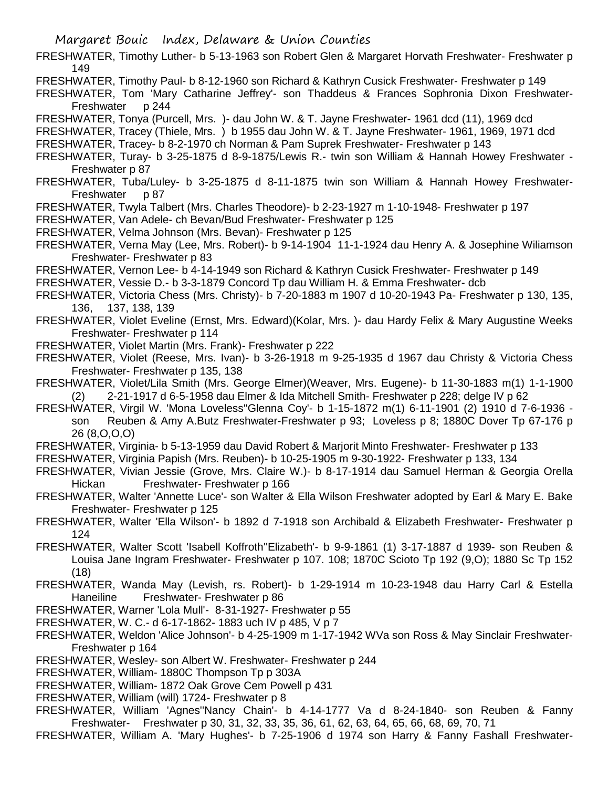FRESHWATER, Timothy Luther- b 5-13-1963 son Robert Glen & Margaret Horvath Freshwater- Freshwater p 149

FRESHWATER, Timothy Paul- b 8-12-1960 son Richard & Kathryn Cusick Freshwater- Freshwater p 149

FRESHWATER, Tom 'Mary Catharine Jeffrey'- son Thaddeus & Frances Sophronia Dixon Freshwater-Freshwater p 244

FRESHWATER, Tonya (Purcell, Mrs. )- dau John W. & T. Jayne Freshwater- 1961 dcd (11), 1969 dcd

FRESHWATER, Tracey (Thiele, Mrs. ) b 1955 dau John W. & T. Jayne Freshwater- 1961, 1969, 1971 dcd

FRESHWATER, Tracey- b 8-2-1970 ch Norman & Pam Suprek Freshwater- Freshwater p 143

FRESHWATER, Turay- b 3-25-1875 d 8-9-1875/Lewis R.- twin son William & Hannah Howey Freshwater - Freshwater p 87

- FRESHWATER, Tuba/Luley- b 3-25-1875 d 8-11-1875 twin son William & Hannah Howey Freshwater-Freshwater p 87
- FRESHWATER, Twyla Talbert (Mrs. Charles Theodore)- b 2-23-1927 m 1-10-1948- Freshwater p 197

FRESHWATER, Van Adele- ch Bevan/Bud Freshwater- Freshwater p 125

- FRESHWATER, Velma Johnson (Mrs. Bevan)- Freshwater p 125
- FRESHWATER, Verna May (Lee, Mrs. Robert)- b 9-14-1904 11-1-1924 dau Henry A. & Josephine Wiliamson Freshwater- Freshwater p 83
- FRESHWATER, Vernon Lee- b 4-14-1949 son Richard & Kathryn Cusick Freshwater- Freshwater p 149

FRESHWATER, Vessie D.- b 3-3-1879 Concord Tp dau William H. & Emma Freshwater- dcb

FRESHWATER, Victoria Chess (Mrs. Christy)- b 7-20-1883 m 1907 d 10-20-1943 Pa- Freshwater p 130, 135, 136, 137, 138, 139

- FRESHWATER, Violet Eveline (Ernst, Mrs. Edward)(Kolar, Mrs. )- dau Hardy Felix & Mary Augustine Weeks Freshwater- Freshwater p 114
- FRESHWATER, Violet Martin (Mrs. Frank)- Freshwater p 222
- FRESHWATER, Violet (Reese, Mrs. Ivan)- b 3-26-1918 m 9-25-1935 d 1967 dau Christy & Victoria Chess Freshwater- Freshwater p 135, 138
- FRESHWATER, Violet/Lila Smith (Mrs. George Elmer)(Weaver, Mrs. Eugene)- b 11-30-1883 m(1) 1-1-1900 (2) 2-21-1917 d 6-5-1958 dau Elmer & Ida Mitchell Smith- Freshwater p 228; delge IV p 62
- FRESHWATER, Virgil W. 'Mona Loveless''Glenna Coy'- b 1-15-1872 m(1) 6-11-1901 (2) 1910 d 7-6-1936 son Reuben & Amy A.Butz Freshwater-Freshwater p 93; Loveless p 8; 1880C Dover Tp 67-176 p 26 (8,O,O,O)
- FRESHWATER, Virginia- b 5-13-1959 dau David Robert & Marjorit Minto Freshwater- Freshwater p 133
- FRESHWATER, Virginia Papish (Mrs. Reuben)- b 10-25-1905 m 9-30-1922- Freshwater p 133, 134
- FRESHWATER, Vivian Jessie (Grove, Mrs. Claire W.)- b 8-17-1914 dau Samuel Herman & Georgia Orella Hickan Freshwater- Freshwater p 166
- FRESHWATER, Walter 'Annette Luce'- son Walter & Ella Wilson Freshwater adopted by Earl & Mary E. Bake Freshwater- Freshwater p 125
- FRESHWATER, Walter 'Ella Wilson'- b 1892 d 7-1918 son Archibald & Elizabeth Freshwater- Freshwater p 124
- FRESHWATER, Walter Scott 'Isabell Koffroth''Elizabeth'- b 9-9-1861 (1) 3-17-1887 d 1939- son Reuben & Louisa Jane Ingram Freshwater- Freshwater p 107. 108; 1870C Scioto Tp 192 (9,O); 1880 Sc Tp 152 (18)
- FRESHWATER, Wanda May (Levish, rs. Robert)- b 1-29-1914 m 10-23-1948 dau Harry Carl & Estella Haneiline Freshwater- Freshwater p 86

FRESHWATER, Warner 'Lola Mull'- 8-31-1927- Freshwater p 55

- FRESHWATER, W. C.- d 6-17-1862- 1883 uch IV p 485, V p 7
- FRESHWATER, Weldon 'Alice Johnson'- b 4-25-1909 m 1-17-1942 WVa son Ross & May Sinclair Freshwater-Freshwater p 164
- FRESHWATER, Wesley- son Albert W. Freshwater- Freshwater p 244

FRESHWATER, William- 1880C Thompson Tp p 303A

- FRESHWATER, William- 1872 Oak Grove Cem Powell p 431
- FRESHWATER, William (will) 1724- Freshwater p 8
- FRESHWATER, William 'Agnes''Nancy Chain'- b 4-14-1777 Va d 8-24-1840- son Reuben & Fanny Freshwater- Freshwater p 30, 31, 32, 33, 35, 36, 61, 62, 63, 64, 65, 66, 68, 69, 70, 71

FRESHWATER, William A. 'Mary Hughes'- b 7-25-1906 d 1974 son Harry & Fanny Fashall Freshwater-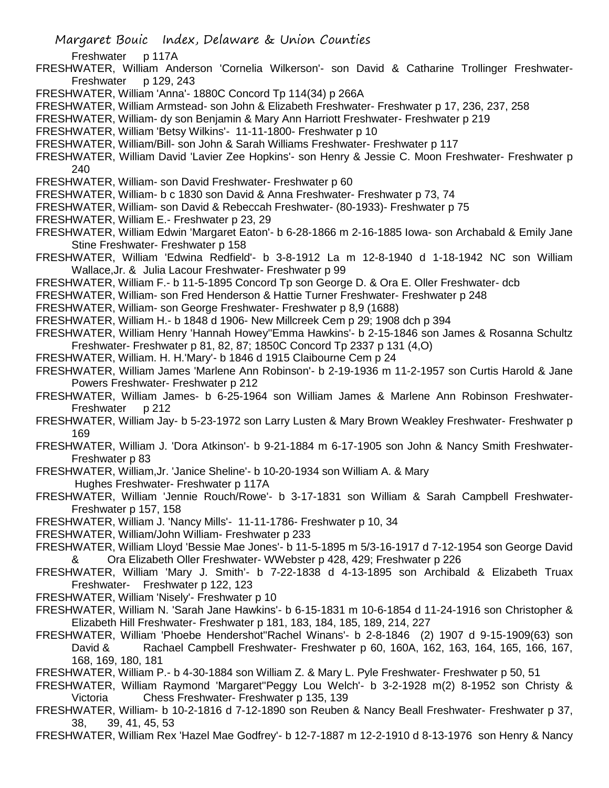Margaret Bouic Index, Delaware & Union Counties

Freshwater p 117A

- FRESHWATER, William Anderson 'Cornelia Wilkerson'- son David & Catharine Trollinger Freshwater-Freshwater p 129, 243
- FRESHWATER, William 'Anna'- 1880C Concord Tp 114(34) p 266A
- FRESHWATER, William Armstead- son John & Elizabeth Freshwater- Freshwater p 17, 236, 237, 258
- FRESHWATER, William- dy son Benjamin & Mary Ann Harriott Freshwater- Freshwater p 219
- FRESHWATER, William 'Betsy Wilkins'- 11-11-1800- Freshwater p 10
- FRESHWATER, William/Bill- son John & Sarah Williams Freshwater- Freshwater p 117
- FRESHWATER, William David 'Lavier Zee Hopkins'- son Henry & Jessie C. Moon Freshwater- Freshwater p 240
- FRESHWATER, William- son David Freshwater- Freshwater p 60
- FRESHWATER, William- b c 1830 son David & Anna Freshwater- Freshwater p 73, 74
- FRESHWATER, William- son David & Rebeccah Freshwater- (80-1933)- Freshwater p 75
- FRESHWATER, William E.- Freshwater p 23, 29
- FRESHWATER, William Edwin 'Margaret Eaton'- b 6-28-1866 m 2-16-1885 Iowa- son Archabald & Emily Jane Stine Freshwater- Freshwater p 158
- FRESHWATER, William 'Edwina Redfield'- b 3-8-1912 La m 12-8-1940 d 1-18-1942 NC son William Wallace,Jr. & Julia Lacour Freshwater- Freshwater p 99
- FRESHWATER, William F.- b 11-5-1895 Concord Tp son George D. & Ora E. Oller Freshwater- dcb
- FRESHWATER, William- son Fred Henderson & Hattie Turner Freshwater- Freshwater p 248
- FRESHWATER, William- son George Freshwater- Freshwater p 8,9 (1688)
- FRESHWATER, William H.- b 1848 d 1906- New Millcreek Cem p 29; 1908 dch p 394
- FRESHWATER, William Henry 'Hannah Howey''Emma Hawkins'- b 2-15-1846 son James & Rosanna Schultz Freshwater- Freshwater p 81, 82, 87; 1850C Concord Tp 2337 p 131 (4,O)
- FRESHWATER, William. H. H.'Mary'- b 1846 d 1915 Claibourne Cem p 24
- FRESHWATER, William James 'Marlene Ann Robinson'- b 2-19-1936 m 11-2-1957 son Curtis Harold & Jane Powers Freshwater- Freshwater p 212
- FRESHWATER, William James- b 6-25-1964 son William James & Marlene Ann Robinson Freshwater-Freshwater p 212
- FRESHWATER, William Jay- b 5-23-1972 son Larry Lusten & Mary Brown Weakley Freshwater- Freshwater p 169
- FRESHWATER, William J. 'Dora Atkinson'- b 9-21-1884 m 6-17-1905 son John & Nancy Smith Freshwater-Freshwater p 83
- FRESHWATER, William,Jr. 'Janice Sheline'- b 10-20-1934 son William A. & Mary Hughes Freshwater- Freshwater p 117A
- FRESHWATER, William 'Jennie Rouch/Rowe'- b 3-17-1831 son William & Sarah Campbell Freshwater-Freshwater p 157, 158
- FRESHWATER, William J. 'Nancy Mills'- 11-11-1786- Freshwater p 10, 34
- FRESHWATER, William/John William- Freshwater p 233
- FRESHWATER, William Lloyd 'Bessie Mae Jones'- b 11-5-1895 m 5/3-16-1917 d 7-12-1954 son George David & Ora Elizabeth Oller Freshwater- WWebster p 428, 429; Freshwater p 226
- FRESHWATER, William 'Mary J. Smith'- b 7-22-1838 d 4-13-1895 son Archibald & Elizabeth Truax Freshwater- Freshwater p 122, 123
- FRESHWATER, William 'Nisely'- Freshwater p 10
- FRESHWATER, William N. 'Sarah Jane Hawkins'- b 6-15-1831 m 10-6-1854 d 11-24-1916 son Christopher & Elizabeth Hill Freshwater- Freshwater p 181, 183, 184, 185, 189, 214, 227
- FRESHWATER, William 'Phoebe Hendershot''Rachel Winans'- b 2-8-1846 (2) 1907 d 9-15-1909(63) son David & Rachael Campbell Freshwater- Freshwater p 60, 160A, 162, 163, 164, 165, 166, 167, 168, 169, 180, 181
- FRESHWATER, William P.- b 4-30-1884 son William Z. & Mary L. Pyle Freshwater- Freshwater p 50, 51
- FRESHWATER, William Raymond 'Margaret''Peggy Lou Welch'- b 3-2-1928 m(2) 8-1952 son Christy & Victoria Chess Freshwater- Freshwater p 135, 139
- FRESHWATER, William- b 10-2-1816 d 7-12-1890 son Reuben & Nancy Beall Freshwater- Freshwater p 37, 38, 39, 41, 45, 53
- FRESHWATER, William Rex 'Hazel Mae Godfrey'- b 12-7-1887 m 12-2-1910 d 8-13-1976 son Henry & Nancy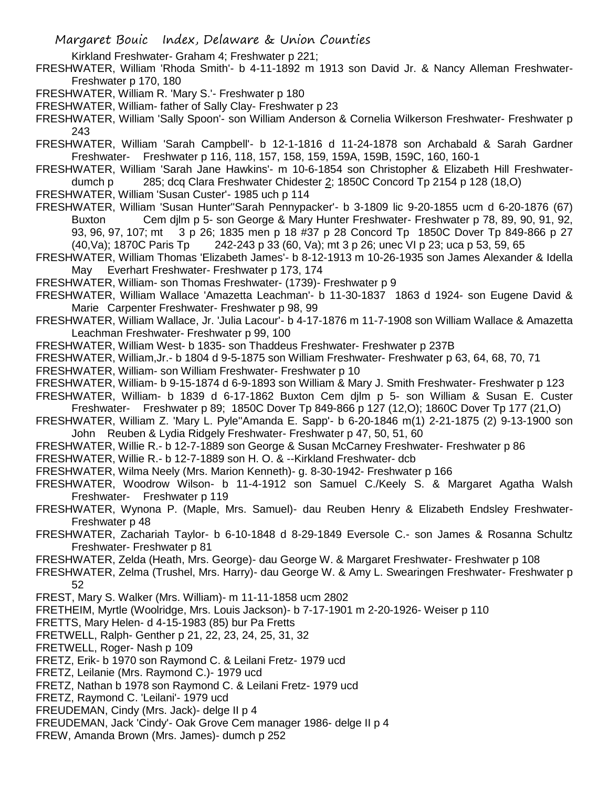Kirkland Freshwater- Graham 4: Freshwater p 221:

FRESHWATER, William 'Rhoda Smith'- b 4-11-1892 m 1913 son David Jr. & Nancy Alleman Freshwater-Freshwater p 170, 180

FRESHWATER, William R. 'Mary S.'- Freshwater p 180

FRESHWATER, William- father of Sally Clay- Freshwater p 23

FRESHWATER, William 'Sally Spoon'- son William Anderson & Cornelia Wilkerson Freshwater- Freshwater p 243

FRESHWATER, William 'Sarah Campbell'- b 12-1-1816 d 11-24-1878 son Archabald & Sarah Gardner Freshwater- Freshwater p 116, 118, 157, 158, 159, 159A, 159B, 159C, 160, 160-1

FRESHWATER, William 'Sarah Jane Hawkins'- m 10-6-1854 son Christopher & Elizabeth Hill Freshwaterdumch p 285; dcq Clara Freshwater Chidester 2; 1850C Concord Tp 2154 p 128 (18,O)

FRESHWATER, William 'Susan Custer'- 1985 uch p 114

FRESHWATER, William 'Susan Hunter''Sarah Pennypacker'- b 3-1809 lic 9-20-1855 ucm d 6-20-1876 (67) Buxton Cem djlm p 5- son George & Mary Hunter Freshwater- Freshwater p 78, 89, 90, 91, 92, 93, 96, 97, 107; mt 3 p 26; 1835 men p 18 #37 p 28 Concord Tp 1850C Dover Tp 849-866 p 27 (40,Va); 1870C Paris Tp 242-243 p 33 (60, Va); mt 3 p 26; unec VI p 23; uca p 53, 59, 65

FRESHWATER, William Thomas 'Elizabeth James'- b 8-12-1913 m 10-26-1935 son James Alexander & Idella May Everhart Freshwater- Freshwater p 173, 174

FRESHWATER, William- son Thomas Freshwater- (1739)- Freshwater p 9

FRESHWATER, William Wallace 'Amazetta Leachman'- b 11-30-1837 1863 d 1924- son Eugene David & Marie Carpenter Freshwater- Freshwater p 98, 99

FRESHWATER, William Wallace, Jr. 'Julia Lacour'- b 4-17-1876 m 11-7-1908 son William Wallace & Amazetta Leachman Freshwater- Freshwater p 99, 100

FRESHWATER, William West- b 1835- son Thaddeus Freshwater- Freshwater p 237B

FRESHWATER, William,Jr.- b 1804 d 9-5-1875 son William Freshwater- Freshwater p 63, 64, 68, 70, 71

FRESHWATER, William- son William Freshwater- Freshwater p 10

FRESHWATER, William- b 9-15-1874 d 6-9-1893 son William & Mary J. Smith Freshwater- Freshwater p 123

FRESHWATER, William- b 1839 d 6-17-1862 Buxton Cem djlm p 5- son William & Susan E. Custer Freshwater- Freshwater p 89; 1850C Dover Tp 849-866 p 127 (12,O); 1860C Dover Tp 177 (21,O)

FRESHWATER, William Z. 'Mary L. Pyle''Amanda E. Sapp'- b 6-20-1846 m(1) 2-21-1875 (2) 9-13-1900 son John Reuben & Lydia Ridgely Freshwater- Freshwater p 47, 50, 51, 60

FRESHWATER, Willie R.- b 12-7-1889 son George & Susan McCarney Freshwater- Freshwater p 86

FRESHWATER, Willie R.- b 12-7-1889 son H. O. & --Kirkland Freshwater- dcb

FRESHWATER, Wilma Neely (Mrs. Marion Kenneth)- g. 8-30-1942- Freshwater p 166

FRESHWATER, Woodrow Wilson- b 11-4-1912 son Samuel C./Keely S. & Margaret Agatha Walsh Freshwater- Freshwater p 119

- FRESHWATER, Wynona P. (Maple, Mrs. Samuel)- dau Reuben Henry & Elizabeth Endsley Freshwater-Freshwater p 48
- FRESHWATER, Zachariah Taylor- b 6-10-1848 d 8-29-1849 Eversole C.- son James & Rosanna Schultz Freshwater- Freshwater p 81

FRESHWATER, Zelda (Heath, Mrs. George)- dau George W. & Margaret Freshwater- Freshwater p 108

FRESHWATER, Zelma (Trushel, Mrs. Harry)- dau George W. & Amy L. Swearingen Freshwater- Freshwater p 52

FREST, Mary S. Walker (Mrs. William)- m 11-11-1858 ucm 2802

FRETHEIM, Myrtle (Woolridge, Mrs. Louis Jackson)- b 7-17-1901 m 2-20-1926- Weiser p 110

FRETTS, Mary Helen- d 4-15-1983 (85) bur Pa Fretts

FRETWELL, Ralph- Genther p 21, 22, 23, 24, 25, 31, 32

FRETWELL, Roger- Nash p 109

FRETZ, Erik- b 1970 son Raymond C. & Leilani Fretz- 1979 ucd

FRETZ, Leilanie (Mrs. Raymond C.)- 1979 ucd

FRETZ, Nathan b 1978 son Raymond C. & Leilani Fretz- 1979 ucd

FRETZ, Raymond C. 'Leilani'- 1979 ucd

FREUDEMAN, Cindy (Mrs. Jack)- delge II p 4

FREUDEMAN, Jack 'Cindy'- Oak Grove Cem manager 1986- delge II p 4

FREW, Amanda Brown (Mrs. James)- dumch p 252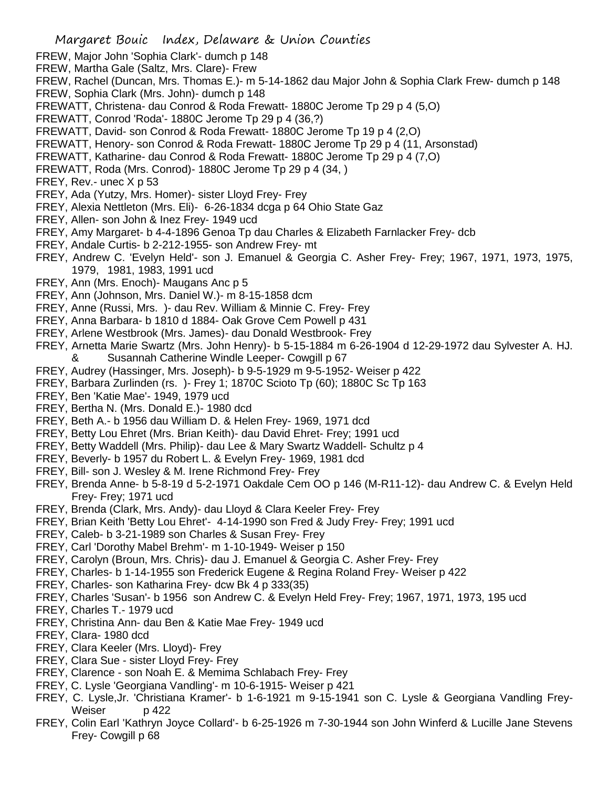- FREW, Major John 'Sophia Clark'- dumch p 148
- FREW, Martha Gale (Saltz, Mrs. Clare)- Frew
- FREW, Rachel (Duncan, Mrs. Thomas E.)- m 5-14-1862 dau Major John & Sophia Clark Frew- dumch p 148
- FREW, Sophia Clark (Mrs. John)- dumch p 148
- FREWATT, Christena- dau Conrod & Roda Frewatt- 1880C Jerome Tp 29 p 4 (5,O)
- FREWATT, Conrod 'Roda'- 1880C Jerome Tp 29 p 4 (36,?)
- FREWATT, David- son Conrod & Roda Frewatt- 1880C Jerome Tp 19 p 4 (2,O)
- FREWATT, Henory- son Conrod & Roda Frewatt- 1880C Jerome Tp 29 p 4 (11, Arsonstad)
- FREWATT, Katharine- dau Conrod & Roda Frewatt- 1880C Jerome Tp 29 p 4 (7,O)
- FREWATT, Roda (Mrs. Conrod)- 1880C Jerome Tp 29 p 4 (34, )
- FREY, Rev.- unec X p 53
- FREY, Ada (Yutzy, Mrs. Homer)- sister Lloyd Frey- Frey
- FREY, Alexia Nettleton (Mrs. Eli)- 6-26-1834 dcga p 64 Ohio State Gaz
- FREY, Allen- son John & Inez Frey- 1949 ucd
- FREY, Amy Margaret- b 4-4-1896 Genoa Tp dau Charles & Elizabeth Farnlacker Frey- dcb
- FREY, Andale Curtis- b 2-212-1955- son Andrew Frey- mt
- FREY, Andrew C. 'Evelyn Held'- son J. Emanuel & Georgia C. Asher Frey- Frey; 1967, 1971, 1973, 1975, 1979, 1981, 1983, 1991 ucd
- FREY, Ann (Mrs. Enoch)- Maugans Anc p 5
- FREY, Ann (Johnson, Mrs. Daniel W.)- m 8-15-1858 dcm
- FREY, Anne (Russi, Mrs. )- dau Rev. William & Minnie C. Frey- Frey
- FREY, Anna Barbara- b 1810 d 1884- Oak Grove Cem Powell p 431
- FREY, Arlene Westbrook (Mrs. James)- dau Donald Westbrook- Frey
- FREY, Arnetta Marie Swartz (Mrs. John Henry)- b 5-15-1884 m 6-26-1904 d 12-29-1972 dau Sylvester A. HJ. & Susannah Catherine Windle Leeper- Cowgill p 67
- FREY, Audrey (Hassinger, Mrs. Joseph)- b 9-5-1929 m 9-5-1952- Weiser p 422
- FREY, Barbara Zurlinden (rs. )- Frey 1; 1870C Scioto Tp (60); 1880C Sc Tp 163
- FREY, Ben 'Katie Mae'- 1949, 1979 ucd
- FREY, Bertha N. (Mrs. Donald E.)- 1980 dcd
- FREY, Beth A.- b 1956 dau William D. & Helen Frey- 1969, 1971 dcd
- FREY, Betty Lou Ehret (Mrs. Brian Keith)- dau David Ehret- Frey; 1991 ucd
- FREY, Betty Waddell (Mrs. Philip)- dau Lee & Mary Swartz Waddell- Schultz p 4
- FREY, Beverly- b 1957 du Robert L. & Evelyn Frey- 1969, 1981 dcd
- FREY, Bill- son J. Wesley & M. Irene Richmond Frey- Frey
- FREY, Brenda Anne- b 5-8-19 d 5-2-1971 Oakdale Cem OO p 146 (M-R11-12)- dau Andrew C. & Evelyn Held Frey- Frey; 1971 ucd
- FREY, Brenda (Clark, Mrs. Andy)- dau Lloyd & Clara Keeler Frey- Frey
- FREY, Brian Keith 'Betty Lou Ehret'- 4-14-1990 son Fred & Judy Frey- Frey; 1991 ucd
- FREY, Caleb- b 3-21-1989 son Charles & Susan Frey- Frey
- FREY, Carl 'Dorothy Mabel Brehm'- m 1-10-1949- Weiser p 150
- FREY, Carolyn (Broun, Mrs. Chris)- dau J. Emanuel & Georgia C. Asher Frey- Frey
- FREY, Charles- b 1-14-1955 son Frederick Eugene & Regina Roland Frey- Weiser p 422
- FREY, Charles- son Katharina Frey- dcw Bk 4 p 333(35)
- FREY, Charles 'Susan'- b 1956 son Andrew C. & Evelyn Held Frey- Frey; 1967, 1971, 1973, 195 ucd
- FREY, Charles T.- 1979 ucd
- FREY, Christina Ann- dau Ben & Katie Mae Frey- 1949 ucd
- FREY, Clara- 1980 dcd
- FREY, Clara Keeler (Mrs. Lloyd)- Frey
- FREY, Clara Sue sister Lloyd Frey- Frey
- FREY, Clarence son Noah E. & Memima Schlabach Frey- Frey
- FREY, C. Lysle 'Georgiana Vandling'- m 10-6-1915- Weiser p 421
- FREY, C. Lysle,Jr. 'Christiana Kramer'- b 1-6-1921 m 9-15-1941 son C. Lysle & Georgiana Vandling Frey-Weiser p 422
- FREY, Colin Earl 'Kathryn Joyce Collard'- b 6-25-1926 m 7-30-1944 son John Winferd & Lucille Jane Stevens Frey- Cowgill p 68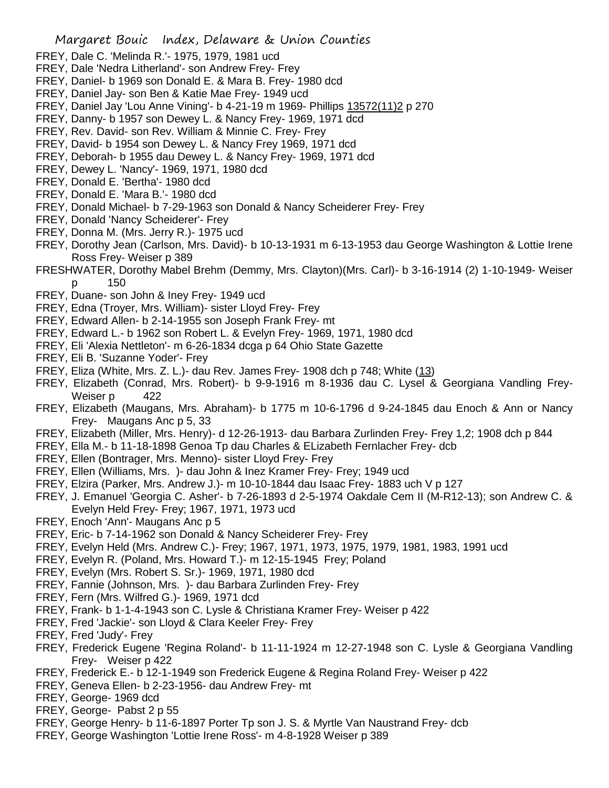- FREY, Dale C. 'Melinda R.'- 1975, 1979, 1981 ucd
- FREY, Dale 'Nedra Litherland'- son Andrew Frey- Frey
- FREY, Daniel- b 1969 son Donald E. & Mara B. Frey- 1980 dcd
- FREY, Daniel Jay- son Ben & Katie Mae Frey- 1949 ucd
- FREY, Daniel Jay 'Lou Anne Vining'- b 4-21-19 m 1969- Phillips 13572(11)2 p 270
- FREY, Danny- b 1957 son Dewey L. & Nancy Frey- 1969, 1971 dcd
- FREY, Rev. David- son Rev. William & Minnie C. Frey- Frey
- FREY, David- b 1954 son Dewey L. & Nancy Frey 1969, 1971 dcd
- FREY, Deborah- b 1955 dau Dewey L. & Nancy Frey- 1969, 1971 dcd
- FREY, Dewey L. 'Nancy'- 1969, 1971, 1980 dcd
- FREY, Donald E. 'Bertha'- 1980 dcd
- FREY, Donald E. 'Mara B.'- 1980 dcd
- FREY, Donald Michael- b 7-29-1963 son Donald & Nancy Scheiderer Frey- Frey
- FREY, Donald 'Nancy Scheiderer'- Frey
- FREY, Donna M. (Mrs. Jerry R.)- 1975 ucd
- FREY, Dorothy Jean (Carlson, Mrs. David)- b 10-13-1931 m 6-13-1953 dau George Washington & Lottie Irene Ross Frey- Weiser p 389
- FRESHWATER, Dorothy Mabel Brehm (Demmy, Mrs. Clayton)(Mrs. Carl)- b 3-16-1914 (2) 1-10-1949- Weiser p 150
- FREY, Duane- son John & Iney Frey- 1949 ucd
- FREY, Edna (Troyer, Mrs. William)- sister Lloyd Frey- Frey
- FREY, Edward Allen- b 2-14-1955 son Joseph Frank Frey- mt
- FREY, Edward L.- b 1962 son Robert L. & Evelyn Frey- 1969, 1971, 1980 dcd
- FREY, Eli 'Alexia Nettleton'- m 6-26-1834 dcga p 64 Ohio State Gazette
- FREY, Eli B. 'Suzanne Yoder'- Frey
- FREY, Eliza (White, Mrs. Z. L.)- dau Rev. James Frey- 1908 dch p 748; White (13)
- FREY, Elizabeth (Conrad, Mrs. Robert)- b 9-9-1916 m 8-1936 dau C. Lysel & Georgiana Vandling Frey-Weiser p 422
- FREY, Elizabeth (Maugans, Mrs. Abraham)- b 1775 m 10-6-1796 d 9-24-1845 dau Enoch & Ann or Nancy Frey- Maugans Anc p 5, 33
- FREY, Elizabeth (Miller, Mrs. Henry)- d 12-26-1913- dau Barbara Zurlinden Frey- Frey 1,2; 1908 dch p 844
- FREY, Ella M.- b 11-18-1898 Genoa Tp dau Charles & ELizabeth Fernlacher Frey- dcb
- FREY, Ellen (Bontrager, Mrs. Menno)- sister Lloyd Frey- Frey
- FREY, Ellen (Williams, Mrs. )- dau John & Inez Kramer Frey- Frey; 1949 ucd
- FREY, Elzira (Parker, Mrs. Andrew J.)- m 10-10-1844 dau Isaac Frey- 1883 uch V p 127
- FREY, J. Emanuel 'Georgia C. Asher'- b 7-26-1893 d 2-5-1974 Oakdale Cem II (M-R12-13); son Andrew C. & Evelyn Held Frey- Frey; 1967, 1971, 1973 ucd
- FREY, Enoch 'Ann'- Maugans Anc p 5
- FREY, Eric- b 7-14-1962 son Donald & Nancy Scheiderer Frey- Frey
- FREY, Evelyn Held (Mrs. Andrew C.)- Frey; 1967, 1971, 1973, 1975, 1979, 1981, 1983, 1991 ucd
- FREY, Evelyn R. (Poland, Mrs. Howard T.)- m 12-15-1945 Frey; Poland
- FREY, Evelyn (Mrs. Robert S. Sr.)- 1969, 1971, 1980 dcd
- FREY, Fannie (Johnson, Mrs. )- dau Barbara Zurlinden Frey- Frey
- FREY, Fern (Mrs. Wilfred G.)- 1969, 1971 dcd
- FREY, Frank- b 1-1-4-1943 son C. Lysle & Christiana Kramer Frey- Weiser p 422
- FREY, Fred 'Jackie'- son Lloyd & Clara Keeler Frey- Frey
- FREY, Fred 'Judy'- Frey
- FREY, Frederick Eugene 'Regina Roland'- b 11-11-1924 m 12-27-1948 son C. Lysle & Georgiana Vandling Frey- Weiser p 422
- FREY, Frederick E.- b 12-1-1949 son Frederick Eugene & Regina Roland Frey- Weiser p 422
- FREY, Geneva Ellen- b 2-23-1956- dau Andrew Frey- mt
- FREY, George- 1969 dcd
- FREY, George- Pabst 2 p 55
- FREY, George Henry- b 11-6-1897 Porter Tp son J. S. & Myrtle Van Naustrand Frey- dcb
- FREY, George Washington 'Lottie Irene Ross'- m 4-8-1928 Weiser p 389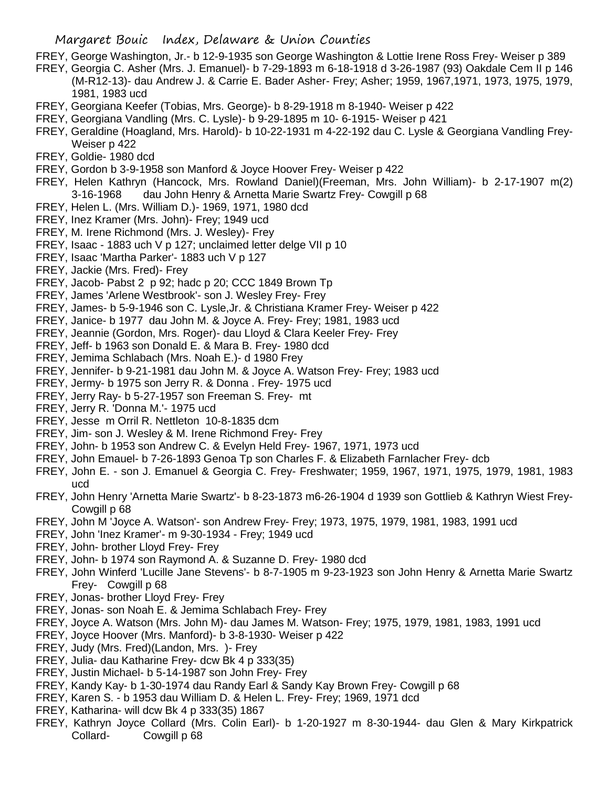FREY, George Washington, Jr.- b 12-9-1935 son George Washington & Lottie Irene Ross Frey- Weiser p 389

- FREY, Georgia C. Asher (Mrs. J. Emanuel)- b 7-29-1893 m 6-18-1918 d 3-26-1987 (93) Oakdale Cem II p 146 (M-R12-13)- dau Andrew J. & Carrie E. Bader Asher- Frey; Asher; 1959, 1967,1971, 1973, 1975, 1979, 1981, 1983 ucd
- FREY, Georgiana Keefer (Tobias, Mrs. George)- b 8-29-1918 m 8-1940- Weiser p 422
- FREY, Georgiana Vandling (Mrs. C. Lysle)- b 9-29-1895 m 10- 6-1915- Weiser p 421
- FREY, Geraldine (Hoagland, Mrs. Harold)- b 10-22-1931 m 4-22-192 dau C. Lysle & Georgiana Vandling Frey-Weiser p 422
- FREY, Goldie- 1980 dcd
- FREY, Gordon b 3-9-1958 son Manford & Joyce Hoover Frey- Weiser p 422
- FREY, Helen Kathryn (Hancock, Mrs. Rowland Daniel)(Freeman, Mrs. John William)- b 2-17-1907 m(2) 3-16-1968 dau John Henry & Arnetta Marie Swartz Frey- Cowgill p 68
- FREY, Helen L. (Mrs. William D.)- 1969, 1971, 1980 dcd
- FREY, Inez Kramer (Mrs. John)- Frey; 1949 ucd
- FREY, M. Irene Richmond (Mrs. J. Wesley)- Frey
- FREY, Isaac 1883 uch V p 127; unclaimed letter delge VII p 10
- FREY, Isaac 'Martha Parker'- 1883 uch V p 127
- FREY, Jackie (Mrs. Fred)- Frey
- FREY, Jacob- Pabst 2 p 92; hadc p 20; CCC 1849 Brown Tp
- FREY, James 'Arlene Westbrook'- son J. Wesley Frey- Frey
- FREY, James- b 5-9-1946 son C. Lysle,Jr. & Christiana Kramer Frey- Weiser p 422
- FREY, Janice- b 1977 dau John M. & Joyce A. Frey- Frey; 1981, 1983 ucd
- FREY, Jeannie (Gordon, Mrs. Roger)- dau Lloyd & Clara Keeler Frey- Frey
- FREY, Jeff- b 1963 son Donald E. & Mara B. Frey- 1980 dcd
- FREY, Jemima Schlabach (Mrs. Noah E.)- d 1980 Frey
- FREY, Jennifer- b 9-21-1981 dau John M. & Joyce A. Watson Frey- Frey; 1983 ucd
- FREY, Jermy- b 1975 son Jerry R. & Donna . Frey- 1975 ucd
- FREY, Jerry Ray- b 5-27-1957 son Freeman S. Frey- mt
- FREY, Jerry R. 'Donna M.'- 1975 ucd
- FREY, Jesse m Orril R. Nettleton 10-8-1835 dcm
- FREY, Jim- son J. Wesley & M. Irene Richmond Frey- Frey
- FREY, John- b 1953 son Andrew C. & Evelyn Held Frey- 1967, 1971, 1973 ucd
- FREY, John Emauel- b 7-26-1893 Genoa Tp son Charles F. & Elizabeth Farnlacher Frey- dcb
- FREY, John E. son J. Emanuel & Georgia C. Frey- Freshwater; 1959, 1967, 1971, 1975, 1979, 1981, 1983 ucd
- FREY, John Henry 'Arnetta Marie Swartz'- b 8-23-1873 m6-26-1904 d 1939 son Gottlieb & Kathryn Wiest Frey-Cowgill p 68
- FREY, John M 'Joyce A. Watson'- son Andrew Frey- Frey; 1973, 1975, 1979, 1981, 1983, 1991 ucd
- FREY, John 'Inez Kramer'- m 9-30-1934 Frey; 1949 ucd
- FREY, John- brother Lloyd Frey- Frey
- FREY, John- b 1974 son Raymond A. & Suzanne D. Frey- 1980 dcd
- FREY, John Winferd 'Lucille Jane Stevens'- b 8-7-1905 m 9-23-1923 son John Henry & Arnetta Marie Swartz Frey- Cowgill p 68
- FREY, Jonas- brother Lloyd Frey- Frey
- FREY, Jonas- son Noah E. & Jemima Schlabach Frey- Frey
- FREY, Joyce A. Watson (Mrs. John M)- dau James M. Watson- Frey; 1975, 1979, 1981, 1983, 1991 ucd
- FREY, Joyce Hoover (Mrs. Manford)- b 3-8-1930- Weiser p 422
- FREY, Judy (Mrs. Fred)(Landon, Mrs. )- Frey
- FREY, Julia- dau Katharine Frey- dcw Bk 4 p 333(35)
- FREY, Justin Michael- b 5-14-1987 son John Frey- Frey
- FREY, Kandy Kay- b 1-30-1974 dau Randy Earl & Sandy Kay Brown Frey- Cowgill p 68
- FREY, Karen S. b 1953 dau William D. & Helen L. Frey- Frey; 1969, 1971 dcd
- FREY, Katharina- will dcw Bk 4 p 333(35) 1867
- FREY, Kathryn Joyce Collard (Mrs. Colin Earl)- b 1-20-1927 m 8-30-1944- dau Glen & Mary Kirkpatrick Collard- Cowgill p 68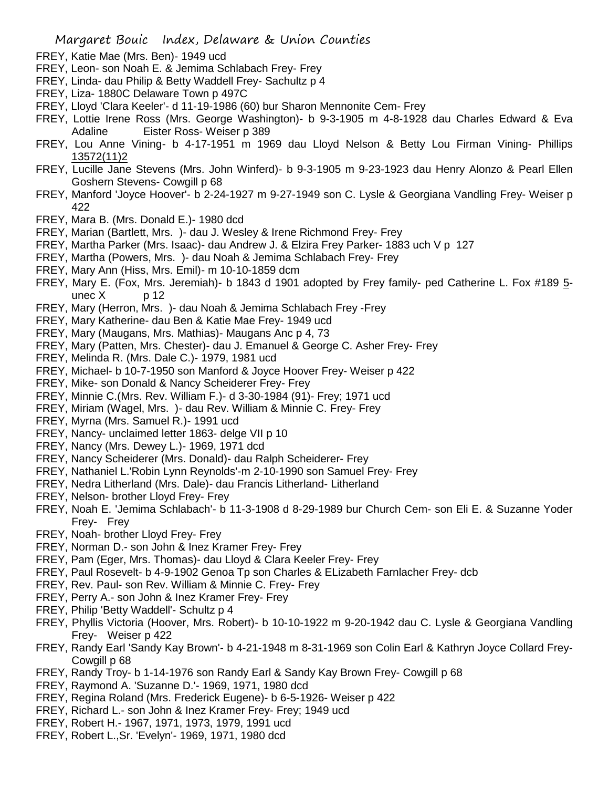- FREY, Katie Mae (Mrs. Ben)- 1949 ucd
- FREY, Leon- son Noah E. & Jemima Schlabach Frey- Frey
- FREY, Linda- dau Philip & Betty Waddell Frey- Sachultz p 4
- FREY, Liza- 1880C Delaware Town p 497C
- FREY, Lloyd 'Clara Keeler'- d 11-19-1986 (60) bur Sharon Mennonite Cem- Frey
- FREY, Lottie Irene Ross (Mrs. George Washington)- b 9-3-1905 m 4-8-1928 dau Charles Edward & Eva Adaline Eister Ross- Weiser p 389
- FREY, Lou Anne Vining- b 4-17-1951 m 1969 dau Lloyd Nelson & Betty Lou Firman Vining- Phillips 13572(11)2
- FREY, Lucille Jane Stevens (Mrs. John Winferd)- b 9-3-1905 m 9-23-1923 dau Henry Alonzo & Pearl Ellen Goshern Stevens- Cowgill p 68
- FREY, Manford 'Joyce Hoover'- b 2-24-1927 m 9-27-1949 son C. Lysle & Georgiana Vandling Frey- Weiser p 422
- FREY, Mara B. (Mrs. Donald E.)- 1980 dcd
- FREY, Marian (Bartlett, Mrs. )- dau J. Wesley & Irene Richmond Frey- Frey
- FREY, Martha Parker (Mrs. Isaac)- dau Andrew J. & Elzira Frey Parker- 1883 uch V p 127
- FREY, Martha (Powers, Mrs. )- dau Noah & Jemima Schlabach Frey- Frey
- FREY, Mary Ann (Hiss, Mrs. Emil)- m 10-10-1859 dcm
- FREY, Mary E. (Fox, Mrs. Jeremiah)- b 1843 d 1901 adopted by Frey family- ped Catherine L. Fox #189 5 unec  $X$  p 12
- FREY, Mary (Herron, Mrs. )- dau Noah & Jemima Schlabach Frey -Frey
- FREY, Mary Katherine- dau Ben & Katie Mae Frey- 1949 ucd
- FREY, Mary (Maugans, Mrs. Mathias)- Maugans Anc p 4, 73
- FREY, Mary (Patten, Mrs. Chester)- dau J. Emanuel & George C. Asher Frey- Frey
- FREY, Melinda R. (Mrs. Dale C.)- 1979, 1981 ucd
- FREY, Michael- b 10-7-1950 son Manford & Joyce Hoover Frey- Weiser p 422
- FREY, Mike- son Donald & Nancy Scheiderer Frey- Frey
- FREY, Minnie C.(Mrs. Rev. William F.)- d 3-30-1984 (91)- Frey; 1971 ucd
- FREY, Miriam (Wagel, Mrs. )- dau Rev. William & Minnie C. Frey- Frey
- FREY, Myrna (Mrs. Samuel R.)- 1991 ucd
- FREY, Nancy- unclaimed letter 1863- delge VII p 10
- FREY, Nancy (Mrs. Dewey L.)- 1969, 1971 dcd
- FREY, Nancy Scheiderer (Mrs. Donald)- dau Ralph Scheiderer- Frey
- FREY, Nathaniel L.'Robin Lynn Reynolds'-m 2-10-1990 son Samuel Frey- Frey
- FREY, Nedra Litherland (Mrs. Dale)- dau Francis Litherland- Litherland
- FREY, Nelson- brother Lloyd Frey- Frey
- FREY, Noah E. 'Jemima Schlabach'- b 11-3-1908 d 8-29-1989 bur Church Cem- son Eli E. & Suzanne Yoder Frey- Frey
- FREY, Noah- brother Lloyd Frey- Frey
- FREY, Norman D.- son John & Inez Kramer Frey- Frey
- FREY, Pam (Eger, Mrs. Thomas)- dau Lloyd & Clara Keeler Frey- Frey
- FREY, Paul Rosevelt- b 4-9-1902 Genoa Tp son Charles & ELizabeth Farnlacher Frey- dcb
- FREY, Rev. Paul- son Rev. William & Minnie C. Frey- Frey
- FREY, Perry A.- son John & Inez Kramer Frey- Frey
- FREY, Philip 'Betty Waddell'- Schultz p 4
- FREY, Phyllis Victoria (Hoover, Mrs. Robert)- b 10-10-1922 m 9-20-1942 dau C. Lysle & Georgiana Vandling Frey- Weiser p 422
- FREY, Randy Earl 'Sandy Kay Brown'- b 4-21-1948 m 8-31-1969 son Colin Earl & Kathryn Joyce Collard Frey-Cowgill p 68
- FREY, Randy Troy- b 1-14-1976 son Randy Earl & Sandy Kay Brown Frey- Cowgill p 68
- FREY, Raymond A. 'Suzanne D.'- 1969, 1971, 1980 dcd
- FREY, Regina Roland (Mrs. Frederick Eugene)- b 6-5-1926- Weiser p 422
- FREY, Richard L.- son John & Inez Kramer Frey- Frey; 1949 ucd
- FREY, Robert H.- 1967, 1971, 1973, 1979, 1991 ucd
- FREY, Robert L.,Sr. 'Evelyn'- 1969, 1971, 1980 dcd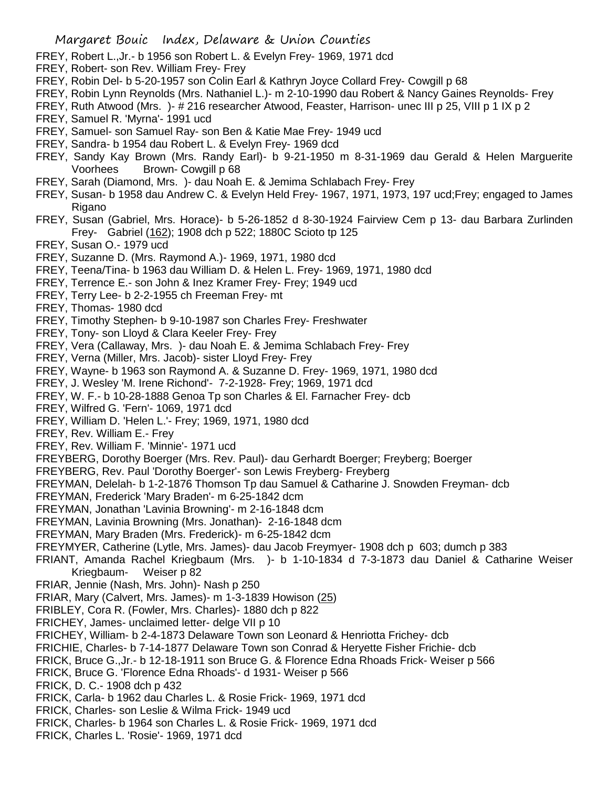- FREY, Robert L.,Jr.- b 1956 son Robert L. & Evelyn Frey- 1969, 1971 dcd
- FREY, Robert- son Rev. William Frey- Frey
- FREY, Robin Del- b 5-20-1957 son Colin Earl & Kathryn Joyce Collard Frey- Cowgill p 68
- FREY, Robin Lynn Reynolds (Mrs. Nathaniel L.)- m 2-10-1990 dau Robert & Nancy Gaines Reynolds- Frey
- FREY, Ruth Atwood (Mrs. )- # 216 researcher Atwood, Feaster, Harrison- unec III p 25, VIII p 1 IX p 2
- FREY, Samuel R. 'Myrna'- 1991 ucd
- FREY, Samuel- son Samuel Ray- son Ben & Katie Mae Frey- 1949 ucd
- FREY, Sandra- b 1954 dau Robert L. & Evelyn Frey- 1969 dcd
- FREY, Sandy Kay Brown (Mrs. Randy Earl)- b 9-21-1950 m 8-31-1969 dau Gerald & Helen Marguerite Voorhees Brown- Cowgill p 68
- FREY, Sarah (Diamond, Mrs. )- dau Noah E. & Jemima Schlabach Frey- Frey
- FREY, Susan- b 1958 dau Andrew C. & Evelyn Held Frey- 1967, 1971, 1973, 197 ucd;Frey; engaged to James Rigano
- FREY, Susan (Gabriel, Mrs. Horace)- b 5-26-1852 d 8-30-1924 Fairview Cem p 13- dau Barbara Zurlinden Frey- Gabriel (162); 1908 dch p 522; 1880C Scioto tp 125
- FREY, Susan O.- 1979 ucd
- FREY, Suzanne D. (Mrs. Raymond A.)- 1969, 1971, 1980 dcd
- FREY, Teena/Tina- b 1963 dau William D. & Helen L. Frey- 1969, 1971, 1980 dcd
- FREY, Terrence E.- son John & Inez Kramer Frey- Frey; 1949 ucd
- FREY, Terry Lee- b 2-2-1955 ch Freeman Frey- mt
- FREY, Thomas- 1980 dcd
- FREY, Timothy Stephen- b 9-10-1987 son Charles Frey- Freshwater
- FREY, Tony- son Lloyd & Clara Keeler Frey- Frey
- FREY, Vera (Callaway, Mrs. )- dau Noah E. & Jemima Schlabach Frey- Frey
- FREY, Verna (Miller, Mrs. Jacob)- sister Lloyd Frey- Frey
- FREY, Wayne- b 1963 son Raymond A. & Suzanne D. Frey- 1969, 1971, 1980 dcd
- FREY, J. Wesley 'M. Irene Richond'- 7-2-1928- Frey; 1969, 1971 dcd
- FREY, W. F.- b 10-28-1888 Genoa Tp son Charles & El. Farnacher Frey- dcb
- FREY, Wilfred G. 'Fern'- 1069, 1971 dcd
- FREY, William D. 'Helen L.'- Frey; 1969, 1971, 1980 dcd
- FREY, Rev. William E.- Frey
- FREY, Rev. William F. 'Minnie'- 1971 ucd
- FREYBERG, Dorothy Boerger (Mrs. Rev. Paul)- dau Gerhardt Boerger; Freyberg; Boerger
- FREYBERG, Rev. Paul 'Dorothy Boerger'- son Lewis Freyberg- Freyberg
- FREYMAN, Delelah- b 1-2-1876 Thomson Tp dau Samuel & Catharine J. Snowden Freyman- dcb
- FREYMAN, Frederick 'Mary Braden'- m 6-25-1842 dcm
- FREYMAN, Jonathan 'Lavinia Browning'- m 2-16-1848 dcm
- FREYMAN, Lavinia Browning (Mrs. Jonathan)- 2-16-1848 dcm
- FREYMAN, Mary Braden (Mrs. Frederick)- m 6-25-1842 dcm
- FREYMYER, Catherine (Lytle, Mrs. James)- dau Jacob Freymyer- 1908 dch p 603; dumch p 383
- FRIANT, Amanda Rachel Kriegbaum (Mrs. )- b 1-10-1834 d 7-3-1873 dau Daniel & Catharine Weiser Kriegbaum- Weiser p 82
- FRIAR, Jennie (Nash, Mrs. John)- Nash p 250
- FRIAR, Mary (Calvert, Mrs. James)- m 1-3-1839 Howison (25)
- FRIBLEY, Cora R. (Fowler, Mrs. Charles)- 1880 dch p 822
- FRICHEY, James- unclaimed letter- delge VII p 10
- FRICHEY, William- b 2-4-1873 Delaware Town son Leonard & Henriotta Frichey- dcb
- FRICHIE, Charles- b 7-14-1877 Delaware Town son Conrad & Heryette Fisher Frichie- dcb
- FRICK, Bruce G.,Jr.- b 12-18-1911 son Bruce G. & Florence Edna Rhoads Frick- Weiser p 566
- FRICK, Bruce G. 'Florence Edna Rhoads'- d 1931- Weiser p 566
- FRICK, D. C.- 1908 dch p 432
- FRICK, Carla- b 1962 dau Charles L. & Rosie Frick- 1969, 1971 dcd
- FRICK, Charles- son Leslie & Wilma Frick- 1949 ucd
- FRICK, Charles- b 1964 son Charles L. & Rosie Frick- 1969, 1971 dcd
- FRICK, Charles L. 'Rosie'- 1969, 1971 dcd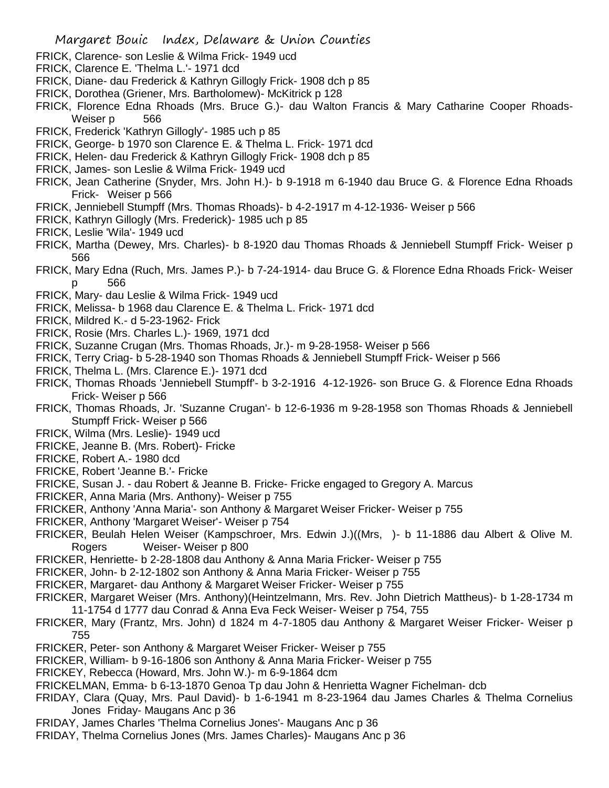- FRICK, Clarence- son Leslie & Wilma Frick- 1949 ucd
- FRICK, Clarence E. 'Thelma L.'- 1971 dcd
- FRICK, Diane- dau Frederick & Kathryn Gillogly Frick- 1908 dch p 85
- FRICK, Dorothea (Griener, Mrs. Bartholomew)- McKitrick p 128
- FRICK, Florence Edna Rhoads (Mrs. Bruce G.)- dau Walton Francis & Mary Catharine Cooper Rhoads-Weiser p 566
- FRICK, Frederick 'Kathryn Gillogly'- 1985 uch p 85
- FRICK, George- b 1970 son Clarence E. & Thelma L. Frick- 1971 dcd
- FRICK, Helen- dau Frederick & Kathryn Gillogly Frick- 1908 dch p 85
- FRICK, James- son Leslie & Wilma Frick- 1949 ucd
- FRICK, Jean Catherine (Snyder, Mrs. John H.)- b 9-1918 m 6-1940 dau Bruce G. & Florence Edna Rhoads Frick- Weiser p 566
- FRICK, Jenniebell Stumpff (Mrs. Thomas Rhoads)- b 4-2-1917 m 4-12-1936- Weiser p 566
- FRICK, Kathryn Gillogly (Mrs. Frederick)- 1985 uch p 85
- FRICK, Leslie 'Wila'- 1949 ucd
- FRICK, Martha (Dewey, Mrs. Charles)- b 8-1920 dau Thomas Rhoads & Jenniebell Stumpff Frick- Weiser p 566
- FRICK, Mary Edna (Ruch, Mrs. James P.)- b 7-24-1914- dau Bruce G. & Florence Edna Rhoads Frick- Weiser p 566
- FRICK, Mary- dau Leslie & Wilma Frick- 1949 ucd
- FRICK, Melissa- b 1968 dau Clarence E. & Thelma L. Frick- 1971 dcd
- FRICK, Mildred K.- d 5-23-1962- Frick
- FRICK, Rosie (Mrs. Charles L.)- 1969, 1971 dcd
- FRICK, Suzanne Crugan (Mrs. Thomas Rhoads, Jr.)- m 9-28-1958- Weiser p 566
- FRICK, Terry Criag- b 5-28-1940 son Thomas Rhoads & Jenniebell Stumpff Frick- Weiser p 566
- FRICK, Thelma L. (Mrs. Clarence E.)- 1971 dcd
- FRICK, Thomas Rhoads 'Jenniebell Stumpff'- b 3-2-1916 4-12-1926- son Bruce G. & Florence Edna Rhoads Frick- Weiser p 566
- FRICK, Thomas Rhoads, Jr. 'Suzanne Crugan'- b 12-6-1936 m 9-28-1958 son Thomas Rhoads & Jenniebell Stumpff Frick- Weiser p 566
- FRICK, Wilma (Mrs. Leslie)- 1949 ucd
- FRICKE, Jeanne B. (Mrs. Robert)- Fricke
- FRICKE, Robert A.- 1980 dcd
- FRICKE, Robert 'Jeanne B.'- Fricke
- FRICKE, Susan J. dau Robert & Jeanne B. Fricke- Fricke engaged to Gregory A. Marcus
- FRICKER, Anna Maria (Mrs. Anthony)- Weiser p 755
- FRICKER, Anthony 'Anna Maria'- son Anthony & Margaret Weiser Fricker- Weiser p 755
- FRICKER, Anthony 'Margaret Weiser'- Weiser p 754
- FRICKER, Beulah Helen Weiser (Kampschroer, Mrs. Edwin J.)((Mrs, )- b 11-1886 dau Albert & Olive M. Rogers Weiser- Weiser p 800
- FRICKER, Henriette- b 2-28-1808 dau Anthony & Anna Maria Fricker- Weiser p 755
- FRICKER, John- b 2-12-1802 son Anthony & Anna Maria Fricker- Weiser p 755
- FRICKER, Margaret- dau Anthony & Margaret Weiser Fricker- Weiser p 755
- FRICKER, Margaret Weiser (Mrs. Anthony)(Heintzelmann, Mrs. Rev. John Dietrich Mattheus)- b 1-28-1734 m 11-1754 d 1777 dau Conrad & Anna Eva Feck Weiser- Weiser p 754, 755
- FRICKER, Mary (Frantz, Mrs. John) d 1824 m 4-7-1805 dau Anthony & Margaret Weiser Fricker- Weiser p 755
- FRICKER, Peter- son Anthony & Margaret Weiser Fricker- Weiser p 755
- FRICKER, William- b 9-16-1806 son Anthony & Anna Maria Fricker- Weiser p 755
- FRICKEY, Rebecca (Howard, Mrs. John W.)- m 6-9-1864 dcm
- FRICKELMAN, Emma- b 6-13-1870 Genoa Tp dau John & Henrietta Wagner Fichelman- dcb
- FRIDAY, Clara (Quay, Mrs. Paul David)- b 1-6-1941 m 8-23-1964 dau James Charles & Thelma Cornelius Jones Friday- Maugans Anc p 36
- FRIDAY, James Charles 'Thelma Cornelius Jones'- Maugans Anc p 36
- FRIDAY, Thelma Cornelius Jones (Mrs. James Charles)- Maugans Anc p 36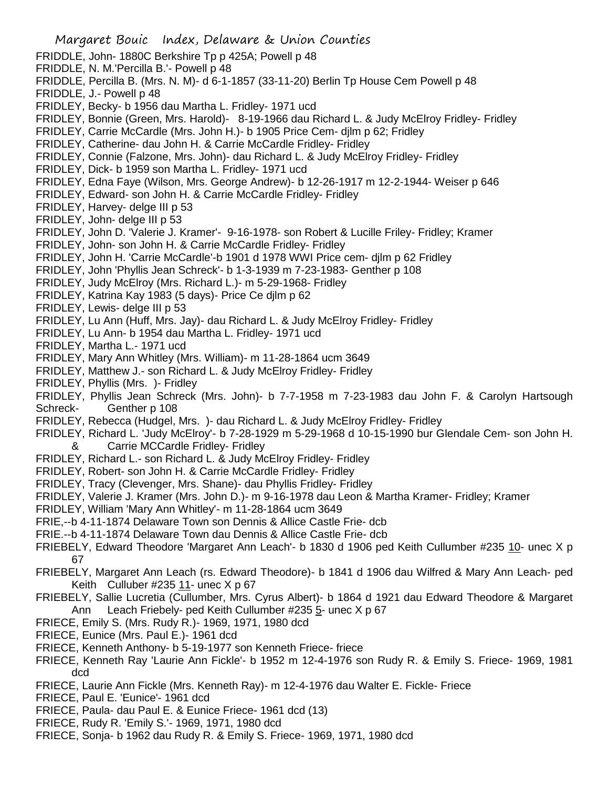- Margaret Bouic Index, Delaware & Union Counties FRIDDLE, John- 1880C Berkshire Tp p 425A; Powell p 48 FRIDDLE, N. M.'Percilla B.'- Powell p 48 FRIDDLE, Percilla B. (Mrs. N. M)- d 6-1-1857 (33-11-20) Berlin Tp House Cem Powell p 48 FRIDDLE, J.- Powell p 48 FRIDLEY, Becky- b 1956 dau Martha L. Fridley- 1971 ucd FRIDLEY, Bonnie (Green, Mrs. Harold)- 8-19-1966 dau Richard L. & Judy McElroy Fridley- Fridley FRIDLEY, Carrie McCardle (Mrs. John H.)- b 1905 Price Cem- djlm p 62; Fridley FRIDLEY, Catherine- dau John H. & Carrie McCardle Fridley- Fridley FRIDLEY, Connie (Falzone, Mrs. John)- dau Richard L. & Judy McElroy Fridley- Fridley FRIDLEY, Dick- b 1959 son Martha L. Fridley- 1971 ucd FRIDLEY, Edna Faye (Wilson, Mrs. George Andrew)- b 12-26-1917 m 12-2-1944- Weiser p 646 FRIDLEY, Edward- son John H. & Carrie McCardle Fridley- Fridley FRIDLEY, Harvey- delge III p 53 FRIDLEY, John- delge III p 53 FRIDLEY, John D. 'Valerie J. Kramer'- 9-16-1978- son Robert & Lucille Friley- Fridley; Kramer FRIDLEY, John- son John H. & Carrie McCardle Fridley- Fridley FRIDLEY, John H. 'Carrie McCardle'-b 1901 d 1978 WWI Price cem- djlm p 62 Fridley FRIDLEY, John 'Phyllis Jean Schreck'- b 1-3-1939 m 7-23-1983- Genther p 108 FRIDLEY, Judy McElroy (Mrs. Richard L.)- m 5-29-1968- Fridley FRIDLEY, Katrina Kay 1983 (5 days)- Price Ce djlm p 62 FRIDLEY, Lewis- delge III p 53 FRIDLEY, Lu Ann (Huff, Mrs. Jay)- dau Richard L. & Judy McElroy Fridley- Fridley FRIDLEY, Lu Ann- b 1954 dau Martha L. Fridley- 1971 ucd FRIDLEY, Martha L.- 1971 ucd FRIDLEY, Mary Ann Whitley (Mrs. William)- m 11-28-1864 ucm 3649 FRIDLEY, Matthew J.- son Richard L. & Judy McElroy Fridley- Fridley FRIDLEY, Phyllis (Mrs. )- Fridley FRIDLEY, Phyllis Jean Schreck (Mrs. John)- b 7-7-1958 m 7-23-1983 dau John F. & Carolyn Hartsough Schreck- Genther p 108 FRIDLEY, Rebecca (Hudgel, Mrs. )- dau Richard L. & Judy McElroy Fridley- Fridley FRIDLEY, Richard L. 'Judy McElroy'- b 7-28-1929 m 5-29-1968 d 10-15-1990 bur Glendale Cem- son John H.
	- & Carrie MCCardle Fridley- Fridley
- FRIDLEY, Richard L.- son Richard L. & Judy McElroy Fridley- Fridley
- FRIDLEY, Robert- son John H. & Carrie McCardle Fridley- Fridley
- FRIDLEY, Tracy (Clevenger, Mrs. Shane)- dau Phyllis Fridley- Fridley
- FRIDLEY, Valerie J. Kramer (Mrs. John D.)- m 9-16-1978 dau Leon & Martha Kramer- Fridley; Kramer
- FRIDLEY, William 'Mary Ann Whitley'- m 11-28-1864 ucm 3649
- FRIE,--b 4-11-1874 Delaware Town son Dennis & Allice Castle Frie- dcb
- FRIE.--b 4-11-1874 Delaware Town dau Dennis & Allice Castle Frie- dcb
- FRIEBELY, Edward Theodore 'Margaret Ann Leach'- b 1830 d 1906 ped Keith Cullumber #235 10- unec X p 67
- FRIEBELY, Margaret Ann Leach (rs. Edward Theodore)- b 1841 d 1906 dau Wilfred & Mary Ann Leach- ped Keith Culluber #235 11- unec X p 67
- FRIEBELY, Sallie Lucretia (Cullumber, Mrs. Cyrus Albert)- b 1864 d 1921 dau Edward Theodore & Margaret Ann Leach Friebely- ped Keith Cullumber #235 5- unec X p 67
- FRIECE, Emily S. (Mrs. Rudy R.)- 1969, 1971, 1980 dcd
- FRIECE, Eunice (Mrs. Paul E.)- 1961 dcd
- FRIECE, Kenneth Anthony- b 5-19-1977 son Kenneth Friece- friece
- FRIECE, Kenneth Ray 'Laurie Ann Fickle'- b 1952 m 12-4-1976 son Rudy R. & Emily S. Friece- 1969, 1981 dcd
- FRIECE, Laurie Ann Fickle (Mrs. Kenneth Ray)- m 12-4-1976 dau Walter E. Fickle- Friece
- FRIECE, Paul E. 'Eunice'- 1961 dcd
- FRIECE, Paula- dau Paul E. & Eunice Friece- 1961 dcd (13)
- FRIECE, Rudy R. 'Emily S.'- 1969, 1971, 1980 dcd
- FRIECE, Sonja- b 1962 dau Rudy R. & Emily S. Friece- 1969, 1971, 1980 dcd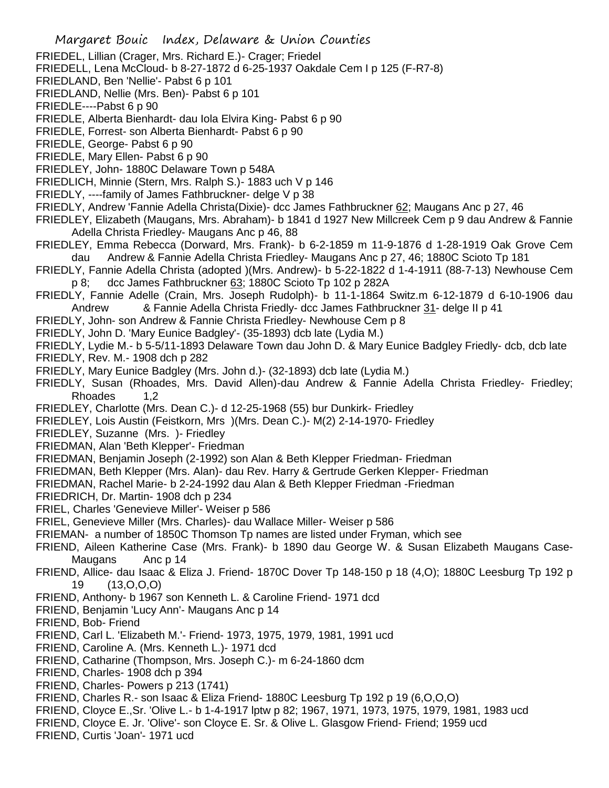- FRIEDEL, Lillian (Crager, Mrs. Richard E.)- Crager; Friedel
- FRIEDELL, Lena McCloud- b 8-27-1872 d 6-25-1937 Oakdale Cem I p 125 (F-R7-8)
- FRIEDLAND, Ben 'Nellie'- Pabst 6 p 101
- FRIEDLAND, Nellie (Mrs. Ben)- Pabst 6 p 101
- FRIEDLE----Pabst 6 p 90
- FRIEDLE, Alberta Bienhardt- dau Iola Elvira King- Pabst 6 p 90
- FRIEDLE, Forrest- son Alberta Bienhardt- Pabst 6 p 90
- FRIEDLE, George- Pabst 6 p 90
- FRIEDLE, Mary Ellen- Pabst 6 p 90
- FRIEDLEY, John- 1880C Delaware Town p 548A
- FRIEDLICH, Minnie (Stern, Mrs. Ralph S.)- 1883 uch V p 146
- FRIEDLY, ----family of James Fathbruckner- delge V p 38
- FRIEDLY, Andrew 'Fannie Adella Christa(Dixie)- dcc James Fathbruckner 62; Maugans Anc p 27, 46
- FRIEDLEY, Elizabeth (Maugans, Mrs. Abraham)- b 1841 d 1927 New Millcreek Cem p 9 dau Andrew & Fannie Adella Christa Friedley- Maugans Anc p 46, 88
- FRIEDLEY, Emma Rebecca (Dorward, Mrs. Frank)- b 6-2-1859 m 11-9-1876 d 1-28-1919 Oak Grove Cem dau Andrew & Fannie Adella Christa Friedley- Maugans Anc p 27, 46; 1880C Scioto Tp 181
- FRIEDLY, Fannie Adella Christa (adopted )(Mrs. Andrew)- b 5-22-1822 d 1-4-1911 (88-7-13) Newhouse Cem p 8; dcc James Fathbruckner 63; 1880C Scioto Tp 102 p 282A
- FRIEDLY, Fannie Adelle (Crain, Mrs. Joseph Rudolph)- b 11-1-1864 Switz.m 6-12-1879 d 6-10-1906 dau Andrew & Fannie Adella Christa Friedly- dcc James Fathbruckner 31- delge II p 41
- FRIEDLY, John- son Andrew & Fannie Christa Friedley- Newhouse Cem p 8
- FRIEDLY, John D. 'Mary Eunice Badgley'- (35-1893) dcb late (Lydia M.)
- FRIEDLY, Lydie M.- b 5-5/11-1893 Delaware Town dau John D. & Mary Eunice Badgley Friedly- dcb, dcb late
- FRIEDLY, Rev. M.- 1908 dch p 282
- FRIEDLY, Mary Eunice Badgley (Mrs. John d.)- (32-1893) dcb late (Lydia M.)
- FRIEDLY, Susan (Rhoades, Mrs. David Allen)-dau Andrew & Fannie Adella Christa Friedley- Friedley; Rhoades 1,2
- FRIEDLEY, Charlotte (Mrs. Dean C.)- d 12-25-1968 (55) bur Dunkirk- Friedley
- FRIEDLEY, Lois Austin (Feistkorn, Mrs )(Mrs. Dean C.)- M(2) 2-14-1970- Friedley
- FRIEDLEY, Suzanne (Mrs. )- Friedley
- FRIEDMAN, Alan 'Beth Klepper'- Friedman
- FRIEDMAN, Benjamin Joseph (2-1992) son Alan & Beth Klepper Friedman- Friedman
- FRIEDMAN, Beth Klepper (Mrs. Alan)- dau Rev. Harry & Gertrude Gerken Klepper- Friedman
- FRIEDMAN, Rachel Marie- b 2-24-1992 dau Alan & Beth Klepper Friedman -Friedman
- FRIEDRICH, Dr. Martin- 1908 dch p 234
- FRIEL, Charles 'Genevieve Miller'- Weiser p 586
- FRIEL, Genevieve Miller (Mrs. Charles)- dau Wallace Miller- Weiser p 586
- FRIEMAN- a number of 1850C Thomson Tp names are listed under Fryman, which see
- FRIEND, Aileen Katherine Case (Mrs. Frank)- b 1890 dau George W. & Susan Elizabeth Maugans Case-Maugans Anc p 14
- FRIEND, Allice- dau Isaac & Eliza J. Friend- 1870C Dover Tp 148-150 p 18 (4,O); 1880C Leesburg Tp 192 p 19 (13,O,O,O)
- FRIEND, Anthony- b 1967 son Kenneth L. & Caroline Friend- 1971 dcd
- FRIEND, Benjamin 'Lucy Ann'- Maugans Anc p 14
- FRIEND, Bob- Friend
- FRIEND, Carl L. 'Elizabeth M.'- Friend- 1973, 1975, 1979, 1981, 1991 ucd
- FRIEND, Caroline A. (Mrs. Kenneth L.)- 1971 dcd
- FRIEND, Catharine (Thompson, Mrs. Joseph C.)- m 6-24-1860 dcm
- FRIEND, Charles- 1908 dch p 394
- FRIEND, Charles- Powers p 213 (1741)
- FRIEND, Charles R.- son Isaac & Eliza Friend- 1880C Leesburg Tp 192 p 19 (6,O,O,O)
- FRIEND, Cloyce E.,Sr. 'Olive L.- b 1-4-1917 lptw p 82; 1967, 1971, 1973, 1975, 1979, 1981, 1983 ucd
- FRIEND, Cloyce E. Jr. 'Olive'- son Cloyce E. Sr. & Olive L. Glasgow Friend- Friend; 1959 ucd
- FRIEND, Curtis 'Joan'- 1971 ucd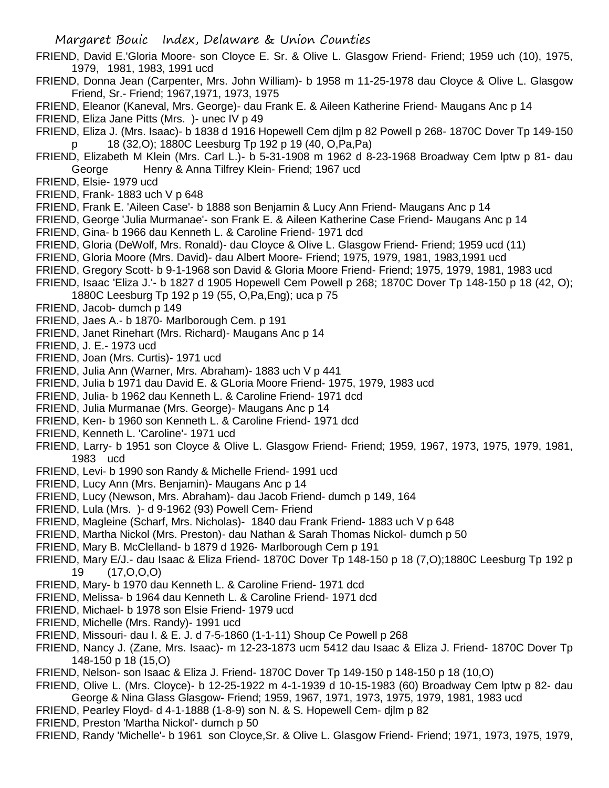- FRIEND, David E.'Gloria Moore- son Cloyce E. Sr. & Olive L. Glasgow Friend- Friend; 1959 uch (10), 1975, 1979, 1981, 1983, 1991 ucd
- FRIEND, Donna Jean (Carpenter, Mrs. John William)- b 1958 m 11-25-1978 dau Cloyce & Olive L. Glasgow Friend, Sr.- Friend; 1967,1971, 1973, 1975
- FRIEND, Eleanor (Kaneval, Mrs. George)- dau Frank E. & Aileen Katherine Friend- Maugans Anc p 14
- FRIEND, Eliza Jane Pitts (Mrs. )- unec IV p 49
- FRIEND, Eliza J. (Mrs. Isaac)- b 1838 d 1916 Hopewell Cem djlm p 82 Powell p 268- 1870C Dover Tp 149-150 p 18 (32,O); 1880C Leesburg Tp 192 p 19 (40, O,Pa,Pa)
- FRIEND, Elizabeth M Klein (Mrs. Carl L.)- b 5-31-1908 m 1962 d 8-23-1968 Broadway Cem lptw p 81- dau George Henry & Anna Tilfrey Klein- Friend; 1967 ucd
- FRIEND, Elsie- 1979 ucd
- FRIEND, Frank- 1883 uch V p 648
- FRIEND, Frank E. 'Aileen Case'- b 1888 son Benjamin & Lucy Ann Friend- Maugans Anc p 14
- FRIEND, George 'Julia Murmanae'- son Frank E. & Aileen Katherine Case Friend- Maugans Anc p 14
- FRIEND, Gina- b 1966 dau Kenneth L. & Caroline Friend- 1971 dcd
- FRIEND, Gloria (DeWolf, Mrs. Ronald)- dau Cloyce & Olive L. Glasgow Friend- Friend; 1959 ucd (11)
- FRIEND, Gloria Moore (Mrs. David)- dau Albert Moore- Friend; 1975, 1979, 1981, 1983,1991 ucd
- FRIEND, Gregory Scott- b 9-1-1968 son David & Gloria Moore Friend- Friend; 1975, 1979, 1981, 1983 ucd
- FRIEND, Isaac 'Eliza J.'- b 1827 d 1905 Hopewell Cem Powell p 268; 1870C Dover Tp 148-150 p 18 (42, O); 1880C Leesburg Tp 192 p 19 (55, O,Pa,Eng); uca p 75
- FRIEND, Jacob- dumch p 149
- FRIEND, Jaes A.- b 1870- Marlborough Cem. p 191
- FRIEND, Janet Rinehart (Mrs. Richard)- Maugans Anc p 14
- FRIEND, J. E.- 1973 ucd
- FRIEND, Joan (Mrs. Curtis)- 1971 ucd
- FRIEND, Julia Ann (Warner, Mrs. Abraham)- 1883 uch V p 441
- FRIEND, Julia b 1971 dau David E. & GLoria Moore Friend- 1975, 1979, 1983 ucd
- FRIEND, Julia- b 1962 dau Kenneth L. & Caroline Friend- 1971 dcd
- FRIEND, Julia Murmanae (Mrs. George)- Maugans Anc p 14
- FRIEND, Ken- b 1960 son Kenneth L. & Caroline Friend- 1971 dcd
- FRIEND, Kenneth L. 'Caroline'- 1971 ucd
- FRIEND, Larry- b 1951 son Cloyce & Olive L. Glasgow Friend- Friend; 1959, 1967, 1973, 1975, 1979, 1981, 1983 ucd
- FRIEND, Levi- b 1990 son Randy & Michelle Friend- 1991 ucd
- FRIEND, Lucy Ann (Mrs. Benjamin)- Maugans Anc p 14
- FRIEND, Lucy (Newson, Mrs. Abraham)- dau Jacob Friend- dumch p 149, 164
- FRIEND, Lula (Mrs. )- d 9-1962 (93) Powell Cem- Friend
- FRIEND, Magleine (Scharf, Mrs. Nicholas)- 1840 dau Frank Friend- 1883 uch V p 648
- FRIEND, Martha Nickol (Mrs. Preston)- dau Nathan & Sarah Thomas Nickol- dumch p 50
- FRIEND, Mary B. McClelland- b 1879 d 1926- Marlborough Cem p 191
- FRIEND, Mary E/J.- dau Isaac & Eliza Friend- 1870C Dover Tp 148-150 p 18 (7,O);1880C Leesburg Tp 192 p 19 (17,O,O,O)
- FRIEND, Mary- b 1970 dau Kenneth L. & Caroline Friend- 1971 dcd
- FRIEND, Melissa- b 1964 dau Kenneth L. & Caroline Friend- 1971 dcd
- FRIEND, Michael- b 1978 son Elsie Friend- 1979 ucd
- FRIEND, Michelle (Mrs. Randy)- 1991 ucd
- FRIEND, Missouri- dau I. & E. J. d 7-5-1860 (1-1-11) Shoup Ce Powell p 268
- FRIEND, Nancy J. (Zane, Mrs. Isaac)- m 12-23-1873 ucm 5412 dau Isaac & Eliza J. Friend- 1870C Dover Tp 148-150 p 18 (15,O)
- FRIEND, Nelson- son Isaac & Eliza J. Friend- 1870C Dover Tp 149-150 p 148-150 p 18 (10,O)
- FRIEND, Olive L. (Mrs. Cloyce)- b 12-25-1922 m 4-1-1939 d 10-15-1983 (60) Broadway Cem lptw p 82- dau George & Nina Glass Glasgow- Friend; 1959, 1967, 1971, 1973, 1975, 1979, 1981, 1983 ucd
- FRIEND, Pearley Floyd- d 4-1-1888 (1-8-9) son N. & S. Hopewell Cem- djlm p 82
- FRIEND, Preston 'Martha Nickol'- dumch p 50
- FRIEND, Randy 'Michelle'- b 1961 son Cloyce,Sr. & Olive L. Glasgow Friend- Friend; 1971, 1973, 1975, 1979,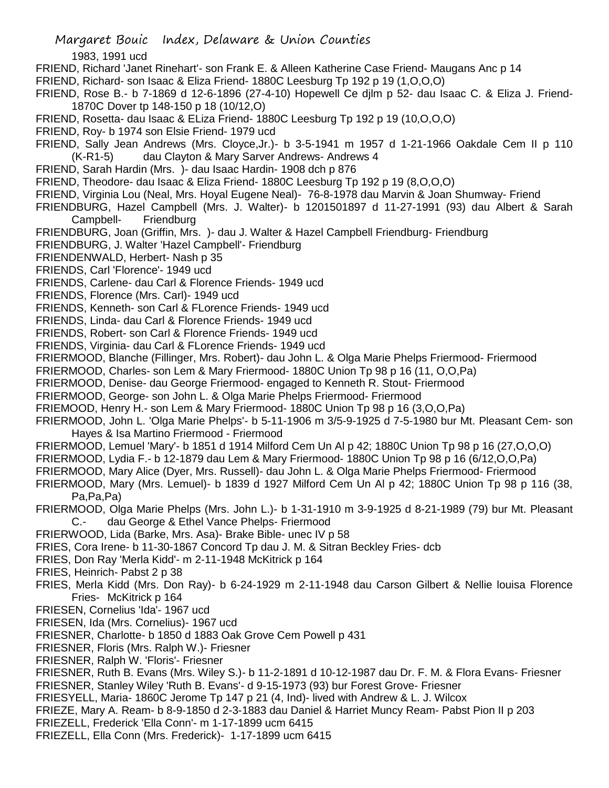1983, 1991 ucd

- FRIEND, Richard 'Janet Rinehart'- son Frank E. & Alleen Katherine Case Friend- Maugans Anc p 14
- FRIEND, Richard- son Isaac & Eliza Friend- 1880C Leesburg Tp 192 p 19 (1,O,O,O)
- FRIEND, Rose B.- b 7-1869 d 12-6-1896 (27-4-10) Hopewell Ce djlm p 52- dau Isaac C. & Eliza J. Friend-1870C Dover tp 148-150 p 18 (10/12,O)
- FRIEND, Rosetta- dau Isaac & ELiza Friend- 1880C Leesburg Tp 192 p 19 (10,O,O,O)
- FRIEND, Roy- b 1974 son Elsie Friend- 1979 ucd
- FRIEND, Sally Jean Andrews (Mrs. Cloyce,Jr.)- b 3-5-1941 m 1957 d 1-21-1966 Oakdale Cem II p 110
- (K-R1-5) dau Clayton & Mary Sarver Andrews- Andrews 4
- FRIEND, Sarah Hardin (Mrs. )- dau Isaac Hardin- 1908 dch p 876
- FRIEND, Theodore- dau Isaac & Eliza Friend- 1880C Leesburg Tp 192 p 19 (8,O,O,O)
- FRIEND, Virginia Lou (Neal, Mrs. Hoyal Eugene Neal)- 76-8-1978 dau Marvin & Joan Shumway- Friend
- FRIENDBURG, Hazel Campbell (Mrs. J. Walter)- b 1201501897 d 11-27-1991 (93) dau Albert & Sarah Campbell- Friendburg
- FRIENDBURG, Joan (Griffin, Mrs. )- dau J. Walter & Hazel Campbell Friendburg- Friendburg
- FRIENDBURG, J. Walter 'Hazel Campbell'- Friendburg
- FRIENDENWALD, Herbert- Nash p 35
- FRIENDS, Carl 'Florence'- 1949 ucd
- FRIENDS, Carlene- dau Carl & Florence Friends- 1949 ucd
- FRIENDS, Florence (Mrs. Carl)- 1949 ucd
- FRIENDS, Kenneth- son Carl & FLorence Friends- 1949 ucd
- FRIENDS, Linda- dau Carl & Florence Friends- 1949 ucd
- FRIENDS, Robert- son Carl & Florence Friends- 1949 ucd
- FRIENDS, Virginia- dau Carl & FLorence Friends- 1949 ucd
- FRIERMOOD, Blanche (Fillinger, Mrs. Robert)- dau John L. & Olga Marie Phelps Friermood- Friermood
- FRIERMOOD, Charles- son Lem & Mary Friermood- 1880C Union Tp 98 p 16 (11, O,O,Pa)
- FRIERMOOD, Denise- dau George Friermood- engaged to Kenneth R. Stout- Friermood
- FRIERMOOD, George- son John L. & Olga Marie Phelps Friermood- Friermood
- FRIEMOOD, Henry H.- son Lem & Mary Friermood- 1880C Union Tp 98 p 16 (3,O,O,Pa)
- FRIERMOOD, John L. 'Olga Marie Phelps'- b 5-11-1906 m 3/5-9-1925 d 7-5-1980 bur Mt. Pleasant Cem- son Hayes & Isa Martino Friermood - Friermood
- FRIERMOOD, Lemuel 'Mary'- b 1851 d 1914 Milford Cem Un Al p 42; 1880C Union Tp 98 p 16 (27,O,O,O)
- FRIERMOOD, Lydia F.- b 12-1879 dau Lem & Mary Friermood- 1880C Union Tp 98 p 16 (6/12,O,O,Pa)
- FRIERMOOD, Mary Alice (Dyer, Mrs. Russell)- dau John L. & Olga Marie Phelps Friermood- Friermood
- FRIERMOOD, Mary (Mrs. Lemuel)- b 1839 d 1927 Milford Cem Un Al p 42; 1880C Union Tp 98 p 116 (38, Pa,Pa,Pa)
- FRIERMOOD, Olga Marie Phelps (Mrs. John L.)- b 1-31-1910 m 3-9-1925 d 8-21-1989 (79) bur Mt. Pleasant C.- dau George & Ethel Vance Phelps- Friermood
- FRIERWOOD, Lida (Barke, Mrs. Asa)- Brake Bible- unec IV p 58
- FRIES, Cora Irene- b 11-30-1867 Concord Tp dau J. M. & Sitran Beckley Fries- dcb
- FRIES, Don Ray 'Merla Kidd'- m 2-11-1948 McKitrick p 164
- FRIES, Heinrich- Pabst 2 p 38
- FRIES, Merla Kidd (Mrs. Don Ray)- b 6-24-1929 m 2-11-1948 dau Carson Gilbert & Nellie louisa Florence Fries- McKitrick p 164
- FRIESEN, Cornelius 'Ida'- 1967 ucd
- FRIESEN, Ida (Mrs. Cornelius)- 1967 ucd
- FRIESNER, Charlotte- b 1850 d 1883 Oak Grove Cem Powell p 431
- FRIESNER, Floris (Mrs. Ralph W.)- Friesner
- FRIESNER, Ralph W. 'Floris'- Friesner
- FRIESNER, Ruth B. Evans (Mrs. Wiley S.)- b 11-2-1891 d 10-12-1987 dau Dr. F. M. & Flora Evans- Friesner FRIESNER, Stanley Wiley 'Ruth B. Evans'- d 9-15-1973 (93) bur Forest Grove- Friesner
- FRIESYELL, Maria- 1860C Jerome Tp 147 p 21 (4, Ind)- lived with Andrew & L. J. Wilcox
- FRIEZE, Mary A. Ream- b 8-9-1850 d 2-3-1883 dau Daniel & Harriet Muncy Ream- Pabst Pion II p 203
- FRIEZELL, Frederick 'Ella Conn'- m 1-17-1899 ucm 6415
- FRIEZELL, Ella Conn (Mrs. Frederick)- 1-17-1899 ucm 6415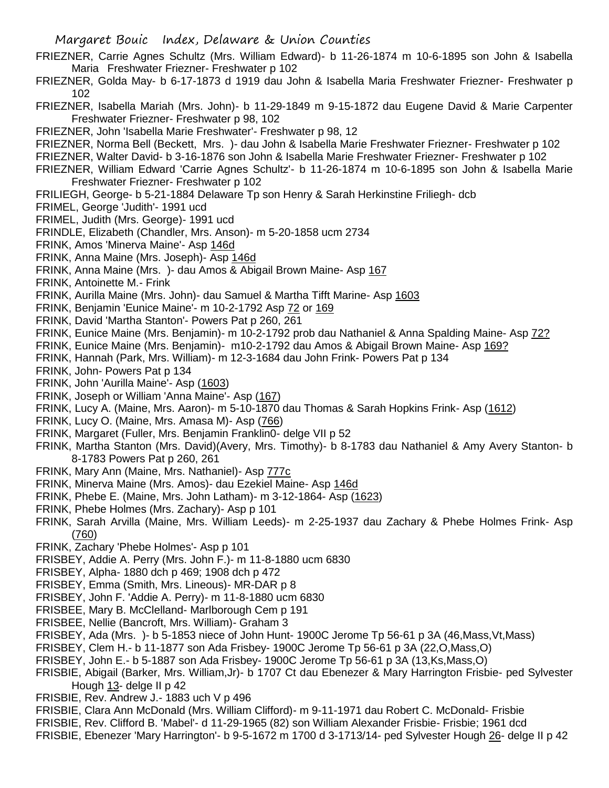- FRIEZNER, Carrie Agnes Schultz (Mrs. William Edward)- b 11-26-1874 m 10-6-1895 son John & Isabella Maria Freshwater Friezner- Freshwater p 102
- FRIEZNER, Golda May- b 6-17-1873 d 1919 dau John & Isabella Maria Freshwater Friezner- Freshwater p 102
- FRIEZNER, Isabella Mariah (Mrs. John)- b 11-29-1849 m 9-15-1872 dau Eugene David & Marie Carpenter Freshwater Friezner- Freshwater p 98, 102
- FRIEZNER, John 'Isabella Marie Freshwater'- Freshwater p 98, 12
- FRIEZNER, Norma Bell (Beckett, Mrs. )- dau John & Isabella Marie Freshwater Friezner- Freshwater p 102
- FRIEZNER, Walter David- b 3-16-1876 son John & Isabella Marie Freshwater Friezner- Freshwater p 102
- FRIEZNER, William Edward 'Carrie Agnes Schultz'- b 11-26-1874 m 10-6-1895 son John & Isabella Marie Freshwater Friezner- Freshwater p 102
- FRILIEGH, George- b 5-21-1884 Delaware Tp son Henry & Sarah Herkinstine Friliegh- dcb
- FRIMEL, George 'Judith'- 1991 ucd
- FRIMEL, Judith (Mrs. George)- 1991 ucd
- FRINDLE, Elizabeth (Chandler, Mrs. Anson)- m 5-20-1858 ucm 2734
- FRINK, Amos 'Minerva Maine'- Asp 146d
- FRINK, Anna Maine (Mrs. Joseph)- Asp 146d
- FRINK, Anna Maine (Mrs. )- dau Amos & Abigail Brown Maine- Asp 167
- FRINK, Antoinette M.- Frink
- FRINK, Aurilla Maine (Mrs. John)- dau Samuel & Martha Tifft Marine- Asp 1603
- FRINK, Benjamin 'Eunice Maine'- m 10-2-1792 Asp 72 or 169
- FRINK, David 'Martha Stanton'- Powers Pat p 260, 261
- FRINK, Eunice Maine (Mrs. Benjamin)- m 10-2-1792 prob dau Nathaniel & Anna Spalding Maine- Asp 72?
- FRINK, Eunice Maine (Mrs. Benjamin)- m10-2-1792 dau Amos & Abigail Brown Maine- Asp 169?
- FRINK, Hannah (Park, Mrs. William)- m 12-3-1684 dau John Frink- Powers Pat p 134
- FRINK, John- Powers Pat p 134
- FRINK, John 'Aurilla Maine'- Asp (1603)
- FRINK, Joseph or William 'Anna Maine'- Asp (167)
- FRINK, Lucy A. (Maine, Mrs. Aaron)- m 5-10-1870 dau Thomas & Sarah Hopkins Frink- Asp (1612)
- FRINK, Lucy O. (Maine, Mrs. Amasa M)- Asp (766)
- FRINK, Margaret (Fuller, Mrs. Benjamin Franklin0- delge VII p 52
- FRINK, Martha Stanton (Mrs. David)(Avery, Mrs. Timothy)- b 8-1783 dau Nathaniel & Amy Avery Stanton- b 8-1783 Powers Pat p 260, 261
- FRINK, Mary Ann (Maine, Mrs. Nathaniel)- Asp 777c
- FRINK, Minerva Maine (Mrs. Amos)- dau Ezekiel Maine- Asp 146d
- FRINK, Phebe E. (Maine, Mrs. John Latham)- m 3-12-1864- Asp (1623)
- FRINK, Phebe Holmes (Mrs. Zachary)- Asp p 101
- FRINK, Sarah Arvilla (Maine, Mrs. William Leeds)- m 2-25-1937 dau Zachary & Phebe Holmes Frink- Asp (760)
- FRINK, Zachary 'Phebe Holmes'- Asp p 101
- FRISBEY, Addie A. Perry (Mrs. John F.)- m 11-8-1880 ucm 6830
- FRISBEY, Alpha- 1880 dch p 469; 1908 dch p 472
- FRISBEY, Emma (Smith, Mrs. Lineous)- MR-DAR p 8
- FRISBEY, John F. 'Addie A. Perry)- m 11-8-1880 ucm 6830
- FRISBEE, Mary B. McClelland- Marlborough Cem p 191
- FRISBEE, Nellie (Bancroft, Mrs. William)- Graham 3
- FRISBEY, Ada (Mrs. )- b 5-1853 niece of John Hunt- 1900C Jerome Tp 56-61 p 3A (46,Mass,Vt,Mass)
- FRISBEY, Clem H.- b 11-1877 son Ada Frisbey- 1900C Jerome Tp 56-61 p 3A (22,O,Mass,O)
- FRISBEY, John E.- b 5-1887 son Ada Frisbey- 1900C Jerome Tp 56-61 p 3A (13,Ks,Mass,O)
- FRISBIE, Abigail (Barker, Mrs. William,Jr)- b 1707 Ct dau Ebenezer & Mary Harrington Frisbie- ped Sylvester Hough 13- delge II p 42
- FRISBIE, Rev. Andrew J.- 1883 uch V p 496
- FRISBIE, Clara Ann McDonald (Mrs. William Clifford)- m 9-11-1971 dau Robert C. McDonald- Frisbie
- FRISBIE, Rev. Clifford B. 'Mabel'- d 11-29-1965 (82) son William Alexander Frisbie- Frisbie; 1961 dcd
- FRISBIE, Ebenezer 'Mary Harrington'- b 9-5-1672 m 1700 d 3-1713/14- ped Sylvester Hough 26- delge II p 42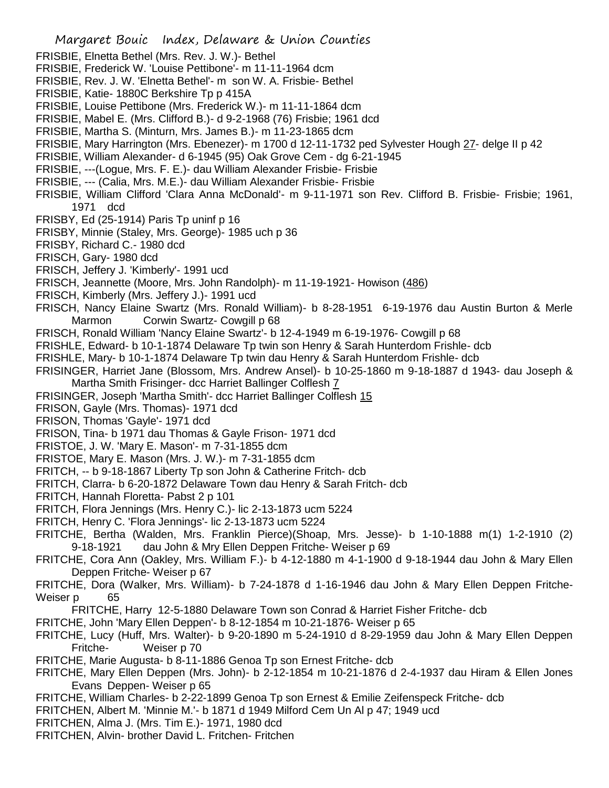- Margaret Bouic Index, Delaware & Union Counties FRISBIE, Elnetta Bethel (Mrs. Rev. J. W.)- Bethel FRISBIE, Frederick W. 'Louise Pettibone'- m 11-11-1964 dcm FRISBIE, Rev. J. W. 'Elnetta Bethel'- m son W. A. Frisbie- Bethel FRISBIE, Katie- 1880C Berkshire Tp p 415A FRISBIE, Louise Pettibone (Mrs. Frederick W.)- m 11-11-1864 dcm FRISBIE, Mabel E. (Mrs. Clifford B.)- d 9-2-1968 (76) Frisbie; 1961 dcd FRISBIE, Martha S. (Minturn, Mrs. James B.)- m 11-23-1865 dcm FRISBIE, Mary Harrington (Mrs. Ebenezer)- m 1700 d 12-11-1732 ped Sylvester Hough 27- delge II p 42 FRISBIE, William Alexander- d 6-1945 (95) Oak Grove Cem - dg 6-21-1945 FRISBIE, ---(Logue, Mrs. F. E.)- dau William Alexander Frisbie- Frisbie FRISBIE, --- (Calia, Mrs. M.E.)- dau William Alexander Frisbie- Frisbie FRISBIE, William Clifford 'Clara Anna McDonald'- m 9-11-1971 son Rev. Clifford B. Frisbie- Frisbie; 1961, 1971 dcd FRISBY, Ed (25-1914) Paris Tp uninf p 16 FRISBY, Minnie (Staley, Mrs. George)- 1985 uch p 36 FRISBY, Richard C.- 1980 dcd FRISCH, Gary- 1980 dcd FRISCH, Jeffery J. 'Kimberly'- 1991 ucd FRISCH, Jeannette (Moore, Mrs. John Randolph)- m 11-19-1921- Howison (486) FRISCH, Kimberly (Mrs. Jeffery J.)- 1991 ucd FRISCH, Nancy Elaine Swartz (Mrs. Ronald William)- b 8-28-1951 6-19-1976 dau Austin Burton & Merle Marmon Corwin Swartz- Cowgill p 68 FRISCH, Ronald William 'Nancy Elaine Swartz'- b 12-4-1949 m 6-19-1976- Cowgill p 68 FRISHLE, Edward- b 10-1-1874 Delaware Tp twin son Henry & Sarah Hunterdom Frishle- dcb FRISHLE, Mary- b 10-1-1874 Delaware Tp twin dau Henry & Sarah Hunterdom Frishle- dcb FRISINGER, Harriet Jane (Blossom, Mrs. Andrew Ansel)- b 10-25-1860 m 9-18-1887 d 1943- dau Joseph & Martha Smith Frisinger- dcc Harriet Ballinger Colflesh 7 FRISINGER, Joseph 'Martha Smith'- dcc Harriet Ballinger Colflesh 15 FRISON, Gayle (Mrs. Thomas)- 1971 dcd FRISON, Thomas 'Gayle'- 1971 dcd FRISON, Tina- b 1971 dau Thomas & Gayle Frison- 1971 dcd FRISTOE, J. W. 'Mary E. Mason'- m 7-31-1855 dcm FRISTOE, Mary E. Mason (Mrs. J. W.)- m 7-31-1855 dcm FRITCH, -- b 9-18-1867 Liberty Tp son John & Catherine Fritch- dcb FRITCH, Clarra- b 6-20-1872 Delaware Town dau Henry & Sarah Fritch- dcb FRITCH, Hannah Floretta- Pabst 2 p 101 FRITCH, Flora Jennings (Mrs. Henry C.)- lic 2-13-1873 ucm 5224 FRITCH, Henry C. 'Flora Jennings'- lic 2-13-1873 ucm 5224 FRITCHE, Bertha (Walden, Mrs. Franklin Pierce)(Shoap, Mrs. Jesse)- b 1-10-1888 m(1) 1-2-1910 (2) 9-18-1921 dau John & Mry Ellen Deppen Fritche- Weiser p 69 FRITCHE, Cora Ann (Oakley, Mrs. William F.)- b 4-12-1880 m 4-1-1900 d 9-18-1944 dau John & Mary Ellen Deppen Fritche- Weiser p 67 FRITCHE, Dora (Walker, Mrs. William)- b 7-24-1878 d 1-16-1946 dau John & Mary Ellen Deppen Fritche-Weiser p 65 FRITCHE, Harry 12-5-1880 Delaware Town son Conrad & Harriet Fisher Fritche- dcb FRITCHE, John 'Mary Ellen Deppen'- b 8-12-1854 m 10-21-1876- Weiser p 65 FRITCHE, Lucy (Huff, Mrs. Walter)- b 9-20-1890 m 5-24-1910 d 8-29-1959 dau John & Mary Ellen Deppen Fritche- Weiser p 70 FRITCHE, Marie Augusta- b 8-11-1886 Genoa Tp son Ernest Fritche- dcb FRITCHE, Mary Ellen Deppen (Mrs. John)- b 2-12-1854 m 10-21-1876 d 2-4-1937 dau Hiram & Ellen Jones Evans Deppen- Weiser p 65 FRITCHE, William Charles- b 2-22-1899 Genoa Tp son Ernest & Emilie Zeifenspeck Fritche- dcb FRITCHEN, Albert M. 'Minnie M.'- b 1871 d 1949 Milford Cem Un Al p 47; 1949 ucd FRITCHEN, Alma J. (Mrs. Tim E.)- 1971, 1980 dcd
- 
- FRITCHEN, Alvin- brother David L. Fritchen- Fritchen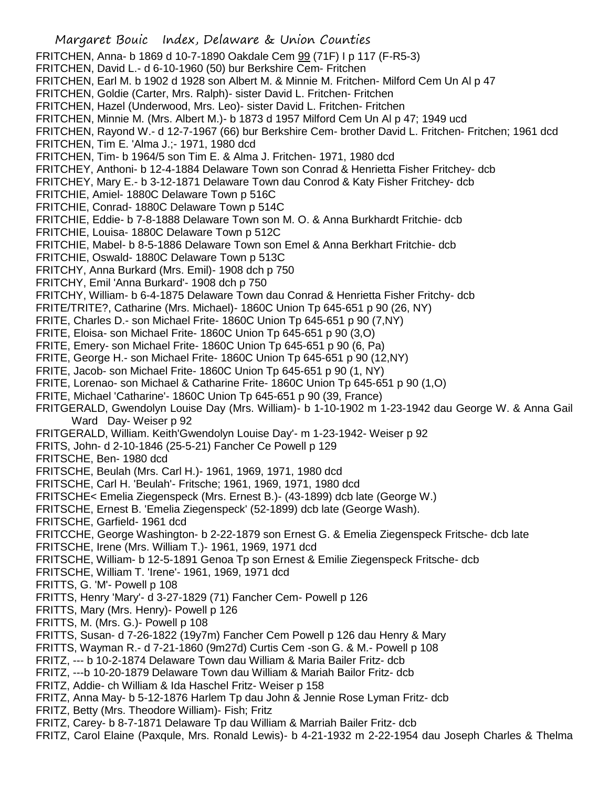FRITCHEN, Anna- b 1869 d 10-7-1890 Oakdale Cem 99 (71F) I p 117 (F-R5-3) FRITCHEN, David L.- d 6-10-1960 (50) bur Berkshire Cem- Fritchen FRITCHEN, Earl M. b 1902 d 1928 son Albert M. & Minnie M. Fritchen- Milford Cem Un Al p 47 FRITCHEN, Goldie (Carter, Mrs. Ralph)- sister David L. Fritchen- Fritchen FRITCHEN, Hazel (Underwood, Mrs. Leo)- sister David L. Fritchen- Fritchen FRITCHEN, Minnie M. (Mrs. Albert M.)- b 1873 d 1957 Milford Cem Un Al p 47; 1949 ucd FRITCHEN, Rayond W.- d 12-7-1967 (66) bur Berkshire Cem- brother David L. Fritchen- Fritchen; 1961 dcd FRITCHEN, Tim E. 'Alma J.;- 1971, 1980 dcd FRITCHEN, Tim- b 1964/5 son Tim E. & Alma J. Fritchen- 1971, 1980 dcd FRITCHEY, Anthoni- b 12-4-1884 Delaware Town son Conrad & Henrietta Fisher Fritchey- dcb FRITCHEY, Mary E.- b 3-12-1871 Delaware Town dau Conrod & Katy Fisher Fritchey- dcb FRITCHIE, Amiel- 1880C Delaware Town p 516C FRITCHIE, Conrad- 1880C Delaware Town p 514C FRITCHIE, Eddie- b 7-8-1888 Delaware Town son M. O. & Anna Burkhardt Fritchie- dcb FRITCHIE, Louisa- 1880C Delaware Town p 512C FRITCHIE, Mabel- b 8-5-1886 Delaware Town son Emel & Anna Berkhart Fritchie- dcb FRITCHIE, Oswald- 1880C Delaware Town p 513C FRITCHY, Anna Burkard (Mrs. Emil)- 1908 dch p 750 FRITCHY, Emil 'Anna Burkard'- 1908 dch p 750 FRITCHY, William- b 6-4-1875 Delaware Town dau Conrad & Henrietta Fisher Fritchy- dcb FRITE/TRITE?, Catharine (Mrs. Michael)- 1860C Union Tp 645-651 p 90 (26, NY) FRITE, Charles D.- son Michael Frite- 1860C Union Tp 645-651 p 90 (7,NY) FRITE, Eloisa- son Michael Frite- 1860C Union Tp 645-651 p 90 (3,O) FRITE, Emery- son Michael Frite- 1860C Union Tp 645-651 p 90 (6, Pa) FRITE, George H.- son Michael Frite- 1860C Union Tp 645-651 p 90 (12,NY) FRITE, Jacob- son Michael Frite- 1860C Union Tp 645-651 p 90 (1, NY) FRITE, Lorenao- son Michael & Catharine Frite- 1860C Union Tp 645-651 p 90 (1,O) FRITE, Michael 'Catharine'- 1860C Union Tp 645-651 p 90 (39, France) FRITGERALD, Gwendolyn Louise Day (Mrs. William)- b 1-10-1902 m 1-23-1942 dau George W. & Anna Gail Ward Day- Weiser p 92 FRITGERALD, William. Keith'Gwendolyn Louise Day'- m 1-23-1942- Weiser p 92 FRITS, John- d 2-10-1846 (25-5-21) Fancher Ce Powell p 129 FRITSCHE, Ben- 1980 dcd FRITSCHE, Beulah (Mrs. Carl H.)- 1961, 1969, 1971, 1980 dcd FRITSCHE, Carl H. 'Beulah'- Fritsche; 1961, 1969, 1971, 1980 dcd FRITSCHE< Emelia Ziegenspeck (Mrs. Ernest B.)- (43-1899) dcb late (George W.) FRITSCHE, Ernest B. 'Emelia Ziegenspeck' (52-1899) dcb late (George Wash). FRITSCHE, Garfield- 1961 dcd FRITCCHE, George Washington- b 2-22-1879 son Ernest G. & Emelia Ziegenspeck Fritsche- dcb late FRITSCHE, Irene (Mrs. William T.)- 1961, 1969, 1971 dcd FRITSCHE, William- b 12-5-1891 Genoa Tp son Ernest & Emilie Ziegenspeck Fritsche- dcb FRITSCHE, William T. 'Irene'- 1961, 1969, 1971 dcd FRITTS, G. 'M'- Powell p 108 FRITTS, Henry 'Mary'- d 3-27-1829 (71) Fancher Cem- Powell p 126 FRITTS, Mary (Mrs. Henry)- Powell p 126 FRITTS, M. (Mrs. G.)- Powell p 108 FRITTS, Susan- d 7-26-1822 (19y7m) Fancher Cem Powell p 126 dau Henry & Mary FRITTS, Wayman R.- d 7-21-1860 (9m27d) Curtis Cem -son G. & M.- Powell p 108 FRITZ, --- b 10-2-1874 Delaware Town dau William & Maria Bailer Fritz- dcb FRITZ, ---b 10-20-1879 Delaware Town dau William & Mariah Bailor Fritz- dcb FRITZ, Addie- ch William & Ida Haschel Fritz- Weiser p 158 FRITZ, Anna May- b 5-12-1876 Harlem Tp dau John & Jennie Rose Lyman Fritz- dcb FRITZ, Betty (Mrs. Theodore William)- Fish; Fritz

Margaret Bouic Index, Delaware & Union Counties

- FRITZ, Carey- b 8-7-1871 Delaware Tp dau William & Marriah Bailer Fritz- dcb
- FRITZ, Carol Elaine (Paxqule, Mrs. Ronald Lewis)- b 4-21-1932 m 2-22-1954 dau Joseph Charles & Thelma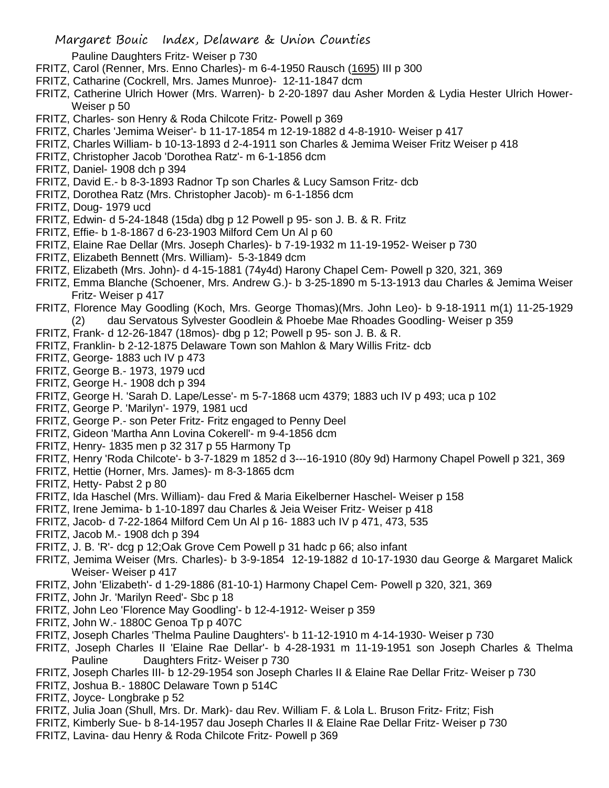Pauline Daughters Fritz- Weiser p 730

- FRITZ, Carol (Renner, Mrs. Enno Charles)- m 6-4-1950 Rausch (1695) III p 300
- FRITZ, Catharine (Cockrell, Mrs. James Munroe)- 12-11-1847 dcm
- FRITZ, Catherine Ulrich Hower (Mrs. Warren)- b 2-20-1897 dau Asher Morden & Lydia Hester Ulrich Hower-Weiser p 50
- FRITZ, Charles- son Henry & Roda Chilcote Fritz- Powell p 369
- FRITZ, Charles 'Jemima Weiser'- b 11-17-1854 m 12-19-1882 d 4-8-1910- Weiser p 417
- FRITZ, Charles William- b 10-13-1893 d 2-4-1911 son Charles & Jemima Weiser Fritz Weiser p 418
- FRITZ, Christopher Jacob 'Dorothea Ratz'- m 6-1-1856 dcm
- FRITZ, Daniel- 1908 dch p 394
- FRITZ, David E.- b 8-3-1893 Radnor Tp son Charles & Lucy Samson Fritz- dcb
- FRITZ, Dorothea Ratz (Mrs. Christopher Jacob)- m 6-1-1856 dcm
- FRITZ, Doug- 1979 ucd
- FRITZ, Edwin- d 5-24-1848 (15da) dbg p 12 Powell p 95- son J. B. & R. Fritz
- FRITZ, Effie- b 1-8-1867 d 6-23-1903 Milford Cem Un Al p 60
- FRITZ, Elaine Rae Dellar (Mrs. Joseph Charles)- b 7-19-1932 m 11-19-1952- Weiser p 730
- FRITZ, Elizabeth Bennett (Mrs. William)- 5-3-1849 dcm
- FRITZ, Elizabeth (Mrs. John)- d 4-15-1881 (74y4d) Harony Chapel Cem- Powell p 320, 321, 369
- FRITZ, Emma Blanche (Schoener, Mrs. Andrew G.)- b 3-25-1890 m 5-13-1913 dau Charles & Jemima Weiser Fritz- Weiser p 417
- FRITZ, Florence May Goodling (Koch, Mrs. George Thomas)(Mrs. John Leo)- b 9-18-1911 m(1) 11-25-1929 (2) dau Servatous Sylvester Goodlein & Phoebe Mae Rhoades Goodling- Weiser p 359
- FRITZ, Frank- d 12-26-1847 (18mos)- dbg p 12; Powell p 95- son J. B. & R.
- FRITZ, Franklin- b 2-12-1875 Delaware Town son Mahlon & Mary Willis Fritz- dcb
- FRITZ, George- 1883 uch IV p 473
- FRITZ, George B.- 1973, 1979 ucd
- FRITZ, George H.- 1908 dch p 394
- FRITZ, George H. 'Sarah D. Lape/Lesse'- m 5-7-1868 ucm 4379; 1883 uch IV p 493; uca p 102
- FRITZ, George P. 'Marilyn'- 1979, 1981 ucd
- FRITZ, George P.- son Peter Fritz- Fritz engaged to Penny Deel
- FRITZ, Gideon 'Martha Ann Lovina Cokerell'- m 9-4-1856 dcm
- FRITZ, Henry- 1835 men p 32 317 p 55 Harmony Tp
- FRITZ, Henry 'Roda Chilcote'- b 3-7-1829 m 1852 d 3---16-1910 (80y 9d) Harmony Chapel Powell p 321, 369
- FRITZ, Hettie (Horner, Mrs. James)- m 8-3-1865 dcm
- FRITZ, Hetty- Pabst 2 p 80
- FRITZ, Ida Haschel (Mrs. William)- dau Fred & Maria Eikelberner Haschel- Weiser p 158
- FRITZ, Irene Jemima- b 1-10-1897 dau Charles & Jeia Weiser Fritz- Weiser p 418
- FRITZ, Jacob- d 7-22-1864 Milford Cem Un Al p 16- 1883 uch IV p 471, 473, 535
- FRITZ, Jacob M.- 1908 dch p 394
- FRITZ, J. B. 'R'- dcg p 12;Oak Grove Cem Powell p 31 hadc p 66; also infant
- FRITZ, Jemima Weiser (Mrs. Charles)- b 3-9-1854 12-19-1882 d 10-17-1930 dau George & Margaret Malick Weiser- Weiser p 417
- FRITZ, John 'Elizabeth'- d 1-29-1886 (81-10-1) Harmony Chapel Cem- Powell p 320, 321, 369
- FRITZ, John Jr. 'Marilyn Reed'- Sbc p 18
- FRITZ, John Leo 'Florence May Goodling'- b 12-4-1912- Weiser p 359
- FRITZ, John W.- 1880C Genoa Tp p 407C
- FRITZ, Joseph Charles 'Thelma Pauline Daughters'- b 11-12-1910 m 4-14-1930- Weiser p 730
- FRITZ, Joseph Charles II 'Elaine Rae Dellar'- b 4-28-1931 m 11-19-1951 son Joseph Charles & Thelma Pauline Daughters Fritz- Weiser p 730
- FRITZ, Joseph Charles III- b 12-29-1954 son Joseph Charles II & Elaine Rae Dellar Fritz- Weiser p 730
- FRITZ, Joshua B.- 1880C Delaware Town p 514C
- FRITZ, Joyce- Longbrake p 52
- FRITZ, Julia Joan (Shull, Mrs. Dr. Mark)- dau Rev. William F. & Lola L. Bruson Fritz- Fritz; Fish
- FRITZ, Kimberly Sue- b 8-14-1957 dau Joseph Charles II & Elaine Rae Dellar Fritz- Weiser p 730
- FRITZ, Lavina- dau Henry & Roda Chilcote Fritz- Powell p 369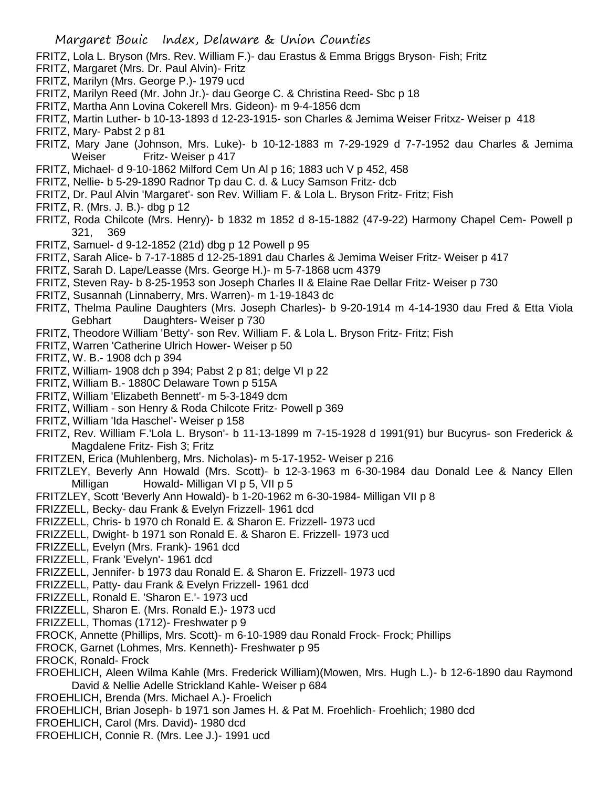- FRITZ, Lola L. Bryson (Mrs. Rev. William F.)- dau Erastus & Emma Briggs Bryson- Fish; Fritz
- FRITZ, Margaret (Mrs. Dr. Paul Alvin)- Fritz
- FRITZ, Marilyn (Mrs. George P.)- 1979 ucd
- FRITZ, Marilyn Reed (Mr. John Jr.)- dau George C. & Christina Reed- Sbc p 18
- FRITZ, Martha Ann Lovina Cokerell Mrs. Gideon)- m 9-4-1856 dcm
- FRITZ, Martin Luther- b 10-13-1893 d 12-23-1915- son Charles & Jemima Weiser Fritxz- Weiser p 418
- FRITZ, Mary- Pabst 2 p 81
- FRITZ, Mary Jane (Johnson, Mrs. Luke)- b 10-12-1883 m 7-29-1929 d 7-7-1952 dau Charles & Jemima Weiser Fritz- Weiser p 417
- FRITZ, Michael- d 9-10-1862 Milford Cem Un Al p 16; 1883 uch V p 452, 458
- FRITZ, Nellie- b 5-29-1890 Radnor Tp dau C. d. & Lucy Samson Fritz- dcb
- FRITZ, Dr. Paul Alvin 'Margaret'- son Rev. William F. & Lola L. Bryson Fritz- Fritz; Fish
- FRITZ, R. (Mrs. J. B.)- dbg p 12
- FRITZ, Roda Chilcote (Mrs. Henry)- b 1832 m 1852 d 8-15-1882 (47-9-22) Harmony Chapel Cem- Powell p 321, 369
- FRITZ, Samuel- d 9-12-1852 (21d) dbg p 12 Powell p 95
- FRITZ, Sarah Alice- b 7-17-1885 d 12-25-1891 dau Charles & Jemima Weiser Fritz- Weiser p 417
- FRITZ, Sarah D. Lape/Leasse (Mrs. George H.)- m 5-7-1868 ucm 4379
- FRITZ, Steven Ray- b 8-25-1953 son Joseph Charles II & Elaine Rae Dellar Fritz- Weiser p 730
- FRITZ, Susannah (Linnaberry, Mrs. Warren)- m 1-19-1843 dc
- FRITZ, Thelma Pauline Daughters (Mrs. Joseph Charles)- b 9-20-1914 m 4-14-1930 dau Fred & Etta Viola Gebhart Daughters- Weiser p 730
- FRITZ, Theodore William 'Betty'- son Rev. William F. & Lola L. Bryson Fritz- Fritz; Fish
- FRITZ, Warren 'Catherine Ulrich Hower- Weiser p 50
- FRITZ, W. B.- 1908 dch p 394
- FRITZ, William- 1908 dch p 394; Pabst 2 p 81; delge VI p 22
- FRITZ, William B.- 1880C Delaware Town p 515A
- FRITZ, William 'Elizabeth Bennett'- m 5-3-1849 dcm
- FRITZ, William son Henry & Roda Chilcote Fritz- Powell p 369
- FRITZ, William 'Ida Haschel'- Weiser p 158
- FRITZ, Rev. William F.'Lola L. Bryson'- b 11-13-1899 m 7-15-1928 d 1991(91) bur Bucyrus- son Frederick & Magdalene Fritz- Fish 3; Fritz
- FRITZEN, Erica (Muhlenberg, Mrs. Nicholas)- m 5-17-1952- Weiser p 216
- FRITZLEY, Beverly Ann Howald (Mrs. Scott)- b 12-3-1963 m 6-30-1984 dau Donald Lee & Nancy Ellen Milligan Howald- Milligan VI p 5, VII p 5
- FRITZLEY, Scott 'Beverly Ann Howald)- b 1-20-1962 m 6-30-1984- Milligan VII p 8
- FRIZZELL, Becky- dau Frank & Evelyn Frizzell- 1961 dcd
- FRIZZELL, Chris- b 1970 ch Ronald E. & Sharon E. Frizzell- 1973 ucd
- FRIZZELL, Dwight- b 1971 son Ronald E. & Sharon E. Frizzell- 1973 ucd
- FRIZZELL, Evelyn (Mrs. Frank)- 1961 dcd
- FRIZZELL, Frank 'Evelyn'- 1961 dcd
- FRIZZELL, Jennifer- b 1973 dau Ronald E. & Sharon E. Frizzell- 1973 ucd
- FRIZZELL, Patty- dau Frank & Evelyn Frizzell- 1961 dcd
- FRIZZELL, Ronald E. 'Sharon E.'- 1973 ucd
- FRIZZELL, Sharon E. (Mrs. Ronald E.)- 1973 ucd
- FRIZZELL, Thomas (1712)- Freshwater p 9
- FROCK, Annette (Phillips, Mrs. Scott)- m 6-10-1989 dau Ronald Frock- Frock; Phillips
- FROCK, Garnet (Lohmes, Mrs. Kenneth)- Freshwater p 95
- FROCK, Ronald- Frock
- FROEHLICH, Aleen Wilma Kahle (Mrs. Frederick William)(Mowen, Mrs. Hugh L.)- b 12-6-1890 dau Raymond David & Nellie Adelle Strickland Kahle- Weiser p 684
- FROEHLICH, Brenda (Mrs. Michael A.)- Froelich
- FROEHLICH, Brian Joseph- b 1971 son James H. & Pat M. Froehlich- Froehlich; 1980 dcd
- FROEHLICH, Carol (Mrs. David)- 1980 dcd
- FROEHLICH, Connie R. (Mrs. Lee J.)- 1991 ucd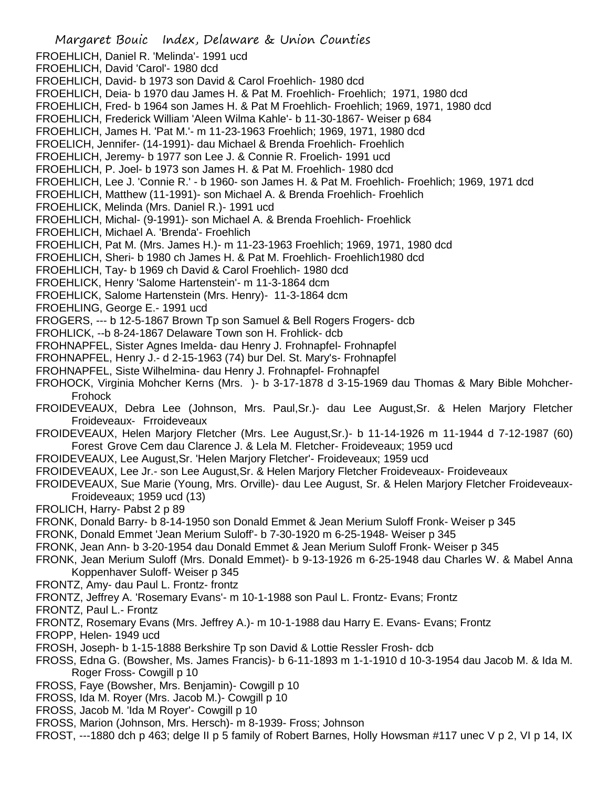Margaret Bouic Index, Delaware & Union Counties FROEHLICH, Daniel R. 'Melinda'- 1991 ucd FROEHLICH, David 'Carol'- 1980 dcd FROEHLICH, David- b 1973 son David & Carol Froehlich- 1980 dcd FROEHLICH, Deia- b 1970 dau James H. & Pat M. Froehlich- Froehlich; 1971, 1980 dcd FROEHLICH, Fred- b 1964 son James H. & Pat M Froehlich- Froehlich; 1969, 1971, 1980 dcd FROEHLICH, Frederick William 'Aleen Wilma Kahle'- b 11-30-1867- Weiser p 684 FROEHLICH, James H. 'Pat M.'- m 11-23-1963 Froehlich; 1969, 1971, 1980 dcd FROELICH, Jennifer- (14-1991)- dau Michael & Brenda Froehlich- Froehlich FROEHLICH, Jeremy- b 1977 son Lee J. & Connie R. Froelich- 1991 ucd FROEHLICH, P. Joel- b 1973 son James H. & Pat M. Froehlich- 1980 dcd FROEHLICH, Lee J. 'Connie R.' - b 1960- son James H. & Pat M. Froehlich- Froehlich; 1969, 1971 dcd FROEHLICH, Matthew (11-1991)- son Michael A. & Brenda Froehlich- Froehlich FROEHLICK, Melinda (Mrs. Daniel R.)- 1991 ucd FROEHLICH, Michal- (9-1991)- son Michael A. & Brenda Froehlich- Froehlick FROEHLICH, Michael A. 'Brenda'- Froehlich FROEHLICH, Pat M. (Mrs. James H.)- m 11-23-1963 Froehlich; 1969, 1971, 1980 dcd FROEHLICH, Sheri- b 1980 ch James H. & Pat M. Froehlich- Froehlich1980 dcd FROEHLICH, Tay- b 1969 ch David & Carol Froehlich- 1980 dcd FROEHLICK, Henry 'Salome Hartenstein'- m 11-3-1864 dcm FROEHLICK, Salome Hartenstein (Mrs. Henry)- 11-3-1864 dcm FROEHLING, George E.- 1991 ucd FROGERS, --- b 12-5-1867 Brown Tp son Samuel & Bell Rogers Frogers- dcb FROHLICK, --b 8-24-1867 Delaware Town son H. Frohlick- dcb FROHNAPFEL, Sister Agnes Imelda- dau Henry J. Frohnapfel- Frohnapfel FROHNAPFEL, Henry J.- d 2-15-1963 (74) bur Del. St. Mary's- Frohnapfel FROHNAPFEL, Siste Wilhelmina- dau Henry J. Frohnapfel- Frohnapfel FROHOCK, Virginia Mohcher Kerns (Mrs. )- b 3-17-1878 d 3-15-1969 dau Thomas & Mary Bible Mohcher-Frohock FROIDEVEAUX, Debra Lee (Johnson, Mrs. Paul,Sr.)- dau Lee August,Sr. & Helen Marjory Fletcher Froideveaux- Frroideveaux FROIDEVEAUX, Helen Marjory Fletcher (Mrs. Lee August,Sr.)- b 11-14-1926 m 11-1944 d 7-12-1987 (60) Forest Grove Cem dau Clarence J. & Lela M. Fletcher- Froideveaux; 1959 ucd FROIDEVEAUX, Lee August,Sr. 'Helen Marjory Fletcher'- Froideveaux; 1959 ucd FROIDEVEAUX, Lee Jr.- son Lee August,Sr. & Helen Marjory Fletcher Froideveaux- Froideveaux FROIDEVEAUX, Sue Marie (Young, Mrs. Orville)- dau Lee August, Sr. & Helen Marjory Fletcher Froideveaux-Froideveaux; 1959 ucd (13) FROLICH, Harry- Pabst 2 p 89 FRONK, Donald Barry- b 8-14-1950 son Donald Emmet & Jean Merium Suloff Fronk- Weiser p 345 FRONK, Donald Emmet 'Jean Merium Suloff'- b 7-30-1920 m 6-25-1948- Weiser p 345 FRONK, Jean Ann- b 3-20-1954 dau Donald Emmet & Jean Merium Suloff Fronk- Weiser p 345 FRONK, Jean Merium Suloff (Mrs. Donald Emmet)- b 9-13-1926 m 6-25-1948 dau Charles W. & Mabel Anna Koppenhaver Suloff- Weiser p 345 FRONTZ, Amy- dau Paul L. Frontz- frontz FRONTZ, Jeffrey A. 'Rosemary Evans'- m 10-1-1988 son Paul L. Frontz- Evans; Frontz FRONTZ, Paul L.- Frontz FRONTZ, Rosemary Evans (Mrs. Jeffrey A.)- m 10-1-1988 dau Harry E. Evans- Evans; Frontz FROPP, Helen- 1949 ucd FROSH, Joseph- b 1-15-1888 Berkshire Tp son David & Lottie Ressler Frosh- dcb FROSS, Edna G. (Bowsher, Ms. James Francis)- b 6-11-1893 m 1-1-1910 d 10-3-1954 dau Jacob M. & Ida M. Roger Fross- Cowgill p 10 FROSS, Faye (Bowsher, Mrs. Benjamin)- Cowgill p 10 FROSS, Ida M. Royer (Mrs. Jacob M.)- Cowgill p 10 FROSS, Jacob M. 'Ida M Royer'- Cowgill p 10 FROSS, Marion (Johnson, Mrs. Hersch)- m 8-1939- Fross; Johnson FROST, ---1880 dch p 463; delge II p 5 family of Robert Barnes, Holly Howsman #117 unec V p 2, VI p 14, IX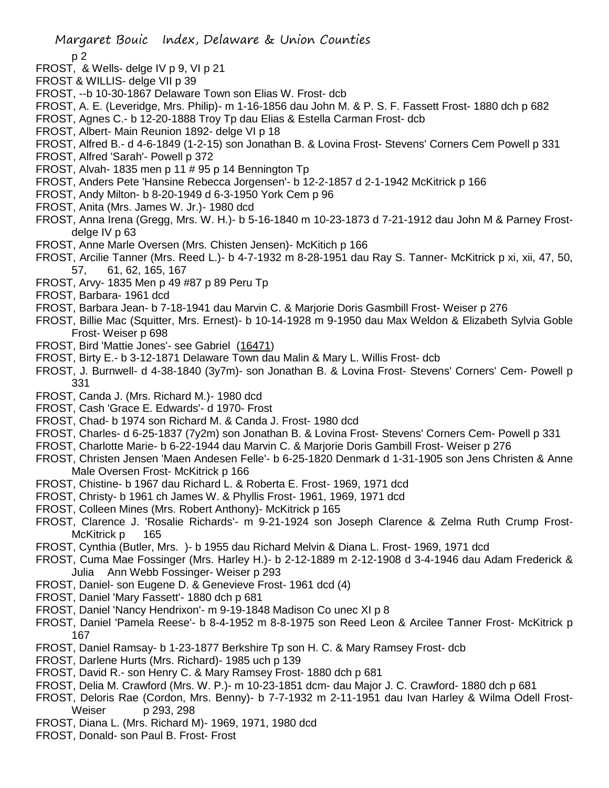p 2

- FROST, & Wells- delge IV p 9, VI p 21
- FROST & WILLIS- delge VII p 39
- FROST, --b 10-30-1867 Delaware Town son Elias W. Frost- dcb
- FROST, A. E. (Leveridge, Mrs. Philip)- m 1-16-1856 dau John M. & P. S. F. Fassett Frost- 1880 dch p 682
- FROST, Agnes C.- b 12-20-1888 Troy Tp dau Elias & Estella Carman Frost- dcb
- FROST, Albert- Main Reunion 1892- delge VI p 18
- FROST, Alfred B.- d 4-6-1849 (1-2-15) son Jonathan B. & Lovina Frost- Stevens' Corners Cem Powell p 331
- FROST, Alfred 'Sarah'- Powell p 372
- FROST, Alvah- 1835 men p 11 # 95 p 14 Bennington Tp
- FROST, Anders Pete 'Hansine Rebecca Jorgensen'- b 12-2-1857 d 2-1-1942 McKitrick p 166
- FROST, Andy Milton- b 8-20-1949 d 6-3-1950 York Cem p 96
- FROST, Anita (Mrs. James W. Jr.)- 1980 dcd
- FROST, Anna Irena (Gregg, Mrs. W. H.)- b 5-16-1840 m 10-23-1873 d 7-21-1912 dau John M & Parney Frostdelge IV p 63
- FROST, Anne Marle Oversen (Mrs. Chisten Jensen)- McKitich p 166
- FROST, Arcilie Tanner (Mrs. Reed L.)- b 4-7-1932 m 8-28-1951 dau Ray S. Tanner- McKitrick p xi, xii, 47, 50, 57, 61, 62, 165, 167
- FROST, Arvy- 1835 Men p 49 #87 p 89 Peru Tp
- FROST, Barbara- 1961 dcd
- FROST, Barbara Jean- b 7-18-1941 dau Marvin C. & Marjorie Doris Gasmbill Frost- Weiser p 276
- FROST, Billie Mac (Squitter, Mrs. Ernest)- b 10-14-1928 m 9-1950 dau Max Weldon & Elizabeth Sylvia Goble Frost- Weiser p 698
- FROST, Bird 'Mattie Jones'- see Gabriel (16471)
- FROST, Birty E.- b 3-12-1871 Delaware Town dau Malin & Mary L. Willis Frost- dcb
- FROST, J. Burnwell- d 4-38-1840 (3y7m)- son Jonathan B. & Lovina Frost- Stevens' Corners' Cem- Powell p 331
- FROST, Canda J. (Mrs. Richard M.)- 1980 dcd
- FROST, Cash 'Grace E. Edwards'- d 1970- Frost
- FROST, Chad- b 1974 son Richard M. & Canda J. Frost- 1980 dcd
- FROST, Charles- d 6-25-1837 (7y2m) son Jonathan B. & Lovina Frost- Stevens' Corners Cem- Powell p 331
- FROST, Charlotte Marie- b 6-22-1944 dau Marvin C. & Marjorie Doris Gambill Frost- Weiser p 276
- FROST, Christen Jensen 'Maen Andesen Felle'- b 6-25-1820 Denmark d 1-31-1905 son Jens Christen & Anne Male Oversen Frost- McKitrick p 166
- FROST, Chistine- b 1967 dau Richard L. & Roberta E. Frost- 1969, 1971 dcd
- FROST, Christy- b 1961 ch James W. & Phyllis Frost- 1961, 1969, 1971 dcd
- FROST, Colleen Mines (Mrs. Robert Anthony)- McKitrick p 165
- FROST, Clarence J. 'Rosalie Richards'- m 9-21-1924 son Joseph Clarence & Zelma Ruth Crump Frost-McKitrick p 165
- FROST, Cynthia (Butler, Mrs. )- b 1955 dau Richard Melvin & Diana L. Frost- 1969, 1971 dcd
- FROST, Cuma Mae Fossinger (Mrs. Harley H.)- b 2-12-1889 m 2-12-1908 d 3-4-1946 dau Adam Frederick & Julia Ann Webb Fossinger- Weiser p 293
- FROST, Daniel- son Eugene D. & Genevieve Frost- 1961 dcd (4)
- FROST, Daniel 'Mary Fassett'- 1880 dch p 681
- FROST, Daniel 'Nancy Hendrixon'- m 9-19-1848 Madison Co unec XI p 8
- FROST, Daniel 'Pamela Reese'- b 8-4-1952 m 8-8-1975 son Reed Leon & Arcilee Tanner Frost- McKitrick p 167
- FROST, Daniel Ramsay- b 1-23-1877 Berkshire Tp son H. C. & Mary Ramsey Frost- dcb
- FROST, Darlene Hurts (Mrs. Richard)- 1985 uch p 139
- FROST, David R.- son Henry C. & Mary Ramsey Frost- 1880 dch p 681
- FROST, Delia M. Crawford (Mrs. W. P.)- m 10-23-1851 dcm- dau Major J. C. Crawford- 1880 dch p 681
- FROST, Deloris Rae (Cordon, Mrs. Benny)- b 7-7-1932 m 2-11-1951 dau Ivan Harley & Wilma Odell Frost-Weiser p 293, 298
- FROST, Diana L. (Mrs. Richard M)- 1969, 1971, 1980 dcd
- FROST, Donald- son Paul B. Frost- Frost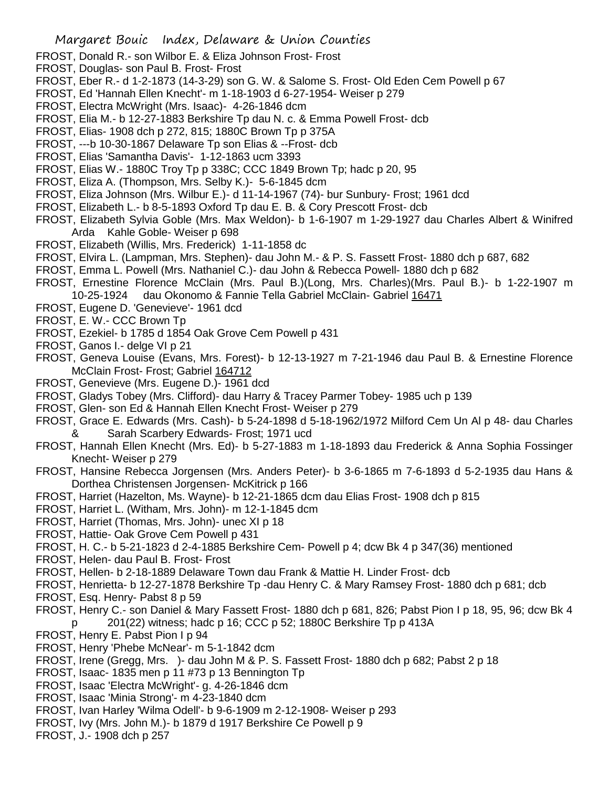- FROST, Donald R.- son Wilbor E. & Eliza Johnson Frost- Frost
- FROST, Douglas- son Paul B. Frost- Frost
- FROST, Eber R.- d 1-2-1873 (14-3-29) son G. W. & Salome S. Frost- Old Eden Cem Powell p 67
- FROST, Ed 'Hannah Ellen Knecht'- m 1-18-1903 d 6-27-1954- Weiser p 279
- FROST, Electra McWright (Mrs. Isaac)- 4-26-1846 dcm
- FROST, Elia M.- b 12-27-1883 Berkshire Tp dau N. c. & Emma Powell Frost- dcb
- FROST, Elias- 1908 dch p 272, 815; 1880C Brown Tp p 375A
- FROST, ---b 10-30-1867 Delaware Tp son Elias & --Frost- dcb
- FROST, Elias 'Samantha Davis'- 1-12-1863 ucm 3393
- FROST, Elias W.- 1880C Troy Tp p 338C; CCC 1849 Brown Tp; hadc p 20, 95
- FROST, Eliza A. (Thompson, Mrs. Selby K.)- 5-6-1845 dcm
- FROST, Eliza Johnson (Mrs. Wilbur E.)- d 11-14-1967 (74)- bur Sunbury- Frost; 1961 dcd
- FROST, Elizabeth L.- b 8-5-1893 Oxford Tp dau E. B. & Cory Prescott Frost- dcb
- FROST, Elizabeth Sylvia Goble (Mrs. Max Weldon)- b 1-6-1907 m 1-29-1927 dau Charles Albert & Winifred Arda Kahle Goble- Weiser p 698
- FROST, Elizabeth (Willis, Mrs. Frederick) 1-11-1858 dc
- FROST, Elvira L. (Lampman, Mrs. Stephen)- dau John M.- & P. S. Fassett Frost- 1880 dch p 687, 682
- FROST, Emma L. Powell (Mrs. Nathaniel C.)- dau John & Rebecca Powell- 1880 dch p 682
- FROST, Ernestine Florence McClain (Mrs. Paul B.)(Long, Mrs. Charles)(Mrs. Paul B.)- b 1-22-1907 m 10-25-1924 dau Okonomo & Fannie Tella Gabriel McClain- Gabriel 16471
- FROST, Eugene D. 'Genevieve'- 1961 dcd
- FROST, E. W.- CCC Brown Tp
- FROST, Ezekiel- b 1785 d 1854 Oak Grove Cem Powell p 431
- FROST, Ganos I.- delge VI p 21
- FROST, Geneva Louise (Evans, Mrs. Forest)- b 12-13-1927 m 7-21-1946 dau Paul B. & Ernestine Florence McClain Frost- Frost; Gabriel 164712
- FROST, Genevieve (Mrs. Eugene D.)- 1961 dcd
- FROST, Gladys Tobey (Mrs. Clifford)- dau Harry & Tracey Parmer Tobey- 1985 uch p 139
- FROST, Glen- son Ed & Hannah Ellen Knecht Frost- Weiser p 279
- FROST, Grace E. Edwards (Mrs. Cash)- b 5-24-1898 d 5-18-1962/1972 Milford Cem Un Al p 48- dau Charles & Sarah Scarbery Edwards- Frost; 1971 ucd
- FROST, Hannah Ellen Knecht (Mrs. Ed)- b 5-27-1883 m 1-18-1893 dau Frederick & Anna Sophia Fossinger Knecht- Weiser p 279
- FROST, Hansine Rebecca Jorgensen (Mrs. Anders Peter)- b 3-6-1865 m 7-6-1893 d 5-2-1935 dau Hans & Dorthea Christensen Jorgensen- McKitrick p 166
- FROST, Harriet (Hazelton, Ms. Wayne)- b 12-21-1865 dcm dau Elias Frost- 1908 dch p 815
- FROST, Harriet L. (Witham, Mrs. John)- m 12-1-1845 dcm
- FROST, Harriet (Thomas, Mrs. John)- unec XI p 18
- FROST, Hattie- Oak Grove Cem Powell p 431
- FROST, H. C.- b 5-21-1823 d 2-4-1885 Berkshire Cem- Powell p 4; dcw Bk 4 p 347(36) mentioned
- FROST, Helen- dau Paul B. Frost- Frost
- FROST, Hellen- b 2-18-1889 Delaware Town dau Frank & Mattie H. Linder Frost- dcb
- FROST, Henrietta- b 12-27-1878 Berkshire Tp -dau Henry C. & Mary Ramsey Frost- 1880 dch p 681; dcb
- FROST, Esq. Henry- Pabst 8 p 59
- FROST, Henry C.- son Daniel & Mary Fassett Frost- 1880 dch p 681, 826; Pabst Pion I p 18, 95, 96; dcw Bk 4 p 201(22) witness; hadc p 16; CCC p 52; 1880C Berkshire Tp p 413A
- FROST, Henry E. Pabst Pion I p 94
- FROST, Henry 'Phebe McNear'- m 5-1-1842 dcm
- FROST, Irene (Gregg, Mrs. )- dau John M & P. S. Fassett Frost- 1880 dch p 682; Pabst 2 p 18
- FROST, Isaac- 1835 men p 11 #73 p 13 Bennington Tp
- FROST, Isaac 'Electra McWright'- g. 4-26-1846 dcm
- FROST, Isaac 'Minia Strong'- m 4-23-1840 dcm
- FROST, Ivan Harley 'Wilma Odell'- b 9-6-1909 m 2-12-1908- Weiser p 293
- FROST, Ivy (Mrs. John M.)- b 1879 d 1917 Berkshire Ce Powell p 9
- FROST, J.- 1908 dch p 257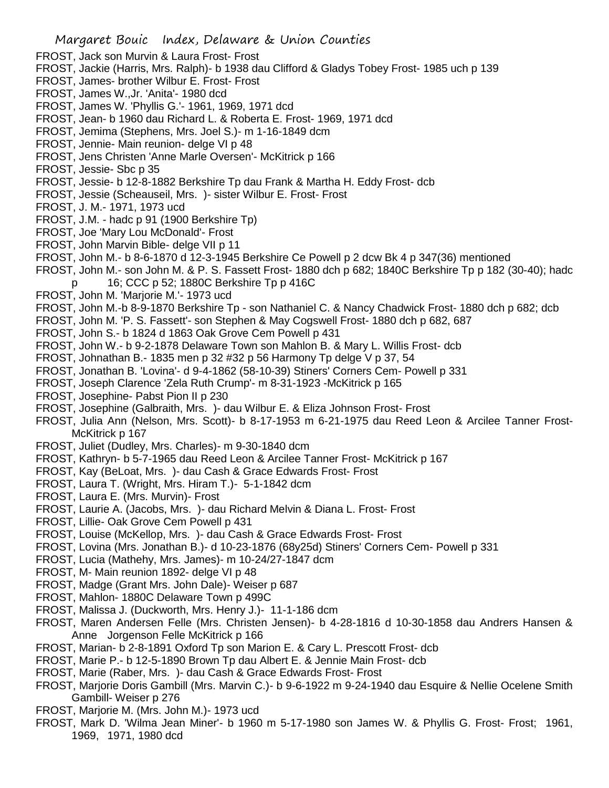- FROST, Jack son Murvin & Laura Frost- Frost
- FROST, Jackie (Harris, Mrs. Ralph)- b 1938 dau Clifford & Gladys Tobey Frost- 1985 uch p 139
- FROST, James- brother Wilbur E. Frost- Frost
- FROST, James W.,Jr. 'Anita'- 1980 dcd
- FROST, James W. 'Phyllis G.'- 1961, 1969, 1971 dcd
- FROST, Jean- b 1960 dau Richard L. & Roberta E. Frost- 1969, 1971 dcd
- FROST, Jemima (Stephens, Mrs. Joel S.)- m 1-16-1849 dcm
- FROST, Jennie- Main reunion- delge VI p 48
- FROST, Jens Christen 'Anne Marle Oversen'- McKitrick p 166
- FROST, Jessie- Sbc p 35
- FROST, Jessie- b 12-8-1882 Berkshire Tp dau Frank & Martha H. Eddy Frost- dcb
- FROST, Jessie (Scheauseil, Mrs. )- sister Wilbur E. Frost- Frost
- FROST, J. M.- 1971, 1973 ucd
- FROST, J.M. hadc p 91 (1900 Berkshire Tp)
- FROST, Joe 'Mary Lou McDonald'- Frost
- FROST, John Marvin Bible- delge VII p 11
- FROST, John M.- b 8-6-1870 d 12-3-1945 Berkshire Ce Powell p 2 dcw Bk 4 p 347(36) mentioned
- FROST, John M.- son John M. & P. S. Fassett Frost- 1880 dch p 682; 1840C Berkshire Tp p 182 (30-40); hadc p 16; CCC p 52; 1880C Berkshire Tp p 416C
- FROST, John M. 'Marjorie M.'- 1973 ucd
- FROST, John M.-b 8-9-1870 Berkshire Tp son Nathaniel C. & Nancy Chadwick Frost- 1880 dch p 682; dcb
- FROST, John M. 'P. S. Fassett'- son Stephen & May Cogswell Frost- 1880 dch p 682, 687
- FROST, John S.- b 1824 d 1863 Oak Grove Cem Powell p 431
- FROST, John W.- b 9-2-1878 Delaware Town son Mahlon B. & Mary L. Willis Frost- dcb
- FROST, Johnathan B.- 1835 men p 32 #32 p 56 Harmony Tp delge V p 37, 54
- FROST, Jonathan B. 'Lovina'- d 9-4-1862 (58-10-39) Stiners' Corners Cem- Powell p 331
- FROST, Joseph Clarence 'Zela Ruth Crump'- m 8-31-1923 -McKitrick p 165
- FROST, Josephine- Pabst Pion II p 230
- FROST, Josephine (Galbraith, Mrs. )- dau Wilbur E. & Eliza Johnson Frost- Frost
- FROST, Julia Ann (Nelson, Mrs. Scott)- b 8-17-1953 m 6-21-1975 dau Reed Leon & Arcilee Tanner Frost-McKitrick p 167
- FROST, Juliet (Dudley, Mrs. Charles)- m 9-30-1840 dcm
- FROST, Kathryn- b 5-7-1965 dau Reed Leon & Arcilee Tanner Frost- McKitrick p 167
- FROST, Kay (BeLoat, Mrs. )- dau Cash & Grace Edwards Frost- Frost
- FROST, Laura T. (Wright, Mrs. Hiram T.)- 5-1-1842 dcm
- FROST, Laura E. (Mrs. Murvin)- Frost
- FROST, Laurie A. (Jacobs, Mrs. )- dau Richard Melvin & Diana L. Frost- Frost
- FROST, Lillie- Oak Grove Cem Powell p 431
- FROST, Louise (McKellop, Mrs. )- dau Cash & Grace Edwards Frost- Frost
- FROST, Lovina (Mrs. Jonathan B.)- d 10-23-1876 (68y25d) Stiners' Corners Cem- Powell p 331
- FROST, Lucia (Mathehy, Mrs. James)- m 10-24/27-1847 dcm
- FROST, M- Main reunion 1892- delge VI p 48
- FROST, Madge (Grant Mrs. John Dale)- Weiser p 687
- FROST, Mahlon- 1880C Delaware Town p 499C
- FROST, Malissa J. (Duckworth, Mrs. Henry J.)- 11-1-186 dcm
- FROST, Maren Andersen Felle (Mrs. Christen Jensen)- b 4-28-1816 d 10-30-1858 dau Andrers Hansen & Anne Jorgenson Felle McKitrick p 166
- FROST, Marian- b 2-8-1891 Oxford Tp son Marion E. & Cary L. Prescott Frost- dcb
- FROST, Marie P.- b 12-5-1890 Brown Tp dau Albert E. & Jennie Main Frost- dcb
- FROST, Marie (Raber, Mrs. )- dau Cash & Grace Edwards Frost- Frost
- FROST, Marjorie Doris Gambill (Mrs. Marvin C.)- b 9-6-1922 m 9-24-1940 dau Esquire & Nellie Ocelene Smith Gambill- Weiser p 276
- FROST, Marjorie M. (Mrs. John M.)- 1973 ucd
- FROST, Mark D. 'Wilma Jean Miner'- b 1960 m 5-17-1980 son James W. & Phyllis G. Frost- Frost; 1961, 1969, 1971, 1980 dcd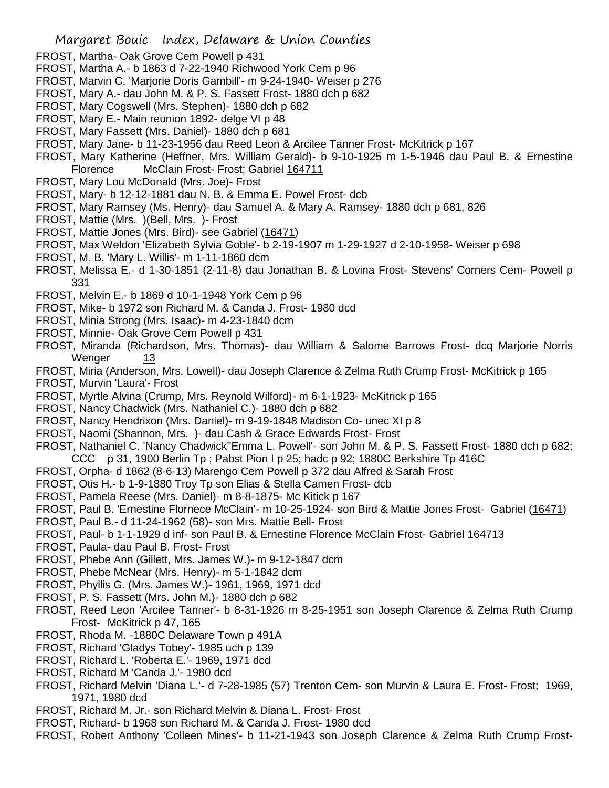- FROST, Martha- Oak Grove Cem Powell p 431
- FROST, Martha A.- b 1863 d 7-22-1940 Richwood York Cem p 96
- FROST, Marvin C. 'Marjorie Doris Gambill'- m 9-24-1940- Weiser p 276
- FROST, Mary A.- dau John M. & P. S. Fassett Frost- 1880 dch p 682
- FROST, Mary Cogswell (Mrs. Stephen)- 1880 dch p 682
- FROST, Mary E.- Main reunion 1892- delge VI p 48
- FROST, Mary Fassett (Mrs. Daniel)- 1880 dch p 681
- FROST, Mary Jane- b 11-23-1956 dau Reed Leon & Arcilee Tanner Frost- McKitrick p 167
- FROST, Mary Katherine (Heffner, Mrs. William Gerald)- b 9-10-1925 m 1-5-1946 dau Paul B. & Ernestine Florence McClain Frost- Frost; Gabriel 164711
- FROST, Mary Lou McDonald (Mrs. Joe)- Frost
- FROST, Mary- b 12-12-1881 dau N. B. & Emma E. Powel Frost- dcb
- FROST, Mary Ramsey (Ms. Henry)- dau Samuel A. & Mary A. Ramsey- 1880 dch p 681, 826
- FROST, Mattie (Mrs. )(Bell, Mrs. )- Frost
- FROST, Mattie Jones (Mrs. Bird)- see Gabriel (16471)
- FROST, Max Weldon 'Elizabeth Sylvia Goble'- b 2-19-1907 m 1-29-1927 d 2-10-1958- Weiser p 698
- FROST, M. B. 'Mary L. Willis'- m 1-11-1860 dcm
- FROST, Melissa E.- d 1-30-1851 (2-11-8) dau Jonathan B. & Lovina Frost- Stevens' Corners Cem- Powell p 331
- FROST, Melvin E.- b 1869 d 10-1-1948 York Cem p 96
- FROST, Mike- b 1972 son Richard M. & Canda J. Frost- 1980 dcd
- FROST, Minia Strong (Mrs. Isaac)- m 4-23-1840 dcm
- FROST, Minnie- Oak Grove Cem Powell p 431
- FROST, Miranda (Richardson, Mrs. Thomas)- dau William & Salome Barrows Frost- dcq Marjorie Norris Wenger 13
- FROST, Miria (Anderson, Mrs. Lowell)- dau Joseph Clarence & Zelma Ruth Crump Frost- McKitrick p 165
- FROST, Murvin 'Laura'- Frost
- FROST, Myrtle Alvina (Crump, Mrs. Reynold Wilford)- m 6-1-1923- McKitrick p 165
- FROST, Nancy Chadwick (Mrs. Nathaniel C.)- 1880 dch p 682
- FROST, Nancy Hendrixon (Mrs. Daniel)- m 9-19-1848 Madison Co- unec XI p 8
- FROST, Naomi (Shannon, Mrs. )- dau Cash & Grace Edwards Frost- Frost
- FROST, Nathaniel C. 'Nancy Chadwick''Emma L. Powell'- son John M. & P. S. Fassett Frost- 1880 dch p 682; CCC p 31, 1900 Berlin Tp ; Pabst Pion I p 25; hadc p 92; 1880C Berkshire Tp 416C
- FROST, Orpha- d 1862 (8-6-13) Marengo Cem Powell p 372 dau Alfred & Sarah Frost
- FROST, Otis H.- b 1-9-1880 Troy Tp son Elias & Stella Camen Frost- dcb
- FROST, Pamela Reese (Mrs. Daniel)- m 8-8-1875- Mc Kitick p 167
- FROST, Paul B. 'Ernestine Flornece McClain'- m 10-25-1924- son Bird & Mattie Jones Frost- Gabriel (16471)
- FROST, Paul B.- d 11-24-1962 (58)- son Mrs. Mattie Bell- Frost
- FROST, Paul- b 1-1-1929 d inf- son Paul B. & Ernestine Florence McClain Frost- Gabriel 164713
- FROST, Paula- dau Paul B. Frost- Frost
- FROST, Phebe Ann (Gillett, Mrs. James W.)- m 9-12-1847 dcm
- FROST, Phebe McNear (Mrs. Henry)- m 5-1-1842 dcm
- FROST, Phyllis G. (Mrs. James W.)- 1961, 1969, 1971 dcd
- FROST, P. S. Fassett (Mrs. John M.)- 1880 dch p 682
- FROST, Reed Leon 'Arcilee Tanner'- b 8-31-1926 m 8-25-1951 son Joseph Clarence & Zelma Ruth Crump Frost- McKitrick p 47, 165
- FROST, Rhoda M. -1880C Delaware Town p 491A
- FROST, Richard 'Gladys Tobey'- 1985 uch p 139
- FROST, Richard L. 'Roberta E.'- 1969, 1971 dcd
- FROST, Richard M 'Canda J.'- 1980 dcd
- FROST, Richard Melvin 'Diana L.'- d 7-28-1985 (57) Trenton Cem- son Murvin & Laura E. Frost- Frost; 1969, 1971, 1980 dcd
- FROST, Richard M. Jr.- son Richard Melvin & Diana L. Frost- Frost
- FROST, Richard- b 1968 son Richard M. & Canda J. Frost- 1980 dcd
- FROST, Robert Anthony 'Colleen Mines'- b 11-21-1943 son Joseph Clarence & Zelma Ruth Crump Frost-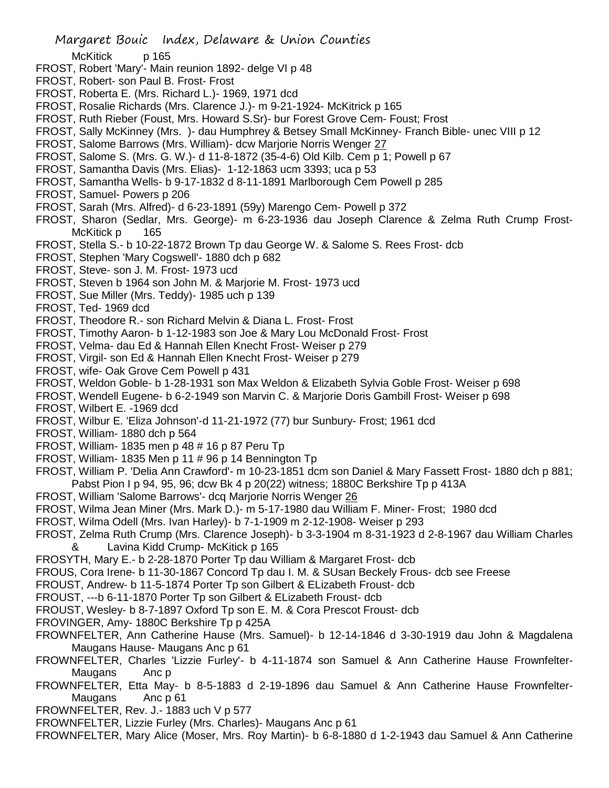McKitick p 165

- FROST, Robert 'Mary'- Main reunion 1892- delge VI p 48
- FROST, Robert- son Paul B. Frost- Frost
- FROST, Roberta E. (Mrs. Richard L.)- 1969, 1971 dcd
- FROST, Rosalie Richards (Mrs. Clarence J.)- m 9-21-1924- McKitrick p 165
- FROST, Ruth Rieber (Foust, Mrs. Howard S.Sr)- bur Forest Grove Cem- Foust; Frost
- FROST, Sally McKinney (Mrs. )- dau Humphrey & Betsey Small McKinney- Franch Bible- unec VIII p 12
- FROST, Salome Barrows (Mrs. William)- dcw Marjorie Norris Wenger 27
- FROST, Salome S. (Mrs. G. W.)- d 11-8-1872 (35-4-6) Old Kilb. Cem p 1; Powell p 67
- FROST, Samantha Davis (Mrs. Elias)- 1-12-1863 ucm 3393; uca p 53
- FROST, Samantha Wells- b 9-17-1832 d 8-11-1891 Marlborough Cem Powell p 285
- FROST, Samuel- Powers p 206
- FROST, Sarah (Mrs. Alfred)- d 6-23-1891 (59y) Marengo Cem- Powell p 372
- FROST, Sharon (Sedlar, Mrs. George)- m 6-23-1936 dau Joseph Clarence & Zelma Ruth Crump Frost-McKitick p 165
- FROST, Stella S.- b 10-22-1872 Brown Tp dau George W. & Salome S. Rees Frost- dcb
- FROST, Stephen 'Mary Cogswell'- 1880 dch p 682
- FROST, Steve- son J. M. Frost- 1973 ucd
- FROST, Steven b 1964 son John M. & Marjorie M. Frost- 1973 ucd
- FROST, Sue Miller (Mrs. Teddy)- 1985 uch p 139
- FROST, Ted- 1969 dcd
- FROST, Theodore R.- son Richard Melvin & Diana L. Frost- Frost
- FROST, Timothy Aaron- b 1-12-1983 son Joe & Mary Lou McDonald Frost- Frost
- FROST, Velma- dau Ed & Hannah Ellen Knecht Frost- Weiser p 279
- FROST, Virgil- son Ed & Hannah Ellen Knecht Frost- Weiser p 279
- FROST, wife- Oak Grove Cem Powell p 431
- FROST, Weldon Goble- b 1-28-1931 son Max Weldon & Elizabeth Sylvia Goble Frost- Weiser p 698
- FROST, Wendell Eugene- b 6-2-1949 son Marvin C. & Marjorie Doris Gambill Frost- Weiser p 698
- FROST, Wilbert E. -1969 dcd
- FROST, Wilbur E. 'Eliza Johnson'-d 11-21-1972 (77) bur Sunbury- Frost; 1961 dcd
- FROST, William- 1880 dch p 564
- FROST, William- 1835 men p 48 # 16 p 87 Peru Tp
- FROST, William- 1835 Men p 11 # 96 p 14 Bennington Tp
- FROST, William P. 'Delia Ann Crawford'- m 10-23-1851 dcm son Daniel & Mary Fassett Frost- 1880 dch p 881; Pabst Pion I p 94, 95, 96; dcw Bk 4 p 20(22) witness; 1880C Berkshire Tp p 413A
- FROST, William 'Salome Barrows'- dcq Marjorie Norris Wenger 26
- FROST, Wilma Jean Miner (Mrs. Mark D.)- m 5-17-1980 dau William F. Miner- Frost; 1980 dcd
- FROST, Wilma Odell (Mrs. Ivan Harley)- b 7-1-1909 m 2-12-1908- Weiser p 293
- FROST, Zelma Ruth Crump (Mrs. Clarence Joseph)- b 3-3-1904 m 8-31-1923 d 2-8-1967 dau William Charles & Lavina Kidd Crump- McKitick p 165
- FROSYTH, Mary E.- b 2-28-1870 Porter Tp dau William & Margaret Frost- dcb
- FROUS, Cora Irene- b 11-30-1867 Concord Tp dau I. M. & SUsan Beckely Frous- dcb see Freese
- FROUST, Andrew- b 11-5-1874 Porter Tp son Gilbert & ELizabeth Froust- dcb
- FROUST, ---b 6-11-1870 Porter Tp son Gilbert & ELizabeth Froust- dcb
- FROUST, Wesley- b 8-7-1897 Oxford Tp son E. M. & Cora Prescot Froust- dcb
- FROVINGER, Amy- 1880C Berkshire Tp p 425A
- FROWNFELTER, Ann Catherine Hause (Mrs. Samuel)- b 12-14-1846 d 3-30-1919 dau John & Magdalena Maugans Hause- Maugans Anc p 61
- FROWNFELTER, Charles 'Lizzie Furley'- b 4-11-1874 son Samuel & Ann Catherine Hause Frownfelter-Maugans Anc p
- FROWNFELTER, Etta May- b 8-5-1883 d 2-19-1896 dau Samuel & Ann Catherine Hause Frownfelter-Maugans Anc p 61
- FROWNFELTER, Rev. J.- 1883 uch V p 577
- FROWNFELTER, Lizzie Furley (Mrs. Charles)- Maugans Anc p 61
- FROWNFELTER, Mary Alice (Moser, Mrs. Roy Martin)- b 6-8-1880 d 1-2-1943 dau Samuel & Ann Catherine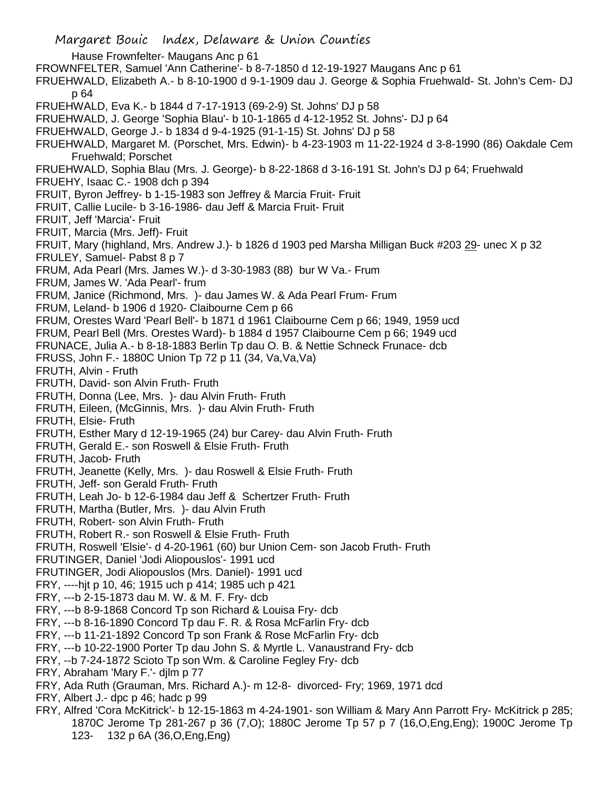Margaret Bouic Index, Delaware & Union Counties Hause Frownfelter- Maugans Anc p 61 FROWNFELTER, Samuel 'Ann Catherine'- b 8-7-1850 d 12-19-1927 Maugans Anc p 61 FRUEHWALD, Elizabeth A.- b 8-10-1900 d 9-1-1909 dau J. George & Sophia Fruehwald- St. John's Cem- DJ p 64 FRUEHWALD, Eva K.- b 1844 d 7-17-1913 (69-2-9) St. Johns' DJ p 58 FRUEHWALD, J. George 'Sophia Blau'- b 10-1-1865 d 4-12-1952 St. Johns'- DJ p 64 FRUEHWALD, George J.- b 1834 d 9-4-1925 (91-1-15) St. Johns' DJ p 58 FRUEHWALD, Margaret M. (Porschet, Mrs. Edwin)- b 4-23-1903 m 11-22-1924 d 3-8-1990 (86) Oakdale Cem Fruehwald; Porschet FRUEHWALD, Sophia Blau (Mrs. J. George)- b 8-22-1868 d 3-16-191 St. John's DJ p 64; Fruehwald FRUEHY, Isaac C.- 1908 dch p 394 FRUIT, Byron Jeffrey- b 1-15-1983 son Jeffrey & Marcia Fruit- Fruit FRUIT, Callie Lucile- b 3-16-1986- dau Jeff & Marcia Fruit- Fruit FRUIT, Jeff 'Marcia'- Fruit FRUIT, Marcia (Mrs. Jeff)- Fruit FRUIT, Mary (highland, Mrs. Andrew J.)- b 1826 d 1903 ped Marsha Milligan Buck #203 29- unec X p 32 FRULEY, Samuel- Pabst 8 p 7 FRUM, Ada Pearl (Mrs. James W.)- d 3-30-1983 (88) bur W Va.- Frum FRUM, James W. 'Ada Pearl'- frum FRUM, Janice (Richmond, Mrs. )- dau James W. & Ada Pearl Frum- Frum FRUM, Leland- b 1906 d 1920- Claibourne Cem p 66 FRUM, Orestes Ward 'Pearl Bell'- b 1871 d 1961 Claibourne Cem p 66; 1949, 1959 ucd FRUM, Pearl Bell (Mrs. Orestes Ward)- b 1884 d 1957 Claibourne Cem p 66; 1949 ucd FRUNACE, Julia A.- b 8-18-1883 Berlin Tp dau O. B. & Nettie Schneck Frunace- dcb FRUSS, John F.- 1880C Union Tp 72 p 11 (34, Va,Va,Va) FRUTH, Alvin - Fruth FRUTH, David- son Alvin Fruth- Fruth FRUTH, Donna (Lee, Mrs. )- dau Alvin Fruth- Fruth FRUTH, Eileen, (McGinnis, Mrs. )- dau Alvin Fruth- Fruth FRUTH, Elsie- Fruth FRUTH, Esther Mary d 12-19-1965 (24) bur Carey- dau Alvin Fruth- Fruth FRUTH, Gerald E.- son Roswell & Elsie Fruth- Fruth FRUTH, Jacob- Fruth FRUTH, Jeanette (Kelly, Mrs. )- dau Roswell & Elsie Fruth- Fruth FRUTH, Jeff- son Gerald Fruth- Fruth FRUTH, Leah Jo- b 12-6-1984 dau Jeff & Schertzer Fruth- Fruth FRUTH, Martha (Butler, Mrs. )- dau Alvin Fruth FRUTH, Robert- son Alvin Fruth- Fruth FRUTH, Robert R.- son Roswell & Elsie Fruth- Fruth FRUTH, Roswell 'Elsie'- d 4-20-1961 (60) bur Union Cem- son Jacob Fruth- Fruth FRUTINGER, Daniel 'Jodi Aliopouslos'- 1991 ucd FRUTINGER, Jodi Aliopouslos (Mrs. Daniel)- 1991 ucd FRY, ----hjt p 10, 46; 1915 uch p 414; 1985 uch p 421 FRY, ---b 2-15-1873 dau M. W. & M. F. Fry- dcb FRY, ---b 8-9-1868 Concord Tp son Richard & Louisa Fry- dcb FRY, ---b 8-16-1890 Concord Tp dau F. R. & Rosa McFarlin Fry- dcb FRY, ---b 11-21-1892 Concord Tp son Frank & Rose McFarlin Fry- dcb FRY, ---b 10-22-1900 Porter Tp dau John S. & Myrtle L. Vanaustrand Fry- dcb FRY, --b 7-24-1872 Scioto Tp son Wm. & Caroline Fegley Fry- dcb FRY, Abraham 'Mary F.'- djlm p 77 FRY, Ada Ruth (Grauman, Mrs. Richard A.)- m 12-8- divorced- Fry; 1969, 1971 dcd FRY, Albert J.- dpc p 46; hadc p 99 FRY, Alfred 'Cora McKitrick'- b 12-15-1863 m 4-24-1901- son William & Mary Ann Parrott Fry- McKitrick p 285; 1870C Jerome Tp 281-267 p 36 (7,O); 1880C Jerome Tp 57 p 7 (16,O,Eng,Eng); 1900C Jerome Tp

123- 132 p 6A (36,O,Eng,Eng)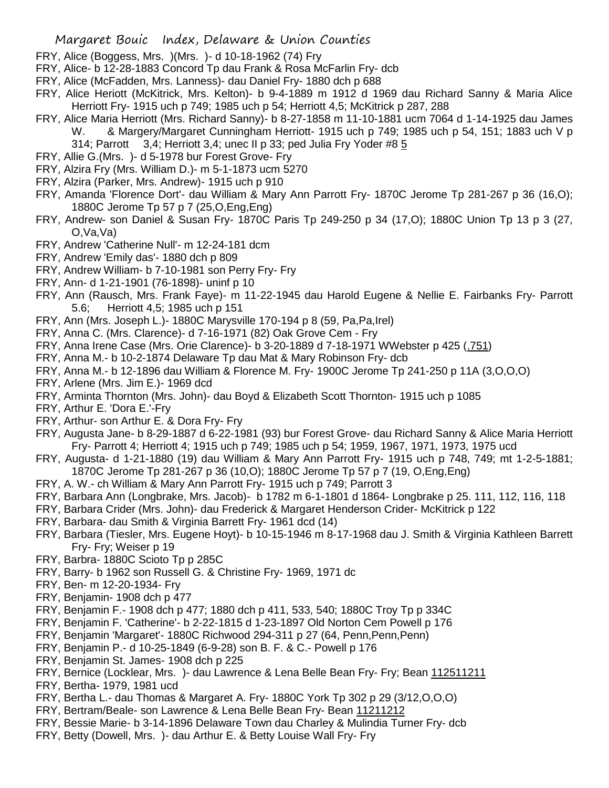- FRY, Alice (Boggess, Mrs. )(Mrs. )- d 10-18-1962 (74) Fry
- FRY, Alice- b 12-28-1883 Concord Tp dau Frank & Rosa McFarlin Fry- dcb
- FRY, Alice (McFadden, Mrs. Lanness)- dau Daniel Fry- 1880 dch p 688
- FRY, Alice Heriott (McKitrick, Mrs. Kelton)- b 9-4-1889 m 1912 d 1969 dau Richard Sanny & Maria Alice Herriott Fry- 1915 uch p 749; 1985 uch p 54; Herriott 4,5; McKitrick p 287, 288
- FRY, Alice Maria Herriott (Mrs. Richard Sanny)- b 8-27-1858 m 11-10-1881 ucm 7064 d 1-14-1925 dau James W. & Margery/Margaret Cunningham Herriott- 1915 uch p 749; 1985 uch p 54, 151; 1883 uch V p 314; Parrott 3,4; Herriott 3,4; unec II p 33; ped Julia Fry Yoder #8 5
- FRY, Allie G.(Mrs. )- d 5-1978 bur Forest Grove- Fry
- FRY, Alzira Fry (Mrs. William D.)- m 5-1-1873 ucm 5270
- FRY, Alzira (Parker, Mrs. Andrew)- 1915 uch p 910
- FRY, Amanda 'Florence Dort'- dau William & Mary Ann Parrott Fry- 1870C Jerome Tp 281-267 p 36 (16,O); 1880C Jerome Tp 57 p 7 (25,O,Eng,Eng)
- FRY, Andrew- son Daniel & Susan Fry- 1870C Paris Tp 249-250 p 34 (17,O); 1880C Union Tp 13 p 3 (27, O,Va,Va)
- FRY, Andrew 'Catherine Null'- m 12-24-181 dcm
- FRY, Andrew 'Emily das'- 1880 dch p 809
- FRY, Andrew William- b 7-10-1981 son Perry Fry- Fry
- FRY, Ann- d 1-21-1901 (76-1898)- uninf p 10
- FRY, Ann (Rausch, Mrs. Frank Faye)- m 11-22-1945 dau Harold Eugene & Nellie E. Fairbanks Fry- Parrott 5.6; Herriott 4,5; 1985 uch p 151
- FRY, Ann (Mrs. Joseph L.)- 1880C Marysville 170-194 p 8 (59, Pa,Pa,Irel)
- FRY, Anna C. (Mrs. Clarence)- d 7-16-1971 (82) Oak Grove Cem Fry
- FRY, Anna Irene Case (Mrs. Orie Clarence)- b 3-20-1889 d 7-18-1971 WWebster p 425 (.751)
- FRY, Anna M.- b 10-2-1874 Delaware Tp dau Mat & Mary Robinson Fry- dcb
- FRY, Anna M.- b 12-1896 dau William & Florence M. Fry- 1900C Jerome Tp 241-250 p 11A (3,O,O,O)
- FRY, Arlene (Mrs. Jim E.)- 1969 dcd
- FRY, Arminta Thornton (Mrs. John)- dau Boyd & Elizabeth Scott Thornton- 1915 uch p 1085
- FRY, Arthur E. 'Dora E.'-Fry
- FRY, Arthur- son Arthur E. & Dora Fry- Fry
- FRY, Augusta Jane- b 8-29-1887 d 6-22-1981 (93) bur Forest Grove- dau Richard Sanny & Alice Maria Herriott Fry- Parrott 4; Herriott 4; 1915 uch p 749; 1985 uch p 54; 1959, 1967, 1971, 1973, 1975 ucd
- FRY, Augusta- d 1-21-1880 (19) dau William & Mary Ann Parrott Fry- 1915 uch p 748, 749; mt 1-2-5-1881; 1870C Jerome Tp 281-267 p 36 (10,O); 1880C Jerome Tp 57 p 7 (19, O,Eng,Eng)
- FRY, A. W.- ch William & Mary Ann Parrott Fry- 1915 uch p 749; Parrott 3
- FRY, Barbara Ann (Longbrake, Mrs. Jacob)- b 1782 m 6-1-1801 d 1864- Longbrake p 25. 111, 112, 116, 118
- FRY, Barbara Crider (Mrs. John)- dau Frederick & Margaret Henderson Crider- McKitrick p 122
- FRY, Barbara- dau Smith & Virginia Barrett Fry- 1961 dcd (14)
- FRY, Barbara (Tiesler, Mrs. Eugene Hoyt)- b 10-15-1946 m 8-17-1968 dau J. Smith & Virginia Kathleen Barrett Fry- Fry; Weiser p 19
- FRY, Barbra- 1880C Scioto Tp p 285C
- FRY, Barry- b 1962 son Russell G. & Christine Fry- 1969, 1971 dc
- FRY, Ben- m 12-20-1934- Fry
- FRY, Benjamin- 1908 dch p 477
- FRY, Benjamin F.- 1908 dch p 477; 1880 dch p 411, 533, 540; 1880C Troy Tp p 334C
- FRY, Benjamin F. 'Catherine'- b 2-22-1815 d 1-23-1897 Old Norton Cem Powell p 176
- FRY, Benjamin 'Margaret'- 1880C Richwood 294-311 p 27 (64, Penn,Penn,Penn)
- FRY, Benjamin P.- d 10-25-1849 (6-9-28) son B. F. & C.- Powell p 176
- FRY, Benjamin St. James- 1908 dch p 225
- FRY, Bernice (Locklear, Mrs. ) dau Lawrence & Lena Belle Bean Fry- Fry; Bean 112511211
- FRY, Bertha- 1979, 1981 ucd
- FRY, Bertha L.- dau Thomas & Margaret A. Fry- 1880C York Tp 302 p 29 (3/12,O,O,O)
- FRY, Bertram/Beale- son Lawrence & Lena Belle Bean Fry- Bean 11211212
- FRY, Bessie Marie- b 3-14-1896 Delaware Town dau Charley & Mulindia Turner Fry- dcb
- FRY, Betty (Dowell, Mrs. )- dau Arthur E. & Betty Louise Wall Fry- Fry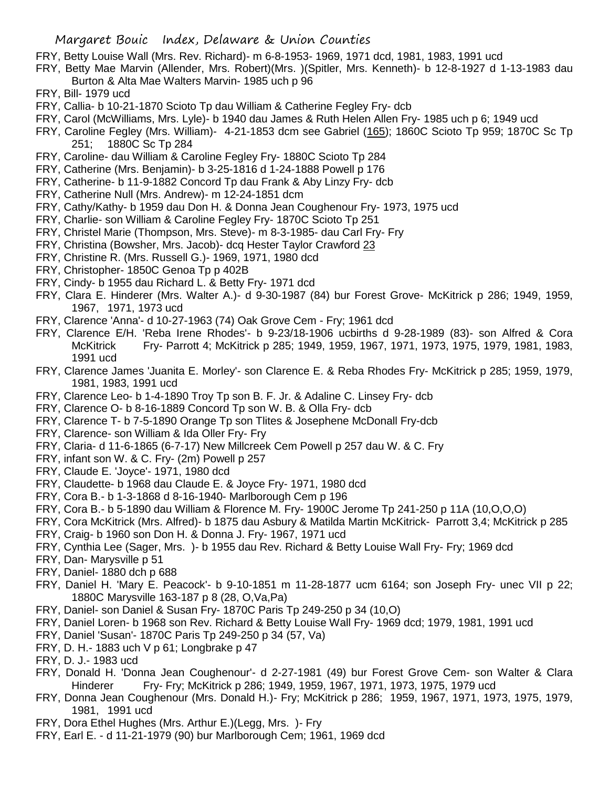FRY, Betty Louise Wall (Mrs. Rev. Richard)- m 6-8-1953- 1969, 1971 dcd, 1981, 1983, 1991 ucd

- FRY, Betty Mae Marvin (Allender, Mrs. Robert)(Mrs. )(Spitler, Mrs. Kenneth)- b 12-8-1927 d 1-13-1983 dau Burton & Alta Mae Walters Marvin- 1985 uch p 96
- FRY, Bill- 1979 ucd
- FRY, Callia- b 10-21-1870 Scioto Tp dau William & Catherine Fegley Fry- dcb
- FRY, Carol (McWilliams, Mrs. Lyle)- b 1940 dau James & Ruth Helen Allen Fry- 1985 uch p 6; 1949 ucd
- FRY, Caroline Fegley (Mrs. William)- 4-21-1853 dcm see Gabriel (165); 1860C Scioto Tp 959; 1870C Sc Tp 251; 1880C Sc Tp 284
- FRY, Caroline- dau William & Caroline Fegley Fry- 1880C Scioto Tp 284
- FRY, Catherine (Mrs. Benjamin)- b 3-25-1816 d 1-24-1888 Powell p 176
- FRY, Catherine- b 11-9-1882 Concord Tp dau Frank & Aby Linzy Fry- dcb
- FRY, Catherine Null (Mrs. Andrew)- m 12-24-1851 dcm
- FRY, Cathy/Kathy- b 1959 dau Don H. & Donna Jean Coughenour Fry- 1973, 1975 ucd
- FRY, Charlie- son William & Caroline Fegley Fry- 1870C Scioto Tp 251
- FRY, Christel Marie (Thompson, Mrs. Steve)- m 8-3-1985- dau Carl Fry- Fry
- FRY, Christina (Bowsher, Mrs. Jacob)- dcq Hester Taylor Crawford 23
- FRY, Christine R. (Mrs. Russell G.)- 1969, 1971, 1980 dcd
- FRY, Christopher- 1850C Genoa Tp p 402B
- FRY, Cindy- b 1955 dau Richard L. & Betty Fry- 1971 dcd
- FRY, Clara E. Hinderer (Mrs. Walter A.)- d 9-30-1987 (84) bur Forest Grove- McKitrick p 286; 1949, 1959, 1967, 1971, 1973 ucd
- FRY, Clarence 'Anna'- d 10-27-1963 (74) Oak Grove Cem Fry; 1961 dcd
- FRY, Clarence E/H. 'Reba Irene Rhodes'- b 9-23/18-1906 ucbirths d 9-28-1989 (83)- son Alfred & Cora McKitrick Fry- Parrott 4; McKitrick p 285; 1949, 1959, 1967, 1971, 1973, 1975, 1979, 1981, 1983, 1991 ucd
- FRY, Clarence James 'Juanita E. Morley'- son Clarence E. & Reba Rhodes Fry- McKitrick p 285; 1959, 1979, 1981, 1983, 1991 ucd
- FRY, Clarence Leo- b 1-4-1890 Troy Tp son B. F. Jr. & Adaline C. Linsey Fry- dcb
- FRY, Clarence O- b 8-16-1889 Concord Tp son W. B. & Olla Fry- dcb
- FRY, Clarence T- b 7-5-1890 Orange Tp son Tlites & Josephene McDonall Fry-dcb
- FRY, Clarence- son William & Ida Oller Fry- Fry
- FRY, Claria- d 11-6-1865 (6-7-17) New Millcreek Cem Powell p 257 dau W. & C. Fry
- FRY, infant son W. & C. Fry- (2m) Powell p 257
- FRY, Claude E. 'Joyce'- 1971, 1980 dcd
- FRY, Claudette- b 1968 dau Claude E. & Joyce Fry- 1971, 1980 dcd
- FRY, Cora B.- b 1-3-1868 d 8-16-1940- Marlborough Cem p 196
- FRY, Cora B.- b 5-1890 dau William & Florence M. Fry- 1900C Jerome Tp 241-250 p 11A (10,O,O,O)
- FRY, Cora McKitrick (Mrs. Alfred)- b 1875 dau Asbury & Matilda Martin McKitrick- Parrott 3,4; McKitrick p 285
- FRY, Craig- b 1960 son Don H. & Donna J. Fry- 1967, 1971 ucd
- FRY, Cynthia Lee (Sager, Mrs. )- b 1955 dau Rev. Richard & Betty Louise Wall Fry- Fry; 1969 dcd
- FRY, Dan- Marysville p 51
- FRY, Daniel- 1880 dch p 688
- FRY, Daniel H. 'Mary E. Peacock'- b 9-10-1851 m 11-28-1877 ucm 6164; son Joseph Fry- unec VII p 22; 1880C Marysville 163-187 p 8 (28, O,Va,Pa)
- FRY, Daniel- son Daniel & Susan Fry- 1870C Paris Tp 249-250 p 34 (10,O)
- FRY, Daniel Loren- b 1968 son Rev. Richard & Betty Louise Wall Fry- 1969 dcd; 1979, 1981, 1991 ucd
- FRY, Daniel 'Susan'- 1870C Paris Tp 249-250 p 34 (57, Va)
- FRY, D. H.- 1883 uch V p 61; Longbrake p 47
- FRY, D. J.- 1983 ucd
- FRY, Donald H. 'Donna Jean Coughenour'- d 2-27-1981 (49) bur Forest Grove Cem- son Walter & Clara Hinderer Fry- Fry; McKitrick p 286; 1949, 1959, 1967, 1971, 1973, 1975, 1979 ucd
- FRY, Donna Jean Coughenour (Mrs. Donald H.)- Fry; McKitrick p 286; 1959, 1967, 1971, 1973, 1975, 1979, 1981, 1991 ucd
- FRY, Dora Ethel Hughes (Mrs. Arthur E.)(Legg, Mrs. )- Fry
- FRY, Earl E. d 11-21-1979 (90) bur Marlborough Cem; 1961, 1969 dcd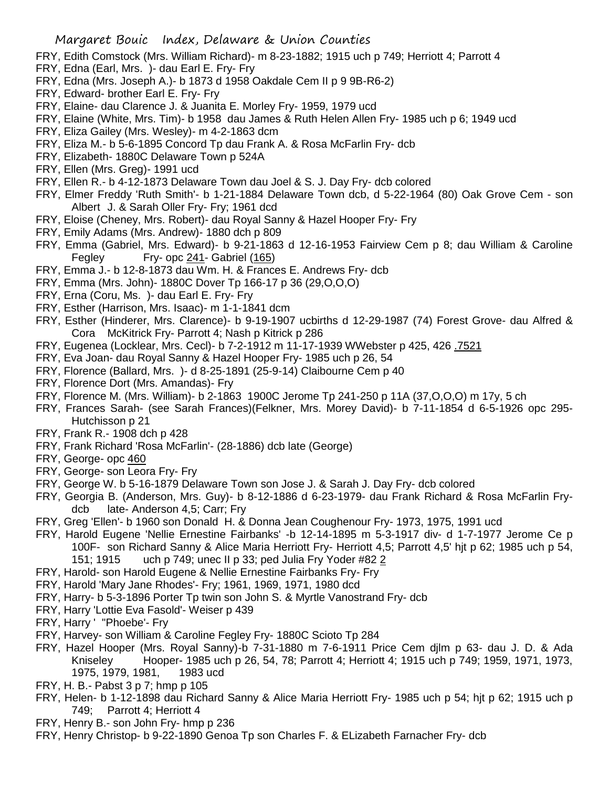- FRY, Edith Comstock (Mrs. William Richard)- m 8-23-1882; 1915 uch p 749; Herriott 4; Parrott 4
- FRY, Edna (Earl, Mrs. )- dau Earl E. Fry- Fry
- FRY, Edna (Mrs. Joseph A.)- b 1873 d 1958 Oakdale Cem II p 9 9B-R6-2)
- FRY, Edward- brother Earl E. Fry- Fry
- FRY, Elaine- dau Clarence J. & Juanita E. Morley Fry- 1959, 1979 ucd
- FRY, Elaine (White, Mrs. Tim)- b 1958 dau James & Ruth Helen Allen Fry- 1985 uch p 6; 1949 ucd
- FRY, Eliza Gailey (Mrs. Wesley)- m 4-2-1863 dcm
- FRY, Eliza M.- b 5-6-1895 Concord Tp dau Frank A. & Rosa McFarlin Fry- dcb
- FRY, Elizabeth- 1880C Delaware Town p 524A
- FRY, Ellen (Mrs. Greg)- 1991 ucd
- FRY, Ellen R.- b 4-12-1873 Delaware Town dau Joel & S. J. Day Fry- dcb colored
- FRY, Elmer Freddy 'Ruth Smith'- b 1-21-1884 Delaware Town dcb, d 5-22-1964 (80) Oak Grove Cem son Albert J. & Sarah Oller Fry- Fry; 1961 dcd
- FRY, Eloise (Cheney, Mrs. Robert)- dau Royal Sanny & Hazel Hooper Fry- Fry
- FRY, Emily Adams (Mrs. Andrew)- 1880 dch p 809
- FRY, Emma (Gabriel, Mrs. Edward)- b 9-21-1863 d 12-16-1953 Fairview Cem p 8; dau William & Caroline Fegley Fry- opc 241- Gabriel (165)
- FRY, Emma J.- b 12-8-1873 dau Wm. H. & Frances E. Andrews Fry- dcb
- FRY, Emma (Mrs. John)- 1880C Dover Tp 166-17 p 36 (29,O,O,O)
- FRY, Erna (Coru, Ms. )- dau Earl E. Fry- Fry
- FRY, Esther (Harrison, Mrs. Isaac)- m 1-1-1841 dcm
- FRY, Esther (Hinderer, Mrs. Clarence)- b 9-19-1907 ucbirths d 12-29-1987 (74) Forest Grove- dau Alfred & Cora McKitrick Fry- Parrott 4; Nash p Kitrick p 286
- FRY, Eugenea (Locklear, Mrs. Cecl)- b 7-2-1912 m 11-17-1939 WWebster p 425, 426 .7521
- FRY, Eva Joan- dau Royal Sanny & Hazel Hooper Fry- 1985 uch p 26, 54
- FRY, Florence (Ballard, Mrs. )- d 8-25-1891 (25-9-14) Claibourne Cem p 40
- FRY, Florence Dort (Mrs. Amandas)- Fry
- FRY, Florence M. (Mrs. William)- b 2-1863 1900C Jerome Tp 241-250 p 11A (37,O,O,O) m 17y, 5 ch
- FRY, Frances Sarah- (see Sarah Frances)(Felkner, Mrs. Morey David)- b 7-11-1854 d 6-5-1926 opc 295- Hutchisson p 21
- FRY, Frank R.- 1908 dch p 428
- FRY, Frank Richard 'Rosa McFarlin'- (28-1886) dcb late (George)
- FRY, George- opc 460
- FRY, George- son Leora Fry- Fry
- FRY, George W. b 5-16-1879 Delaware Town son Jose J. & Sarah J. Day Fry- dcb colored
- FRY, Georgia B. (Anderson, Mrs. Guy)- b 8-12-1886 d 6-23-1979- dau Frank Richard & Rosa McFarlin Frydcb late- Anderson 4,5; Carr; Fry
- FRY, Greg 'Ellen'- b 1960 son Donald H. & Donna Jean Coughenour Fry- 1973, 1975, 1991 ucd
- FRY, Harold Eugene 'Nellie Ernestine Fairbanks' -b 12-14-1895 m 5-3-1917 div- d 1-7-1977 Jerome Ce p 100F- son Richard Sanny & Alice Maria Herriott Fry- Herriott 4,5; Parrott 4,5' hjt p 62; 1985 uch p 54, 151; 1915 uch p 749; unec II p 33; ped Julia Fry Yoder #82 2
- FRY, Harold- son Harold Eugene & Nellie Ernestine Fairbanks Fry- Fry
- FRY, Harold 'Mary Jane Rhodes'- Fry; 1961, 1969, 1971, 1980 dcd
- FRY, Harry- b 5-3-1896 Porter Tp twin son John S. & Myrtle Vanostrand Fry- dcb
- FRY, Harry 'Lottie Eva Fasold'- Weiser p 439
- FRY, Harry ' ''Phoebe'- Fry
- FRY, Harvey- son William & Caroline Fegley Fry- 1880C Scioto Tp 284
- FRY, Hazel Hooper (Mrs. Royal Sanny)-b 7-31-1880 m 7-6-1911 Price Cem djlm p 63- dau J. D. & Ada Kniseley Hooper- 1985 uch p 26, 54, 78; Parrott 4; Herriott 4; 1915 uch p 749; 1959, 1971, 1973, 1975, 1979, 1981, 1983 ucd
- FRY, H. B.- Pabst 3 p 7; hmp p 105
- FRY, Helen- b 1-12-1898 dau Richard Sanny & Alice Maria Herriott Fry- 1985 uch p 54; hjt p 62; 1915 uch p 749; Parrott 4; Herriott 4
- FRY, Henry B.- son John Fry- hmp p 236
- FRY, Henry Christop- b 9-22-1890 Genoa Tp son Charles F. & ELizabeth Farnacher Fry- dcb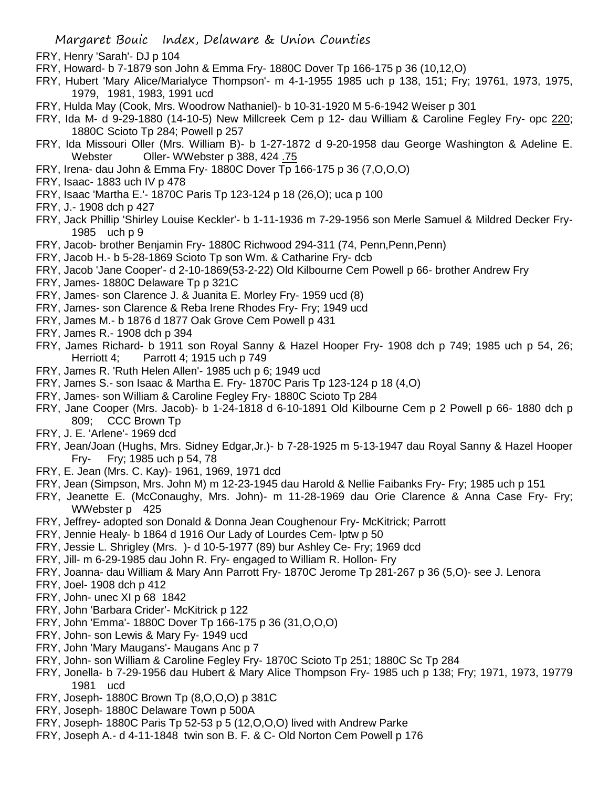- FRY, Henry 'Sarah'- DJ p 104
- FRY, Howard- b 7-1879 son John & Emma Fry- 1880C Dover Tp 166-175 p 36 (10,12,O)
- FRY, Hubert 'Mary Alice/Marialyce Thompson'- m 4-1-1955 1985 uch p 138, 151; Fry; 19761, 1973, 1975, 1979, 1981, 1983, 1991 ucd
- FRY, Hulda May (Cook, Mrs. Woodrow Nathaniel)- b 10-31-1920 M 5-6-1942 Weiser p 301
- FRY, Ida M- d 9-29-1880 (14-10-5) New Millcreek Cem p 12- dau William & Caroline Fegley Fry- opc 220; 1880C Scioto Tp 284; Powell p 257
- FRY, Ida Missouri Oller (Mrs. William B)- b 1-27-1872 d 9-20-1958 dau George Washington & Adeline E. Webster Oller- WWebster p 388, 424 .75
- FRY, Irena- dau John & Emma Fry- 1880C Dover Tp 166-175 p 36 (7,O,O,O)
- FRY, Isaac- 1883 uch IV p 478
- FRY, Isaac 'Martha E.'- 1870C Paris Tp 123-124 p 18 (26,O); uca p 100
- FRY, J.- 1908 dch p 427
- FRY, Jack Phillip 'Shirley Louise Keckler'- b 1-11-1936 m 7-29-1956 son Merle Samuel & Mildred Decker Fry-1985 uch p 9
- FRY, Jacob- brother Benjamin Fry- 1880C Richwood 294-311 (74, Penn,Penn,Penn)
- FRY, Jacob H.- b 5-28-1869 Scioto Tp son Wm. & Catharine Fry- dcb
- FRY, Jacob 'Jane Cooper'- d 2-10-1869(53-2-22) Old Kilbourne Cem Powell p 66- brother Andrew Fry
- FRY, James- 1880C Delaware Tp p 321C
- FRY, James- son Clarence J. & Juanita E. Morley Fry- 1959 ucd (8)
- FRY, James- son Clarence & Reba Irene Rhodes Fry- Fry; 1949 ucd
- FRY, James M.- b 1876 d 1877 Oak Grove Cem Powell p 431
- FRY, James R.- 1908 dch p 394
- FRY, James Richard- b 1911 son Royal Sanny & Hazel Hooper Fry- 1908 dch p 749; 1985 uch p 54, 26; Herriott 4; Parrott 4; 1915 uch p 749
- FRY, James R. 'Ruth Helen Allen'- 1985 uch p 6; 1949 ucd
- FRY, James S.- son Isaac & Martha E. Fry- 1870C Paris Tp 123-124 p 18 (4,O)
- FRY, James- son William & Caroline Fegley Fry- 1880C Scioto Tp 284
- FRY, Jane Cooper (Mrs. Jacob)- b 1-24-1818 d 6-10-1891 Old Kilbourne Cem p 2 Powell p 66- 1880 dch p 809; CCC Brown Tp
- FRY, J. E. 'Arlene'- 1969 dcd
- FRY, Jean/Joan (Hughs, Mrs. Sidney Edgar,Jr.)- b 7-28-1925 m 5-13-1947 dau Royal Sanny & Hazel Hooper Fry- Fry; 1985 uch p 54, 78
- FRY, E. Jean (Mrs. C. Kay)- 1961, 1969, 1971 dcd
- FRY, Jean (Simpson, Mrs. John M) m 12-23-1945 dau Harold & Nellie Faibanks Fry- Fry; 1985 uch p 151
- FRY, Jeanette E. (McConaughy, Mrs. John)- m 11-28-1969 dau Orie Clarence & Anna Case Fry- Fry; WWebster p 425
- FRY, Jeffrey- adopted son Donald & Donna Jean Coughenour Fry- McKitrick; Parrott
- FRY, Jennie Healy- b 1864 d 1916 Our Lady of Lourdes Cem- lptw p 50
- FRY, Jessie L. Shrigley (Mrs. )- d 10-5-1977 (89) bur Ashley Ce- Fry; 1969 dcd
- FRY, Jill- m 6-29-1985 dau John R. Fry- engaged to William R. Hollon- Fry
- FRY, Joanna- dau William & Mary Ann Parrott Fry- 1870C Jerome Tp 281-267 p 36 (5,O)- see J. Lenora
- FRY, Joel- 1908 dch p 412
- FRY, John- unec XI p 68 1842
- FRY, John 'Barbara Crider'- McKitrick p 122
- FRY, John 'Emma'- 1880C Dover Tp 166-175 p 36 (31,O,O,O)
- FRY, John- son Lewis & Mary Fy- 1949 ucd
- FRY, John 'Mary Maugans'- Maugans Anc p 7
- FRY, John- son William & Caroline Fegley Fry- 1870C Scioto Tp 251; 1880C Sc Tp 284
- FRY, Jonella- b 7-29-1956 dau Hubert & Mary Alice Thompson Fry- 1985 uch p 138; Fry; 1971, 1973, 19779 1981 ucd
- FRY, Joseph- 1880C Brown Tp (8,O,O,O) p 381C
- FRY, Joseph- 1880C Delaware Town p 500A
- FRY, Joseph- 1880C Paris Tp 52-53 p 5 (12,O,O,O) lived with Andrew Parke
- FRY, Joseph A.- d 4-11-1848 twin son B. F. & C- Old Norton Cem Powell p 176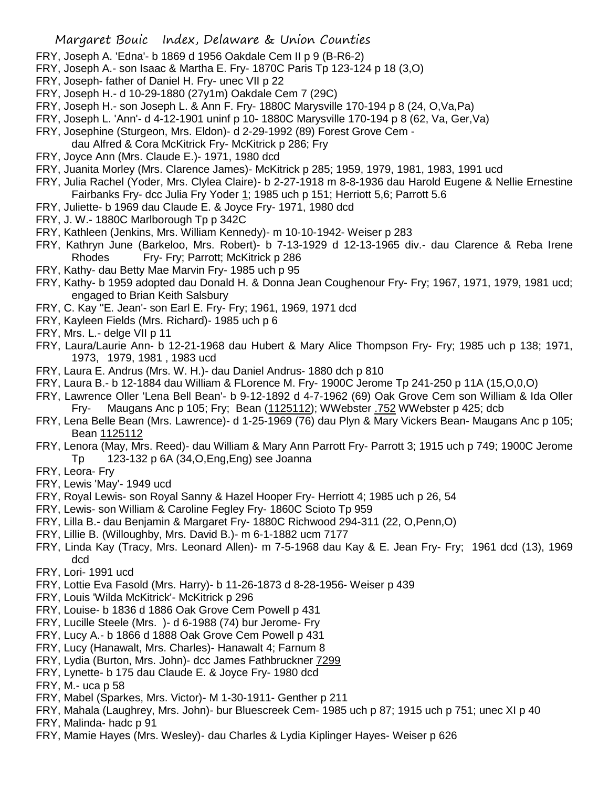- FRY, Joseph A. 'Edna'- b 1869 d 1956 Oakdale Cem II p 9 (B-R6-2)
- FRY, Joseph A.- son Isaac & Martha E. Fry- 1870C Paris Tp 123-124 p 18 (3,O)
- FRY, Joseph- father of Daniel H. Fry- unec VII p 22
- FRY, Joseph H.- d 10-29-1880 (27y1m) Oakdale Cem 7 (29C)
- FRY, Joseph H.- son Joseph L. & Ann F. Fry- 1880C Marysville 170-194 p 8 (24, O,Va,Pa)
- FRY, Joseph L. 'Ann'- d 4-12-1901 uninf p 10- 1880C Marysville 170-194 p 8 (62, Va, Ger,Va)
- FRY, Josephine (Sturgeon, Mrs. Eldon)- d 2-29-1992 (89) Forest Grove Cem -
- dau Alfred & Cora McKitrick Fry- McKitrick p 286; Fry
- FRY, Joyce Ann (Mrs. Claude E.)- 1971, 1980 dcd
- FRY, Juanita Morley (Mrs. Clarence James)- McKitrick p 285; 1959, 1979, 1981, 1983, 1991 ucd
- FRY, Julia Rachel (Yoder, Mrs. Clylea Claire)- b 2-27-1918 m 8-8-1936 dau Harold Eugene & Nellie Ernestine Fairbanks Fry- dcc Julia Fry Yoder 1; 1985 uch p 151; Herriott 5,6; Parrott 5.6
- FRY, Juliette- b 1969 dau Claude E. & Joyce Fry- 1971, 1980 dcd
- FRY, J. W.- 1880C Marlborough Tp p 342C
- FRY, Kathleen (Jenkins, Mrs. William Kennedy)- m 10-10-1942- Weiser p 283
- FRY, Kathryn June (Barkeloo, Mrs. Robert)- b 7-13-1929 d 12-13-1965 div.- dau Clarence & Reba Irene Rhodes Fry- Fry; Parrott; McKitrick p 286
- FRY, Kathy- dau Betty Mae Marvin Fry- 1985 uch p 95
- FRY, Kathy- b 1959 adopted dau Donald H. & Donna Jean Coughenour Fry- Fry; 1967, 1971, 1979, 1981 ucd; engaged to Brian Keith Salsbury
- FRY, C. Kay ''E. Jean'- son Earl E. Fry- Fry; 1961, 1969, 1971 dcd
- FRY, Kayleen Fields (Mrs. Richard)- 1985 uch p 6
- FRY, Mrs. L.- delge VII p 11
- FRY, Laura/Laurie Ann- b 12-21-1968 dau Hubert & Mary Alice Thompson Fry- Fry; 1985 uch p 138; 1971, 1973, 1979, 1981 , 1983 ucd
- FRY, Laura E. Andrus (Mrs. W. H.)- dau Daniel Andrus- 1880 dch p 810
- FRY, Laura B.- b 12-1884 dau William & FLorence M. Fry- 1900C Jerome Tp 241-250 p 11A (15,O,0,O)
- FRY, Lawrence Oller 'Lena Bell Bean'- b 9-12-1892 d 4-7-1962 (69) Oak Grove Cem son William & Ida Oller Fry- Maugans Anc p 105; Fry; Bean (1125112); WWebster .752 WWebster p 425; dcb
- FRY, Lena Belle Bean (Mrs. Lawrence)- d 1-25-1969 (76) dau Plyn & Mary Vickers Bean- Maugans Anc p 105; Bean 1125112
- FRY, Lenora (May, Mrs. Reed)- dau William & Mary Ann Parrott Fry- Parrott 3; 1915 uch p 749; 1900C Jerome Tp 123-132 p 6A (34,O,Eng,Eng) see Joanna
- FRY, Leora- Fry
- FRY, Lewis 'May'- 1949 ucd
- FRY, Royal Lewis- son Royal Sanny & Hazel Hooper Fry- Herriott 4; 1985 uch p 26, 54
- FRY, Lewis- son William & Caroline Fegley Fry- 1860C Scioto Tp 959
- FRY, Lilla B.- dau Benjamin & Margaret Fry- 1880C Richwood 294-311 (22, O,Penn,O)
- FRY, Lillie B. (Willoughby, Mrs. David B.)- m 6-1-1882 ucm 7177
- FRY, Linda Kay (Tracy, Mrs. Leonard Allen)- m 7-5-1968 dau Kay & E. Jean Fry- Fry; 1961 dcd (13), 1969 dcd
- FRY, Lori- 1991 ucd
- FRY, Lottie Eva Fasold (Mrs. Harry)- b 11-26-1873 d 8-28-1956- Weiser p 439
- FRY, Louis 'Wilda McKitrick'- McKitrick p 296
- FRY, Louise- b 1836 d 1886 Oak Grove Cem Powell p 431
- FRY, Lucille Steele (Mrs. )- d 6-1988 (74) bur Jerome- Fry
- FRY, Lucy A.- b 1866 d 1888 Oak Grove Cem Powell p 431
- FRY, Lucy (Hanawalt, Mrs. Charles)- Hanawalt 4; Farnum 8
- FRY, Lydia (Burton, Mrs. John)- dcc James Fathbruckner 7299
- FRY, Lynette- b 175 dau Claude E. & Joyce Fry- 1980 dcd
- FRY, M.- uca p 58
- FRY, Mabel (Sparkes, Mrs. Victor)- M 1-30-1911- Genther p 211
- FRY, Mahala (Laughrey, Mrs. John)- bur Bluescreek Cem- 1985 uch p 87; 1915 uch p 751; unec XI p 40
- FRY, Malinda- hadc p 91
- FRY, Mamie Hayes (Mrs. Wesley)- dau Charles & Lydia Kiplinger Hayes- Weiser p 626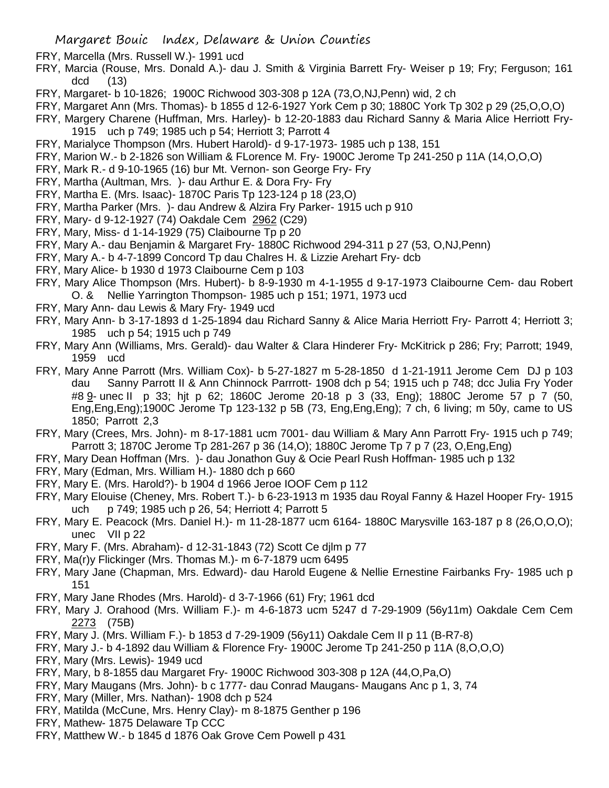- FRY, Marcella (Mrs. Russell W.)- 1991 ucd
- FRY, Marcia (Rouse, Mrs. Donald A.)- dau J. Smith & Virginia Barrett Fry- Weiser p 19; Fry; Ferguson; 161 dcd (13)
- FRY, Margaret- b 10-1826; 1900C Richwood 303-308 p 12A (73,O,NJ,Penn) wid, 2 ch
- FRY, Margaret Ann (Mrs. Thomas)- b 1855 d 12-6-1927 York Cem p 30; 1880C York Tp 302 p 29 (25,O,O,O)
- FRY, Margery Charene (Huffman, Mrs. Harley)- b 12-20-1883 dau Richard Sanny & Maria Alice Herriott Fry-1915 uch p 749; 1985 uch p 54; Herriott 3; Parrott 4
- FRY, Marialyce Thompson (Mrs. Hubert Harold)- d 9-17-1973- 1985 uch p 138, 151
- FRY, Marion W.- b 2-1826 son William & FLorence M. Fry- 1900C Jerome Tp 241-250 p 11A (14,O,O,O)
- FRY, Mark R.- d 9-10-1965 (16) bur Mt. Vernon- son George Fry- Fry
- FRY, Martha (Aultman, Mrs. )- dau Arthur E. & Dora Fry- Fry
- FRY, Martha E. (Mrs. Isaac)- 1870C Paris Tp 123-124 p 18 (23,O)
- FRY, Martha Parker (Mrs. )- dau Andrew & Alzira Fry Parker- 1915 uch p 910
- FRY, Mary- d 9-12-1927 (74) Oakdale Cem 2962 (C29)
- FRY, Mary, Miss- d 1-14-1929 (75) Claibourne Tp p 20
- FRY, Mary A.- dau Benjamin & Margaret Fry- 1880C Richwood 294-311 p 27 (53, O,NJ,Penn)
- FRY, Mary A.- b 4-7-1899 Concord Tp dau Chalres H. & Lizzie Arehart Fry- dcb
- FRY, Mary Alice- b 1930 d 1973 Claibourne Cem p 103
- FRY, Mary Alice Thompson (Mrs. Hubert)- b 8-9-1930 m 4-1-1955 d 9-17-1973 Claibourne Cem- dau Robert O. & Nellie Yarrington Thompson- 1985 uch p 151; 1971, 1973 ucd
- FRY, Mary Ann- dau Lewis & Mary Fry- 1949 ucd
- FRY, Mary Ann- b 3-17-1893 d 1-25-1894 dau Richard Sanny & Alice Maria Herriott Fry- Parrott 4; Herriott 3; 1985 uch p 54; 1915 uch p 749
- FRY, Mary Ann (Williams, Mrs. Gerald)- dau Walter & Clara Hinderer Fry- McKitrick p 286; Fry; Parrott; 1949, 1959 ucd
- FRY, Mary Anne Parrott (Mrs. William Cox)- b 5-27-1827 m 5-28-1850 d 1-21-1911 Jerome Cem DJ p 103 dau Sanny Parrott II & Ann Chinnock Parrrott- 1908 dch p 54; 1915 uch p 748; dcc Julia Fry Yoder #8 9- unec II p 33; hjt p 62; 1860C Jerome 20-18 p 3 (33, Eng); 1880C Jerome 57 p 7 (50, Eng,Eng,Eng);1900C Jerome Tp 123-132 p 5B (73, Eng,Eng,Eng); 7 ch, 6 living; m 50y, came to US 1850; Parrott 2,3
- FRY, Mary (Crees, Mrs. John)- m 8-17-1881 ucm 7001- dau William & Mary Ann Parrott Fry- 1915 uch p 749; Parrott 3; 1870C Jerome Tp 281-267 p 36 (14,O); 1880C Jerome Tp 7 p 7 (23, O,Eng,Eng)
- FRY, Mary Dean Hoffman (Mrs. )- dau Jonathon Guy & Ocie Pearl Rush Hoffman- 1985 uch p 132
- FRY, Mary (Edman, Mrs. William H.)- 1880 dch p 660
- FRY, Mary E. (Mrs. Harold?)- b 1904 d 1966 Jeroe IOOF Cem p 112
- FRY, Mary Elouise (Cheney, Mrs. Robert T.)- b 6-23-1913 m 1935 dau Royal Fanny & Hazel Hooper Fry- 1915 uch p 749; 1985 uch p 26, 54; Herriott 4; Parrott 5
- FRY, Mary E. Peacock (Mrs. Daniel H.)- m 11-28-1877 ucm 6164- 1880C Marysville 163-187 p 8 (26,O,O,O); unec VII p 22
- FRY, Mary F. (Mrs. Abraham)- d 12-31-1843 (72) Scott Ce djlm p 77
- FRY, Ma(r)y Flickinger (Mrs. Thomas M.)- m 6-7-1879 ucm 6495
- FRY, Mary Jane (Chapman, Mrs. Edward)- dau Harold Eugene & Nellie Ernestine Fairbanks Fry- 1985 uch p 151
- FRY, Mary Jane Rhodes (Mrs. Harold)- d 3-7-1966 (61) Fry; 1961 dcd
- FRY, Mary J. Orahood (Mrs. William F.)- m 4-6-1873 ucm 5247 d 7-29-1909 (56y11m) Oakdale Cem Cem 2273 (75B)
- FRY, Mary J. (Mrs. William F.)- b 1853 d 7-29-1909 (56y11) Oakdale Cem II p 11 (B-R7-8)
- FRY, Mary J.- b 4-1892 dau William & Florence Fry- 1900C Jerome Tp 241-250 p 11A (8,O,O,O)
- FRY, Mary (Mrs. Lewis)- 1949 ucd
- FRY, Mary, b 8-1855 dau Margaret Fry- 1900C Richwood 303-308 p 12A (44,O,Pa,O)
- FRY, Mary Maugans (Mrs. John)- b c 1777- dau Conrad Maugans- Maugans Anc p 1, 3, 74
- FRY, Mary (Miller, Mrs. Nathan)- 1908 dch p 524
- FRY, Matilda (McCune, Mrs. Henry Clay)- m 8-1875 Genther p 196
- FRY, Mathew- 1875 Delaware Tp CCC
- FRY, Matthew W.- b 1845 d 1876 Oak Grove Cem Powell p 431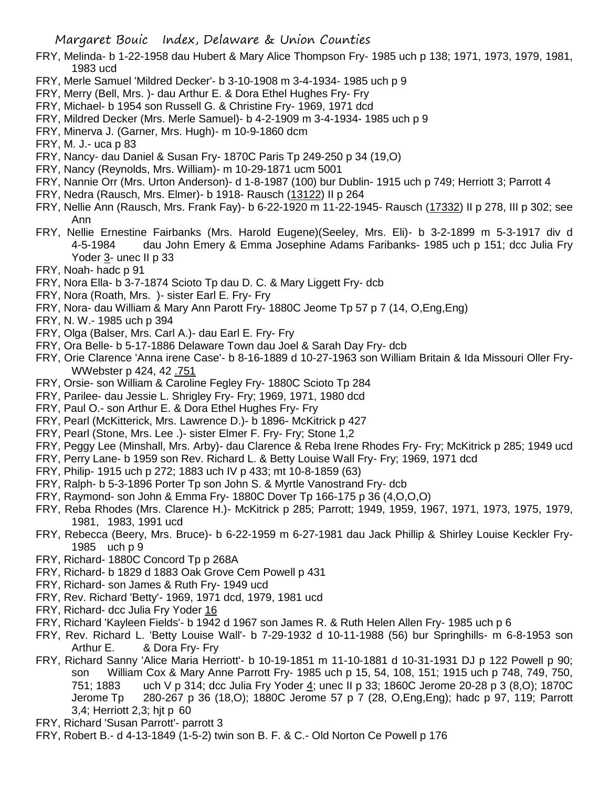- FRY, Melinda- b 1-22-1958 dau Hubert & Mary Alice Thompson Fry- 1985 uch p 138; 1971, 1973, 1979, 1981, 1983 ucd
- FRY, Merle Samuel 'Mildred Decker'- b 3-10-1908 m 3-4-1934- 1985 uch p 9
- FRY, Merry (Bell, Mrs. )- dau Arthur E. & Dora Ethel Hughes Fry- Fry
- FRY, Michael- b 1954 son Russell G. & Christine Fry- 1969, 1971 dcd
- FRY, Mildred Decker (Mrs. Merle Samuel)- b 4-2-1909 m 3-4-1934- 1985 uch p 9
- FRY, Minerva J. (Garner, Mrs. Hugh)- m 10-9-1860 dcm
- FRY, M. J.- uca p 83
- FRY, Nancy- dau Daniel & Susan Fry- 1870C Paris Tp 249-250 p 34 (19,O)
- FRY, Nancy (Reynolds, Mrs. William)- m 10-29-1871 ucm 5001
- FRY, Nannie Orr (Mrs. Urton Anderson)- d 1-8-1987 (100) bur Dublin- 1915 uch p 749; Herriott 3; Parrott 4
- FRY, Nedra (Rausch, Mrs. Elmer)- b 1918- Rausch (13122) II p 264
- FRY, Nellie Ann (Rausch, Mrs. Frank Fay)- b 6-22-1920 m 11-22-1945- Rausch (17332) II p 278, III p 302; see Ann
- FRY, Nellie Ernestine Fairbanks (Mrs. Harold Eugene)(Seeley, Mrs. Eli)- b 3-2-1899 m 5-3-1917 div d 4-5-1984 dau John Emery & Emma Josephine Adams Faribanks- 1985 uch p 151; dcc Julia Fry Yoder 3- unec II p 33
- FRY, Noah- hadc p 91
- FRY, Nora Ella- b 3-7-1874 Scioto Tp dau D. C. & Mary Liggett Fry- dcb
- FRY, Nora (Roath, Mrs. )- sister Earl E. Fry- Fry
- FRY, Nora- dau William & Mary Ann Parott Fry- 1880C Jeome Tp 57 p 7 (14, O,Eng,Eng)
- FRY, N. W.- 1985 uch p 394
- FRY, Olga (Balser, Mrs. Carl A.)- dau Earl E. Fry- Fry
- FRY, Ora Belle- b 5-17-1886 Delaware Town dau Joel & Sarah Day Fry- dcb
- FRY, Orie Clarence 'Anna irene Case'- b 8-16-1889 d 10-27-1963 son William Britain & Ida Missouri Oller Fry-WWebster p 424, 42 .751
- FRY, Orsie- son William & Caroline Fegley Fry- 1880C Scioto Tp 284
- FRY, Parilee- dau Jessie L. Shrigley Fry- Fry; 1969, 1971, 1980 dcd
- FRY, Paul O.- son Arthur E. & Dora Ethel Hughes Fry- Fry
- FRY, Pearl (McKitterick, Mrs. Lawrence D.)- b 1896- McKitrick p 427
- FRY, Pearl (Stone, Mrs. Lee .)- sister Elmer F. Fry- Fry; Stone 1,2
- FRY, Peggy Lee (Minshall, Mrs. Arby)- dau Clarence & Reba Irene Rhodes Fry- Fry; McKitrick p 285; 1949 ucd
- FRY, Perry Lane- b 1959 son Rev. Richard L. & Betty Louise Wall Fry- Fry; 1969, 1971 dcd
- FRY, Philip- 1915 uch p 272; 1883 uch IV p 433; mt 10-8-1859 (63)
- FRY, Ralph- b 5-3-1896 Porter Tp son John S. & Myrtle Vanostrand Fry- dcb
- FRY, Raymond- son John & Emma Fry- 1880C Dover Tp 166-175 p 36 (4,O,O,O)
- FRY, Reba Rhodes (Mrs. Clarence H.)- McKitrick p 285; Parrott; 1949, 1959, 1967, 1971, 1973, 1975, 1979, 1981, 1983, 1991 ucd
- FRY, Rebecca (Beery, Mrs. Bruce)- b 6-22-1959 m 6-27-1981 dau Jack Phillip & Shirley Louise Keckler Fry-1985 uch p 9
- FRY, Richard- 1880C Concord Tp p 268A
- FRY, Richard- b 1829 d 1883 Oak Grove Cem Powell p 431
- FRY, Richard- son James & Ruth Fry- 1949 ucd
- FRY, Rev. Richard 'Betty'- 1969, 1971 dcd, 1979, 1981 ucd
- FRY, Richard- dcc Julia Fry Yoder 16
- FRY, Richard 'Kayleen Fields'- b 1942 d 1967 son James R. & Ruth Helen Allen Fry- 1985 uch p 6
- FRY, Rev. Richard L. 'Betty Louise Wall'- b 7-29-1932 d 10-11-1988 (56) bur Springhills- m 6-8-1953 son Arthur E. & Dora Fry- Fry
- FRY, Richard Sanny 'Alice Maria Herriott'- b 10-19-1851 m 11-10-1881 d 10-31-1931 DJ p 122 Powell p 90; son William Cox & Mary Anne Parrott Fry- 1985 uch p 15, 54, 108, 151; 1915 uch p 748, 749, 750, 751; 1883 uch V p 314; dcc Julia Fry Yoder 4; unec II p 33; 1860C Jerome 20-28 p 3 (8,O); 1870C Jerome Tp 280-267 p 36 (18,O); 1880C Jerome 57 p 7 (28, O,Eng,Eng); hadc p 97, 119; Parrott 3,4; Herriott 2,3; hjt p 60
- FRY, Richard 'Susan Parrott'- parrott 3
- FRY, Robert B.- d 4-13-1849 (1-5-2) twin son B. F. & C.- Old Norton Ce Powell p 176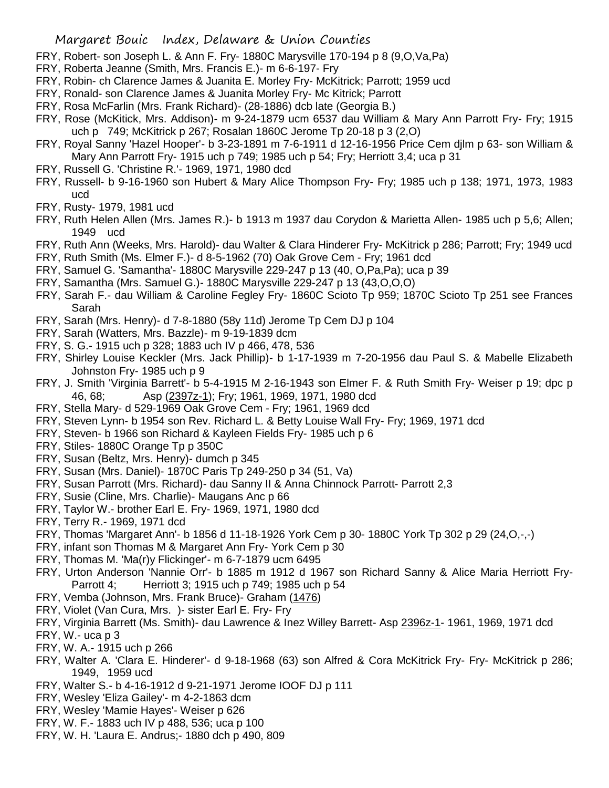- FRY, Robert- son Joseph L. & Ann F. Fry- 1880C Marysville 170-194 p 8 (9,O,Va,Pa)
- FRY, Roberta Jeanne (Smith, Mrs. Francis E.)- m 6-6-197- Fry
- FRY, Robin- ch Clarence James & Juanita E. Morley Fry- McKitrick; Parrott; 1959 ucd
- FRY, Ronald- son Clarence James & Juanita Morley Fry- Mc Kitrick; Parrott
- FRY, Rosa McFarlin (Mrs. Frank Richard)- (28-1886) dcb late (Georgia B.)
- FRY, Rose (McKitick, Mrs. Addison)- m 9-24-1879 ucm 6537 dau William & Mary Ann Parrott Fry- Fry; 1915 uch p 749; McKitrick p 267; Rosalan 1860C Jerome Tp 20-18 p 3 (2,O)
- FRY, Royal Sanny 'Hazel Hooper'- b 3-23-1891 m 7-6-1911 d 12-16-1956 Price Cem djlm p 63- son William & Mary Ann Parrott Fry- 1915 uch p 749; 1985 uch p 54; Fry; Herriott 3,4; uca p 31
- FRY, Russell G. 'Christine R.'- 1969, 1971, 1980 dcd
- FRY, Russell- b 9-16-1960 son Hubert & Mary Alice Thompson Fry- Fry; 1985 uch p 138; 1971, 1973, 1983 ucd
- FRY, Rusty- 1979, 1981 ucd
- FRY, Ruth Helen Allen (Mrs. James R.)- b 1913 m 1937 dau Corydon & Marietta Allen- 1985 uch p 5,6; Allen; 1949 ucd
- FRY, Ruth Ann (Weeks, Mrs. Harold)- dau Walter & Clara Hinderer Fry- McKitrick p 286; Parrott; Fry; 1949 ucd
- FRY, Ruth Smith (Ms. Elmer F.)- d 8-5-1962 (70) Oak Grove Cem Fry; 1961 dcd
- FRY, Samuel G. 'Samantha'- 1880C Marysville 229-247 p 13 (40, O,Pa,Pa); uca p 39
- FRY, Samantha (Mrs. Samuel G.)- 1880C Marysville 229-247 p 13 (43,O,O,O)
- FRY, Sarah F.- dau William & Caroline Fegley Fry- 1860C Scioto Tp 959; 1870C Scioto Tp 251 see Frances Sarah
- FRY, Sarah (Mrs. Henry)- d 7-8-1880 (58y 11d) Jerome Tp Cem DJ p 104
- FRY, Sarah (Watters, Mrs. Bazzle)- m 9-19-1839 dcm
- FRY, S. G.- 1915 uch p 328; 1883 uch IV p 466, 478, 536
- FRY, Shirley Louise Keckler (Mrs. Jack Phillip)- b 1-17-1939 m 7-20-1956 dau Paul S. & Mabelle Elizabeth Johnston Fry- 1985 uch p 9
- FRY, J. Smith 'Virginia Barrett'- b 5-4-1915 M 2-16-1943 son Elmer F. & Ruth Smith Fry- Weiser p 19; dpc p 46, 68; Asp (2397z-1); Fry; 1961, 1969, 1971, 1980 dcd
- FRY, Stella Mary- d 529-1969 Oak Grove Cem Fry; 1961, 1969 dcd
- FRY, Steven Lynn- b 1954 son Rev. Richard L. & Betty Louise Wall Fry- Fry; 1969, 1971 dcd
- FRY, Steven- b 1966 son Richard & Kayleen Fields Fry- 1985 uch p 6
- FRY, Stiles- 1880C Orange Tp p 350C
- FRY, Susan (Beltz, Mrs. Henry)- dumch p 345
- FRY, Susan (Mrs. Daniel)- 1870C Paris Tp 249-250 p 34 (51, Va)
- FRY, Susan Parrott (Mrs. Richard)- dau Sanny II & Anna Chinnock Parrott- Parrott 2,3
- FRY, Susie (Cline, Mrs. Charlie)- Maugans Anc p 66
- FRY, Taylor W.- brother Earl E. Fry- 1969, 1971, 1980 dcd
- FRY, Terry R.- 1969, 1971 dcd
- FRY, Thomas 'Margaret Ann'- b 1856 d 11-18-1926 York Cem p 30- 1880C York Tp 302 p 29 (24,O,-,-)
- FRY, infant son Thomas M & Margaret Ann Fry- York Cem p 30
- FRY, Thomas M. 'Ma(r)y Flickinger'- m 6-7-1879 ucm 6495
- FRY, Urton Anderson 'Nannie Orr'- b 1885 m 1912 d 1967 son Richard Sanny & Alice Maria Herriott Fry-Parrott 4; Herriott 3; 1915 uch p 749; 1985 uch p 54
- FRY, Vemba (Johnson, Mrs. Frank Bruce)- Graham (1476)
- FRY, Violet (Van Cura, Mrs. )- sister Earl E. Fry- Fry
- FRY, Virginia Barrett (Ms. Smith)- dau Lawrence & Inez Willey Barrett- Asp 2396z-1- 1961, 1969, 1971 dcd
- FRY, W.- uca p 3
- FRY, W. A.- 1915 uch p 266
- FRY, Walter A. 'Clara E. Hinderer'- d 9-18-1968 (63) son Alfred & Cora McKitrick Fry- Fry- McKitrick p 286; 1949, 1959 ucd
- FRY, Walter S.- b 4-16-1912 d 9-21-1971 Jerome IOOF DJ p 111
- FRY, Wesley 'Eliza Gailey'- m 4-2-1863 dcm
- FRY, Wesley 'Mamie Hayes'- Weiser p 626
- FRY, W. F.- 1883 uch IV p 488, 536; uca p 100
- FRY, W. H. 'Laura E. Andrus;- 1880 dch p 490, 809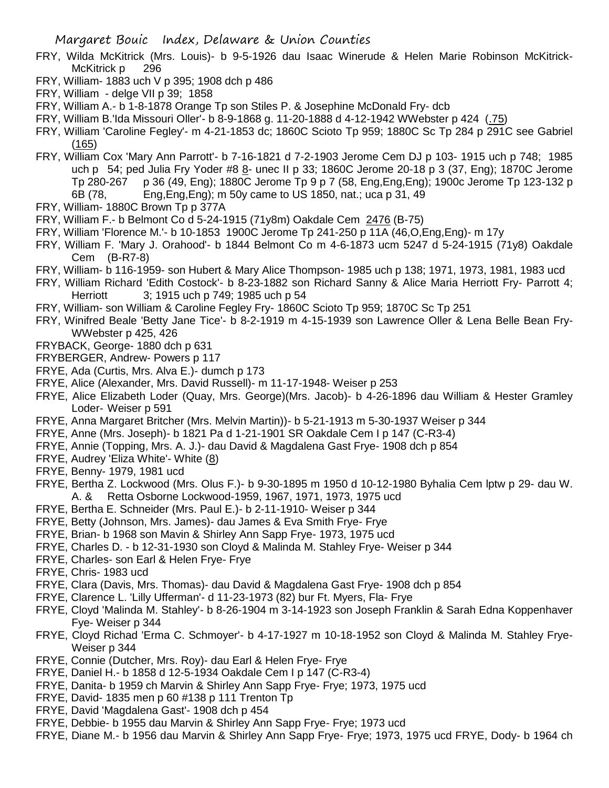- FRY, Wilda McKitrick (Mrs. Louis)- b 9-5-1926 dau Isaac Winerude & Helen Marie Robinson McKitrick-McKitrick p 296
- FRY, William- 1883 uch V p 395; 1908 dch p 486
- FRY, William delge VII p 39; 1858
- FRY, William A.- b 1-8-1878 Orange Tp son Stiles P. & Josephine McDonald Fry- dcb
- FRY, William B.'Ida Missouri Oller'- b 8-9-1868 g. 11-20-1888 d 4-12-1942 WWebster p 424 (.75)
- FRY, William 'Caroline Fegley'- m 4-21-1853 dc; 1860C Scioto Tp 959; 1880C Sc Tp 284 p 291C see Gabriel (165)
- FRY, William Cox 'Mary Ann Parrott'- b 7-16-1821 d 7-2-1903 Jerome Cem DJ p 103- 1915 uch p 748; 1985 uch p 54; ped Julia Fry Yoder #8  $8$ - unec II p 33; 1860C Jerome 20-18 p 3 (37, Eng); 1870C Jerome Tp 280-267 p 36 (49, Eng); 1880C Jerome Tp 9 p 7 (58, Eng,Eng,Eng); 1900c Jerome Tp 123-132 p 6B (78, Eng,Eng,Eng); m 50y came to US 1850, nat.; uca p 31, 49
- FRY, William- 1880C Brown Tp p 377A
- FRY, William F.- b Belmont Co d 5-24-1915 (71y8m) Oakdale Cem 2476 (B-75)
- FRY, William 'Florence M.'- b 10-1853 1900C Jerome Tp 241-250 p 11A (46,O,Eng,Eng)- m 17y
- FRY, William F. 'Mary J. Orahood'- b 1844 Belmont Co m 4-6-1873 ucm 5247 d 5-24-1915 (71y8) Oakdale Cem (B-R7-8)
- FRY, William- b 116-1959- son Hubert & Mary Alice Thompson- 1985 uch p 138; 1971, 1973, 1981, 1983 ucd
- FRY, William Richard 'Edith Costock'- b 8-23-1882 son Richard Sanny & Alice Maria Herriott Fry- Parrott 4; Herriott 3; 1915 uch p 749; 1985 uch p 54
- FRY, William- son William & Caroline Fegley Fry- 1860C Scioto Tp 959; 1870C Sc Tp 251
- FRY, Winifred Beale 'Betty Jane Tice'- b 8-2-1919 m 4-15-1939 son Lawrence Oller & Lena Belle Bean Fry-WWebster p 425, 426
- FRYBACK, George- 1880 dch p 631
- FRYBERGER, Andrew- Powers p 117
- FRYE, Ada (Curtis, Mrs. Alva E.)- dumch p 173
- FRYE, Alice (Alexander, Mrs. David Russell)- m 11-17-1948- Weiser p 253
- FRYE, Alice Elizabeth Loder (Quay, Mrs. George)(Mrs. Jacob)- b 4-26-1896 dau William & Hester Gramley Loder- Weiser p 591
- FRYE, Anna Margaret Britcher (Mrs. Melvin Martin))- b 5-21-1913 m 5-30-1937 Weiser p 344
- FRYE, Anne (Mrs. Joseph)- b 1821 Pa d 1-21-1901 SR Oakdale Cem I p 147 (C-R3-4)
- FRYE, Annie (Topping, Mrs. A. J.)- dau David & Magdalena Gast Frye- 1908 dch p 854
- FRYE, Audrey 'Eliza White'- White (8)
- FRYE, Benny- 1979, 1981 ucd
- FRYE, Bertha Z. Lockwood (Mrs. Olus F.)- b 9-30-1895 m 1950 d 10-12-1980 Byhalia Cem lptw p 29- dau W. A. & Retta Osborne Lockwood-1959, 1967, 1971, 1973, 1975 ucd
- FRYE, Bertha E. Schneider (Mrs. Paul E.)- b 2-11-1910- Weiser p 344
- FRYE, Betty (Johnson, Mrs. James)- dau James & Eva Smith Frye- Frye
- FRYE, Brian- b 1968 son Mavin & Shirley Ann Sapp Frye- 1973, 1975 ucd
- FRYE, Charles D. b 12-31-1930 son Cloyd & Malinda M. Stahley Frye- Weiser p 344
- FRYE, Charles- son Earl & Helen Frye- Frye
- FRYE, Chris- 1983 ucd
- FRYE, Clara (Davis, Mrs. Thomas)- dau David & Magdalena Gast Frye- 1908 dch p 854
- FRYE, Clarence L. 'Lilly Ufferman'- d 11-23-1973 (82) bur Ft. Myers, Fla- Frye
- FRYE, Cloyd 'Malinda M. Stahley'- b 8-26-1904 m 3-14-1923 son Joseph Franklin & Sarah Edna Koppenhaver Fye- Weiser p 344
- FRYE, Cloyd Richad 'Erma C. Schmoyer'- b 4-17-1927 m 10-18-1952 son Cloyd & Malinda M. Stahley Frye-Weiser p 344
- FRYE, Connie (Dutcher, Mrs. Roy)- dau Earl & Helen Frye- Frye
- FRYE, Daniel H.- b 1858 d 12-5-1934 Oakdale Cem I p 147 (C-R3-4)
- FRYE, Danita- b 1959 ch Marvin & Shirley Ann Sapp Frye- Frye; 1973, 1975 ucd
- FRYE, David- 1835 men p 60 #138 p 111 Trenton Tp
- FRYE, David 'Magdalena Gast'- 1908 dch p 454
- FRYE, Debbie- b 1955 dau Marvin & Shirley Ann Sapp Frye- Frye; 1973 ucd
- FRYE, Diane M.- b 1956 dau Marvin & Shirley Ann Sapp Frye- Frye; 1973, 1975 ucd FRYE, Dody- b 1964 ch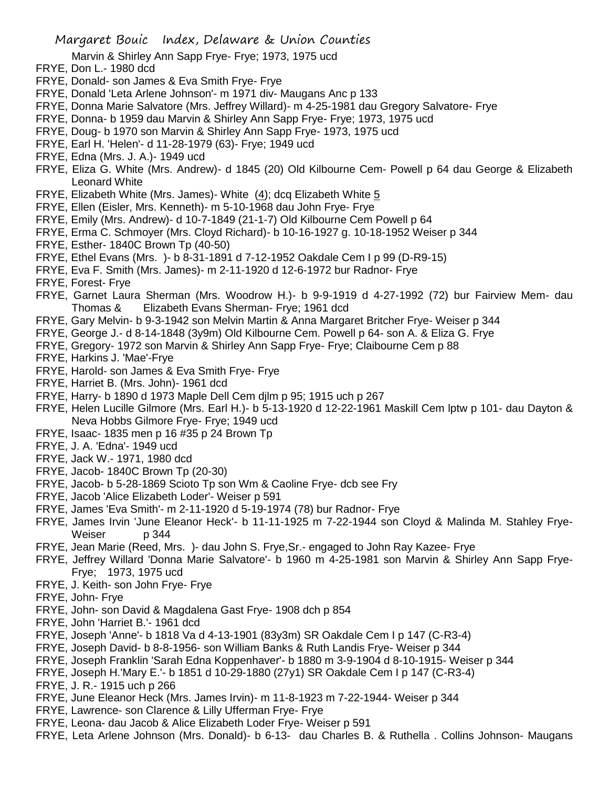Marvin & Shirley Ann Sapp Frye- Frye; 1973, 1975 ucd

- FRYE, Don L.- 1980 dcd
- FRYE, Donald- son James & Eva Smith Frye- Frye
- FRYE, Donald 'Leta Arlene Johnson'- m 1971 div- Maugans Anc p 133
- FRYE, Donna Marie Salvatore (Mrs. Jeffrey Willard)- m 4-25-1981 dau Gregory Salvatore- Frye
- FRYE, Donna- b 1959 dau Marvin & Shirley Ann Sapp Frye- Frye; 1973, 1975 ucd
- FRYE, Doug- b 1970 son Marvin & Shirley Ann Sapp Frye- 1973, 1975 ucd
- FRYE, Earl H. 'Helen'- d 11-28-1979 (63)- Frye; 1949 ucd
- FRYE, Edna (Mrs. J. A.)- 1949 ucd
- FRYE, Eliza G. White (Mrs. Andrew)- d 1845 (20) Old Kilbourne Cem- Powell p 64 dau George & Elizabeth Leonard White
- FRYE, Elizabeth White (Mrs. James)- White  $(4)$ ; dcq Elizabeth White  $5$
- FRYE, Ellen (Eisler, Mrs. Kenneth)- m 5-10-1968 dau John Frye- Frye
- FRYE, Emily (Mrs. Andrew)- d 10-7-1849 (21-1-7) Old Kilbourne Cem Powell p 64
- FRYE, Erma C. Schmoyer (Mrs. Cloyd Richard)- b 10-16-1927 g. 10-18-1952 Weiser p 344
- FRYE, Esther- 1840C Brown Tp (40-50)
- FRYE, Ethel Evans (Mrs. )- b 8-31-1891 d 7-12-1952 Oakdale Cem I p 99 (D-R9-15)
- FRYE, Eva F. Smith (Mrs. James)- m 2-11-1920 d 12-6-1972 bur Radnor- Frye
- FRYE, Forest- Frye
- FRYE, Garnet Laura Sherman (Mrs. Woodrow H.)- b 9-9-1919 d 4-27-1992 (72) bur Fairview Mem- dau Thomas & Elizabeth Evans Sherman- Frye; 1961 dcd
- FRYE, Gary Melvin- b 9-3-1942 son Melvin Martin & Anna Margaret Britcher Frye- Weiser p 344
- FRYE, George J.- d 8-14-1848 (3y9m) Old Kilbourne Cem. Powell p 64- son A. & Eliza G. Frye
- FRYE, Gregory- 1972 son Marvin & Shirley Ann Sapp Frye- Frye; Claibourne Cem p 88
- FRYE, Harkins J. 'Mae'-Frye
- FRYE, Harold- son James & Eva Smith Frye- Frye
- FRYE, Harriet B. (Mrs. John)- 1961 dcd
- FRYE, Harry- b 1890 d 1973 Maple Dell Cem djlm p 95; 1915 uch p 267
- FRYE, Helen Lucille Gilmore (Mrs. Earl H.)- b 5-13-1920 d 12-22-1961 Maskill Cem lptw p 101- dau Dayton & Neva Hobbs Gilmore Frye- Frye; 1949 ucd
- FRYE, Isaac- 1835 men p 16 #35 p 24 Brown Tp
- FRYE, J. A. 'Edna'- 1949 ucd
- FRYE, Jack W.- 1971, 1980 dcd
- FRYE, Jacob- 1840C Brown Tp (20-30)
- FRYE, Jacob- b 5-28-1869 Scioto Tp son Wm & Caoline Frye- dcb see Fry
- FRYE, Jacob 'Alice Elizabeth Loder'- Weiser p 591
- FRYE, James 'Eva Smith'- m 2-11-1920 d 5-19-1974 (78) bur Radnor- Frye
- FRYE, James Irvin 'June Eleanor Heck'- b 11-11-1925 m 7-22-1944 son Cloyd & Malinda M. Stahley Frye-Weiser p 344
- FRYE, Jean Marie (Reed, Mrs. )- dau John S. Frye,Sr.- engaged to John Ray Kazee- Frye
- FRYE, Jeffrey Willard 'Donna Marie Salvatore'- b 1960 m 4-25-1981 son Marvin & Shirley Ann Sapp Frye-Frye; 1973, 1975 ucd
- FRYE, J. Keith- son John Frye- Frye
- FRYE, John- Frye
- FRYE, John- son David & Magdalena Gast Frye- 1908 dch p 854
- FRYE, John 'Harriet B.'- 1961 dcd
- FRYE, Joseph 'Anne'- b 1818 Va d 4-13-1901 (83y3m) SR Oakdale Cem I p 147 (C-R3-4)
- FRYE, Joseph David- b 8-8-1956- son William Banks & Ruth Landis Frye- Weiser p 344
- FRYE, Joseph Franklin 'Sarah Edna Koppenhaver'- b 1880 m 3-9-1904 d 8-10-1915- Weiser p 344
- FRYE, Joseph H.'Mary E.'- b 1851 d 10-29-1880 (27y1) SR Oakdale Cem I p 147 (C-R3-4)
- FRYE, J. R.- 1915 uch p 266
- FRYE, June Eleanor Heck (Mrs. James Irvin)- m 11-8-1923 m 7-22-1944- Weiser p 344
- FRYE, Lawrence- son Clarence & Lilly Ufferman Frye- Frye
- FRYE, Leona- dau Jacob & Alice Elizabeth Loder Frye- Weiser p 591
- FRYE, Leta Arlene Johnson (Mrs. Donald)- b 6-13- dau Charles B. & Ruthella . Collins Johnson- Maugans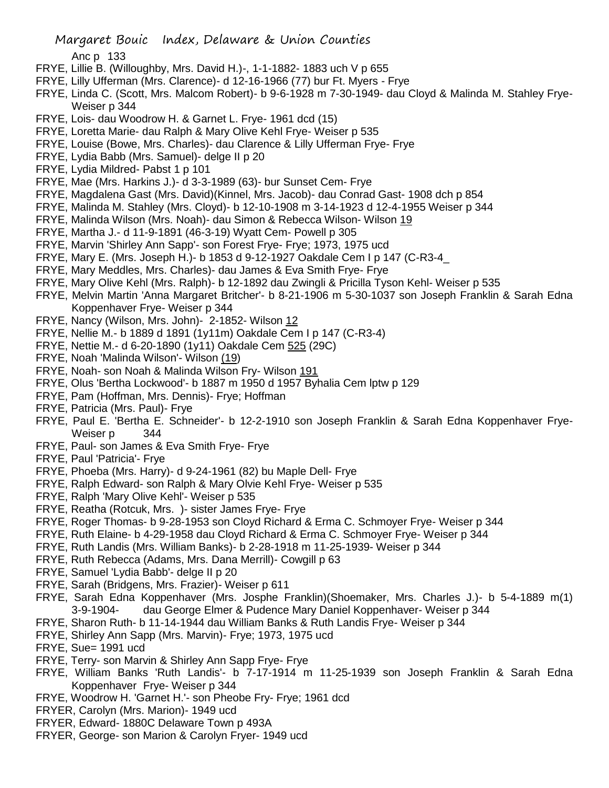Anc p 133

- FRYE, Lillie B. (Willoughby, Mrs. David H.)-, 1-1-1882- 1883 uch V p 655
- FRYE, Lilly Ufferman (Mrs. Clarence)- d 12-16-1966 (77) bur Ft. Myers Frye
- FRYE, Linda C. (Scott, Mrs. Malcom Robert)- b 9-6-1928 m 7-30-1949- dau Cloyd & Malinda M. Stahley Frye-Weiser p 344
- FRYE, Lois- dau Woodrow H. & Garnet L. Frye- 1961 dcd (15)
- FRYE, Loretta Marie- dau Ralph & Mary Olive Kehl Frye- Weiser p 535
- FRYE, Louise (Bowe, Mrs. Charles)- dau Clarence & Lilly Ufferman Frye- Frye
- FRYE, Lydia Babb (Mrs. Samuel)- delge II p 20
- FRYE, Lydia Mildred- Pabst 1 p 101
- FRYE, Mae (Mrs. Harkins J.)- d 3-3-1989 (63)- bur Sunset Cem- Frye
- FRYE, Magdalena Gast (Mrs. David)(Kinnel, Mrs. Jacob)- dau Conrad Gast- 1908 dch p 854
- FRYE, Malinda M. Stahley (Mrs. Cloyd)- b 12-10-1908 m 3-14-1923 d 12-4-1955 Weiser p 344
- FRYE, Malinda Wilson (Mrs. Noah)- dau Simon & Rebecca Wilson- Wilson 19
- FRYE, Martha J.- d 11-9-1891 (46-3-19) Wyatt Cem- Powell p 305
- FRYE, Marvin 'Shirley Ann Sapp'- son Forest Frye- Frye; 1973, 1975 ucd
- FRYE, Mary E. (Mrs. Joseph H.)- b 1853 d 9-12-1927 Oakdale Cem I p 147 (C-R3-4\_
- FRYE, Mary Meddles, Mrs. Charles)- dau James & Eva Smith Frye- Frye
- FRYE, Mary Olive Kehl (Mrs. Ralph)- b 12-1892 dau Zwingli & Pricilla Tyson Kehl- Weiser p 535
- FRYE, Melvin Martin 'Anna Margaret Britcher'- b 8-21-1906 m 5-30-1037 son Joseph Franklin & Sarah Edna Koppenhaver Frye- Weiser p 344
- FRYE, Nancy (Wilson, Mrs. John)- 2-1852- Wilson 12
- FRYE, Nellie M.- b 1889 d 1891 (1y11m) Oakdale Cem I p 147 (C-R3-4)
- FRYE, Nettie M.- d 6-20-1890 (1y11) Oakdale Cem 525 (29C)
- FRYE, Noah 'Malinda Wilson'- Wilson (19)
- FRYE, Noah- son Noah & Malinda Wilson Fry- Wilson 191
- FRYE, Olus 'Bertha Lockwood'- b 1887 m 1950 d 1957 Byhalia Cem lptw p 129
- FRYE, Pam (Hoffman, Mrs. Dennis)- Frye; Hoffman
- FRYE, Patricia (Mrs. Paul)- Frye
- FRYE, Paul E. 'Bertha E. Schneider'- b 12-2-1910 son Joseph Franklin & Sarah Edna Koppenhaver Frye-Weiser p 344
- FRYE, Paul- son James & Eva Smith Frye- Frye
- FRYE, Paul 'Patricia'- Frye
- FRYE, Phoeba (Mrs. Harry)- d 9-24-1961 (82) bu Maple Dell- Frye
- FRYE, Ralph Edward- son Ralph & Mary Olvie Kehl Frye- Weiser p 535
- FRYE, Ralph 'Mary Olive Kehl'- Weiser p 535
- FRYE, Reatha (Rotcuk, Mrs. )- sister James Frye- Frye
- FRYE, Roger Thomas- b 9-28-1953 son Cloyd Richard & Erma C. Schmoyer Frye- Weiser p 344
- FRYE, Ruth Elaine- b 4-29-1958 dau Cloyd Richard & Erma C. Schmoyer Frye- Weiser p 344
- FRYE, Ruth Landis (Mrs. William Banks)- b 2-28-1918 m 11-25-1939- Weiser p 344
- FRYE, Ruth Rebecca (Adams, Mrs. Dana Merrill)- Cowgill p 63
- FRYE, Samuel 'Lydia Babb'- delge II p 20
- FRYE, Sarah (Bridgens, Mrs. Frazier)- Weiser p 611
- FRYE, Sarah Edna Koppenhaver (Mrs. Josphe Franklin)(Shoemaker, Mrs. Charles J.)- b 5-4-1889 m(1) 3-9-1904- dau George Elmer & Pudence Mary Daniel Koppenhaver- Weiser p 344
- FRYE, Sharon Ruth- b 11-14-1944 dau William Banks & Ruth Landis Frye- Weiser p 344
- FRYE, Shirley Ann Sapp (Mrs. Marvin)- Frye; 1973, 1975 ucd
- FRYE, Sue= 1991 ucd
- FRYE, Terry- son Marvin & Shirley Ann Sapp Frye- Frye
- FRYE, William Banks 'Ruth Landis'- b 7-17-1914 m 11-25-1939 son Joseph Franklin & Sarah Edna Koppenhaver Frye- Weiser p 344
- FRYE, Woodrow H. 'Garnet H.'- son Pheobe Fry- Frye; 1961 dcd
- FRYER, Carolyn (Mrs. Marion)- 1949 ucd
- FRYER, Edward- 1880C Delaware Town p 493A
- FRYER, George- son Marion & Carolyn Fryer- 1949 ucd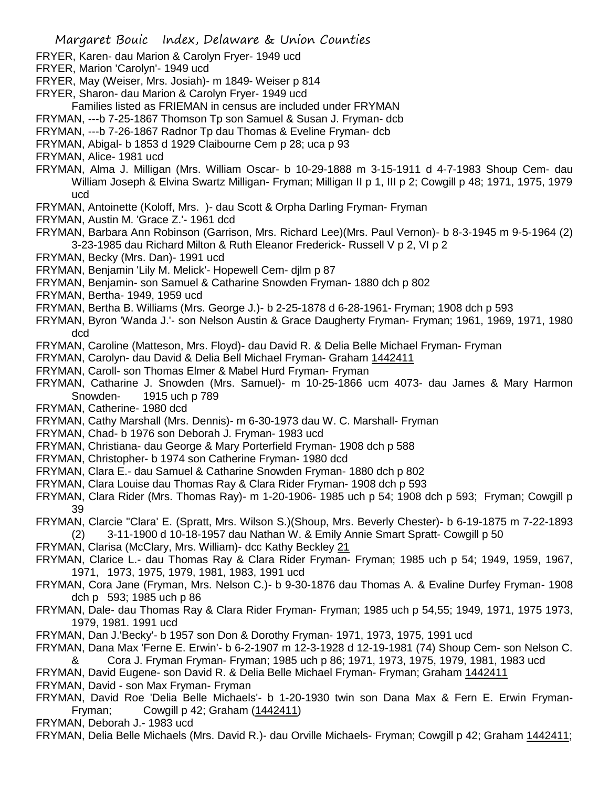- FRYER, Karen- dau Marion & Carolyn Fryer- 1949 ucd
- FRYER, Marion 'Carolyn'- 1949 ucd
- FRYER, May (Weiser, Mrs. Josiah)- m 1849- Weiser p 814
- FRYER, Sharon- dau Marion & Carolyn Fryer- 1949 ucd
- Families listed as FRIEMAN in census are included under FRYMAN
- FRYMAN, ---b 7-25-1867 Thomson Tp son Samuel & Susan J. Fryman- dcb
- FRYMAN, ---b 7-26-1867 Radnor Tp dau Thomas & Eveline Fryman- dcb
- FRYMAN, Abigal- b 1853 d 1929 Claibourne Cem p 28; uca p 93
- FRYMAN, Alice- 1981 ucd
- FRYMAN, Alma J. Milligan (Mrs. William Oscar- b 10-29-1888 m 3-15-1911 d 4-7-1983 Shoup Cem- dau William Joseph & Elvina Swartz Milligan- Fryman; Milligan II p 1, III p 2; Cowgill p 48; 1971, 1975, 1979 ucd
- FRYMAN, Antoinette (Koloff, Mrs. )- dau Scott & Orpha Darling Fryman- Fryman
- FRYMAN, Austin M. 'Grace Z.'- 1961 dcd
- FRYMAN, Barbara Ann Robinson (Garrison, Mrs. Richard Lee)(Mrs. Paul Vernon)- b 8-3-1945 m 9-5-1964 (2) 3-23-1985 dau Richard Milton & Ruth Eleanor Frederick- Russell V p 2, VI p 2
- FRYMAN, Becky (Mrs. Dan)- 1991 ucd
- FRYMAN, Benjamin 'Lily M. Melick'- Hopewell Cem- djlm p 87
- FRYMAN, Benjamin- son Samuel & Catharine Snowden Fryman- 1880 dch p 802
- FRYMAN, Bertha- 1949, 1959 ucd
- FRYMAN, Bertha B. Williams (Mrs. George J.)- b 2-25-1878 d 6-28-1961- Fryman; 1908 dch p 593
- FRYMAN, Byron 'Wanda J.'- son Nelson Austin & Grace Daugherty Fryman- Fryman; 1961, 1969, 1971, 1980 dcd
- FRYMAN, Caroline (Matteson, Mrs. Floyd)- dau David R. & Delia Belle Michael Fryman- Fryman
- FRYMAN, Carolyn- dau David & Delia Bell Michael Fryman- Graham 1442411
- FRYMAN, Caroll- son Thomas Elmer & Mabel Hurd Fryman- Fryman
- FRYMAN, Catharine J. Snowden (Mrs. Samuel)- m 10-25-1866 ucm 4073- dau James & Mary Harmon Snowden- 1915 uch p 789
- FRYMAN, Catherine- 1980 dcd
- FRYMAN, Cathy Marshall (Mrs. Dennis)- m 6-30-1973 dau W. C. Marshall- Fryman
- FRYMAN, Chad- b 1976 son Deborah J. Fryman- 1983 ucd
- FRYMAN, Christiana- dau George & Mary Porterfield Fryman- 1908 dch p 588
- FRYMAN, Christopher- b 1974 son Catherine Fryman- 1980 dcd
- FRYMAN, Clara E.- dau Samuel & Catharine Snowden Fryman- 1880 dch p 802
- FRYMAN, Clara Louise dau Thomas Ray & Clara Rider Fryman- 1908 dch p 593
- FRYMAN, Clara Rider (Mrs. Thomas Ray)- m 1-20-1906- 1985 uch p 54; 1908 dch p 593; Fryman; Cowgill p 39
- FRYMAN, Clarcie "Clara' E. (Spratt, Mrs. Wilson S.)(Shoup, Mrs. Beverly Chester)- b 6-19-1875 m 7-22-1893 (2) 3-11-1900 d 10-18-1957 dau Nathan W. & Emily Annie Smart Spratt- Cowgill p 50
- FRYMAN, Clarisa (McClary, Mrs. William)- dcc Kathy Beckley 21
- FRYMAN, Clarice L.- dau Thomas Ray & Clara Rider Fryman- Fryman; 1985 uch p 54; 1949, 1959, 1967, 1971, 1973, 1975, 1979, 1981, 1983, 1991 ucd
- FRYMAN, Cora Jane (Fryman, Mrs. Nelson C.)- b 9-30-1876 dau Thomas A. & Evaline Durfey Fryman- 1908 dch p 593; 1985 uch p 86
- FRYMAN, Dale- dau Thomas Ray & Clara Rider Fryman- Fryman; 1985 uch p 54,55; 1949, 1971, 1975 1973, 1979, 1981. 1991 ucd
- FRYMAN, Dan J.'Becky'- b 1957 son Don & Dorothy Fryman- 1971, 1973, 1975, 1991 ucd
- FRYMAN, Dana Max 'Ferne E. Erwin'- b 6-2-1907 m 12-3-1928 d 12-19-1981 (74) Shoup Cem- son Nelson C.
- & Cora J. Fryman Fryman- Fryman; 1985 uch p 86; 1971, 1973, 1975, 1979, 1981, 1983 ucd FRYMAN, David Eugene- son David R. & Delia Belle Michael Fryman- Fryman; Graham 1442411 FRYMAN, David - son Max Fryman- Fryman
- FRYMAN, David Roe 'Delia Belle Michaels'- b 1-20-1930 twin son Dana Max & Fern E. Erwin Fryman-Fryman; Cowgill p 42; Graham (1442411)
- FRYMAN, Deborah J.- 1983 ucd
- FRYMAN, Delia Belle Michaels (Mrs. David R.)- dau Orville Michaels- Fryman; Cowgill p 42; Graham 1442411;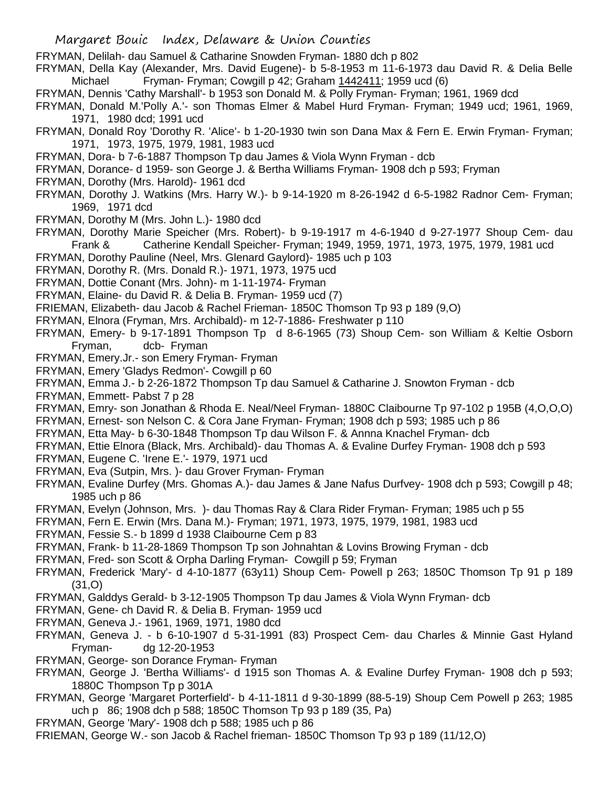FRYMAN, Delilah- dau Samuel & Catharine Snowden Fryman- 1880 dch p 802

- FRYMAN, Della Kay (Alexander, Mrs. David Eugene)- b 5-8-1953 m 11-6-1973 dau David R. & Delia Belle Michael Fryman- Fryman; Cowgill p 42; Graham 1442411; 1959 ucd (6)
- FRYMAN, Dennis 'Cathy Marshall'- b 1953 son Donald M. & Polly Fryman- Fryman; 1961, 1969 dcd
- FRYMAN, Donald M.'Polly A.'- son Thomas Elmer & Mabel Hurd Fryman- Fryman; 1949 ucd; 1961, 1969, 1971, 1980 dcd; 1991 ucd
- FRYMAN, Donald Roy 'Dorothy R. 'Alice'- b 1-20-1930 twin son Dana Max & Fern E. Erwin Fryman- Fryman; 1971, 1973, 1975, 1979, 1981, 1983 ucd
- FRYMAN, Dora- b 7-6-1887 Thompson Tp dau James & Viola Wynn Fryman dcb
- FRYMAN, Dorance- d 1959- son George J. & Bertha Williams Fryman- 1908 dch p 593; Fryman
- FRYMAN, Dorothy (Mrs. Harold)- 1961 dcd
- FRYMAN, Dorothy J. Watkins (Mrs. Harry W.)- b 9-14-1920 m 8-26-1942 d 6-5-1982 Radnor Cem- Fryman; 1969, 1971 dcd
- FRYMAN, Dorothy M (Mrs. John L.)- 1980 dcd
- FRYMAN, Dorothy Marie Speicher (Mrs. Robert)- b 9-19-1917 m 4-6-1940 d 9-27-1977 Shoup Cem- dau Frank & Catherine Kendall Speicher- Fryman; 1949, 1959, 1971, 1973, 1975, 1979, 1981 ucd
- FRYMAN, Dorothy Pauline (Neel, Mrs. Glenard Gaylord)- 1985 uch p 103
- FRYMAN, Dorothy R. (Mrs. Donald R.)- 1971, 1973, 1975 ucd
- FRYMAN, Dottie Conant (Mrs. John)- m 1-11-1974- Fryman
- FRYMAN, Elaine- du David R. & Delia B. Fryman- 1959 ucd (7)
- FRIEMAN, Elizabeth- dau Jacob & Rachel Frieman- 1850C Thomson Tp 93 p 189 (9,O)
- FRYMAN, Elnora (Fryman, Mrs. Archibald)- m 12-7-1886- Freshwater p 110
- FRYMAN, Emery- b 9-17-1891 Thompson Tp d 8-6-1965 (73) Shoup Cem- son William & Keltie Osborn Fryman, dcb- Fryman
- FRYMAN, Emery.Jr.- son Emery Fryman- Fryman
- FRYMAN, Emery 'Gladys Redmon'- Cowgill p 60
- FRYMAN, Emma J.- b 2-26-1872 Thompson Tp dau Samuel & Catharine J. Snowton Fryman dcb
- FRYMAN, Emmett- Pabst 7 p 28
- FRYMAN, Emry- son Jonathan & Rhoda E. Neal/Neel Fryman- 1880C Claibourne Tp 97-102 p 195B (4,O,O,O)
- FRYMAN, Ernest- son Nelson C. & Cora Jane Fryman- Fryman; 1908 dch p 593; 1985 uch p 86
- FRYMAN, Etta May- b 6-30-1848 Thompson Tp dau Wilson F. & Annna Knachel Fryman- dcb
- FRYMAN, Ettie Elnora (Black, Mrs. Archibald)- dau Thomas A. & Evaline Durfey Fryman- 1908 dch p 593
- FRYMAN, Eugene C. 'Irene E.'- 1979, 1971 ucd
- FRYMAN, Eva (Sutpin, Mrs. )- dau Grover Fryman- Fryman
- FRYMAN, Evaline Durfey (Mrs. Ghomas A.)- dau James & Jane Nafus Durfvey- 1908 dch p 593; Cowgill p 48; 1985 uch p 86
- FRYMAN, Evelyn (Johnson, Mrs. )- dau Thomas Ray & Clara Rider Fryman- Fryman; 1985 uch p 55
- FRYMAN, Fern E. Erwin (Mrs. Dana M.)- Fryman; 1971, 1973, 1975, 1979, 1981, 1983 ucd
- FRYMAN, Fessie S.- b 1899 d 1938 Claibourne Cem p 83
- FRYMAN, Frank- b 11-28-1869 Thompson Tp son Johnahtan & Lovins Browing Fryman dcb
- FRYMAN, Fred- son Scott & Orpha Darling Fryman- Cowgill p 59; Fryman
- FRYMAN, Frederick 'Mary'- d 4-10-1877 (63y11) Shoup Cem- Powell p 263; 1850C Thomson Tp 91 p 189 (31,O)
- FRYMAN, Galddys Gerald- b 3-12-1905 Thompson Tp dau James & Viola Wynn Fryman- dcb
- FRYMAN, Gene- ch David R. & Delia B. Fryman- 1959 ucd
- FRYMAN, Geneva J.- 1961, 1969, 1971, 1980 dcd
- FRYMAN, Geneva J. b 6-10-1907 d 5-31-1991 (83) Prospect Cem- dau Charles & Minnie Gast Hyland Fryman- dg 12-20-1953
- FRYMAN, George- son Dorance Fryman- Fryman
- FRYMAN, George J. 'Bertha Williams'- d 1915 son Thomas A. & Evaline Durfey Fryman- 1908 dch p 593; 1880C Thompson Tp p 301A
- FRYMAN, George 'Margaret Porterfield'- b 4-11-1811 d 9-30-1899 (88-5-19) Shoup Cem Powell p 263; 1985 uch p 86; 1908 dch p 588; 1850C Thomson Tp 93 p 189 (35, Pa)
- FRYMAN, George 'Mary'- 1908 dch p 588; 1985 uch p 86
- FRIEMAN, George W.- son Jacob & Rachel frieman- 1850C Thomson Tp 93 p 189 (11/12,O)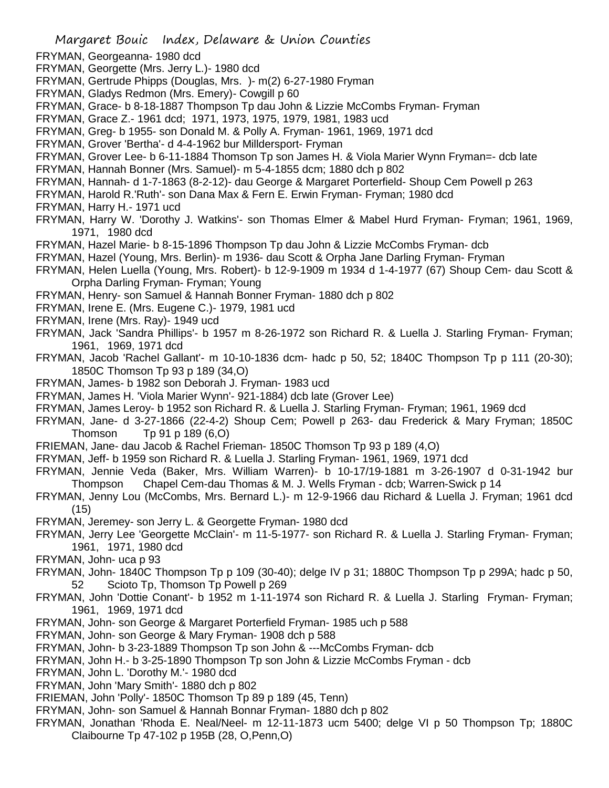- FRYMAN, Georgeanna- 1980 dcd
- FRYMAN, Georgette (Mrs. Jerry L.)- 1980 dcd
- FRYMAN, Gertrude Phipps (Douglas, Mrs. )- m(2) 6-27-1980 Fryman
- FRYMAN, Gladys Redmon (Mrs. Emery)- Cowgill p 60
- FRYMAN, Grace- b 8-18-1887 Thompson Tp dau John & Lizzie McCombs Fryman- Fryman
- FRYMAN, Grace Z.- 1961 dcd; 1971, 1973, 1975, 1979, 1981, 1983 ucd
- FRYMAN, Greg- b 1955- son Donald M. & Polly A. Fryman- 1961, 1969, 1971 dcd
- FRYMAN, Grover 'Bertha'- d 4-4-1962 bur Milldersport- Fryman
- FRYMAN, Grover Lee- b 6-11-1884 Thomson Tp son James H. & Viola Marier Wynn Fryman=- dcb late
- FRYMAN, Hannah Bonner (Mrs. Samuel)- m 5-4-1855 dcm; 1880 dch p 802
- FRYMAN, Hannah- d 1-7-1863 (8-2-12)- dau George & Margaret Porterfield- Shoup Cem Powell p 263
- FRYMAN, Harold R.'Ruth'- son Dana Max & Fern E. Erwin Fryman- Fryman; 1980 dcd
- FRYMAN, Harry H.- 1971 ucd
- FRYMAN, Harry W. 'Dorothy J. Watkins'- son Thomas Elmer & Mabel Hurd Fryman- Fryman; 1961, 1969, 1971, 1980 dcd
- FRYMAN, Hazel Marie- b 8-15-1896 Thompson Tp dau John & Lizzie McCombs Fryman- dcb
- FRYMAN, Hazel (Young, Mrs. Berlin)- m 1936- dau Scott & Orpha Jane Darling Fryman- Fryman
- FRYMAN, Helen Luella (Young, Mrs. Robert)- b 12-9-1909 m 1934 d 1-4-1977 (67) Shoup Cem- dau Scott & Orpha Darling Fryman- Fryman; Young
- FRYMAN, Henry- son Samuel & Hannah Bonner Fryman- 1880 dch p 802
- FRYMAN, Irene E. (Mrs. Eugene C.)- 1979, 1981 ucd
- FRYMAN, Irene (Mrs. Ray)- 1949 ucd
- FRYMAN, Jack 'Sandra Phillips'- b 1957 m 8-26-1972 son Richard R. & Luella J. Starling Fryman- Fryman; 1961, 1969, 1971 dcd
- FRYMAN, Jacob 'Rachel Gallant'- m 10-10-1836 dcm- hadc p 50, 52; 1840C Thompson Tp p 111 (20-30); 1850C Thomson Tp 93 p 189 (34,O)
- FRYMAN, James- b 1982 son Deborah J. Fryman- 1983 ucd
- FRYMAN, James H. 'Viola Marier Wynn'- 921-1884) dcb late (Grover Lee)
- FRYMAN, James Leroy- b 1952 son Richard R. & Luella J. Starling Fryman- Fryman; 1961, 1969 dcd
- FRYMAN, Jane- d 3-27-1866 (22-4-2) Shoup Cem; Powell p 263- dau Frederick & Mary Fryman; 1850C Thomson Tp 91 p 189 (6,O)
- FRIEMAN, Jane- dau Jacob & Rachel Frieman- 1850C Thomson Tp 93 p 189 (4,O)
- FRYMAN, Jeff- b 1959 son Richard R. & Luella J. Starling Fryman- 1961, 1969, 1971 dcd
- FRYMAN, Jennie Veda (Baker, Mrs. William Warren)- b 10-17/19-1881 m 3-26-1907 d 0-31-1942 bur Thompson Chapel Cem-dau Thomas & M. J. Wells Fryman - dcb; Warren-Swick p 14
- FRYMAN, Jenny Lou (McCombs, Mrs. Bernard L.)- m 12-9-1966 dau Richard & Luella J. Fryman; 1961 dcd (15)
- FRYMAN, Jeremey- son Jerry L. & Georgette Fryman- 1980 dcd
- FRYMAN, Jerry Lee 'Georgette McClain'- m 11-5-1977- son Richard R. & Luella J. Starling Fryman- Fryman; 1961, 1971, 1980 dcd
- FRYMAN, John- uca p 93
- FRYMAN, John- 1840C Thompson Tp p 109 (30-40); delge IV p 31; 1880C Thompson Tp p 299A; hadc p 50, 52 Scioto Tp, Thomson Tp Powell p 269
- FRYMAN, John 'Dottie Conant'- b 1952 m 1-11-1974 son Richard R. & Luella J. Starling Fryman- Fryman; 1961, 1969, 1971 dcd
- FRYMAN, John- son George & Margaret Porterfield Fryman- 1985 uch p 588
- FRYMAN, John- son George & Mary Fryman- 1908 dch p 588
- FRYMAN, John- b 3-23-1889 Thompson Tp son John & ---McCombs Fryman- dcb
- FRYMAN, John H.- b 3-25-1890 Thompson Tp son John & Lizzie McCombs Fryman dcb
- FRYMAN, John L. 'Dorothy M.'- 1980 dcd
- FRYMAN, John 'Mary Smith'- 1880 dch p 802
- FRIEMAN, John 'Polly'- 1850C Thomson Tp 89 p 189 (45, Tenn)
- FRYMAN, John- son Samuel & Hannah Bonnar Fryman- 1880 dch p 802
- FRYMAN, Jonathan 'Rhoda E. Neal/Neel- m 12-11-1873 ucm 5400; delge VI p 50 Thompson Tp; 1880C Claibourne Tp 47-102 p 195B (28, O,Penn,O)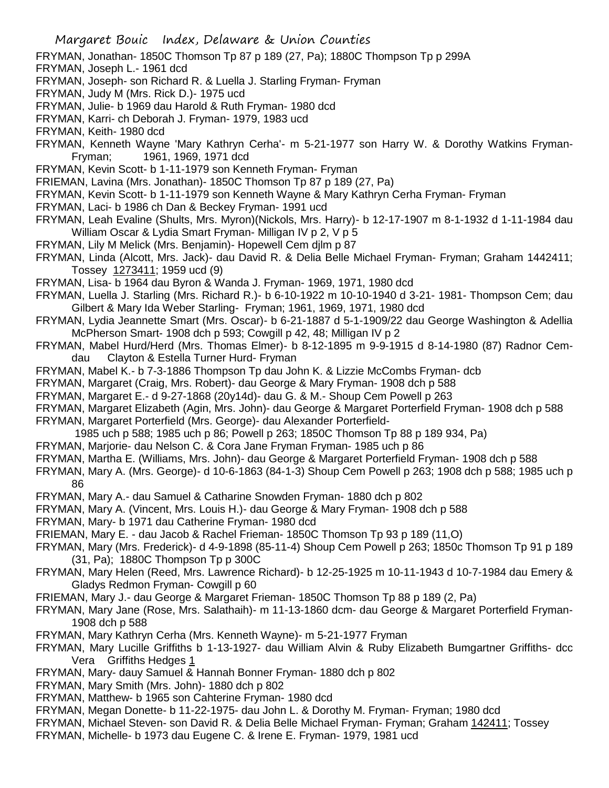FRYMAN, Jonathan- 1850C Thomson Tp 87 p 189 (27, Pa); 1880C Thompson Tp p 299A

- FRYMAN, Joseph L.- 1961 dcd
- FRYMAN, Joseph- son Richard R. & Luella J. Starling Fryman- Fryman
- FRYMAN, Judy M (Mrs. Rick D.)- 1975 ucd
- FRYMAN, Julie- b 1969 dau Harold & Ruth Fryman- 1980 dcd
- FRYMAN, Karri- ch Deborah J. Fryman- 1979, 1983 ucd
- FRYMAN, Keith- 1980 dcd
- FRYMAN, Kenneth Wayne 'Mary Kathryn Cerha'- m 5-21-1977 son Harry W. & Dorothy Watkins Fryman-Fryman; 1961, 1969, 1971 dcd
- FRYMAN, Kevin Scott- b 1-11-1979 son Kenneth Fryman- Fryman
- FRIEMAN, Lavina (Mrs. Jonathan)- 1850C Thomson Tp 87 p 189 (27, Pa)
- FRYMAN, Kevin Scott- b 1-11-1979 son Kenneth Wayne & Mary Kathryn Cerha Fryman- Fryman
- FRYMAN, Laci- b 1986 ch Dan & Beckey Fryman- 1991 ucd
- FRYMAN, Leah Evaline (Shults, Mrs. Myron)(Nickols, Mrs. Harry)- b 12-17-1907 m 8-1-1932 d 1-11-1984 dau William Oscar & Lydia Smart Fryman- Milligan IV p 2, V p 5
- FRYMAN, Lily M Melick (Mrs. Benjamin)- Hopewell Cem djlm p 87
- FRYMAN, Linda (Alcott, Mrs. Jack)- dau David R. & Delia Belle Michael Fryman- Fryman; Graham 1442411; Tossey 1273411; 1959 ucd (9)
- FRYMAN, Lisa- b 1964 dau Byron & Wanda J. Fryman- 1969, 1971, 1980 dcd
- FRYMAN, Luella J. Starling (Mrs. Richard R.)- b 6-10-1922 m 10-10-1940 d 3-21- 1981- Thompson Cem; dau Gilbert & Mary Ida Weber Starling- Fryman; 1961, 1969, 1971, 1980 dcd
- FRYMAN, Lydia Jeannette Smart (Mrs. Oscar)- b 6-21-1887 d 5-1-1909/22 dau George Washington & Adellia McPherson Smart- 1908 dch p 593; Cowgill p 42, 48; Milligan IV p 2
- FRYMAN, Mabel Hurd/Herd (Mrs. Thomas Elmer)- b 8-12-1895 m 9-9-1915 d 8-14-1980 (87) Radnor Cemdau Clayton & Estella Turner Hurd- Fryman
- FRYMAN, Mabel K.- b 7-3-1886 Thompson Tp dau John K. & Lizzie McCombs Fryman- dcb
- FRYMAN, Margaret (Craig, Mrs. Robert)- dau George & Mary Fryman- 1908 dch p 588
- FRYMAN, Margaret E.- d 9-27-1868 (20y14d)- dau G. & M.- Shoup Cem Powell p 263
- FRYMAN, Margaret Elizabeth (Agin, Mrs. John)- dau George & Margaret Porterfield Fryman- 1908 dch p 588 FRYMAN, Margaret Porterfield (Mrs. George)- dau Alexander Porterfield-
	- 1985 uch p 588; 1985 uch p 86; Powell p 263; 1850C Thomson Tp 88 p 189 934, Pa)
- FRYMAN, Marjorie- dau Nelson C. & Cora Jane Fryman Fryman- 1985 uch p 86
- FRYMAN, Martha E. (Williams, Mrs. John)- dau George & Margaret Porterfield Fryman- 1908 dch p 588
- FRYMAN, Mary A. (Mrs. George)- d 10-6-1863 (84-1-3) Shoup Cem Powell p 263; 1908 dch p 588; 1985 uch p 86
- FRYMAN, Mary A.- dau Samuel & Catharine Snowden Fryman- 1880 dch p 802
- FRYMAN, Mary A. (Vincent, Mrs. Louis H.)- dau George & Mary Fryman- 1908 dch p 588
- FRYMAN, Mary- b 1971 dau Catherine Fryman- 1980 dcd
- FRIEMAN, Mary E. dau Jacob & Rachel Frieman- 1850C Thomson Tp 93 p 189 (11,O)
- FRYMAN, Mary (Mrs. Frederick)- d 4-9-1898 (85-11-4) Shoup Cem Powell p 263; 1850c Thomson Tp 91 p 189 (31, Pa); 1880C Thompson Tp p 300C
- FRYMAN, Mary Helen (Reed, Mrs. Lawrence Richard)- b 12-25-1925 m 10-11-1943 d 10-7-1984 dau Emery & Gladys Redmon Fryman- Cowgill p 60
- FRIEMAN, Mary J.- dau George & Margaret Frieman- 1850C Thomson Tp 88 p 189 (2, Pa)
- FRYMAN, Mary Jane (Rose, Mrs. Salathaih)- m 11-13-1860 dcm- dau George & Margaret Porterfield Fryman-1908 dch p 588
- FRYMAN, Mary Kathryn Cerha (Mrs. Kenneth Wayne)- m 5-21-1977 Fryman
- FRYMAN, Mary Lucille Griffiths b 1-13-1927- dau William Alvin & Ruby Elizabeth Bumgartner Griffiths- dcc Vera Griffiths Hedges 1
- FRYMAN, Mary- dauy Samuel & Hannah Bonner Fryman- 1880 dch p 802
- FRYMAN, Mary Smith (Mrs. John)- 1880 dch p 802
- FRYMAN, Matthew- b 1965 son Cahterine Fryman- 1980 dcd
- FRYMAN, Megan Donette- b 11-22-1975- dau John L. & Dorothy M. Fryman- Fryman; 1980 dcd
- FRYMAN, Michael Steven- son David R. & Delia Belle Michael Fryman- Fryman; Graham 142411; Tossey
- FRYMAN, Michelle- b 1973 dau Eugene C. & Irene E. Fryman- 1979, 1981 ucd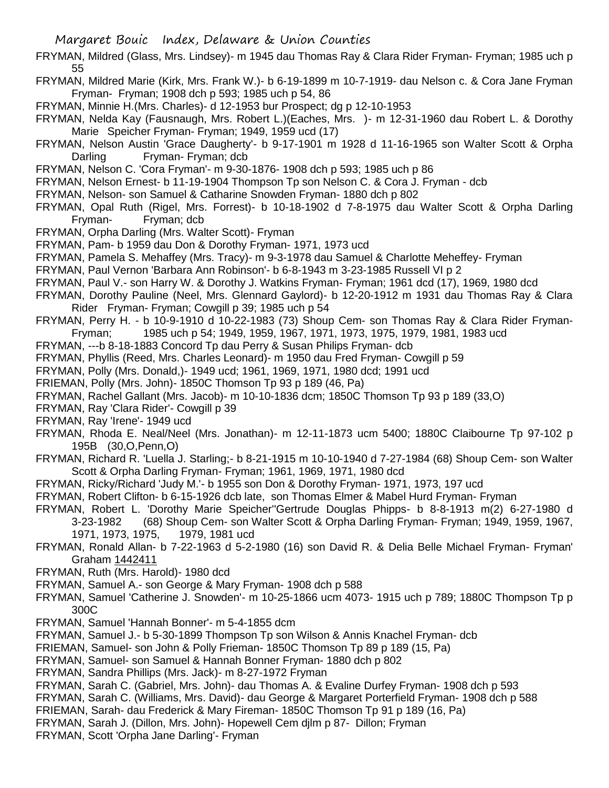- FRYMAN, Mildred (Glass, Mrs. Lindsey)- m 1945 dau Thomas Ray & Clara Rider Fryman- Fryman; 1985 uch p 55
- FRYMAN, Mildred Marie (Kirk, Mrs. Frank W.)- b 6-19-1899 m 10-7-1919- dau Nelson c. & Cora Jane Fryman Fryman- Fryman; 1908 dch p 593; 1985 uch p 54, 86
- FRYMAN, Minnie H.(Mrs. Charles)- d 12-1953 bur Prospect; dg p 12-10-1953
- FRYMAN, Nelda Kay (Fausnaugh, Mrs. Robert L.)(Eaches, Mrs. )- m 12-31-1960 dau Robert L. & Dorothy Marie Speicher Fryman- Fryman; 1949, 1959 ucd (17)
- FRYMAN, Nelson Austin 'Grace Daugherty'- b 9-17-1901 m 1928 d 11-16-1965 son Walter Scott & Orpha Darling Fryman- Fryman; dcb
- FRYMAN, Nelson C. 'Cora Fryman'- m 9-30-1876- 1908 dch p 593; 1985 uch p 86
- FRYMAN, Nelson Ernest- b 11-19-1904 Thompson Tp son Nelson C. & Cora J. Fryman dcb
- FRYMAN, Nelson- son Samuel & Catharine Snowden Fryman- 1880 dch p 802
- FRYMAN, Opal Ruth (Rigel, Mrs. Forrest)- b 10-18-1902 d 7-8-1975 dau Walter Scott & Orpha Darling Fryman- Fryman; dcb
- FRYMAN, Orpha Darling (Mrs. Walter Scott)- Fryman
- FRYMAN, Pam- b 1959 dau Don & Dorothy Fryman- 1971, 1973 ucd
- FRYMAN, Pamela S. Mehaffey (Mrs. Tracy)- m 9-3-1978 dau Samuel & Charlotte Meheffey- Fryman
- FRYMAN, Paul Vernon 'Barbara Ann Robinson'- b 6-8-1943 m 3-23-1985 Russell VI p 2
- FRYMAN, Paul V.- son Harry W. & Dorothy J. Watkins Fryman- Fryman; 1961 dcd (17), 1969, 1980 dcd
- FRYMAN, Dorothy Pauline (Neel, Mrs. Glennard Gaylord)- b 12-20-1912 m 1931 dau Thomas Ray & Clara Rider Fryman- Fryman; Cowgill p 39; 1985 uch p 54
- FRYMAN, Perry H. b 10-9-1910 d 10-22-1983 (73) Shoup Cem- son Thomas Ray & Clara Rider Fryman-Fryman; 1985 uch p 54; 1949, 1959, 1967, 1971, 1973, 1975, 1979, 1981, 1983 ucd
- FRYMAN, ---b 8-18-1883 Concord Tp dau Perry & Susan Philips Fryman- dcb
- FRYMAN, Phyllis (Reed, Mrs. Charles Leonard)- m 1950 dau Fred Fryman- Cowgill p 59
- FRYMAN, Polly (Mrs. Donald,)- 1949 ucd; 1961, 1969, 1971, 1980 dcd; 1991 ucd
- FRIEMAN, Polly (Mrs. John)- 1850C Thomson Tp 93 p 189 (46, Pa)
- FRYMAN, Rachel Gallant (Mrs. Jacob)- m 10-10-1836 dcm; 1850C Thomson Tp 93 p 189 (33,O)
- FRYMAN, Ray 'Clara Rider'- Cowgill p 39
- FRYMAN, Ray 'Irene'- 1949 ucd
- FRYMAN, Rhoda E. Neal/Neel (Mrs. Jonathan)- m 12-11-1873 ucm 5400; 1880C Claibourne Tp 97-102 p 195B (30,O,Penn,O)
- FRYMAN, Richard R. 'Luella J. Starling;- b 8-21-1915 m 10-10-1940 d 7-27-1984 (68) Shoup Cem- son Walter Scott & Orpha Darling Fryman- Fryman; 1961, 1969, 1971, 1980 dcd
- FRYMAN, Ricky/Richard 'Judy M.'- b 1955 son Don & Dorothy Fryman- 1971, 1973, 197 ucd
- FRYMAN, Robert Clifton- b 6-15-1926 dcb late, son Thomas Elmer & Mabel Hurd Fryman- Fryman
- FRYMAN, Robert L. 'Dorothy Marie Speicher''Gertrude Douglas Phipps- b 8-8-1913 m(2) 6-27-1980 d 3-23-1982 (68) Shoup Cem- son Walter Scott & Orpha Darling Fryman- Fryman; 1949, 1959, 1967,
	- 1971, 1973, 1975, 1979, 1981 ucd
- FRYMAN, Ronald Allan- b 7-22-1963 d 5-2-1980 (16) son David R. & Delia Belle Michael Fryman- Fryman' Graham 1442411
- FRYMAN, Ruth (Mrs. Harold)- 1980 dcd
- FRYMAN, Samuel A.- son George & Mary Fryman- 1908 dch p 588
- FRYMAN, Samuel 'Catherine J. Snowden'- m 10-25-1866 ucm 4073- 1915 uch p 789; 1880C Thompson Tp p 300C
- FRYMAN, Samuel 'Hannah Bonner'- m 5-4-1855 dcm
- FRYMAN, Samuel J.- b 5-30-1899 Thompson Tp son Wilson & Annis Knachel Fryman- dcb
- FRIEMAN, Samuel- son John & Polly Frieman- 1850C Thomson Tp 89 p 189 (15, Pa)
- FRYMAN, Samuel- son Samuel & Hannah Bonner Fryman- 1880 dch p 802
- FRYMAN, Sandra Phillips (Mrs. Jack)- m 8-27-1972 Fryman
- FRYMAN, Sarah C. (Gabriel, Mrs. John)- dau Thomas A. & Evaline Durfey Fryman- 1908 dch p 593
- FRYMAN, Sarah C. (Williams, Mrs. David)- dau George & Margaret Porterfield Fryman- 1908 dch p 588
- FRIEMAN, Sarah- dau Frederick & Mary Fireman- 1850C Thomson Tp 91 p 189 (16, Pa)
- FRYMAN, Sarah J. (Dillon, Mrs. John)- Hopewell Cem djlm p 87- Dillon; Fryman
- FRYMAN, Scott 'Orpha Jane Darling'- Fryman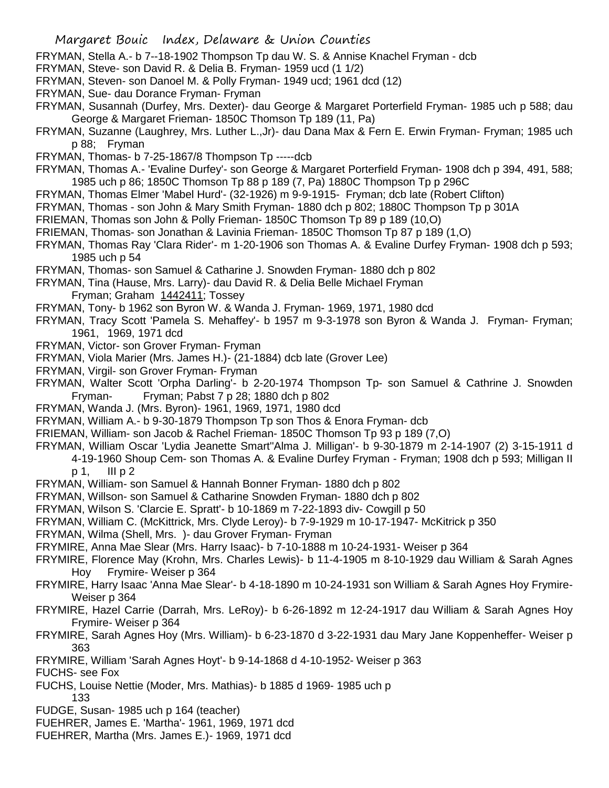- FRYMAN, Stella A.- b 7--18-1902 Thompson Tp dau W. S. & Annise Knachel Fryman dcb
- FRYMAN, Steve- son David R. & Delia B. Fryman- 1959 ucd (1 1/2)
- FRYMAN, Steven- son Danoel M. & Polly Fryman- 1949 ucd; 1961 dcd (12)
- FRYMAN, Sue- dau Dorance Fryman- Fryman
- FRYMAN, Susannah (Durfey, Mrs. Dexter)- dau George & Margaret Porterfield Fryman- 1985 uch p 588; dau George & Margaret Frieman- 1850C Thomson Tp 189 (11, Pa)
- FRYMAN, Suzanne (Laughrey, Mrs. Luther L.,Jr)- dau Dana Max & Fern E. Erwin Fryman- Fryman; 1985 uch p 88; Fryman
- FRYMAN, Thomas- b 7-25-1867/8 Thompson Tp -----dcb
- FRYMAN, Thomas A.- 'Evaline Durfey'- son George & Margaret Porterfield Fryman- 1908 dch p 394, 491, 588; 1985 uch p 86; 1850C Thomson Tp 88 p 189 (7, Pa) 1880C Thompson Tp p 296C
- FRYMAN, Thomas Elmer 'Mabel Hurd'- (32-1926) m 9-9-1915- Fryman; dcb late (Robert Clifton)
- FRYMAN, Thomas son John & Mary Smith Fryman- 1880 dch p 802; 1880C Thompson Tp p 301A
- FRIEMAN, Thomas son John & Polly Frieman- 1850C Thomson Tp 89 p 189 (10,O)
- FRIEMAN, Thomas- son Jonathan & Lavinia Frieman- 1850C Thomson Tp 87 p 189 (1,O)
- FRYMAN, Thomas Ray 'Clara Rider'- m 1-20-1906 son Thomas A. & Evaline Durfey Fryman- 1908 dch p 593; 1985 uch p 54
- FRYMAN, Thomas- son Samuel & Catharine J. Snowden Fryman- 1880 dch p 802
- FRYMAN, Tina (Hause, Mrs. Larry)- dau David R. & Delia Belle Michael Fryman Fryman; Graham 1442411; Tossey
- FRYMAN, Tony- b 1962 son Byron W. & Wanda J. Fryman- 1969, 1971, 1980 dcd
- FRYMAN, Tracy Scott 'Pamela S. Mehaffey'- b 1957 m 9-3-1978 son Byron & Wanda J. Fryman- Fryman; 1961, 1969, 1971 dcd
- FRYMAN, Victor- son Grover Fryman- Fryman
- FRYMAN, Viola Marier (Mrs. James H.)- (21-1884) dcb late (Grover Lee)
- FRYMAN, Virgil- son Grover Fryman- Fryman
- FRYMAN, Walter Scott 'Orpha Darling'- b 2-20-1974 Thompson Tp- son Samuel & Cathrine J. Snowden Fryman- Fryman; Pabst 7 p 28; 1880 dch p 802
- FRYMAN, Wanda J. (Mrs. Byron)- 1961, 1969, 1971, 1980 dcd
- FRYMAN, William A.- b 9-30-1879 Thompson Tp son Thos & Enora Fryman- dcb
- FRIEMAN, William- son Jacob & Rachel Frieman- 1850C Thomson Tp 93 p 189 (7,O)
- FRYMAN, William Oscar 'Lydia Jeanette Smart''Alma J. Milligan'- b 9-30-1879 m 2-14-1907 (2) 3-15-1911 d
	- 4-19-1960 Shoup Cem- son Thomas A. & Evaline Durfey Fryman Fryman; 1908 dch p 593; Milligan II p 1, III p 2
- FRYMAN, William- son Samuel & Hannah Bonner Fryman- 1880 dch p 802
- FRYMAN, Willson- son Samuel & Catharine Snowden Fryman- 1880 dch p 802
- FRYMAN, Wilson S. 'Clarcie E. Spratt'- b 10-1869 m 7-22-1893 div- Cowgill p 50
- FRYMAN, William C. (McKittrick, Mrs. Clyde Leroy)- b 7-9-1929 m 10-17-1947- McKitrick p 350
- FRYMAN, Wilma (Shell, Mrs. )- dau Grover Fryman- Fryman
- FRYMIRE, Anna Mae Slear (Mrs. Harry Isaac)- b 7-10-1888 m 10-24-1931- Weiser p 364
- FRYMIRE, Florence May (Krohn, Mrs. Charles Lewis)- b 11-4-1905 m 8-10-1929 dau William & Sarah Agnes Hoy Frymire- Weiser p 364
- FRYMIRE, Harry Isaac 'Anna Mae Slear'- b 4-18-1890 m 10-24-1931 son William & Sarah Agnes Hoy Frymire-Weiser p 364
- FRYMIRE, Hazel Carrie (Darrah, Mrs. LeRoy)- b 6-26-1892 m 12-24-1917 dau William & Sarah Agnes Hoy Frymire- Weiser p 364
- FRYMIRE, Sarah Agnes Hoy (Mrs. William)- b 6-23-1870 d 3-22-1931 dau Mary Jane Koppenheffer- Weiser p 363
- FRYMIRE, William 'Sarah Agnes Hoyt'- b 9-14-1868 d 4-10-1952- Weiser p 363
- FUCHS- see Fox
- FUCHS, Louise Nettie (Moder, Mrs. Mathias)- b 1885 d 1969- 1985 uch p 133
- FUDGE, Susan- 1985 uch p 164 (teacher)
- FUEHRER, James E. 'Martha'- 1961, 1969, 1971 dcd
- 
- FUEHRER, Martha (Mrs. James E.)- 1969, 1971 dcd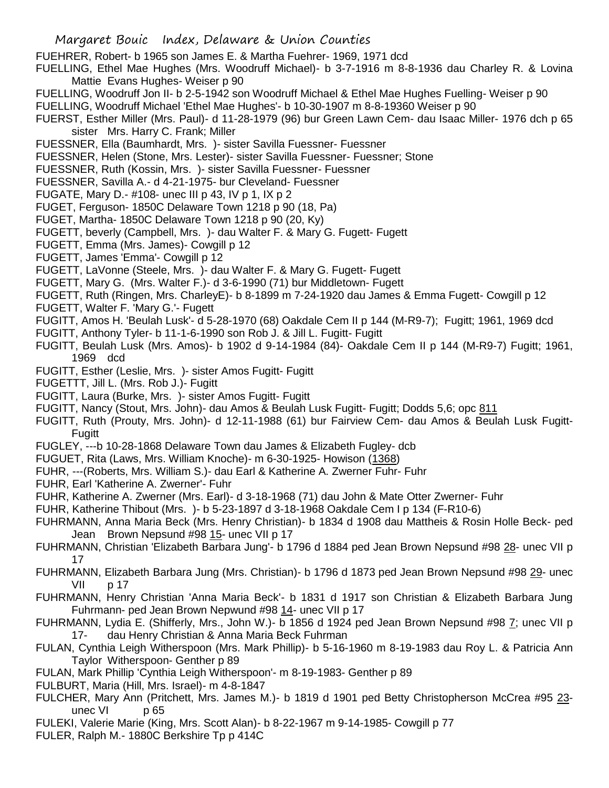FUEHRER, Robert- b 1965 son James E. & Martha Fuehrer- 1969, 1971 dcd

- FUELLING, Ethel Mae Hughes (Mrs. Woodruff Michael)- b 3-7-1916 m 8-8-1936 dau Charley R. & Lovina Mattie Evans Hughes- Weiser p 90
- FUELLING, Woodruff Jon II- b 2-5-1942 son Woodruff Michael & Ethel Mae Hughes Fuelling- Weiser p 90
- FUELLING, Woodruff Michael 'Ethel Mae Hughes'- b 10-30-1907 m 8-8-19360 Weiser p 90
- FUERST, Esther Miller (Mrs. Paul)- d 11-28-1979 (96) bur Green Lawn Cem- dau Isaac Miller- 1976 dch p 65 sister Mrs. Harry C. Frank; Miller
- FUESSNER, Ella (Baumhardt, Mrs. )- sister Savilla Fuessner- Fuessner
- FUESSNER, Helen (Stone, Mrs. Lester)- sister Savilla Fuessner- Fuessner; Stone
- FUESSNER, Ruth (Kossin, Mrs. )- sister Savilla Fuessner- Fuessner
- FUESSNER, Savilla A.- d 4-21-1975- bur Cleveland- Fuessner
- FUGATE, Mary D.- #108- unec III p 43, IV p 1, IX p 2
- FUGET, Ferguson- 1850C Delaware Town 1218 p 90 (18, Pa)
- FUGET, Martha- 1850C Delaware Town 1218 p 90 (20, Ky)
- FUGETT, beverly (Campbell, Mrs. )- dau Walter F. & Mary G. Fugett- Fugett
- FUGETT, Emma (Mrs. James)- Cowgill p 12
- FUGETT, James 'Emma'- Cowgill p 12
- FUGETT, LaVonne (Steele, Mrs. )- dau Walter F. & Mary G. Fugett- Fugett
- FUGETT, Mary G. (Mrs. Walter F.)- d 3-6-1990 (71) bur Middletown- Fugett
- FUGETT, Ruth (Ringen, Mrs. CharleyE)- b 8-1899 m 7-24-1920 dau James & Emma Fugett- Cowgill p 12
- FUGETT, Walter F. 'Mary G.'- Fugett
- FUGITT, Amos H. 'Beulah Lusk'- d 5-28-1970 (68) Oakdale Cem II p 144 (M-R9-7); Fugitt; 1961, 1969 dcd
- FUGITT, Anthony Tyler- b 11-1-6-1990 son Rob J. & Jill L. Fugitt- Fugitt
- FUGITT, Beulah Lusk (Mrs. Amos)- b 1902 d 9-14-1984 (84)- Oakdale Cem II p 144 (M-R9-7) Fugitt; 1961, 1969 dcd
- FUGITT, Esther (Leslie, Mrs. )- sister Amos Fugitt- Fugitt
- FUGETTT, Jill L. (Mrs. Rob J.)- Fugitt
- FUGITT, Laura (Burke, Mrs. )- sister Amos Fugitt- Fugitt
- FUGITT, Nancy (Stout, Mrs. John)- dau Amos & Beulah Lusk Fugitt- Fugitt; Dodds 5,6; opc 811
- FUGITT, Ruth (Prouty, Mrs. John)- d 12-11-1988 (61) bur Fairview Cem- dau Amos & Beulah Lusk Fugitt-Fugitt
- FUGLEY, ---b 10-28-1868 Delaware Town dau James & Elizabeth Fugley- dcb
- FUGUET, Rita (Laws, Mrs. William Knoche)- m 6-30-1925- Howison (1368)
- FUHR, ---(Roberts, Mrs. William S.)- dau Earl & Katherine A. Zwerner Fuhr- Fuhr
- FUHR, Earl 'Katherine A. Zwerner'- Fuhr
- FUHR, Katherine A. Zwerner (Mrs. Earl)- d 3-18-1968 (71) dau John & Mate Otter Zwerner- Fuhr
- FUHR, Katherine Thibout (Mrs. )- b 5-23-1897 d 3-18-1968 Oakdale Cem I p 134 (F-R10-6)
- FUHRMANN, Anna Maria Beck (Mrs. Henry Christian)- b 1834 d 1908 dau Mattheis & Rosin Holle Beck- ped Jean Brown Nepsund #98 15- unec VII p 17
- FUHRMANN, Christian 'Elizabeth Barbara Jung'- b 1796 d 1884 ped Jean Brown Nepsund #98 28- unec VII p 17
- FUHRMANN, Elizabeth Barbara Jung (Mrs. Christian)- b 1796 d 1873 ped Jean Brown Nepsund #98 29- unec VII p 17
- FUHRMANN, Henry Christian 'Anna Maria Beck'- b 1831 d 1917 son Christian & Elizabeth Barbara Jung Fuhrmann- ped Jean Brown Nepwund #98 14- unec VII p 17
- FUHRMANN, Lydia E. (Shifferly, Mrs., John W.)- b 1856 d 1924 ped Jean Brown Nepsund #98 7; unec VII p 17- dau Henry Christian & Anna Maria Beck Fuhrman
- FULAN, Cynthia Leigh Witherspoon (Mrs. Mark Phillip)- b 5-16-1960 m 8-19-1983 dau Roy L. & Patricia Ann Taylor Witherspoon- Genther p 89
- FULAN, Mark Phillip 'Cynthia Leigh Witherspoon'- m 8-19-1983- Genther p 89
- FULBURT, Maria (Hill, Mrs. Israel)- m 4-8-1847
- FULCHER, Mary Ann (Pritchett, Mrs. James M.)- b 1819 d 1901 ped Betty Christopherson McCrea #95 23 unec VI p 65
- FULEKI, Valerie Marie (King, Mrs. Scott Alan)- b 8-22-1967 m 9-14-1985- Cowgill p 77
- FULER, Ralph M.- 1880C Berkshire Tp p 414C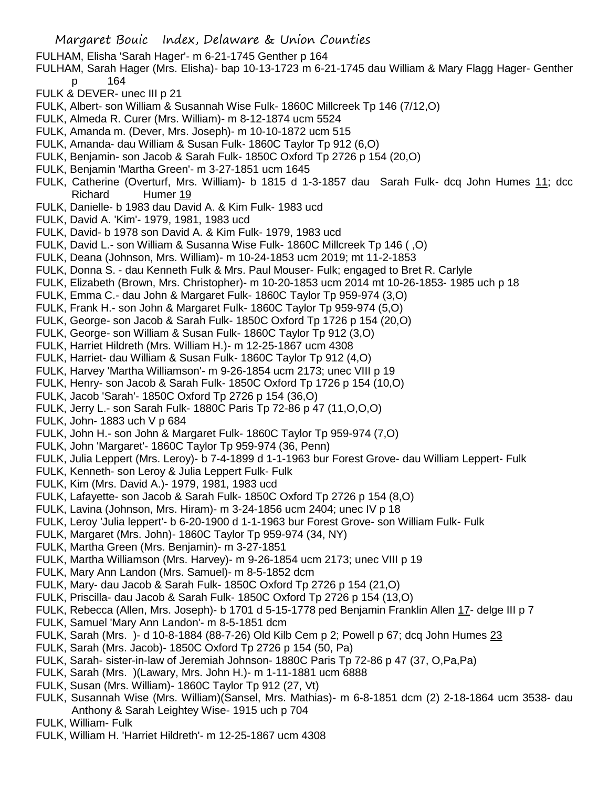- FULHAM, Elisha 'Sarah Hager'- m 6-21-1745 Genther p 164
- FULHAM, Sarah Hager (Mrs. Elisha)- bap 10-13-1723 m 6-21-1745 dau William & Mary Flagg Hager- Genther p 164
- FULK & DEVER- unec III p 21
- FULK, Albert- son William & Susannah Wise Fulk- 1860C Millcreek Tp 146 (7/12,O)
- FULK, Almeda R. Curer (Mrs. William)- m 8-12-1874 ucm 5524
- FULK, Amanda m. (Dever, Mrs. Joseph)- m 10-10-1872 ucm 515
- FULK, Amanda- dau William & Susan Fulk- 1860C Taylor Tp 912 (6,O)
- FULK, Benjamin- son Jacob & Sarah Fulk- 1850C Oxford Tp 2726 p 154 (20,O)
- FULK, Benjamin 'Martha Green'- m 3-27-1851 ucm 1645
- FULK, Catherine (Overturf, Mrs. William)- b 1815 d 1-3-1857 dau Sarah Fulk- dcq John Humes 11; dcc Richard Humer 19
- FULK, Danielle- b 1983 dau David A. & Kim Fulk- 1983 ucd
- FULK, David A. 'Kim'- 1979, 1981, 1983 ucd
- FULK, David- b 1978 son David A. & Kim Fulk- 1979, 1983 ucd
- FULK, David L.- son William & Susanna Wise Fulk- 1860C Millcreek Tp 146 ( ,O)
- FULK, Deana (Johnson, Mrs. William)- m 10-24-1853 ucm 2019; mt 11-2-1853
- FULK, Donna S. dau Kenneth Fulk & Mrs. Paul Mouser- Fulk; engaged to Bret R. Carlyle
- FULK, Elizabeth (Brown, Mrs. Christopher)- m 10-20-1853 ucm 2014 mt 10-26-1853- 1985 uch p 18
- FULK, Emma C.- dau John & Margaret Fulk- 1860C Taylor Tp 959-974 (3,O)
- FULK, Frank H.- son John & Margaret Fulk- 1860C Taylor Tp 959-974 (5,O)
- FULK, George- son Jacob & Sarah Fulk- 1850C Oxford Tp 1726 p 154 (20,O)
- FULK, George- son William & Susan Fulk- 1860C Taylor Tp 912 (3,O)
- FULK, Harriet Hildreth (Mrs. William H.)- m 12-25-1867 ucm 4308
- FULK, Harriet- dau William & Susan Fulk- 1860C Taylor Tp 912 (4,O)
- FULK, Harvey 'Martha Williamson'- m 9-26-1854 ucm 2173; unec VIII p 19
- FULK, Henry- son Jacob & Sarah Fulk- 1850C Oxford Tp 1726 p 154 (10,O)
- FULK, Jacob 'Sarah'- 1850C Oxford Tp 2726 p 154 (36,O)
- FULK, Jerry L.- son Sarah Fulk- 1880C Paris Tp 72-86 p 47 (11,O,O,O)
- FULK, John- 1883 uch V p 684
- FULK, John H.- son John & Margaret Fulk- 1860C Taylor Tp 959-974 (7,O)
- FULK, John 'Margaret'- 1860C Taylor Tp 959-974 (36, Penn)
- FULK, Julia Leppert (Mrs. Leroy)- b 7-4-1899 d 1-1-1963 bur Forest Grove- dau William Leppert- Fulk
- FULK, Kenneth- son Leroy & Julia Leppert Fulk- Fulk
- FULK, Kim (Mrs. David A.)- 1979, 1981, 1983 ucd
- FULK, Lafayette- son Jacob & Sarah Fulk- 1850C Oxford Tp 2726 p 154 (8,O)
- FULK, Lavina (Johnson, Mrs. Hiram)- m 3-24-1856 ucm 2404; unec IV p 18
- FULK, Leroy 'Julia leppert'- b 6-20-1900 d 1-1-1963 bur Forest Grove- son William Fulk- Fulk
- FULK, Margaret (Mrs. John)- 1860C Taylor Tp 959-974 (34, NY)
- FULK, Martha Green (Mrs. Benjamin)- m 3-27-1851
- FULK, Martha Williamson (Mrs. Harvey)- m 9-26-1854 ucm 2173; unec VIII p 19
- FULK, Mary Ann Landon (Mrs. Samuel)- m 8-5-1852 dcm
- FULK, Mary- dau Jacob & Sarah Fulk- 1850C Oxford Tp 2726 p 154 (21,O)
- FULK, Priscilla- dau Jacob & Sarah Fulk- 1850C Oxford Tp 2726 p 154 (13,O)
- FULK, Rebecca (Allen, Mrs. Joseph)- b 1701 d 5-15-1778 ped Benjamin Franklin Allen 17- delge III p 7
- FULK, Samuel 'Mary Ann Landon'- m 8-5-1851 dcm
- FULK, Sarah (Mrs. )- d 10-8-1884 (88-7-26) Old Kilb Cem p 2; Powell p 67; dcq John Humes 23
- FULK, Sarah (Mrs. Jacob)- 1850C Oxford Tp 2726 p 154 (50, Pa)
- FULK, Sarah- sister-in-law of Jeremiah Johnson- 1880C Paris Tp 72-86 p 47 (37, O,Pa,Pa)
- FULK, Sarah (Mrs. )(Lawary, Mrs. John H.)- m 1-11-1881 ucm 6888
- FULK, Susan (Mrs. William)- 1860C Taylor Tp 912 (27, Vt)
- FULK, Susannah Wise (Mrs. William)(Sansel, Mrs. Mathias)- m 6-8-1851 dcm (2) 2-18-1864 ucm 3538- dau Anthony & Sarah Leightey Wise- 1915 uch p 704
- FULK, William- Fulk
- FULK, William H. 'Harriet Hildreth'- m 12-25-1867 ucm 4308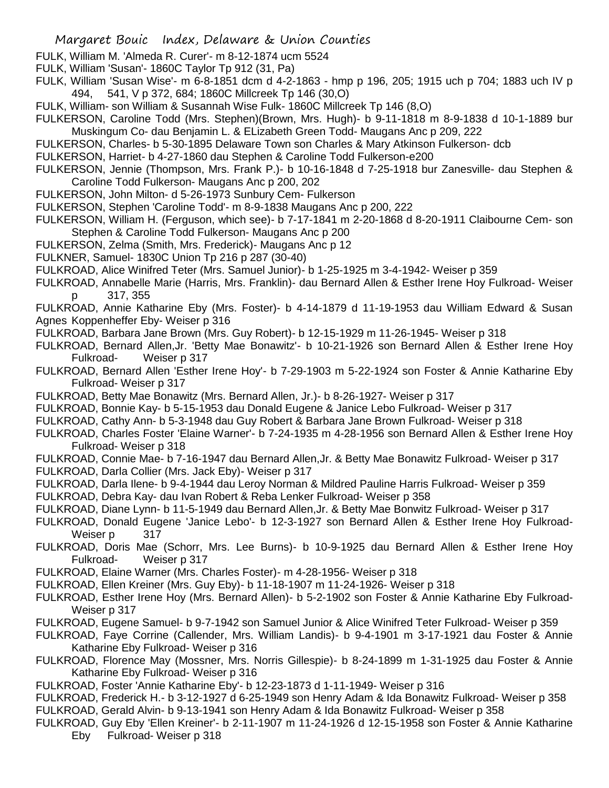- FULK, William M. 'Almeda R. Curer'- m 8-12-1874 ucm 5524
- FULK, William 'Susan'- 1860C Taylor Tp 912 (31, Pa)
- FULK, William 'Susan Wise'- m 6-8-1851 dcm d 4-2-1863 hmp p 196, 205; 1915 uch p 704; 1883 uch IV p 494, 541, V p 372, 684; 1860C Millcreek Tp 146 (30,O)
- FULK, William- son William & Susannah Wise Fulk- 1860C Millcreek Tp 146 (8,O)
- FULKERSON, Caroline Todd (Mrs. Stephen)(Brown, Mrs. Hugh)- b 9-11-1818 m 8-9-1838 d 10-1-1889 bur Muskingum Co- dau Benjamin L. & ELizabeth Green Todd- Maugans Anc p 209, 222
- FULKERSON, Charles- b 5-30-1895 Delaware Town son Charles & Mary Atkinson Fulkerson- dcb
- FULKERSON, Harriet- b 4-27-1860 dau Stephen & Caroline Todd Fulkerson-e200
- FULKERSON, Jennie (Thompson, Mrs. Frank P.)- b 10-16-1848 d 7-25-1918 bur Zanesville- dau Stephen & Caroline Todd Fulkerson- Maugans Anc p 200, 202
- FULKERSON, John Milton- d 5-26-1973 Sunbury Cem- Fulkerson
- FULKERSON, Stephen 'Caroline Todd'- m 8-9-1838 Maugans Anc p 200, 222
- FULKERSON, William H. (Ferguson, which see)- b 7-17-1841 m 2-20-1868 d 8-20-1911 Claibourne Cem- son Stephen & Caroline Todd Fulkerson- Maugans Anc p 200
- FULKERSON, Zelma (Smith, Mrs. Frederick)- Maugans Anc p 12
- FULKNER, Samuel- 1830C Union Tp 216 p 287 (30-40)
- FULKROAD, Alice Winifred Teter (Mrs. Samuel Junior)- b 1-25-1925 m 3-4-1942- Weiser p 359
- FULKROAD, Annabelle Marie (Harris, Mrs. Franklin)- dau Bernard Allen & Esther Irene Hoy Fulkroad- Weiser p 317, 355
- FULKROAD, Annie Katharine Eby (Mrs. Foster)- b 4-14-1879 d 11-19-1953 dau William Edward & Susan Agnes Koppenheffer Eby- Weiser p 316
- FULKROAD, Barbara Jane Brown (Mrs. Guy Robert)- b 12-15-1929 m 11-26-1945- Weiser p 318
- FULKROAD, Bernard Allen,Jr. 'Betty Mae Bonawitz'- b 10-21-1926 son Bernard Allen & Esther Irene Hoy Fulkroad- Weiser p 317
- FULKROAD, Bernard Allen 'Esther Irene Hoy'- b 7-29-1903 m 5-22-1924 son Foster & Annie Katharine Eby Fulkroad- Weiser p 317
- FULKROAD, Betty Mae Bonawitz (Mrs. Bernard Allen, Jr.)- b 8-26-1927- Weiser p 317
- FULKROAD, Bonnie Kay- b 5-15-1953 dau Donald Eugene & Janice Lebo Fulkroad- Weiser p 317
- FULKROAD, Cathy Ann- b 5-3-1948 dau Guy Robert & Barbara Jane Brown Fulkroad- Weiser p 318
- FULKROAD, Charles Foster 'Elaine Warner'- b 7-24-1935 m 4-28-1956 son Bernard Allen & Esther Irene Hoy Fulkroad- Weiser p 318
- FULKROAD, Connie Mae- b 7-16-1947 dau Bernard Allen,Jr. & Betty Mae Bonawitz Fulkroad- Weiser p 317 FULKROAD, Darla Collier (Mrs. Jack Eby)- Weiser p 317
- FULKROAD, Darla Ilene- b 9-4-1944 dau Leroy Norman & Mildred Pauline Harris Fulkroad- Weiser p 359
- FULKROAD, Debra Kay- dau Ivan Robert & Reba Lenker Fulkroad- Weiser p 358
- FULKROAD, Diane Lynn- b 11-5-1949 dau Bernard Allen,Jr. & Betty Mae Bonwitz Fulkroad- Weiser p 317
- FULKROAD, Donald Eugene 'Janice Lebo'- b 12-3-1927 son Bernard Allen & Esther Irene Hoy Fulkroad-Weiser p 317
- FULKROAD, Doris Mae (Schorr, Mrs. Lee Burns)- b 10-9-1925 dau Bernard Allen & Esther Irene Hoy Fulkroad- Weiser p 317
- FULKROAD, Elaine Warner (Mrs. Charles Foster)- m 4-28-1956- Weiser p 318
- FULKROAD, Ellen Kreiner (Mrs. Guy Eby)- b 11-18-1907 m 11-24-1926- Weiser p 318
- FULKROAD, Esther Irene Hoy (Mrs. Bernard Allen)- b 5-2-1902 son Foster & Annie Katharine Eby Fulkroad-Weiser p 317
- FULKROAD, Eugene Samuel- b 9-7-1942 son Samuel Junior & Alice Winifred Teter Fulkroad- Weiser p 359
- FULKROAD, Faye Corrine (Callender, Mrs. William Landis)- b 9-4-1901 m 3-17-1921 dau Foster & Annie Katharine Eby Fulkroad- Weiser p 316
- FULKROAD, Florence May (Mossner, Mrs. Norris Gillespie)- b 8-24-1899 m 1-31-1925 dau Foster & Annie Katharine Eby Fulkroad- Weiser p 316
- FULKROAD, Foster 'Annie Katharine Eby'- b 12-23-1873 d 1-11-1949- Weiser p 316
- FULKROAD, Frederick H.- b 3-12-1927 d 6-25-1949 son Henry Adam & Ida Bonawitz Fulkroad- Weiser p 358 FULKROAD, Gerald Alvin- b 9-13-1941 son Henry Adam & Ida Bonawitz Fulkroad- Weiser p 358
- FULKROAD, Guy Eby 'Ellen Kreiner'- b 2-11-1907 m 11-24-1926 d 12-15-1958 son Foster & Annie Katharine Eby Fulkroad- Weiser p 318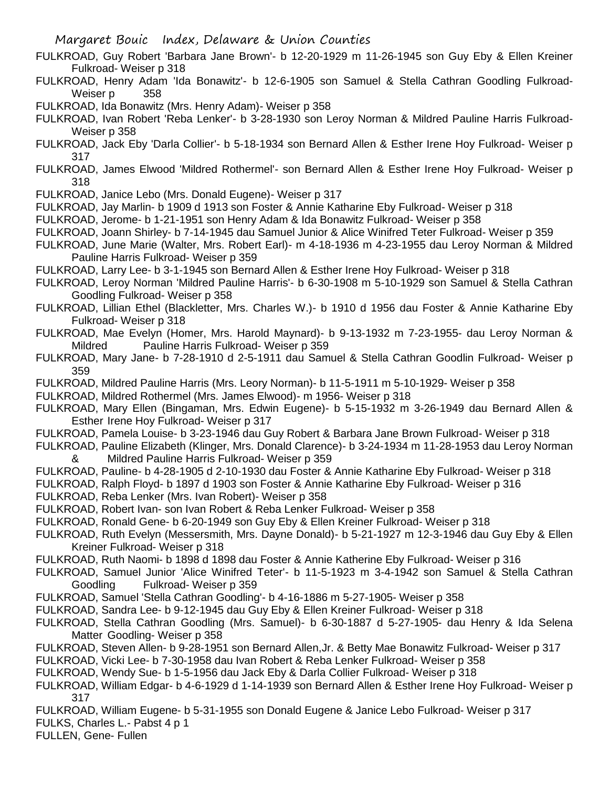- FULKROAD, Guy Robert 'Barbara Jane Brown'- b 12-20-1929 m 11-26-1945 son Guy Eby & Ellen Kreiner Fulkroad- Weiser p 318
- FULKROAD, Henry Adam 'Ida Bonawitz'- b 12-6-1905 son Samuel & Stella Cathran Goodling Fulkroad-Weiser p 358
- FULKROAD, Ida Bonawitz (Mrs. Henry Adam)- Weiser p 358
- FULKROAD, Ivan Robert 'Reba Lenker'- b 3-28-1930 son Leroy Norman & Mildred Pauline Harris Fulkroad-Weiser p 358
- FULKROAD, Jack Eby 'Darla Collier'- b 5-18-1934 son Bernard Allen & Esther Irene Hoy Fulkroad- Weiser p 317
- FULKROAD, James Elwood 'Mildred Rothermel'- son Bernard Allen & Esther Irene Hoy Fulkroad- Weiser p 318
- FULKROAD, Janice Lebo (Mrs. Donald Eugene)- Weiser p 317
- FULKROAD, Jay Marlin- b 1909 d 1913 son Foster & Annie Katharine Eby Fulkroad- Weiser p 318
- FULKROAD, Jerome- b 1-21-1951 son Henry Adam & Ida Bonawitz Fulkroad- Weiser p 358
- FULKROAD, Joann Shirley- b 7-14-1945 dau Samuel Junior & Alice Winifred Teter Fulkroad- Weiser p 359
- FULKROAD, June Marie (Walter, Mrs. Robert Earl)- m 4-18-1936 m 4-23-1955 dau Leroy Norman & Mildred Pauline Harris Fulkroad- Weiser p 359
- FULKROAD, Larry Lee- b 3-1-1945 son Bernard Allen & Esther Irene Hoy Fulkroad- Weiser p 318
- FULKROAD, Leroy Norman 'Mildred Pauline Harris'- b 6-30-1908 m 5-10-1929 son Samuel & Stella Cathran Goodling Fulkroad- Weiser p 358
- FULKROAD, Lillian Ethel (Blackletter, Mrs. Charles W.)- b 1910 d 1956 dau Foster & Annie Katharine Eby Fulkroad- Weiser p 318
- FULKROAD, Mae Evelyn (Homer, Mrs. Harold Maynard)- b 9-13-1932 m 7-23-1955- dau Leroy Norman & Mildred Pauline Harris Fulkroad- Weiser p 359
- FULKROAD, Mary Jane- b 7-28-1910 d 2-5-1911 dau Samuel & Stella Cathran Goodlin Fulkroad- Weiser p 359
- FULKROAD, Mildred Pauline Harris (Mrs. Leory Norman)- b 11-5-1911 m 5-10-1929- Weiser p 358
- FULKROAD, Mildred Rothermel (Mrs. James Elwood)- m 1956- Weiser p 318
- FULKROAD, Mary Ellen (Bingaman, Mrs. Edwin Eugene)- b 5-15-1932 m 3-26-1949 dau Bernard Allen & Esther Irene Hoy Fulkroad- Weiser p 317
- FULKROAD, Pamela Louise- b 3-23-1946 dau Guy Robert & Barbara Jane Brown Fulkroad- Weiser p 318
- FULKROAD, Pauline Elizabeth (Klinger, Mrs. Donald Clarence)- b 3-24-1934 m 11-28-1953 dau Leroy Norman & Mildred Pauline Harris Fulkroad- Weiser p 359
- FULKROAD, Pauline- b 4-28-1905 d 2-10-1930 dau Foster & Annie Katharine Eby Fulkroad- Weiser p 318
- FULKROAD, Ralph Floyd- b 1897 d 1903 son Foster & Annie Katharine Eby Fulkroad- Weiser p 316
- FULKROAD, Reba Lenker (Mrs. Ivan Robert)- Weiser p 358
- FULKROAD, Robert Ivan- son Ivan Robert & Reba Lenker Fulkroad- Weiser p 358
- FULKROAD, Ronald Gene- b 6-20-1949 son Guy Eby & Ellen Kreiner Fulkroad- Weiser p 318
- FULKROAD, Ruth Evelyn (Messersmith, Mrs. Dayne Donald)- b 5-21-1927 m 12-3-1946 dau Guy Eby & Ellen Kreiner Fulkroad- Weiser p 318
- FULKROAD, Ruth Naomi- b 1898 d 1898 dau Foster & Annie Katherine Eby Fulkroad- Weiser p 316
- FULKROAD, Samuel Junior 'Alice Winifred Teter'- b 11-5-1923 m 3-4-1942 son Samuel & Stella Cathran Goodling Fulkroad- Weiser p 359
- FULKROAD, Samuel 'Stella Cathran Goodling'- b 4-16-1886 m 5-27-1905- Weiser p 358
- FULKROAD, Sandra Lee- b 9-12-1945 dau Guy Eby & Ellen Kreiner Fulkroad- Weiser p 318
- FULKROAD, Stella Cathran Goodling (Mrs. Samuel)- b 6-30-1887 d 5-27-1905- dau Henry & Ida Selena Matter Goodling- Weiser p 358
- FULKROAD, Steven Allen- b 9-28-1951 son Bernard Allen,Jr. & Betty Mae Bonawitz Fulkroad- Weiser p 317
- FULKROAD, Vicki Lee- b 7-30-1958 dau Ivan Robert & Reba Lenker Fulkroad- Weiser p 358
- FULKROAD, Wendy Sue- b 1-5-1956 dau Jack Eby & Darla Collier Fulkroad- Weiser p 318
- FULKROAD, William Edgar- b 4-6-1929 d 1-14-1939 son Bernard Allen & Esther Irene Hoy Fulkroad- Weiser p 317
- FULKROAD, William Eugene- b 5-31-1955 son Donald Eugene & Janice Lebo Fulkroad- Weiser p 317
- FULKS, Charles L.- Pabst 4 p 1
- FULLEN, Gene- Fullen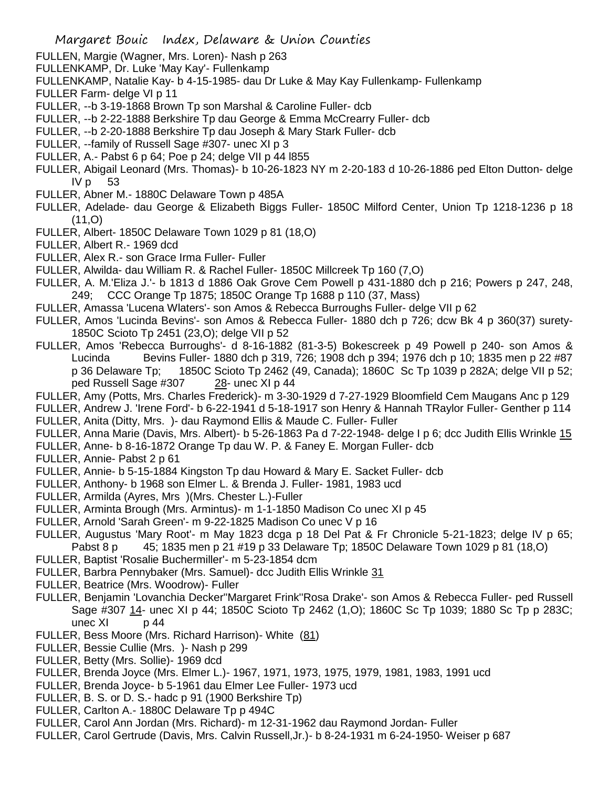- FULLEN, Margie (Wagner, Mrs. Loren)- Nash p 263
- FULLENKAMP, Dr. Luke 'May Kay'- Fullenkamp
- FULLENKAMP, Natalie Kay- b 4-15-1985- dau Dr Luke & May Kay Fullenkamp- Fullenkamp
- FULLER Farm- delge VI p 11
- FULLER, --b 3-19-1868 Brown Tp son Marshal & Caroline Fuller- dcb
- FULLER, --b 2-22-1888 Berkshire Tp dau George & Emma McCrearry Fuller- dcb
- FULLER, --b 2-20-1888 Berkshire Tp dau Joseph & Mary Stark Fuller- dcb
- FULLER, --family of Russell Sage #307- unec XI p 3
- FULLER, A.- Pabst 6 p 64; Poe p 24; delge VII p 44 l855
- FULLER, Abigail Leonard (Mrs. Thomas)- b 10-26-1823 NY m 2-20-183 d 10-26-1886 ped Elton Dutton- delge  $IVp$  53
- FULLER, Abner M.- 1880C Delaware Town p 485A
- FULLER, Adelade- dau George & Elizabeth Biggs Fuller- 1850C Milford Center, Union Tp 1218-1236 p 18 (11,O)
- FULLER, Albert- 1850C Delaware Town 1029 p 81 (18,O)
- FULLER, Albert R.- 1969 dcd
- FULLER, Alex R.- son Grace Irma Fuller- Fuller
- FULLER, Alwilda- dau William R. & Rachel Fuller- 1850C Millcreek Tp 160 (7,O)
- FULLER, A. M.'Eliza J.'- b 1813 d 1886 Oak Grove Cem Powell p 431-1880 dch p 216; Powers p 247, 248, 249; CCC Orange Tp 1875; 1850C Orange Tp 1688 p 110 (37, Mass)
- FULLER, Amassa 'Lucena Wlaters'- son Amos & Rebecca Burroughs Fuller- delge VII p 62
- FULLER, Amos 'Lucinda Bevins'- son Amos & Rebecca Fuller- 1880 dch p 726; dcw Bk 4 p 360(37) surety-1850C Scioto Tp 2451 (23,O); delge VII p 52
- FULLER, Amos 'Rebecca Burroughs'- d 8-16-1882 (81-3-5) Bokescreek p 49 Powell p 240- son Amos & Lucinda Bevins Fuller- 1880 dch p 319, 726; 1908 dch p 394; 1976 dch p 10; 1835 men p 22 #87 p 36 Delaware Tp; 1850C Scioto Tp 2462 (49, Canada); 1860C Sc Tp 1039 p 282A; delge VII p 52; ped Russell Sage #307 28- unec XI p 44
- FULLER, Amy (Potts, Mrs. Charles Frederick)- m 3-30-1929 d 7-27-1929 Bloomfield Cem Maugans Anc p 129
- FULLER, Andrew J. 'Irene Ford'- b 6-22-1941 d 5-18-1917 son Henry & Hannah TRaylor Fuller- Genther p 114 FULLER, Anita (Ditty, Mrs. )- dau Raymond Ellis & Maude C. Fuller- Fuller
- FULLER, Anna Marie (Davis, Mrs. Albert)- b 5-26-1863 Pa d 7-22-1948- delge I p 6; dcc Judith Ellis Wrinkle 15
- FULLER, Anne- b 8-16-1872 Orange Tp dau W. P. & Faney E. Morgan Fuller- dcb
- FULLER, Annie- Pabst 2 p 61
- FULLER, Annie- b 5-15-1884 Kingston Tp dau Howard & Mary E. Sacket Fuller- dcb
- FULLER, Anthony- b 1968 son Elmer L. & Brenda J. Fuller- 1981, 1983 ucd
- FULLER, Armilda (Ayres, Mrs )(Mrs. Chester L.)-Fuller
- FULLER, Arminta Brough (Mrs. Armintus)- m 1-1-1850 Madison Co unec XI p 45
- FULLER, Arnold 'Sarah Green'- m 9-22-1825 Madison Co unec V p 16
- FULLER, Augustus 'Mary Root'- m May 1823 dcga p 18 Del Pat & Fr Chronicle 5-21-1823; delge IV p 65; Pabst 8 p 45; 1835 men p 21 #19 p 33 Delaware Tp; 1850C Delaware Town 1029 p 81 (18,0)
- FULLER, Baptist 'Rosalie Buchermiller'- m 5-23-1854 dcm
- FULLER, Barbra Pennybaker (Mrs. Samuel)- dcc Judith Ellis Wrinkle 31
- FULLER, Beatrice (Mrs. Woodrow)- Fuller
- FULLER, Benjamin 'Lovanchia Decker''Margaret Frink''Rosa Drake'- son Amos & Rebecca Fuller- ped Russell Sage #307 14- unec XI p 44; 1850C Scioto Tp 2462 (1,O); 1860C Sc Tp 1039; 1880 Sc Tp p 283C; unec  $X1$  p 44
- FULLER, Bess Moore (Mrs. Richard Harrison)- White (81)
- FULLER, Bessie Cullie (Mrs. )- Nash p 299
- FULLER, Betty (Mrs. Sollie)- 1969 dcd
- FULLER, Brenda Joyce (Mrs. Elmer L.)- 1967, 1971, 1973, 1975, 1979, 1981, 1983, 1991 ucd
- FULLER, Brenda Joyce- b 5-1961 dau Elmer Lee Fuller- 1973 ucd
- FULLER, B. S. or D. S.- hadc p 91 (1900 Berkshire Tp)
- FULLER, Carlton A.- 1880C Delaware Tp p 494C
- FULLER, Carol Ann Jordan (Mrs. Richard)- m 12-31-1962 dau Raymond Jordan- Fuller
- FULLER, Carol Gertrude (Davis, Mrs. Calvin Russell,Jr.)- b 8-24-1931 m 6-24-1950- Weiser p 687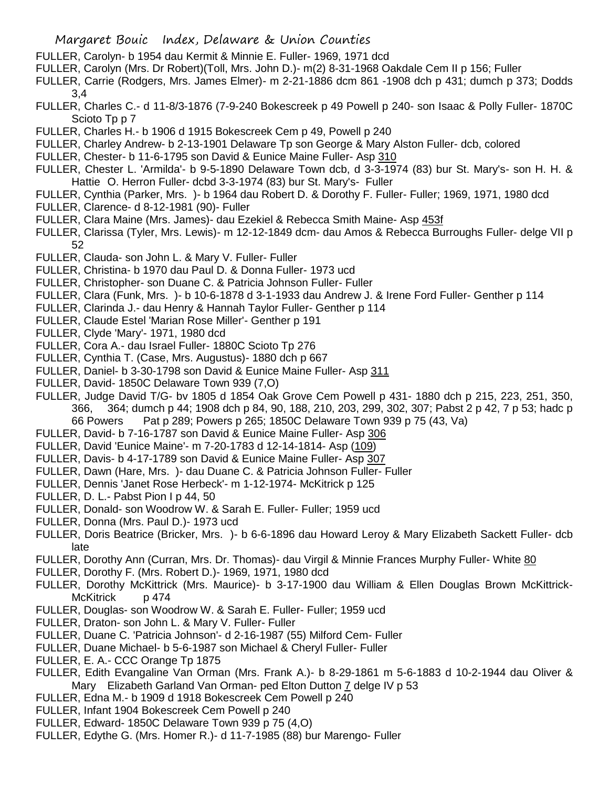- FULLER, Carolyn- b 1954 dau Kermit & Minnie E. Fuller- 1969, 1971 dcd
- FULLER, Carolyn (Mrs. Dr Robert)(Toll, Mrs. John D.)- m(2) 8-31-1968 Oakdale Cem II p 156; Fuller
- FULLER, Carrie (Rodgers, Mrs. James Elmer)- m 2-21-1886 dcm 861 -1908 dch p 431; dumch p 373; Dodds 3,4
- FULLER, Charles C.- d 11-8/3-1876 (7-9-240 Bokescreek p 49 Powell p 240- son Isaac & Polly Fuller- 1870C Scioto Tp p 7
- FULLER, Charles H.- b 1906 d 1915 Bokescreek Cem p 49, Powell p 240
- FULLER, Charley Andrew- b 2-13-1901 Delaware Tp son George & Mary Alston Fuller- dcb, colored
- FULLER, Chester- b 11-6-1795 son David & Eunice Maine Fuller- Asp 310
- FULLER, Chester L. 'Armilda'- b 9-5-1890 Delaware Town dcb, d 3-3-1974 (83) bur St. Mary's- son H. H. & Hattie O. Herron Fuller- dcbd 3-3-1974 (83) bur St. Mary's- Fuller
- FULLER, Cynthia (Parker, Mrs. )- b 1964 dau Robert D. & Dorothy F. Fuller- Fuller; 1969, 1971, 1980 dcd
- FULLER, Clarence- d 8-12-1981 (90)- Fuller
- FULLER, Clara Maine (Mrs. James)- dau Ezekiel & Rebecca Smith Maine- Asp 453f
- FULLER, Clarissa (Tyler, Mrs. Lewis)- m 12-12-1849 dcm- dau Amos & Rebecca Burroughs Fuller- delge VII p 52
- FULLER, Clauda- son John L. & Mary V. Fuller- Fuller
- FULLER, Christina- b 1970 dau Paul D. & Donna Fuller- 1973 ucd
- FULLER, Christopher- son Duane C. & Patricia Johnson Fuller- Fuller
- FULLER, Clara (Funk, Mrs. )- b 10-6-1878 d 3-1-1933 dau Andrew J. & Irene Ford Fuller- Genther p 114
- FULLER, Clarinda J.- dau Henry & Hannah Taylor Fuller- Genther p 114
- FULLER, Claude Estel 'Marian Rose Miller'- Genther p 191
- FULLER, Clyde 'Mary'- 1971, 1980 dcd
- FULLER, Cora A.- dau Israel Fuller- 1880C Scioto Tp 276
- FULLER, Cynthia T. (Case, Mrs. Augustus)- 1880 dch p 667
- FULLER, Daniel- b 3-30-1798 son David & Eunice Maine Fuller- Asp 311
- FULLER, David- 1850C Delaware Town 939 (7,O)
- FULLER, Judge David T/G- bv 1805 d 1854 Oak Grove Cem Powell p 431- 1880 dch p 215, 223, 251, 350, 366, 364; dumch p 44; 1908 dch p 84, 90, 188, 210, 203, 299, 302, 307; Pabst 2 p 42, 7 p 53; hadc p 66 Powers Pat p 289; Powers p 265; 1850C Delaware Town 939 p 75 (43, Va)
- FULLER, David- b 7-16-1787 son David & Eunice Maine Fuller- Asp 306
- FULLER, David 'Eunice Maine'- m 7-20-1783 d 12-14-1814- Asp (109)
- FULLER, Davis- b 4-17-1789 son David & Eunice Maine Fuller- Asp 307
- FULLER, Dawn (Hare, Mrs. )- dau Duane C. & Patricia Johnson Fuller- Fuller
- FULLER, Dennis 'Janet Rose Herbeck'- m 1-12-1974- McKitrick p 125
- FULLER, D. L.- Pabst Pion I p 44, 50
- FULLER, Donald- son Woodrow W. & Sarah E. Fuller- Fuller; 1959 ucd
- FULLER, Donna (Mrs. Paul D.)- 1973 ucd
- FULLER, Doris Beatrice (Bricker, Mrs. )- b 6-6-1896 dau Howard Leroy & Mary Elizabeth Sackett Fuller- dcb late
- FULLER, Dorothy Ann (Curran, Mrs. Dr. Thomas)- dau Virgil & Minnie Frances Murphy Fuller- White 80
- FULLER, Dorothy F. (Mrs. Robert D.)- 1969, 1971, 1980 dcd
- FULLER, Dorothy McKittrick (Mrs. Maurice)- b 3-17-1900 dau William & Ellen Douglas Brown McKittrick-McKitrick p 474
- FULLER, Douglas- son Woodrow W. & Sarah E. Fuller- Fuller; 1959 ucd
- FULLER, Draton- son John L. & Mary V. Fuller- Fuller
- FULLER, Duane C. 'Patricia Johnson'- d 2-16-1987 (55) Milford Cem- Fuller
- FULLER, Duane Michael- b 5-6-1987 son Michael & Cheryl Fuller- Fuller
- FULLER, E. A.- CCC Orange Tp 1875
- FULLER, Edith Evangaline Van Orman (Mrs. Frank A.)- b 8-29-1861 m 5-6-1883 d 10-2-1944 dau Oliver & Mary Elizabeth Garland Van Orman- ped Elton Dutton 7 delge IV p 53
- FULLER, Edna M.- b 1909 d 1918 Bokescreek Cem Powell p 240
- FULLER, Infant 1904 Bokescreek Cem Powell p 240
- FULLER, Edward- 1850C Delaware Town 939 p 75 (4,O)
- FULLER, Edythe G. (Mrs. Homer R.)- d 11-7-1985 (88) bur Marengo- Fuller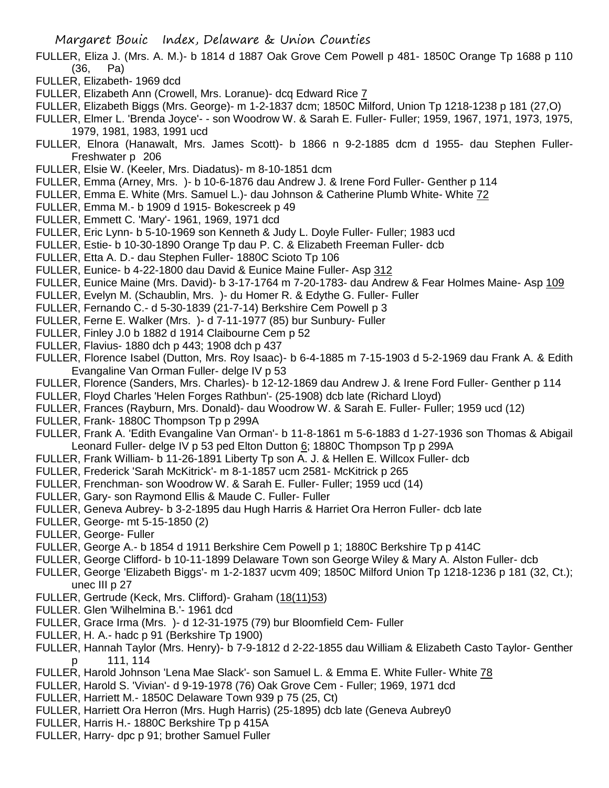- FULLER, Eliza J. (Mrs. A. M.)- b 1814 d 1887 Oak Grove Cem Powell p 481- 1850C Orange Tp 1688 p 110 (36, Pa)
- FULLER, Elizabeth- 1969 dcd
- FULLER, Elizabeth Ann (Crowell, Mrs. Loranue)- dcq Edward Rice 7
- FULLER, Elizabeth Biggs (Mrs. George)- m 1-2-1837 dcm; 1850C Milford, Union Tp 1218-1238 p 181 (27,O)
- FULLER, Elmer L. 'Brenda Joyce'- son Woodrow W. & Sarah E. Fuller- Fuller; 1959, 1967, 1971, 1973, 1975, 1979, 1981, 1983, 1991 ucd
- FULLER, Elnora (Hanawalt, Mrs. James Scott)- b 1866 n 9-2-1885 dcm d 1955- dau Stephen Fuller-Freshwater p 206
- FULLER, Elsie W. (Keeler, Mrs. Diadatus)- m 8-10-1851 dcm
- FULLER, Emma (Arney, Mrs. )- b 10-6-1876 dau Andrew J. & Irene Ford Fuller- Genther p 114
- FULLER, Emma E. White (Mrs. Samuel L.)- dau Johnson & Catherine Plumb White- White 72
- FULLER, Emma M.- b 1909 d 1915- Bokescreek p 49
- FULLER, Emmett C. 'Mary'- 1961, 1969, 1971 dcd
- FULLER, Eric Lynn- b 5-10-1969 son Kenneth & Judy L. Doyle Fuller- Fuller; 1983 ucd
- FULLER, Estie- b 10-30-1890 Orange Tp dau P. C. & Elizabeth Freeman Fuller- dcb
- FULLER, Etta A. D.- dau Stephen Fuller- 1880C Scioto Tp 106
- FULLER, Eunice- b 4-22-1800 dau David & Eunice Maine Fuller- Asp 312
- FULLER, Eunice Maine (Mrs. David)- b 3-17-1764 m 7-20-1783- dau Andrew & Fear Holmes Maine- Asp 109
- FULLER, Evelyn M. (Schaublin, Mrs. )- du Homer R. & Edythe G. Fuller- Fuller
- FULLER, Fernando C.- d 5-30-1839 (21-7-14) Berkshire Cem Powell p 3
- FULLER, Ferne E. Walker (Mrs. )- d 7-11-1977 (85) bur Sunbury- Fuller
- FULLER, Finley J.0 b 1882 d 1914 Claibourne Cem p 52
- FULLER, Flavius- 1880 dch p 443; 1908 dch p 437
- FULLER, Florence Isabel (Dutton, Mrs. Roy Isaac)- b 6-4-1885 m 7-15-1903 d 5-2-1969 dau Frank A. & Edith Evangaline Van Orman Fuller- delge IV p 53
- FULLER, Florence (Sanders, Mrs. Charles)- b 12-12-1869 dau Andrew J. & Irene Ford Fuller- Genther p 114
- FULLER, Floyd Charles 'Helen Forges Rathbun'- (25-1908) dcb late (Richard Lloyd)
- FULLER, Frances (Rayburn, Mrs. Donald)- dau Woodrow W. & Sarah E. Fuller- Fuller; 1959 ucd (12)
- FULLER, Frank- 1880C Thompson Tp p 299A
- FULLER, Frank A. 'Edith Evangaline Van Orman'- b 11-8-1861 m 5-6-1883 d 1-27-1936 son Thomas & Abigail Leonard Fuller- delge IV p 53 ped Elton Dutton 6; 1880C Thompson Tp p 299A
- FULLER, Frank William- b 11-26-1891 Liberty Tp son A. J. & Hellen E. Willcox Fuller- dcb
- FULLER, Frederick 'Sarah McKitrick'- m 8-1-1857 ucm 2581- McKitrick p 265
- FULLER, Frenchman- son Woodrow W. & Sarah E. Fuller- Fuller; 1959 ucd (14)
- FULLER, Gary- son Raymond Ellis & Maude C. Fuller- Fuller
- FULLER, Geneva Aubrey- b 3-2-1895 dau Hugh Harris & Harriet Ora Herron Fuller- dcb late
- FULLER, George- mt 5-15-1850 (2)
- FULLER, George- Fuller
- FULLER, George A.- b 1854 d 1911 Berkshire Cem Powell p 1; 1880C Berkshire Tp p 414C
- FULLER, George Clifford- b 10-11-1899 Delaware Town son George Wiley & Mary A. Alston Fuller- dcb
- FULLER, George 'Elizabeth Biggs'- m 1-2-1837 ucvm 409; 1850C Milford Union Tp 1218-1236 p 181 (32, Ct.); unec III p 27
- FULLER, Gertrude (Keck, Mrs. Clifford)- Graham (18(11)53)
- FULLER. Glen 'Wilhelmina B.'- 1961 dcd
- FULLER, Grace Irma (Mrs. )- d 12-31-1975 (79) bur Bloomfield Cem- Fuller
- FULLER, H. A.- hadc p 91 (Berkshire Tp 1900)
- FULLER, Hannah Taylor (Mrs. Henry)- b 7-9-1812 d 2-22-1855 dau William & Elizabeth Casto Taylor- Genther p 111, 114
- FULLER, Harold Johnson 'Lena Mae Slack'- son Samuel L. & Emma E. White Fuller- White 78
- FULLER, Harold S. 'Vivian'- d 9-19-1978 (76) Oak Grove Cem Fuller; 1969, 1971 dcd
- FULLER, Harriett M.- 1850C Delaware Town 939 p 75 (25, Ct)
- FULLER, Harriett Ora Herron (Mrs. Hugh Harris) (25-1895) dcb late (Geneva Aubrey0
- FULLER, Harris H.- 1880C Berkshire Tp p 415A
- FULLER, Harry- dpc p 91; brother Samuel Fuller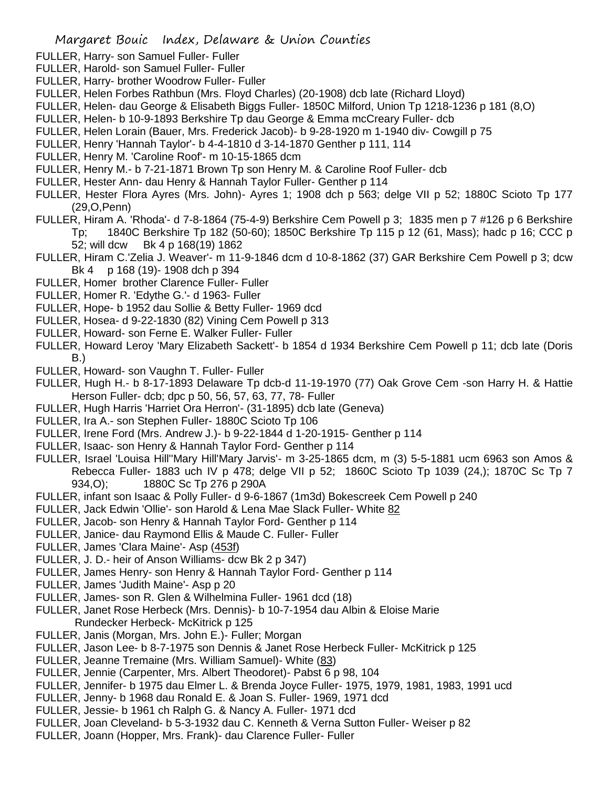- FULLER, Harry- son Samuel Fuller- Fuller
- FULLER, Harold- son Samuel Fuller- Fuller
- FULLER, Harry- brother Woodrow Fuller- Fuller
- FULLER, Helen Forbes Rathbun (Mrs. Floyd Charles) (20-1908) dcb late (Richard Lloyd)
- FULLER, Helen- dau George & Elisabeth Biggs Fuller- 1850C Milford, Union Tp 1218-1236 p 181 (8,O)
- FULLER, Helen- b 10-9-1893 Berkshire Tp dau George & Emma mcCreary Fuller- dcb
- FULLER, Helen Lorain (Bauer, Mrs. Frederick Jacob)- b 9-28-1920 m 1-1940 div- Cowgill p 75
- FULLER, Henry 'Hannah Taylor'- b 4-4-1810 d 3-14-1870 Genther p 111, 114
- FULLER, Henry M. 'Caroline Roof'- m 10-15-1865 dcm
- FULLER, Henry M.- b 7-21-1871 Brown Tp son Henry M. & Caroline Roof Fuller- dcb
- FULLER, Hester Ann- dau Henry & Hannah Taylor Fuller- Genther p 114
- FULLER, Hester Flora Ayres (Mrs. John)- Ayres 1; 1908 dch p 563; delge VII p 52; 1880C Scioto Tp 177 (29,O,Penn)
- FULLER, Hiram A. 'Rhoda'- d 7-8-1864 (75-4-9) Berkshire Cem Powell p 3; 1835 men p 7 #126 p 6 Berkshire
	- Tp; 1840C Berkshire Tp 182 (50-60); 1850C Berkshire Tp 115 p 12 (61, Mass); hadc p 16; CCC p 52; will dcw Bk 4 p 168(19) 1862
- FULLER, Hiram C.'Zelia J. Weaver'- m 11-9-1846 dcm d 10-8-1862 (37) GAR Berkshire Cem Powell p 3; dcw Bk 4 p 168 (19)-1908 dch p 394
- FULLER, Homer brother Clarence Fuller- Fuller
- FULLER, Homer R. 'Edythe G.'- d 1963- Fuller
- FULLER, Hope- b 1952 dau Sollie & Betty Fuller- 1969 dcd
- FULLER, Hosea- d 9-22-1830 (82) Vining Cem Powell p 313
- FULLER, Howard- son Ferne E. Walker Fuller- Fuller
- FULLER, Howard Leroy 'Mary Elizabeth Sackett'- b 1854 d 1934 Berkshire Cem Powell p 11; dcb late (Doris B.)
- FULLER, Howard- son Vaughn T. Fuller- Fuller
- FULLER, Hugh H.- b 8-17-1893 Delaware Tp dcb-d 11-19-1970 (77) Oak Grove Cem -son Harry H. & Hattie Herson Fuller- dcb; dpc p 50, 56, 57, 63, 77, 78- Fuller
- FULLER, Hugh Harris 'Harriet Ora Herron'- (31-1895) dcb late (Geneva)
- FULLER, Ira A.- son Stephen Fuller- 1880C Scioto Tp 106
- FULLER, Irene Ford (Mrs. Andrew J.)- b 9-22-1844 d 1-20-1915- Genther p 114
- FULLER, Isaac- son Henry & Hannah Taylor Ford- Genther p 114
- FULLER, Israel 'Louisa Hill''Mary Hill'Mary Jarvis'- m 3-25-1865 dcm, m (3) 5-5-1881 ucm 6963 son Amos & Rebecca Fuller- 1883 uch IV p 478; delge VII p 52; 1860C Scioto Tp 1039 (24,); 1870C Sc Tp 7 934,O); 1880C Sc Tp 276 p 290A
- FULLER, infant son Isaac & Polly Fuller- d 9-6-1867 (1m3d) Bokescreek Cem Powell p 240
- FULLER, Jack Edwin 'Ollie'- son Harold & Lena Mae Slack Fuller- White 82
- FULLER, Jacob- son Henry & Hannah Taylor Ford- Genther p 114
- FULLER, Janice- dau Raymond Ellis & Maude C. Fuller- Fuller
- FULLER, James 'Clara Maine'- Asp (453f)
- FULLER, J. D.- heir of Anson Williams- dcw Bk 2 p 347)
- FULLER, James Henry- son Henry & Hannah Taylor Ford- Genther p 114
- FULLER, James 'Judith Maine'- Asp p 20
- FULLER, James- son R. Glen & Wilhelmina Fuller- 1961 dcd (18)
- FULLER, Janet Rose Herbeck (Mrs. Dennis)- b 10-7-1954 dau Albin & Eloise Marie Rundecker Herbeck- McKitrick p 125
- FULLER, Janis (Morgan, Mrs. John E.)- Fuller; Morgan
- FULLER, Jason Lee- b 8-7-1975 son Dennis & Janet Rose Herbeck Fuller- McKitrick p 125
- FULLER, Jeanne Tremaine (Mrs. William Samuel)- White (83)
- FULLER, Jennie (Carpenter, Mrs. Albert Theodoret)- Pabst 6 p 98, 104
- FULLER, Jennifer- b 1975 dau Elmer L. & Brenda Joyce Fuller- 1975, 1979, 1981, 1983, 1991 ucd
- FULLER, Jenny- b 1968 dau Ronald E. & Joan S. Fuller- 1969, 1971 dcd
- FULLER, Jessie- b 1961 ch Ralph G. & Nancy A. Fuller- 1971 dcd
- FULLER, Joan Cleveland- b 5-3-1932 dau C. Kenneth & Verna Sutton Fuller- Weiser p 82
- FULLER, Joann (Hopper, Mrs. Frank)- dau Clarence Fuller- Fuller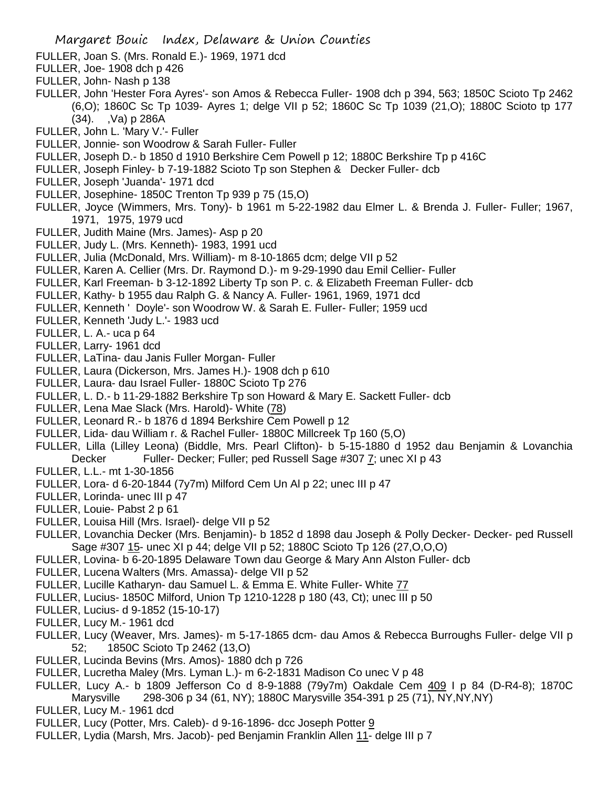- FULLER, Joan S. (Mrs. Ronald E.)- 1969, 1971 dcd
- FULLER, Joe- 1908 dch p 426
- FULLER, John- Nash p 138
- FULLER, John 'Hester Fora Ayres'- son Amos & Rebecca Fuller- 1908 dch p 394, 563; 1850C Scioto Tp 2462 (6,O); 1860C Sc Tp 1039- Ayres 1; delge VII p 52; 1860C Sc Tp 1039 (21,O); 1880C Scioto tp 177 (34). ,Va) p 286A
- FULLER, John L. 'Mary V.'- Fuller
- FULLER, Jonnie- son Woodrow & Sarah Fuller- Fuller
- FULLER, Joseph D.- b 1850 d 1910 Berkshire Cem Powell p 12; 1880C Berkshire Tp p 416C
- FULLER, Joseph Finley- b 7-19-1882 Scioto Tp son Stephen & Decker Fuller- dcb
- FULLER, Joseph 'Juanda'- 1971 dcd
- FULLER, Josephine- 1850C Trenton Tp 939 p 75 (15,O)
- FULLER, Joyce (Wimmers, Mrs. Tony)- b 1961 m 5-22-1982 dau Elmer L. & Brenda J. Fuller- Fuller; 1967, 1971, 1975, 1979 ucd
- FULLER, Judith Maine (Mrs. James)- Asp p 20
- FULLER, Judy L. (Mrs. Kenneth)- 1983, 1991 ucd
- FULLER, Julia (McDonald, Mrs. William)- m 8-10-1865 dcm; delge VII p 52
- FULLER, Karen A. Cellier (Mrs. Dr. Raymond D.)- m 9-29-1990 dau Emil Cellier- Fuller
- FULLER, Karl Freeman- b 3-12-1892 Liberty Tp son P. c. & Elizabeth Freeman Fuller- dcb
- FULLER, Kathy- b 1955 dau Ralph G. & Nancy A. Fuller- 1961, 1969, 1971 dcd
- FULLER, Kenneth ' Doyle'- son Woodrow W. & Sarah E. Fuller- Fuller; 1959 ucd
- FULLER, Kenneth 'Judy L.'- 1983 ucd
- FULLER, L. A.- uca p 64
- FULLER, Larry- 1961 dcd
- FULLER, LaTina- dau Janis Fuller Morgan- Fuller
- FULLER, Laura (Dickerson, Mrs. James H.)- 1908 dch p 610
- FULLER, Laura- dau Israel Fuller- 1880C Scioto Tp 276
- FULLER, L. D.- b 11-29-1882 Berkshire Tp son Howard & Mary E. Sackett Fuller- dcb
- FULLER, Lena Mae Slack (Mrs. Harold)- White (78)
- FULLER, Leonard R.- b 1876 d 1894 Berkshire Cem Powell p 12
- FULLER, Lida- dau William r. & Rachel Fuller- 1880C Millcreek Tp 160 (5,O)
- FULLER, Lilla (Lilley Leona) (Biddle, Mrs. Pearl Clifton)- b 5-15-1880 d 1952 dau Benjamin & Lovanchia Decker Fuller- Decker; Fuller; ped Russell Sage #307 7; unec XI p 43
- FULLER, L.L.- mt 1-30-1856
- FULLER, Lora- d 6-20-1844 (7y7m) Milford Cem Un Al p 22; unec III p 47
- FULLER, Lorinda- unec III p 47
- FULLER, Louie- Pabst 2 p 61
- FULLER, Louisa Hill (Mrs. Israel)- delge VII p 52
- FULLER, Lovanchia Decker (Mrs. Benjamin)- b 1852 d 1898 dau Joseph & Polly Decker- Decker- ped Russell Sage #307 15- unec XI p 44; delge VII p 52; 1880C Scioto Tp 126 (27,O,O,O)
- FULLER, Lovina- b 6-20-1895 Delaware Town dau George & Mary Ann Alston Fuller- dcb
- FULLER, Lucena Walters (Mrs. Amassa)- delge VII p 52
- FULLER, Lucille Katharyn- dau Samuel L. & Emma E. White Fuller- White 77
- FULLER, Lucius- 1850C Milford, Union Tp 1210-1228 p 180 (43, Ct); unec III p 50
- FULLER, Lucius- d 9-1852 (15-10-17)
- FULLER, Lucy M.- 1961 dcd
- FULLER, Lucy (Weaver, Mrs. James)- m 5-17-1865 dcm- dau Amos & Rebecca Burroughs Fuller- delge VII p 52; 1850C Scioto Tp 2462 (13,O)
- FULLER, Lucinda Bevins (Mrs. Amos)- 1880 dch p 726
- FULLER, Lucretha Maley (Mrs. Lyman L.)- m 6-2-1831 Madison Co unec V p 48
- FULLER, Lucy A.- b 1809 Jefferson Co d 8-9-1888 (79y7m) Oakdale Cem 409 I p 84 (D-R4-8); 1870C
- Marysville 298-306 p 34 (61, NY); 1880C Marysville 354-391 p 25 (71), NY,NY,NY)
- FULLER, Lucy M.- 1961 dcd
- FULLER, Lucy (Potter, Mrs. Caleb)- d 9-16-1896- dcc Joseph Potter 9
- FULLER, Lydia (Marsh, Mrs. Jacob)- ped Benjamin Franklin Allen 11- delge III p 7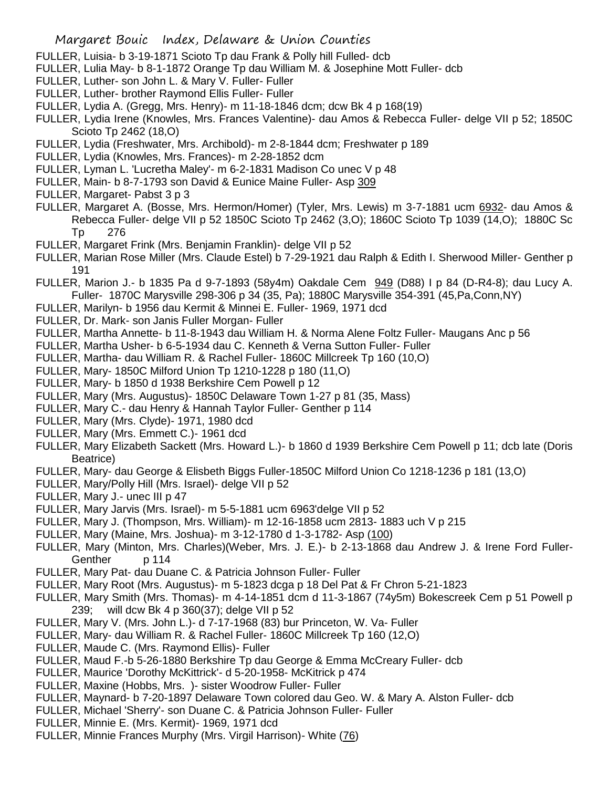- FULLER, Luisia- b 3-19-1871 Scioto Tp dau Frank & Polly hill Fulled- dcb
- FULLER, Lulia May- b 8-1-1872 Orange Tp dau William M. & Josephine Mott Fuller- dcb
- FULLER, Luther- son John L. & Mary V. Fuller- Fuller
- FULLER, Luther- brother Raymond Ellis Fuller- Fuller
- FULLER, Lydia A. (Gregg, Mrs. Henry)- m 11-18-1846 dcm; dcw Bk 4 p 168(19)
- FULLER, Lydia Irene (Knowles, Mrs. Frances Valentine)- dau Amos & Rebecca Fuller- delge VII p 52; 1850C Scioto Tp 2462 (18,O)
- FULLER, Lydia (Freshwater, Mrs. Archibold)- m 2-8-1844 dcm; Freshwater p 189
- FULLER, Lydia (Knowles, Mrs. Frances)- m 2-28-1852 dcm
- FULLER, Lyman L. 'Lucretha Maley'- m 6-2-1831 Madison Co unec V p 48
- FULLER, Main- b 8-7-1793 son David & Eunice Maine Fuller- Asp 309
- FULLER, Margaret- Pabst 3 p 3
- FULLER, Margaret A. (Bosse, Mrs. Hermon/Homer) (Tyler, Mrs. Lewis) m 3-7-1881 ucm 6932- dau Amos & Rebecca Fuller- delge VII p 52 1850C Scioto Tp 2462 (3,O); 1860C Scioto Tp 1039 (14,O); 1880C Sc Tp 276
- FULLER, Margaret Frink (Mrs. Benjamin Franklin)- delge VII p 52
- FULLER, Marian Rose Miller (Mrs. Claude Estel) b 7-29-1921 dau Ralph & Edith I. Sherwood Miller- Genther p 191
- FULLER, Marion J.- b 1835 Pa d 9-7-1893 (58y4m) Oakdale Cem 949 (D88) I p 84 (D-R4-8); dau Lucy A. Fuller- 1870C Marysville 298-306 p 34 (35, Pa); 1880C Marysville 354-391 (45,Pa,Conn,NY)
- FULLER, Marilyn- b 1956 dau Kermit & Minnei E. Fuller- 1969, 1971 dcd
- FULLER, Dr. Mark- son Janis Fuller Morgan- Fuller
- FULLER, Martha Annette- b 11-8-1943 dau William H. & Norma Alene Foltz Fuller- Maugans Anc p 56
- FULLER, Martha Usher- b 6-5-1934 dau C. Kenneth & Verna Sutton Fuller- Fuller
- FULLER, Martha- dau William R. & Rachel Fuller- 1860C Millcreek Tp 160 (10,O)
- FULLER, Mary- 1850C Milford Union Tp 1210-1228 p 180 (11,O)
- FULLER, Mary- b 1850 d 1938 Berkshire Cem Powell p 12
- FULLER, Mary (Mrs. Augustus)- 1850C Delaware Town 1-27 p 81 (35, Mass)
- FULLER, Mary C.- dau Henry & Hannah Taylor Fuller- Genther p 114
- FULLER, Mary (Mrs. Clyde)- 1971, 1980 dcd
- FULLER, Mary (Mrs. Emmett C.)- 1961 dcd
- FULLER, Mary Elizabeth Sackett (Mrs. Howard L.)- b 1860 d 1939 Berkshire Cem Powell p 11; dcb late (Doris Beatrice)
- FULLER, Mary- dau George & Elisbeth Biggs Fuller-1850C Milford Union Co 1218-1236 p 181 (13,O)
- FULLER, Mary/Polly Hill (Mrs. Israel)- delge VII p 52
- FULLER, Mary J.- unec III p 47
- FULLER, Mary Jarvis (Mrs. Israel)- m 5-5-1881 ucm 6963'delge VII p 52
- FULLER, Mary J. (Thompson, Mrs. William)- m 12-16-1858 ucm 2813- 1883 uch V p 215
- FULLER, Mary (Maine, Mrs. Joshua)- m 3-12-1780 d 1-3-1782- Asp (100)
- FULLER, Mary (Minton, Mrs. Charles)(Weber, Mrs. J. E.)- b 2-13-1868 dau Andrew J. & Irene Ford Fuller-Genther p 114
- FULLER, Mary Pat- dau Duane C. & Patricia Johnson Fuller- Fuller
- FULLER, Mary Root (Mrs. Augustus)- m 5-1823 dcga p 18 Del Pat & Fr Chron 5-21-1823
- FULLER, Mary Smith (Mrs. Thomas)- m 4-14-1851 dcm d 11-3-1867 (74y5m) Bokescreek Cem p 51 Powell p 239; will dcw Bk 4 p 360(37); delge VII p 52
- FULLER, Mary V. (Mrs. John L.)- d 7-17-1968 (83) bur Princeton, W. Va- Fuller
- FULLER, Mary- dau William R. & Rachel Fuller- 1860C Millcreek Tp 160 (12,O)
- FULLER, Maude C. (Mrs. Raymond Ellis)- Fuller
- FULLER, Maud F.-b 5-26-1880 Berkshire Tp dau George & Emma McCreary Fuller- dcb
- FULLER, Maurice 'Dorothy McKittrick'- d 5-20-1958- McKitrick p 474
- FULLER, Maxine (Hobbs, Mrs. )- sister Woodrow Fuller- Fuller
- FULLER, Maynard- b 7-20-1897 Delaware Town colored dau Geo. W. & Mary A. Alston Fuller- dcb
- FULLER, Michael 'Sherry'- son Duane C. & Patricia Johnson Fuller- Fuller
- FULLER, Minnie E. (Mrs. Kermit)- 1969, 1971 dcd
- FULLER, Minnie Frances Murphy (Mrs. Virgil Harrison)- White (76)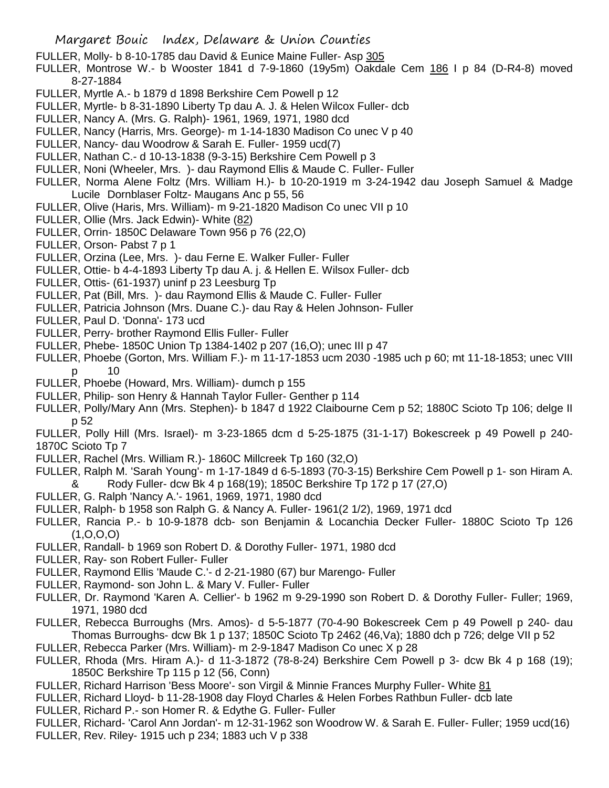- FULLER, Molly- b 8-10-1785 dau David & Eunice Maine Fuller- Asp 305
- FULLER, Montrose W.- b Wooster 1841 d 7-9-1860 (19y5m) Oakdale Cem 186 I p 84 (D-R4-8) moved 8-27-1884
- FULLER, Myrtle A.- b 1879 d 1898 Berkshire Cem Powell p 12
- FULLER, Myrtle- b 8-31-1890 Liberty Tp dau A. J. & Helen Wilcox Fuller- dcb
- FULLER, Nancy A. (Mrs. G. Ralph)- 1961, 1969, 1971, 1980 dcd
- FULLER, Nancy (Harris, Mrs. George)- m 1-14-1830 Madison Co unec V p 40
- FULLER, Nancy- dau Woodrow & Sarah E. Fuller- 1959 ucd(7)
- FULLER, Nathan C.- d 10-13-1838 (9-3-15) Berkshire Cem Powell p 3
- FULLER, Noni (Wheeler, Mrs. )- dau Raymond Ellis & Maude C. Fuller- Fuller
- FULLER, Norma Alene Foltz (Mrs. William H.)- b 10-20-1919 m 3-24-1942 dau Joseph Samuel & Madge Lucile Dornblaser Foltz- Maugans Anc p 55, 56
- FULLER, Olive (Haris, Mrs. William)- m 9-21-1820 Madison Co unec VII p 10
- FULLER, Ollie (Mrs. Jack Edwin)- White (82)
- FULLER, Orrin- 1850C Delaware Town 956 p 76 (22,O)
- FULLER, Orson- Pabst 7 p 1
- FULLER, Orzina (Lee, Mrs. )- dau Ferne E. Walker Fuller- Fuller
- FULLER, Ottie- b 4-4-1893 Liberty Tp dau A. j. & Hellen E. Wilsox Fuller- dcb
- FULLER, Ottis- (61-1937) uninf p 23 Leesburg Tp
- FULLER, Pat (Bill, Mrs. )- dau Raymond Ellis & Maude C. Fuller- Fuller
- FULLER, Patricia Johnson (Mrs. Duane C.)- dau Ray & Helen Johnson- Fuller
- FULLER, Paul D. 'Donna'- 173 ucd
- FULLER, Perry- brother Raymond Ellis Fuller- Fuller
- FULLER, Phebe- 1850C Union Tp 1384-1402 p 207 (16,O); unec III p 47
- FULLER, Phoebe (Gorton, Mrs. William F.)- m 11-17-1853 ucm 2030 -1985 uch p 60; mt 11-18-1853; unec VIII p 10
- FULLER, Phoebe (Howard, Mrs. William)- dumch p 155
- FULLER, Philip- son Henry & Hannah Taylor Fuller- Genther p 114
- FULLER, Polly/Mary Ann (Mrs. Stephen)- b 1847 d 1922 Claibourne Cem p 52; 1880C Scioto Tp 106; delge II p 52
- FULLER, Polly Hill (Mrs. Israel)- m 3-23-1865 dcm d 5-25-1875 (31-1-17) Bokescreek p 49 Powell p 240- 1870C Scioto Tp 7
- FULLER, Rachel (Mrs. William R.)- 1860C Millcreek Tp 160 (32,O)
- FULLER, Ralph M. 'Sarah Young'- m 1-17-1849 d 6-5-1893 (70-3-15) Berkshire Cem Powell p 1- son Hiram A.
- & Rody Fuller- dcw Bk 4 p 168(19); 1850C Berkshire Tp 172 p 17 (27,O)
- FULLER, G. Ralph 'Nancy A.'- 1961, 1969, 1971, 1980 dcd
- FULLER, Ralph- b 1958 son Ralph G. & Nancy A. Fuller- 1961(2 1/2), 1969, 1971 dcd
- FULLER, Rancia P.- b 10-9-1878 dcb- son Benjamin & Locanchia Decker Fuller- 1880C Scioto Tp 126  $(1, 0, 0, 0)$
- FULLER, Randall- b 1969 son Robert D. & Dorothy Fuller- 1971, 1980 dcd
- FULLER, Ray- son Robert Fuller- Fuller
- FULLER, Raymond Ellis 'Maude C.'- d 2-21-1980 (67) bur Marengo- Fuller
- FULLER, Raymond- son John L. & Mary V. Fuller- Fuller
- FULLER, Dr. Raymond 'Karen A. Cellier'- b 1962 m 9-29-1990 son Robert D. & Dorothy Fuller- Fuller; 1969, 1971, 1980 dcd
- FULLER, Rebecca Burroughs (Mrs. Amos)- d 5-5-1877 (70-4-90 Bokescreek Cem p 49 Powell p 240- dau Thomas Burroughs- dcw Bk 1 p 137; 1850C Scioto Tp 2462 (46,Va); 1880 dch p 726; delge VII p 52
- FULLER, Rebecca Parker (Mrs. William)- m 2-9-1847 Madison Co unec X p 28
- FULLER, Rhoda (Mrs. Hiram A.)- d 11-3-1872 (78-8-24) Berkshire Cem Powell p 3- dcw Bk 4 p 168 (19); 1850C Berkshire Tp 115 p 12 (56, Conn)
- FULLER, Richard Harrison 'Bess Moore'- son Virgil & Minnie Frances Murphy Fuller- White 81
- FULLER, Richard Lloyd- b 11-28-1908 day Floyd Charles & Helen Forbes Rathbun Fuller- dcb late
- FULLER, Richard P.- son Homer R. & Edythe G. Fuller- Fuller
- FULLER, Richard- 'Carol Ann Jordan'- m 12-31-1962 son Woodrow W. & Sarah E. Fuller- Fuller; 1959 ucd(16) FULLER, Rev. Riley- 1915 uch p 234; 1883 uch V p 338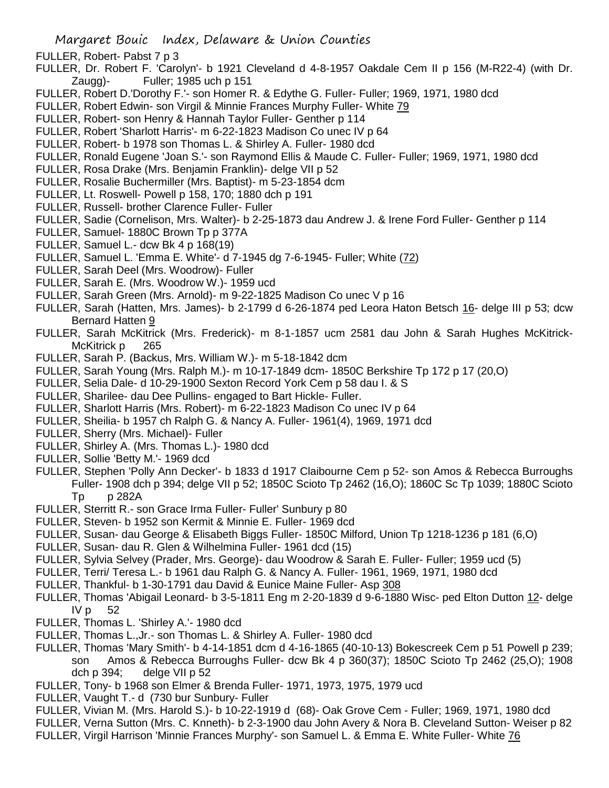- FULLER, Robert- Pabst 7 p 3
- FULLER, Dr. Robert F. 'Carolyn'- b 1921 Cleveland d 4-8-1957 Oakdale Cem II p 156 (M-R22-4) (with Dr. Zaugg)- Fuller; 1985 uch p 151
- FULLER, Robert D.'Dorothy F.'- son Homer R. & Edythe G. Fuller- Fuller; 1969, 1971, 1980 dcd
- FULLER, Robert Edwin- son Virgil & Minnie Frances Murphy Fuller- White 79
- FULLER, Robert- son Henry & Hannah Taylor Fuller- Genther p 114
- FULLER, Robert 'Sharlott Harris'- m 6-22-1823 Madison Co unec IV p 64
- FULLER, Robert- b 1978 son Thomas L. & Shirley A. Fuller- 1980 dcd
- FULLER, Ronald Eugene 'Joan S.'- son Raymond Ellis & Maude C. Fuller- Fuller; 1969, 1971, 1980 dcd
- FULLER, Rosa Drake (Mrs. Benjamin Franklin)- delge VII p 52
- FULLER, Rosalie Buchermiller (Mrs. Baptist)- m 5-23-1854 dcm
- FULLER, Lt. Roswell- Powell p 158, 170; 1880 dch p 191
- FULLER, Russell- brother Clarence Fuller- Fuller
- FULLER, Sadie (Cornelison, Mrs. Walter)- b 2-25-1873 dau Andrew J. & Irene Ford Fuller- Genther p 114
- FULLER, Samuel- 1880C Brown Tp p 377A
- FULLER, Samuel L.- dcw Bk 4 p 168(19)
- FULLER, Samuel L. 'Emma E. White'- d 7-1945 dg 7-6-1945- Fuller; White (72)
- FULLER, Sarah Deel (Mrs. Woodrow)- Fuller
- FULLER, Sarah E. (Mrs. Woodrow W.)- 1959 ucd
- FULLER, Sarah Green (Mrs. Arnold)- m 9-22-1825 Madison Co unec V p 16
- FULLER, Sarah (Hatten, Mrs. James)- b 2-1799 d 6-26-1874 ped Leora Haton Betsch 16- delge III p 53; dcw Bernard Hatten 9
- FULLER, Sarah McKitrick (Mrs. Frederick)- m 8-1-1857 ucm 2581 dau John & Sarah Hughes McKitrick-McKitrick p 265
- FULLER, Sarah P. (Backus, Mrs. William W.)- m 5-18-1842 dcm
- FULLER, Sarah Young (Mrs. Ralph M.)- m 10-17-1849 dcm- 1850C Berkshire Tp 172 p 17 (20,O)
- FULLER, Selia Dale- d 10-29-1900 Sexton Record York Cem p 58 dau I. & S
- FULLER, Sharilee- dau Dee Pullins- engaged to Bart Hickle- Fuller.
- FULLER, Sharlott Harris (Mrs. Robert)- m 6-22-1823 Madison Co unec IV p 64
- FULLER, Sheilia- b 1957 ch Ralph G. & Nancy A. Fuller- 1961(4), 1969, 1971 dcd
- FULLER, Sherry (Mrs. Michael)- Fuller
- FULLER, Shirley A. (Mrs. Thomas L.)- 1980 dcd
- FULLER, Sollie 'Betty M.'- 1969 dcd
- FULLER, Stephen 'Polly Ann Decker'- b 1833 d 1917 Claibourne Cem p 52- son Amos & Rebecca Burroughs Fuller- 1908 dch p 394; delge VII p 52; 1850C Scioto Tp 2462 (16,O); 1860C Sc Tp 1039; 1880C Scioto Tp p 282A
- FULLER, Sterritt R.- son Grace Irma Fuller- Fuller' Sunbury p 80
- FULLER, Steven- b 1952 son Kermit & Minnie E. Fuller- 1969 dcd
- FULLER, Susan- dau George & Elisabeth Biggs Fuller- 1850C Milford, Union Tp 1218-1236 p 181 (6,O)
- FULLER, Susan- dau R. Glen & Wilhelmina Fuller- 1961 dcd (15)
- FULLER, Sylvia Selvey (Prader, Mrs. George)- dau Woodrow & Sarah E. Fuller- Fuller; 1959 ucd (5)
- FULLER, Terri/ Teresa L.- b 1961 dau Ralph G. & Nancy A. Fuller- 1961, 1969, 1971, 1980 dcd
- FULLER, Thankful- b 1-30-1791 dau David & Eunice Maine Fuller- Asp 308
- FULLER, Thomas 'Abigail Leonard- b 3-5-1811 Eng m 2-20-1839 d 9-6-1880 Wisc- ped Elton Dutton 12- delge  $IVp$  52
- FULLER, Thomas L. 'Shirley A.'- 1980 dcd
- FULLER, Thomas L.,Jr.- son Thomas L. & Shirley A. Fuller- 1980 dcd
- FULLER, Thomas 'Mary Smith'- b 4-14-1851 dcm d 4-16-1865 (40-10-13) Bokescreek Cem p 51 Powell p 239; son Amos & Rebecca Burroughs Fuller- dcw Bk 4 p 360(37); 1850C Scioto Tp 2462 (25,O); 1908 dch p 394; delge VII p 52
- FULLER, Tony- b 1968 son Elmer & Brenda Fuller- 1971, 1973, 1975, 1979 ucd
- FULLER, Vaught T.- d (730 bur Sunbury- Fuller
- FULLER, Vivian M. (Mrs. Harold S.)- b 10-22-1919 d (68)- Oak Grove Cem Fuller; 1969, 1971, 1980 dcd
- FULLER, Verna Sutton (Mrs. C. Knneth)- b 2-3-1900 dau John Avery & Nora B. Cleveland Sutton- Weiser p 82
- FULLER, Virgil Harrison 'Minnie Frances Murphy'- son Samuel L. & Emma E. White Fuller- White 76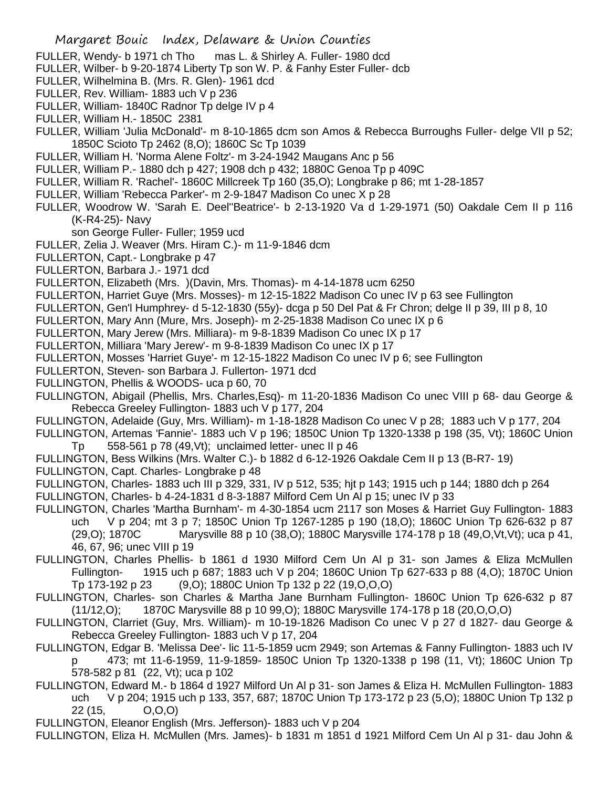- FULLER, Wendy- b 1971 ch Tho mas L. & Shirley A. Fuller- 1980 dcd
- FULLER, Wilber- b 9-20-1874 Liberty Tp son W. P. & Fanhy Ester Fuller- dcb
- FULLER, Wilhelmina B. (Mrs. R. Glen)- 1961 dcd
- FULLER, Rev. William- 1883 uch V p 236
- FULLER, William- 1840C Radnor Tp delge IV p 4
- FULLER, William H.- 1850C 2381
- FULLER, William 'Julia McDonald'- m 8-10-1865 dcm son Amos & Rebecca Burroughs Fuller- delge VII p 52; 1850C Scioto Tp 2462 (8,O); 1860C Sc Tp 1039
- FULLER, William H. 'Norma Alene Foltz'- m 3-24-1942 Maugans Anc p 56
- FULLER, William P.- 1880 dch p 427; 1908 dch p 432; 1880C Genoa Tp p 409C
- FULLER, William R. 'Rachel'- 1860C Millcreek Tp 160 (35,O); Longbrake p 86; mt 1-28-1857
- FULLER, William 'Rebecca Parker'- m 2-9-1847 Madison Co unec X p 28
- FULLER, Woodrow W. 'Sarah E. Deel''Beatrice'- b 2-13-1920 Va d 1-29-1971 (50) Oakdale Cem II p 116 (K-R4-25)- Navy
	- son George Fuller- Fuller; 1959 ucd
- FULLER, Zelia J. Weaver (Mrs. Hiram C.)- m 11-9-1846 dcm
- FULLERTON, Capt.- Longbrake p 47
- FULLERTON, Barbara J.- 1971 dcd
- FULLERTON, Elizabeth (Mrs. )(Davin, Mrs. Thomas)- m 4-14-1878 ucm 6250
- FULLERTON, Harriet Guye (Mrs. Mosses)- m 12-15-1822 Madison Co unec IV p 63 see Fullington
- FULLERTON, Gen'l Humphrey- d 5-12-1830 (55y)- dcga p 50 Del Pat & Fr Chron; delge II p 39, III p 8, 10
- FULLERTON, Mary Ann (Mure, Mrs. Joseph)- m 2-25-1838 Madison Co unec IX p 6
- FULLERTON, Mary Jerew (Mrs. Milliara)- m 9-8-1839 Madison Co unec IX p 17
- FULLERTON, Milliara 'Mary Jerew'- m 9-8-1839 Madison Co unec IX p 17
- FULLERTON, Mosses 'Harriet Guye'- m 12-15-1822 Madison Co unec IV p 6; see Fullington
- FULLERTON, Steven- son Barbara J. Fullerton- 1971 dcd
- FULLINGTON, Phellis & WOODS- uca p 60, 70
- FULLINGTON, Abigail (Phellis, Mrs. Charles,Esq)- m 11-20-1836 Madison Co unec VIII p 68- dau George & Rebecca Greeley Fullington- 1883 uch V p 177, 204
- FULLINGTON, Adelaide (Guy, Mrs. William)- m 1-18-1828 Madison Co unec V p 28; 1883 uch V p 177, 204
- FULLINGTON, Artemas 'Fannie'- 1883 uch V p 196; 1850C Union Tp 1320-1338 p 198 (35, Vt); 1860C Union Tp 558-561 p 78 (49,Vt); unclaimed letter- unec II p 46
- FULLINGTON, Bess Wilkins (Mrs. Walter C.)- b 1882 d 6-12-1926 Oakdale Cem II p 13 (B-R7- 19)
- FULLINGTON, Capt. Charles- Longbrake p 48
- FULLINGTON, Charles- 1883 uch III p 329, 331, IV p 512, 535; hjt p 143; 1915 uch p 144; 1880 dch p 264
- FULLINGTON, Charles- b 4-24-1831 d 8-3-1887 Milford Cem Un Al p 15; unec IV p 33
- FULLINGTON, Charles 'Martha Burnham'- m 4-30-1854 ucm 2117 son Moses & Harriet Guy Fullington- 1883 uch V p 204; mt 3 p 7; 1850C Union Tp 1267-1285 p 190 (18,O); 1860C Union Tp 626-632 p 87 (29,O); 1870C Marysville 88 p 10 (38,O); 1880C Marysville 174-178 p 18 (49,O,Vt,Vt); uca p 41, 46, 67, 96; unec VIII p 19
- FULLINGTON, Charles Phellis- b 1861 d 1930 Milford Cem Un Al p 31- son James & Eliza McMullen Fullington- 1915 uch p 687; 1883 uch V p 204; 1860C Union Tp 627-633 p 88 (4,O); 1870C Union Tp 173-192 p 23 (9,O); 1880C Union Tp 132 p 22 (19,O,O,O)
- FULLINGTON, Charles- son Charles & Martha Jane Burnham Fullington- 1860C Union Tp 626-632 p 87 (11/12,O); 1870C Marysville 88 p 10 99,O); 1880C Marysville 174-178 p 18 (20,O,O,O)
- FULLINGTON, Clarriet (Guy, Mrs. William)- m 10-19-1826 Madison Co unec V p 27 d 1827- dau George & Rebecca Greeley Fullington- 1883 uch V p 17, 204
- FULLINGTON, Edgar B. 'Melissa Dee'- lic 11-5-1859 ucm 2949; son Artemas & Fanny Fullington- 1883 uch IV p 473; mt 11-6-1959, 11-9-1859- 1850C Union Tp 1320-1338 p 198 (11, Vt); 1860C Union Tp 578-582 p 81 (22, Vt); uca p 102
- FULLINGTON, Edward M.- b 1864 d 1927 Milford Un Al p 31- son James & Eliza H. McMullen Fullington- 1883 uch V p 204; 1915 uch p 133, 357, 687; 1870C Union Tp 173-172 p 23 (5,O); 1880C Union Tp 132 p 22 (15, O,O,O)
- FULLINGTON, Eleanor English (Mrs. Jefferson)- 1883 uch V p 204
- FULLINGTON, Eliza H. McMullen (Mrs. James)- b 1831 m 1851 d 1921 Milford Cem Un Al p 31- dau John &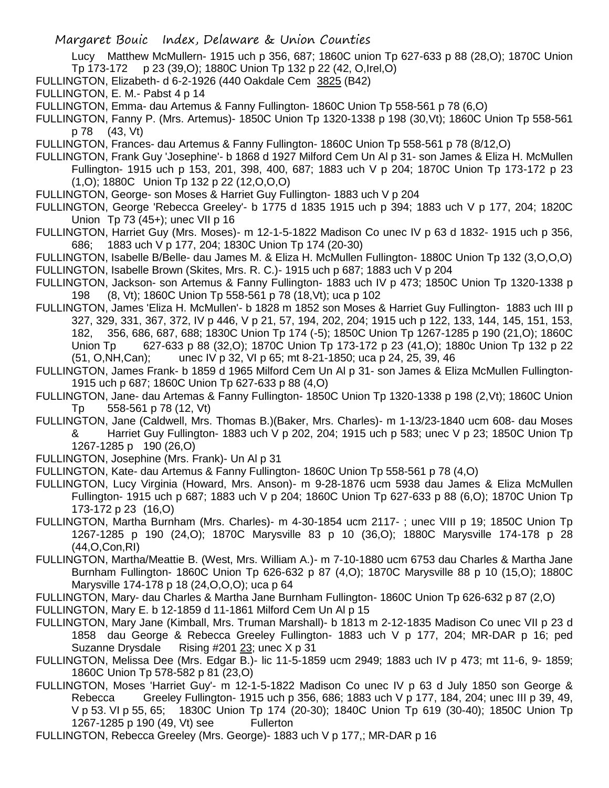Lucy Matthew McMullern- 1915 uch p 356, 687; 1860C union Tp 627-633 p 88 (28,O); 1870C Union Tp 173-172 p 23 (39,O); 1880C Union Tp 132 p 22 (42, O,Irel,O)

- FULLINGTON, Elizabeth- d 6-2-1926 (440 Oakdale Cem 3825 (B42)
- FULLINGTON, E. M.- Pabst 4 p 14
- FULLINGTON, Emma- dau Artemus & Fanny Fullington- 1860C Union Tp 558-561 p 78 (6,O)
- FULLINGTON, Fanny P. (Mrs. Artemus)- 1850C Union Tp 1320-1338 p 198 (30,Vt); 1860C Union Tp 558-561 p 78 (43, Vt)
- FULLINGTON, Frances- dau Artemus & Fanny Fullington- 1860C Union Tp 558-561 p 78 (8/12,O)
- FULLINGTON, Frank Guy 'Josephine'- b 1868 d 1927 Milford Cem Un Al p 31- son James & Eliza H. McMullen Fullington- 1915 uch p 153, 201, 398, 400, 687; 1883 uch V p 204; 1870C Union Tp 173-172 p 23 (1,O); 1880C Union Tp 132 p 22 (12,O,O,O)
- FULLINGTON, George- son Moses & Harriet Guy Fullington- 1883 uch V p 204
- FULLINGTON, George 'Rebecca Greeley'- b 1775 d 1835 1915 uch p 394; 1883 uch V p 177, 204; 1820C Union Tp 73 (45+); unec VII p 16
- FULLINGTON, Harriet Guy (Mrs. Moses)- m 12-1-5-1822 Madison Co unec IV p 63 d 1832- 1915 uch p 356, 686; 1883 uch V p 177, 204; 1830C Union Tp 174 (20-30)
- FULLINGTON, Isabelle B/Belle- dau James M. & Eliza H. McMullen Fullington- 1880C Union Tp 132 (3,O,O,O) FULLINGTON, Isabelle Brown (Skites, Mrs. R. C.)- 1915 uch p 687; 1883 uch V p 204
- FULLINGTON, Jackson- son Artemus & Fanny Fullington- 1883 uch IV p 473; 1850C Union Tp 1320-1338 p 198 (8, Vt); 1860C Union Tp 558-561 p 78 (18,Vt); uca p 102
- FULLINGTON, James 'Eliza H. McMullen'- b 1828 m 1852 son Moses & Harriet Guy Fullington- 1883 uch III p 327, 329, 331, 367, 372, IV p 446, V p 21, 57, 194, 202, 204; 1915 uch p 122, 133, 144, 145, 151, 153, 182, 356, 686, 687, 688; 1830C Union Tp 174 (-5); 1850C Union Tp 1267-1285 p 190 (21,O); 1860C Union Tp 627-633 p 88 (32,O); 1870C Union Tp 173-172 p 23 (41,O); 1880c Union Tp 132 p 22 (51, O,NH,Can); unec IV p 32, VI p 65; mt 8-21-1850; uca p 24, 25, 39, 46
- FULLINGTON, James Frank- b 1859 d 1965 Milford Cem Un Al p 31- son James & Eliza McMullen Fullington-1915 uch p 687; 1860C Union Tp 627-633 p 88 (4,O)
- FULLINGTON, Jane- dau Artemas & Fanny Fullington- 1850C Union Tp 1320-1338 p 198 (2,Vt); 1860C Union Tp 558-561 p 78 (12, Vt)
- FULLINGTON, Jane (Caldwell, Mrs. Thomas B.)(Baker, Mrs. Charles)- m 1-13/23-1840 ucm 608- dau Moses & Harriet Guy Fullington- 1883 uch V p 202, 204; 1915 uch p 583; unec V p 23; 1850C Union Tp 1267-1285 p 190 (26,O)
- FULLINGTON, Josephine (Mrs. Frank)- Un Al p 31
- FULLINGTON, Kate- dau Artemus & Fanny Fullington- 1860C Union Tp 558-561 p 78 (4,O)
- FULLINGTON, Lucy Virginia (Howard, Mrs. Anson)- m 9-28-1876 ucm 5938 dau James & Eliza McMullen Fullington- 1915 uch p 687; 1883 uch V p 204; 1860C Union Tp 627-633 p 88 (6,O); 1870C Union Tp 173-172 p 23 (16,O)
- FULLINGTON, Martha Burnham (Mrs. Charles)- m 4-30-1854 ucm 2117- ; unec VIII p 19; 1850C Union Tp 1267-1285 p 190 (24,O); 1870C Marysville 83 p 10 (36,O); 1880C Marysville 174-178 p 28 (44,O,Con,RI)
- FULLINGTON, Martha/Meattie B. (West, Mrs. William A.)- m 7-10-1880 ucm 6753 dau Charles & Martha Jane Burnham Fullington- 1860C Union Tp 626-632 p 87 (4,O); 1870C Marysville 88 p 10 (15,O); 1880C Marysville 174-178 p 18 (24,O,O,O); uca p 64
- FULLINGTON, Mary- dau Charles & Martha Jane Burnham Fullington- 1860C Union Tp 626-632 p 87 (2,O)
- FULLINGTON, Mary E. b 12-1859 d 11-1861 Milford Cem Un Al p 15
- FULLINGTON, Mary Jane (Kimball, Mrs. Truman Marshall)- b 1813 m 2-12-1835 Madison Co unec VII p 23 d 1858 dau George & Rebecca Greeley Fullington- 1883 uch V p 177, 204; MR-DAR p 16; ped Suzanne Drysdale Rising #201 23; unec X p 31
- FULLINGTON, Melissa Dee (Mrs. Edgar B.)- lic 11-5-1859 ucm 2949; 1883 uch IV p 473; mt 11-6, 9- 1859; 1860C Union Tp 578-582 p 81 (23,O)
- FULLINGTON, Moses 'Harriet Guy'- m 12-1-5-1822 Madison Co unec IV p 63 d July 1850 son George & Rebecca Greeley Fullington- 1915 uch p 356, 686; 1883 uch V p 177, 184, 204; unec III p 39, 49, V p 53. VI p 55, 65; 1830C Union Tp 174 (20-30); 1840C Union Tp 619 (30-40); 1850C Union Tp 1267-1285 p 190 (49, Vt) see Fullerton
- FULLINGTON, Rebecca Greeley (Mrs. George)- 1883 uch V p 177,; MR-DAR p 16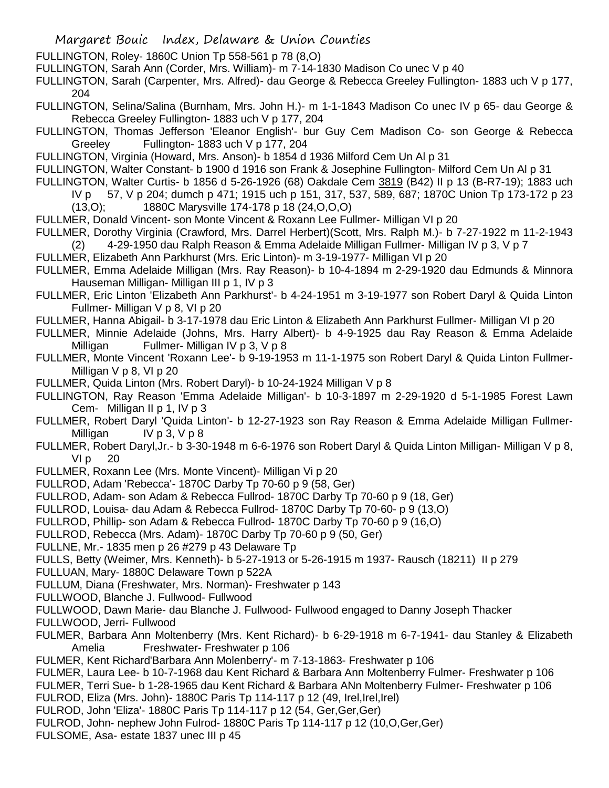FULLINGTON, Roley- 1860C Union Tp 558-561 p 78 (8,O)

FULLINGTON, Sarah Ann (Corder, Mrs. William)- m 7-14-1830 Madison Co unec V p 40

FULLINGTON, Sarah (Carpenter, Mrs. Alfred)- dau George & Rebecca Greeley Fullington- 1883 uch V p 177, 204

FULLINGTON, Selina/Salina (Burnham, Mrs. John H.)- m 1-1-1843 Madison Co unec IV p 65- dau George & Rebecca Greeley Fullington- 1883 uch V p 177, 204

FULLINGTON, Thomas Jefferson 'Eleanor English'- bur Guy Cem Madison Co- son George & Rebecca Greeley Fullington- 1883 uch V p 177, 204

FULLINGTON, Virginia (Howard, Mrs. Anson)- b 1854 d 1936 Milford Cem Un Al p 31

FULLINGTON, Walter Constant- b 1900 d 1916 son Frank & Josephine Fullington- Milford Cem Un Al p 31

FULLINGTON, Walter Curtis- b 1856 d 5-26-1926 (68) Oakdale Cem 3819 (B42) II p 13 (B-R7-19); 1883 uch

IV p 57, V p 204; dumch p 471; 1915 uch p 151, 317, 537, 589, 687; 1870C Union Tp 173-172 p 23 (13,O); 1880C Marysville 174-178 p 18 (24,O,O,O)

FULLMER, Donald Vincent- son Monte Vincent & Roxann Lee Fullmer- Milligan VI p 20

FULLMER, Dorothy Virginia (Crawford, Mrs. Darrel Herbert)(Scott, Mrs. Ralph M.)- b 7-27-1922 m 11-2-1943 (2) 4-29-1950 dau Ralph Reason & Emma Adelaide Milligan Fullmer- Milligan IV p 3, V p 7

FULLMER, Elizabeth Ann Parkhurst (Mrs. Eric Linton)- m 3-19-1977- Milligan VI p 20

- FULLMER, Emma Adelaide Milligan (Mrs. Ray Reason)- b 10-4-1894 m 2-29-1920 dau Edmunds & Minnora Hauseman Milligan- Milligan III p 1, IV p 3
- FULLMER, Eric Linton 'Elizabeth Ann Parkhurst'- b 4-24-1951 m 3-19-1977 son Robert Daryl & Quida Linton Fullmer- Milligan V p 8, VI p 20
- FULLMER, Hanna Abigail- b 3-17-1978 dau Eric Linton & Elizabeth Ann Parkhurst Fullmer- Milligan VI p 20
- FULLMER, Minnie Adelaide (Johns, Mrs. Harry Albert)- b 4-9-1925 dau Ray Reason & Emma Adelaide Milligan Fullmer- Milligan IV p 3, V p 8

FULLMER, Monte Vincent 'Roxann Lee'- b 9-19-1953 m 11-1-1975 son Robert Daryl & Quida Linton Fullmer-Milligan V p 8, VI p 20

FULLMER, Quida Linton (Mrs. Robert Daryl)- b 10-24-1924 Milligan V p 8

FULLINGTON, Ray Reason 'Emma Adelaide Milligan'- b 10-3-1897 m 2-29-1920 d 5-1-1985 Forest Lawn Cem- Milligan II p 1, IV p 3

- FULLMER, Robert Daryl 'Quida Linton'- b 12-27-1923 son Ray Reason & Emma Adelaide Milligan Fullmer-Milligan IV p 3, V p 8
- FULLMER, Robert Daryl,Jr.- b 3-30-1948 m 6-6-1976 son Robert Daryl & Quida Linton Milligan- Milligan V p 8,  $V1p$  20

FULLMER, Roxann Lee (Mrs. Monte Vincent)- Milligan Vi p 20

FULLROD, Adam 'Rebecca'- 1870C Darby Tp 70-60 p 9 (58, Ger)

FULLROD, Adam- son Adam & Rebecca Fullrod- 1870C Darby Tp 70-60 p 9 (18, Ger)

FULLROD, Louisa- dau Adam & Rebecca Fullrod- 1870C Darby Tp 70-60- p 9 (13,O)

FULLROD, Phillip- son Adam & Rebecca Fullrod- 1870C Darby Tp 70-60 p 9 (16,O)

FULLROD, Rebecca (Mrs. Adam)- 1870C Darby Tp 70-60 p 9 (50, Ger)

FULLNE, Mr.- 1835 men p 26 #279 p 43 Delaware Tp

FULLS, Betty (Weimer, Mrs. Kenneth)- b 5-27-1913 or 5-26-1915 m 1937- Rausch (18211) II p 279

FULLUAN, Mary- 1880C Delaware Town p 522A

FULLUM, Diana (Freshwater, Mrs. Norman)- Freshwater p 143

FULLWOOD, Blanche J. Fullwood- Fullwood

FULLWOOD, Dawn Marie- dau Blanche J. Fullwood- Fullwood engaged to Danny Joseph Thacker

FULLWOOD, Jerri- Fullwood

- FULMER, Barbara Ann Moltenberry (Mrs. Kent Richard)- b 6-29-1918 m 6-7-1941- dau Stanley & Elizabeth Amelia Freshwater- Freshwater p 106
- FULMER, Kent Richard'Barbara Ann Molenberry'- m 7-13-1863- Freshwater p 106

FULMER, Laura Lee- b 10-7-1968 dau Kent Richard & Barbara Ann Moltenberry Fulmer- Freshwater p 106

FULMER, Terri Sue- b 1-28-1965 dau Kent Richard & Barbara ANn Moltenberry Fulmer- Freshwater p 106

- FULROD, Eliza (Mrs. John)- 1880C Paris Tp 114-117 p 12 (49, Irel,Irel,Irel)
- FULROD, John 'Eliza'- 1880C Paris Tp 114-117 p 12 (54, Ger,Ger,Ger)
- FULROD, John- nephew John Fulrod- 1880C Paris Tp 114-117 p 12 (10,O,Ger,Ger)
- FULSOME, Asa- estate 1837 unec III p 45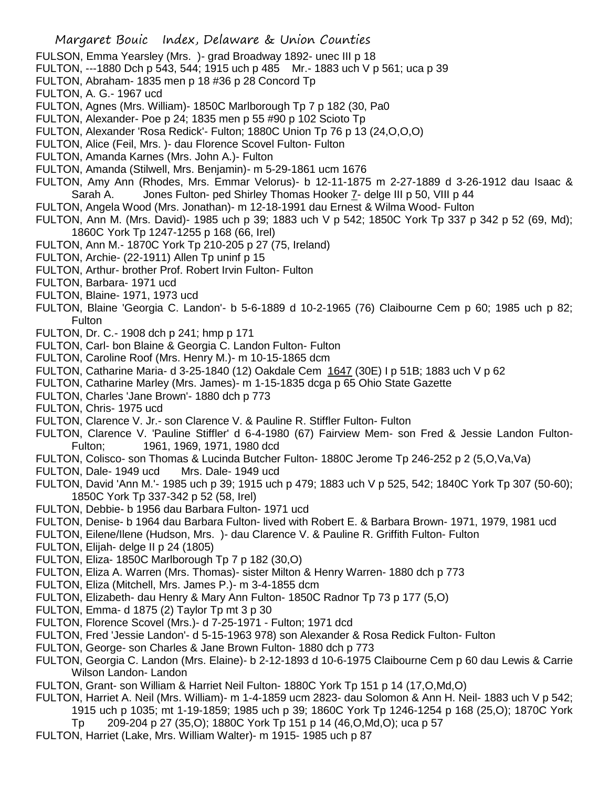- FULSON, Emma Yearsley (Mrs. )- grad Broadway 1892- unec III p 18
- FULTON, ---1880 Dch p 543, 544; 1915 uch p 485 Mr.- 1883 uch V p 561; uca p 39
- FULTON, Abraham- 1835 men p 18 #36 p 28 Concord Tp
- FULTON, A. G.- 1967 ucd
- FULTON, Agnes (Mrs. William)- 1850C Marlborough Tp 7 p 182 (30, Pa0
- FULTON, Alexander- Poe p 24; 1835 men p 55 #90 p 102 Scioto Tp
- FULTON, Alexander 'Rosa Redick'- Fulton; 1880C Union Tp 76 p 13 (24,O,O,O)
- FULTON, Alice (Feil, Mrs. )- dau Florence Scovel Fulton- Fulton
- FULTON, Amanda Karnes (Mrs. John A.)- Fulton
- FULTON, Amanda (Stilwell, Mrs. Benjamin)- m 5-29-1861 ucm 1676
- FULTON, Amy Ann (Rhodes, Mrs. Emmar Velorus)- b 12-11-1875 m 2-27-1889 d 3-26-1912 dau Isaac & Sarah A. Jones Fulton- ped Shirley Thomas Hooker 7- delge III p 50, VIII p 44
- FULTON, Angela Wood (Mrs. Jonathan)- m 12-18-1991 dau Ernest & Wilma Wood- Fulton
- FULTON, Ann M. (Mrs. David)- 1985 uch p 39; 1883 uch V p 542; 1850C York Tp 337 p 342 p 52 (69, Md); 1860C York Tp 1247-1255 p 168 (66, Irel)
- FULTON, Ann M.- 1870C York Tp 210-205 p 27 (75, Ireland)
- FULTON, Archie- (22-1911) Allen Tp uninf p 15
- FULTON, Arthur- brother Prof. Robert Irvin Fulton- Fulton
- FULTON, Barbara- 1971 ucd
- FULTON, Blaine- 1971, 1973 ucd
- FULTON, Blaine 'Georgia C. Landon'- b 5-6-1889 d 10-2-1965 (76) Claibourne Cem p 60; 1985 uch p 82; Fulton
- FULTON, Dr. C.- 1908 dch p 241; hmp p 171
- FULTON, Carl- bon Blaine & Georgia C. Landon Fulton- Fulton
- FULTON, Caroline Roof (Mrs. Henry M.)- m 10-15-1865 dcm
- FULTON, Catharine Maria- d 3-25-1840 (12) Oakdale Cem 1647 (30E) I p 51B; 1883 uch V p 62
- FULTON, Catharine Marley (Mrs. James)- m 1-15-1835 dcga p 65 Ohio State Gazette
- FULTON, Charles 'Jane Brown'- 1880 dch p 773
- FULTON, Chris- 1975 ucd
- FULTON, Clarence V. Jr.- son Clarence V. & Pauline R. Stiffler Fulton- Fulton
- FULTON, Clarence V. 'Pauline Stiffler' d 6-4-1980 (67) Fairview Mem- son Fred & Jessie Landon Fulton-Fulton; 1961, 1969, 1971, 1980 dcd
- FULTON, Colisco- son Thomas & Lucinda Butcher Fulton- 1880C Jerome Tp 246-252 p 2 (5,O,Va,Va)
- FULTON, Dale- 1949 ucd Mrs. Dale- 1949 ucd
- FULTON, David 'Ann M.'- 1985 uch p 39; 1915 uch p 479; 1883 uch V p 525, 542; 1840C York Tp 307 (50-60); 1850C York Tp 337-342 p 52 (58, Irel)
- FULTON, Debbie- b 1956 dau Barbara Fulton- 1971 ucd
- FULTON, Denise- b 1964 dau Barbara Fulton- lived with Robert E. & Barbara Brown- 1971, 1979, 1981 ucd
- FULTON, Eilene/Ilene (Hudson, Mrs. )- dau Clarence V. & Pauline R. Griffith Fulton- Fulton
- FULTON, Elijah- delge II p 24 (1805)
- FULTON, Eliza-1850C Marlborough Tp 7 p 182 (30.O)
- FULTON, Eliza A. Warren (Mrs. Thomas)- sister Milton & Henry Warren- 1880 dch p 773
- FULTON, Eliza (Mitchell, Mrs. James P.)- m 3-4-1855 dcm
- FULTON, Elizabeth- dau Henry & Mary Ann Fulton- 1850C Radnor Tp 73 p 177 (5,O)
- FULTON, Emma- d 1875 (2) Taylor Tp mt 3 p 30
- FULTON, Florence Scovel (Mrs.)- d 7-25-1971 Fulton; 1971 dcd
- FULTON, Fred 'Jessie Landon'- d 5-15-1963 978) son Alexander & Rosa Redick Fulton- Fulton
- FULTON, George- son Charles & Jane Brown Fulton- 1880 dch p 773
- FULTON, Georgia C. Landon (Mrs. Elaine)- b 2-12-1893 d 10-6-1975 Claibourne Cem p 60 dau Lewis & Carrie Wilson Landon- Landon
- FULTON, Grant- son William & Harriet Neil Fulton- 1880C York Tp 151 p 14 (17,O,Md,O)
- FULTON, Harriet A. Neil (Mrs. William)- m 1-4-1859 ucm 2823- dau Solomon & Ann H. Neil- 1883 uch V p 542; 1915 uch p 1035; mt 1-19-1859; 1985 uch p 39; 1860C York Tp 1246-1254 p 168 (25,O); 1870C York
	- Tp 209-204 p 27 (35,O); 1880C York Tp 151 p 14 (46,O,Md,O); uca p 57
- FULTON, Harriet (Lake, Mrs. William Walter)- m 1915- 1985 uch p 87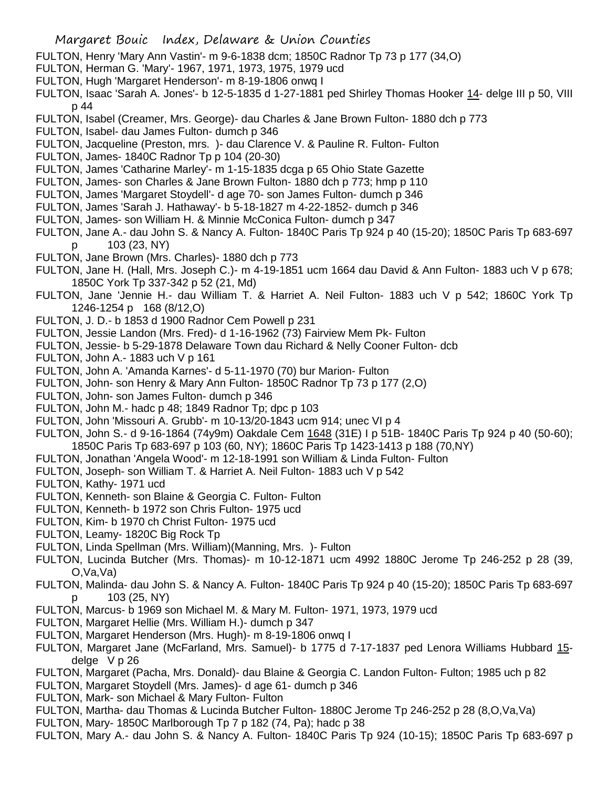- FULTON, Henry 'Mary Ann Vastin'- m 9-6-1838 dcm; 1850C Radnor Tp 73 p 177 (34,O)
- FULTON, Herman G. 'Mary'- 1967, 1971, 1973, 1975, 1979 ucd
- FULTON, Hugh 'Margaret Henderson'- m 8-19-1806 onwq I
- FULTON, Isaac 'Sarah A. Jones'- b 12-5-1835 d 1-27-1881 ped Shirley Thomas Hooker 14- delge III p 50, VIII p 44
- FULTON, Isabel (Creamer, Mrs. George)- dau Charles & Jane Brown Fulton- 1880 dch p 773
- FULTON, Isabel- dau James Fulton- dumch p 346
- FULTON, Jacqueline (Preston, mrs. )- dau Clarence V. & Pauline R. Fulton- Fulton
- FULTON, James- 1840C Radnor Tp p 104 (20-30)
- FULTON, James 'Catharine Marley'- m 1-15-1835 dcga p 65 Ohio State Gazette
- FULTON, James- son Charles & Jane Brown Fulton- 1880 dch p 773; hmp p 110
- FULTON, James 'Margaret Stoydell'- d age 70- son James Fulton- dumch p 346
- FULTON, James 'Sarah J. Hathaway'- b 5-18-1827 m 4-22-1852- dumch p 346
- FULTON, James- son William H. & Minnie McConica Fulton- dumch p 347
- FULTON, Jane A.- dau John S. & Nancy A. Fulton- 1840C Paris Tp 924 p 40 (15-20); 1850C Paris Tp 683-697 p 103 (23, NY)
- FULTON, Jane Brown (Mrs. Charles)- 1880 dch p 773
- FULTON, Jane H. (Hall, Mrs. Joseph C.)- m 4-19-1851 ucm 1664 dau David & Ann Fulton- 1883 uch V p 678; 1850C York Tp 337-342 p 52 (21, Md)
- FULTON, Jane 'Jennie H.- dau William T. & Harriet A. Neil Fulton- 1883 uch V p 542; 1860C York Tp 1246-1254 p 168 (8/12,O)
- FULTON, J. D.- b 1853 d 1900 Radnor Cem Powell p 231
- FULTON, Jessie Landon (Mrs. Fred)- d 1-16-1962 (73) Fairview Mem Pk- Fulton
- FULTON, Jessie- b 5-29-1878 Delaware Town dau Richard & Nelly Cooner Fulton- dcb
- FULTON, John A.- 1883 uch V p 161
- FULTON, John A. 'Amanda Karnes'- d 5-11-1970 (70) bur Marion- Fulton
- FULTON, John- son Henry & Mary Ann Fulton- 1850C Radnor Tp 73 p 177 (2,O)
- FULTON, John- son James Fulton- dumch p 346
- FULTON, John M.- hadc p 48; 1849 Radnor Tp; dpc p 103
- FULTON, John 'Missouri A. Grubb'- m 10-13/20-1843 ucm 914; unec VI p 4
- FULTON, John S.- d 9-16-1864 (74y9m) Oakdale Cem 1648 (31E) I p 51B- 1840C Paris Tp 924 p 40 (50-60); 1850C Paris Tp 683-697 p 103 (60, NY); 1860C Paris Tp 1423-1413 p 188 (70,NY)
- FULTON, Jonathan 'Angela Wood'- m 12-18-1991 son William & Linda Fulton- Fulton
- FULTON, Joseph- son William T. & Harriet A. Neil Fulton- 1883 uch V p 542
- FULTON, Kathy- 1971 ucd
- FULTON, Kenneth- son Blaine & Georgia C. Fulton- Fulton
- FULTON, Kenneth- b 1972 son Chris Fulton- 1975 ucd
- FULTON, Kim- b 1970 ch Christ Fulton- 1975 ucd
- FULTON, Leamy- 1820C Big Rock Tp
- FULTON, Linda Spellman (Mrs. William)(Manning, Mrs. )- Fulton
- FULTON, Lucinda Butcher (Mrs. Thomas)- m 10-12-1871 ucm 4992 1880C Jerome Tp 246-252 p 28 (39, O,Va,Va)
- FULTON, Malinda- dau John S. & Nancy A. Fulton- 1840C Paris Tp 924 p 40 (15-20); 1850C Paris Tp 683-697 p 103 (25, NY)
- FULTON, Marcus- b 1969 son Michael M. & Mary M. Fulton- 1971, 1973, 1979 ucd
- FULTON, Margaret Hellie (Mrs. William H.)- dumch p 347
- FULTON, Margaret Henderson (Mrs. Hugh)- m 8-19-1806 onwq I
- FULTON, Margaret Jane (McFarland, Mrs. Samuel)- b 1775 d 7-17-1837 ped Lenora Williams Hubbard 15 delge V p 26
- FULTON, Margaret (Pacha, Mrs. Donald)- dau Blaine & Georgia C. Landon Fulton- Fulton; 1985 uch p 82
- FULTON, Margaret Stoydell (Mrs. James)- d age 61- dumch p 346
- FULTON, Mark- son Michael & Mary Fulton- Fulton
- FULTON, Martha- dau Thomas & Lucinda Butcher Fulton- 1880C Jerome Tp 246-252 p 28 (8,O,Va,Va)
- FULTON, Mary- 1850C Marlborough Tp 7 p 182 (74, Pa); hadc p 38
- FULTON, Mary A.- dau John S. & Nancy A. Fulton- 1840C Paris Tp 924 (10-15); 1850C Paris Tp 683-697 p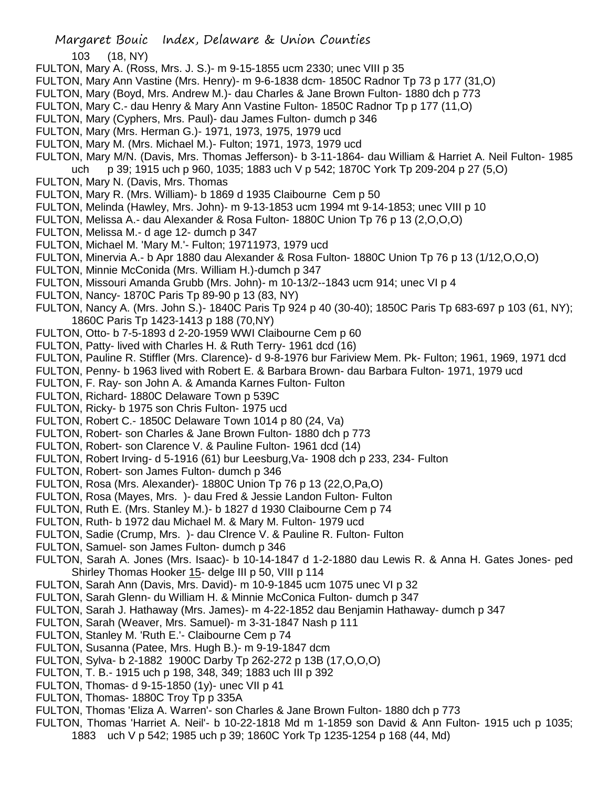103 (18, NY)

- FULTON, Mary A. (Ross, Mrs. J. S.)- m 9-15-1855 ucm 2330; unec VIII p 35
- FULTON, Mary Ann Vastine (Mrs. Henry)- m 9-6-1838 dcm- 1850C Radnor Tp 73 p 177 (31,O)
- FULTON, Mary (Boyd, Mrs. Andrew M.)- dau Charles & Jane Brown Fulton- 1880 dch p 773
- FULTON, Mary C.- dau Henry & Mary Ann Vastine Fulton- 1850C Radnor Tp p 177 (11,O)
- FULTON, Mary (Cyphers, Mrs. Paul)- dau James Fulton- dumch p 346
- FULTON, Mary (Mrs. Herman G.)- 1971, 1973, 1975, 1979 ucd
- FULTON, Mary M. (Mrs. Michael M.)- Fulton; 1971, 1973, 1979 ucd
- FULTON, Mary M/N. (Davis, Mrs. Thomas Jefferson)- b 3-11-1864- dau William & Harriet A. Neil Fulton- 1985 uch p 39; 1915 uch p 960, 1035; 1883 uch V p 542; 1870C York Tp 209-204 p 27 (5,O)
- FULTON, Mary N. (Davis, Mrs. Thomas
- FULTON, Mary R. (Mrs. William)- b 1869 d 1935 Claibourne Cem p 50
- FULTON, Melinda (Hawley, Mrs. John)- m 9-13-1853 ucm 1994 mt 9-14-1853; unec VIII p 10
- FULTON, Melissa A.- dau Alexander & Rosa Fulton- 1880C Union Tp 76 p 13 (2,O,O,O)
- FULTON, Melissa M.- d age 12- dumch p 347
- FULTON, Michael M. 'Mary M.'- Fulton; 19711973, 1979 ucd
- FULTON, Minervia A.- b Apr 1880 dau Alexander & Rosa Fulton- 1880C Union Tp 76 p 13 (1/12,O,O,O)
- FULTON, Minnie McConida (Mrs. William H.)-dumch p 347
- FULTON, Missouri Amanda Grubb (Mrs. John)- m 10-13/2--1843 ucm 914; unec VI p 4
- FULTON, Nancy- 1870C Paris Tp 89-90 p 13 (83, NY)
- FULTON, Nancy A. (Mrs. John S.)- 1840C Paris Tp 924 p 40 (30-40); 1850C Paris Tp 683-697 p 103 (61, NY); 1860C Paris Tp 1423-1413 p 188 (70,NY)
- FULTON, Otto- b 7-5-1893 d 2-20-1959 WWI Claibourne Cem p 60
- FULTON, Patty- lived with Charles H. & Ruth Terry- 1961 dcd (16)
- FULTON, Pauline R. Stiffler (Mrs. Clarence)- d 9-8-1976 bur Fariview Mem. Pk- Fulton; 1961, 1969, 1971 dcd
- FULTON, Penny- b 1963 lived with Robert E. & Barbara Brown- dau Barbara Fulton- 1971, 1979 ucd
- FULTON, F. Ray- son John A. & Amanda Karnes Fulton- Fulton
- FULTON, Richard- 1880C Delaware Town p 539C
- FULTON, Ricky- b 1975 son Chris Fulton- 1975 ucd
- FULTON, Robert C.- 1850C Delaware Town 1014 p 80 (24, Va)
- FULTON, Robert- son Charles & Jane Brown Fulton- 1880 dch p 773
- FULTON, Robert- son Clarence V. & Pauline Fulton- 1961 dcd (14)
- FULTON, Robert Irving- d 5-1916 (61) bur Leesburg,Va- 1908 dch p 233, 234- Fulton
- FULTON, Robert- son James Fulton- dumch p 346
- FULTON, Rosa (Mrs. Alexander)- 1880C Union Tp 76 p 13 (22,O,Pa,O)
- FULTON, Rosa (Mayes, Mrs. )- dau Fred & Jessie Landon Fulton- Fulton
- FULTON, Ruth E. (Mrs. Stanley M.)- b 1827 d 1930 Claibourne Cem p 74
- FULTON, Ruth- b 1972 dau Michael M. & Mary M. Fulton- 1979 ucd
- FULTON, Sadie (Crump, Mrs. )- dau Clrence V. & Pauline R. Fulton- Fulton
- FULTON, Samuel- son James Fulton- dumch p 346
- FULTON, Sarah A. Jones (Mrs. Isaac)- b 10-14-1847 d 1-2-1880 dau Lewis R. & Anna H. Gates Jones- ped Shirley Thomas Hooker 15- delge III p 50, VIII p 114
- FULTON, Sarah Ann (Davis, Mrs. David)- m 10-9-1845 ucm 1075 unec VI p 32
- FULTON, Sarah Glenn- du William H. & Minnie McConica Fulton- dumch p 347
- FULTON, Sarah J. Hathaway (Mrs. James)- m 4-22-1852 dau Benjamin Hathaway- dumch p 347
- FULTON, Sarah (Weaver, Mrs. Samuel)- m 3-31-1847 Nash p 111
- FULTON, Stanley M. 'Ruth E.'- Claibourne Cem p 74
- FULTON, Susanna (Patee, Mrs. Hugh B.)- m 9-19-1847 dcm
- FULTON, Sylva- b 2-1882 1900C Darby Tp 262-272 p 13B (17,O,O,O)
- FULTON, T. B.- 1915 uch p 198, 348, 349; 1883 uch III p 392
- FULTON, Thomas- d 9-15-1850 (1y)- unec VII p 41
- FULTON, Thomas- 1880C Troy Tp p 335A
- FULTON, Thomas 'Eliza A. Warren'- son Charles & Jane Brown Fulton- 1880 dch p 773
- FULTON, Thomas 'Harriet A. Neil'- b 10-22-1818 Md m 1-1859 son David & Ann Fulton- 1915 uch p 1035; 1883 uch V p 542; 1985 uch p 39; 1860C York Tp 1235-1254 p 168 (44, Md)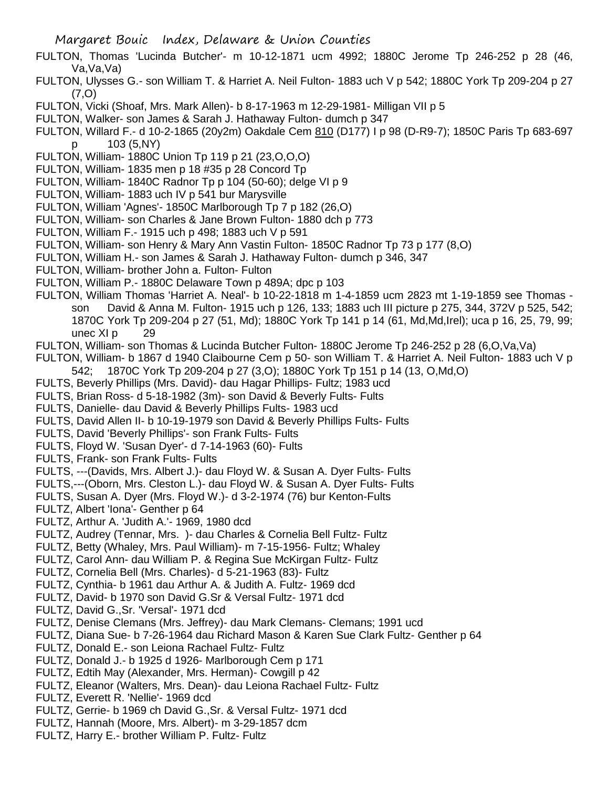- FULTON, Thomas 'Lucinda Butcher'- m 10-12-1871 ucm 4992; 1880C Jerome Tp 246-252 p 28 (46, Va,Va,Va)
- FULTON, Ulysses G.- son William T. & Harriet A. Neil Fulton- 1883 uch V p 542; 1880C York Tp 209-204 p 27 (7,O)
- FULTON, Vicki (Shoaf, Mrs. Mark Allen)- b 8-17-1963 m 12-29-1981- Milligan VII p 5
- FULTON, Walker- son James & Sarah J. Hathaway Fulton- dumch p 347
- FULTON, Willard F.- d 10-2-1865 (20y2m) Oakdale Cem 810 (D177) I p 98 (D-R9-7); 1850C Paris Tp 683-697 p 103 (5,NY)
- FULTON, William- 1880C Union Tp 119 p 21 (23,O,O,O)
- FULTON, William- 1835 men p 18 #35 p 28 Concord Tp
- FULTON, William- 1840C Radnor Tp p 104 (50-60); delge VI p 9
- FULTON, William- 1883 uch IV p 541 bur Marysville
- FULTON, William 'Agnes'- 1850C Marlborough Tp 7 p 182 (26,O)
- FULTON, William- son Charles & Jane Brown Fulton- 1880 dch p 773
- FULTON, William F.- 1915 uch p 498; 1883 uch V p 591
- FULTON, William- son Henry & Mary Ann Vastin Fulton- 1850C Radnor Tp 73 p 177 (8,O)
- FULTON, William H.- son James & Sarah J. Hathaway Fulton- dumch p 346, 347
- FULTON, William- brother John a. Fulton- Fulton
- FULTON, William P.- 1880C Delaware Town p 489A; dpc p 103
- FULTON, William Thomas 'Harriet A. Neal'- b 10-22-1818 m 1-4-1859 ucm 2823 mt 1-19-1859 see Thomas son David & Anna M. Fulton- 1915 uch p 126, 133; 1883 uch III picture p 275, 344, 372V p 525, 542; 1870C York Tp 209-204 p 27 (51, Md); 1880C York Tp 141 p 14 (61, Md,Md,Irel); uca p 16, 25, 79, 99; unec XI p 29
- FULTON, William- son Thomas & Lucinda Butcher Fulton- 1880C Jerome Tp 246-252 p 28 (6,O,Va,Va)
- FULTON, William- b 1867 d 1940 Claibourne Cem p 50- son William T. & Harriet A. Neil Fulton- 1883 uch V p 542; 1870C York Tp 209-204 p 27 (3,O); 1880C York Tp 151 p 14 (13, O,Md,O)
- FULTS, Beverly Phillips (Mrs. David)- dau Hagar Phillips- Fultz; 1983 ucd
- FULTS, Brian Ross- d 5-18-1982 (3m)- son David & Beverly Fults- Fults
- FULTS, Danielle- dau David & Beverly Phillips Fults- 1983 ucd
- FULTS, David Allen II- b 10-19-1979 son David & Beverly Phillips Fults- Fults
- FULTS, David 'Beverly Phillips'- son Frank Fults- Fults
- FULTS, Floyd W. 'Susan Dyer'- d 7-14-1963 (60)- Fults
- FULTS, Frank- son Frank Fults- Fults
- FULTS, ---(Davids, Mrs. Albert J.)- dau Floyd W. & Susan A. Dyer Fults- Fults
- FULTS,---(Oborn, Mrs. Cleston L.)- dau Floyd W. & Susan A. Dyer Fults- Fults
- FULTS, Susan A. Dyer (Mrs. Floyd W.)- d 3-2-1974 (76) bur Kenton-Fults
- FULTZ, Albert 'Iona'- Genther p 64
- FULTZ, Arthur A. 'Judith A.'- 1969, 1980 dcd
- FULTZ, Audrey (Tennar, Mrs. )- dau Charles & Cornelia Bell Fultz- Fultz
- FULTZ, Betty (Whaley, Mrs. Paul William)- m 7-15-1956- Fultz; Whaley
- FULTZ, Carol Ann- dau William P. & Regina Sue McKirgan Fultz- Fultz
- FULTZ, Cornelia Bell (Mrs. Charles)- d 5-21-1963 (83)- Fultz
- FULTZ, Cynthia- b 1961 dau Arthur A. & Judith A. Fultz- 1969 dcd
- FULTZ, David- b 1970 son David G.Sr & Versal Fultz- 1971 dcd
- FULTZ, David G.,Sr. 'Versal'- 1971 dcd
- FULTZ, Denise Clemans (Mrs. Jeffrey)- dau Mark Clemans- Clemans; 1991 ucd
- FULTZ, Diana Sue- b 7-26-1964 dau Richard Mason & Karen Sue Clark Fultz- Genther p 64
- FULTZ, Donald E.- son Leiona Rachael Fultz- Fultz
- FULTZ, Donald J.- b 1925 d 1926- Marlborough Cem p 171
- FULTZ, Edtih May (Alexander, Mrs. Herman)- Cowgill p 42
- FULTZ, Eleanor (Walters, Mrs. Dean)- dau Leiona Rachael Fultz- Fultz
- FULTZ, Everett R. 'Nellie'- 1969 dcd
- FULTZ, Gerrie- b 1969 ch David G.,Sr. & Versal Fultz- 1971 dcd
- FULTZ, Hannah (Moore, Mrs. Albert)- m 3-29-1857 dcm
- FULTZ, Harry E.- brother William P. Fultz- Fultz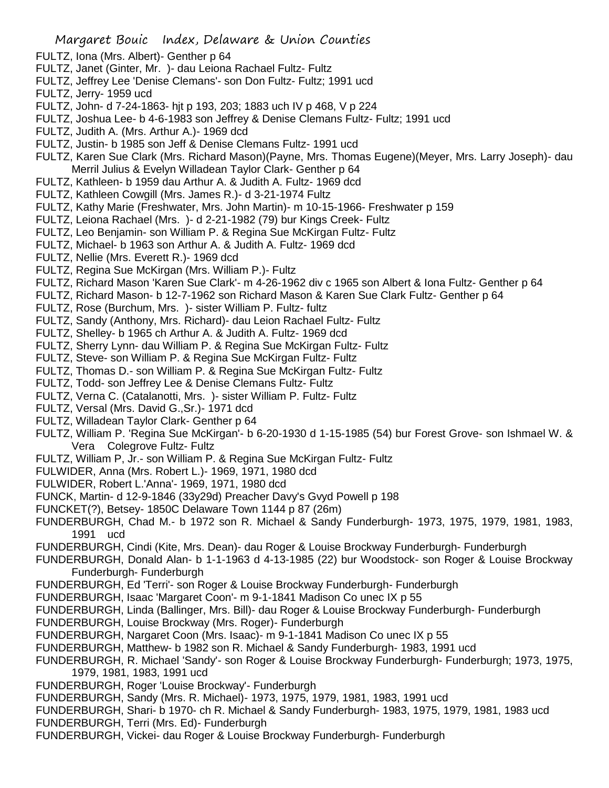- FULTZ, Iona (Mrs. Albert)- Genther p 64
- FULTZ, Janet (Ginter, Mr. )- dau Leiona Rachael Fultz- Fultz
- FULTZ, Jeffrey Lee 'Denise Clemans'- son Don Fultz- Fultz; 1991 ucd
- FULTZ, Jerry- 1959 ucd
- FULTZ, John- d 7-24-1863- hjt p 193, 203; 1883 uch IV p 468, V p 224
- FULTZ, Joshua Lee- b 4-6-1983 son Jeffrey & Denise Clemans Fultz- Fultz; 1991 ucd
- FULTZ, Judith A. (Mrs. Arthur A.)- 1969 dcd
- FULTZ, Justin- b 1985 son Jeff & Denise Clemans Fultz- 1991 ucd
- FULTZ, Karen Sue Clark (Mrs. Richard Mason)(Payne, Mrs. Thomas Eugene)(Meyer, Mrs. Larry Joseph)- dau Merril Julius & Evelyn Willadean Taylor Clark- Genther p 64
- FULTZ, Kathleen- b 1959 dau Arthur A. & Judith A. Fultz- 1969 dcd
- FULTZ, Kathleen Cowgill (Mrs. James R.)- d 3-21-1974 Fultz
- FULTZ, Kathy Marie (Freshwater, Mrs. John Martin)- m 10-15-1966- Freshwater p 159
- FULTZ, Leiona Rachael (Mrs. )- d 2-21-1982 (79) bur Kings Creek- Fultz
- FULTZ, Leo Benjamin- son William P. & Regina Sue McKirgan Fultz- Fultz
- FULTZ, Michael- b 1963 son Arthur A. & Judith A. Fultz- 1969 dcd
- FULTZ, Nellie (Mrs. Everett R.)- 1969 dcd
- FULTZ, Regina Sue McKirgan (Mrs. William P.)- Fultz
- FULTZ, Richard Mason 'Karen Sue Clark'- m 4-26-1962 div c 1965 son Albert & Iona Fultz- Genther p 64
- FULTZ, Richard Mason- b 12-7-1962 son Richard Mason & Karen Sue Clark Fultz- Genther p 64
- FULTZ, Rose (Burchum, Mrs. )- sister William P. Fultz- fultz
- FULTZ, Sandy (Anthony, Mrs. Richard)- dau Leion Rachael Fultz- Fultz
- FULTZ, Shelley- b 1965 ch Arthur A. & Judith A. Fultz- 1969 dcd
- FULTZ, Sherry Lynn- dau William P. & Regina Sue McKirgan Fultz- Fultz
- FULTZ, Steve- son William P. & Regina Sue McKirgan Fultz- Fultz
- FULTZ, Thomas D.- son William P. & Regina Sue McKirgan Fultz- Fultz
- FULTZ, Todd- son Jeffrey Lee & Denise Clemans Fultz- Fultz
- FULTZ, Verna C. (Catalanotti, Mrs. )- sister William P. Fultz- Fultz
- FULTZ, Versal (Mrs. David G.,Sr.)- 1971 dcd
- FULTZ, Willadean Taylor Clark- Genther p 64
- FULTZ, William P. 'Regina Sue McKirgan'- b 6-20-1930 d 1-15-1985 (54) bur Forest Grove- son Ishmael W. & Vera Colegrove Fultz- Fultz
- FULTZ, William P, Jr.- son William P. & Regina Sue McKirgan Fultz- Fultz
- FULWIDER, Anna (Mrs. Robert L.)- 1969, 1971, 1980 dcd
- FULWIDER, Robert L.'Anna'- 1969, 1971, 1980 dcd
- FUNCK, Martin- d 12-9-1846 (33y29d) Preacher Davy's Gvyd Powell p 198
- FUNCKET(?), Betsey- 1850C Delaware Town 1144 p 87 (26m)
- FUNDERBURGH, Chad M.- b 1972 son R. Michael & Sandy Funderburgh- 1973, 1975, 1979, 1981, 1983, 1991 ucd
- FUNDERBURGH, Cindi (Kite, Mrs. Dean)- dau Roger & Louise Brockway Funderburgh- Funderburgh
- FUNDERBURGH, Donald Alan- b 1-1-1963 d 4-13-1985 (22) bur Woodstock- son Roger & Louise Brockway Funderburgh- Funderburgh
- FUNDERBURGH, Ed 'Terri'- son Roger & Louise Brockway Funderburgh- Funderburgh
- FUNDERBURGH, Isaac 'Margaret Coon'- m 9-1-1841 Madison Co unec IX p 55
- FUNDERBURGH, Linda (Ballinger, Mrs. Bill)- dau Roger & Louise Brockway Funderburgh- Funderburgh
- FUNDERBURGH, Louise Brockway (Mrs. Roger)- Funderburgh
- FUNDERBURGH, Nargaret Coon (Mrs. Isaac)- m 9-1-1841 Madison Co unec IX p 55
- FUNDERBURGH, Matthew- b 1982 son R. Michael & Sandy Funderburgh- 1983, 1991 ucd
- FUNDERBURGH, R. Michael 'Sandy'- son Roger & Louise Brockway Funderburgh- Funderburgh; 1973, 1975, 1979, 1981, 1983, 1991 ucd
- FUNDERBURGH, Roger 'Louise Brockway'- Funderburgh
- FUNDERBURGH, Sandy (Mrs. R. Michael)- 1973, 1975, 1979, 1981, 1983, 1991 ucd
- FUNDERBURGH, Shari- b 1970- ch R. Michael & Sandy Funderburgh- 1983, 1975, 1979, 1981, 1983 ucd
- FUNDERBURGH, Terri (Mrs. Ed)- Funderburgh
- FUNDERBURGH, Vickei- dau Roger & Louise Brockway Funderburgh- Funderburgh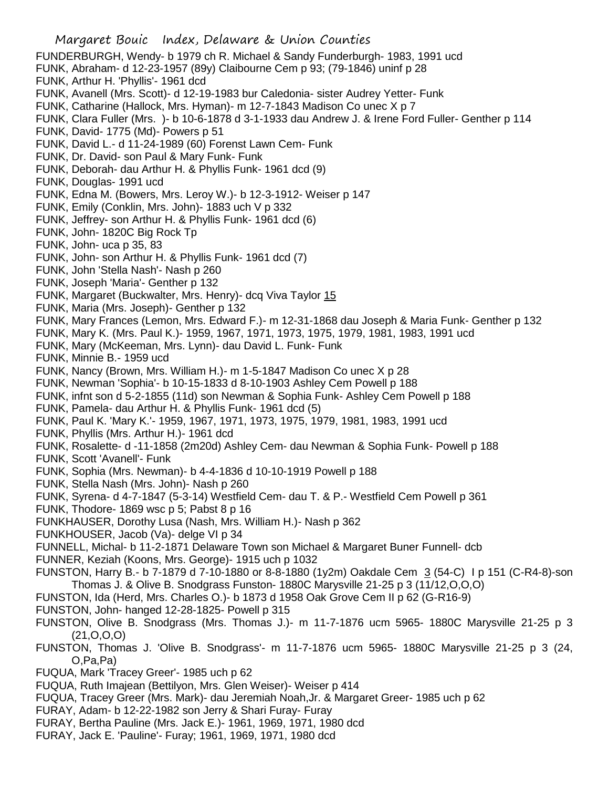- Margaret Bouic Index, Delaware & Union Counties FUNDERBURGH, Wendy- b 1979 ch R. Michael & Sandy Funderburgh- 1983, 1991 ucd FUNK, Abraham- d 12-23-1957 (89y) Claibourne Cem p 93; (79-1846) uninf p 28 FUNK, Arthur H. 'Phyllis'- 1961 dcd FUNK, Avanell (Mrs. Scott)- d 12-19-1983 bur Caledonia- sister Audrey Yetter- Funk FUNK, Catharine (Hallock, Mrs. Hyman)- m 12-7-1843 Madison Co unec X p 7 FUNK, Clara Fuller (Mrs. )- b 10-6-1878 d 3-1-1933 dau Andrew J. & Irene Ford Fuller- Genther p 114 FUNK, David- 1775 (Md)- Powers p 51 FUNK, David L.- d 11-24-1989 (60) Forenst Lawn Cem- Funk FUNK, Dr. David- son Paul & Mary Funk- Funk FUNK, Deborah- dau Arthur H. & Phyllis Funk- 1961 dcd (9) FUNK, Douglas- 1991 ucd FUNK, Edna M. (Bowers, Mrs. Leroy W.)- b 12-3-1912- Weiser p 147 FUNK, Emily (Conklin, Mrs. John)- 1883 uch V p 332 FUNK, Jeffrey- son Arthur H. & Phyllis Funk- 1961 dcd (6) FUNK, John- 1820C Big Rock Tp FUNK, John- uca p 35, 83 FUNK, John- son Arthur H. & Phyllis Funk- 1961 dcd (7) FUNK, John 'Stella Nash'- Nash p 260 FUNK, Joseph 'Maria'- Genther p 132 FUNK, Margaret (Buckwalter, Mrs. Henry)- dcq Viva Taylor 15 FUNK, Maria (Mrs. Joseph)- Genther p 132 FUNK, Mary Frances (Lemon, Mrs. Edward F.)- m 12-31-1868 dau Joseph & Maria Funk- Genther p 132 FUNK, Mary K. (Mrs. Paul K.)- 1959, 1967, 1971, 1973, 1975, 1979, 1981, 1983, 1991 ucd FUNK, Mary (McKeeman, Mrs. Lynn)- dau David L. Funk- Funk FUNK, Minnie B.- 1959 ucd FUNK, Nancy (Brown, Mrs. William H.)- m 1-5-1847 Madison Co unec X p 28 FUNK, Newman 'Sophia'- b 10-15-1833 d 8-10-1903 Ashley Cem Powell p 188 FUNK, infnt son d 5-2-1855 (11d) son Newman & Sophia Funk- Ashley Cem Powell p 188 FUNK, Pamela- dau Arthur H. & Phyllis Funk- 1961 dcd (5) FUNK, Paul K. 'Mary K.'- 1959, 1967, 1971, 1973, 1975, 1979, 1981, 1983, 1991 ucd FUNK, Phyllis (Mrs. Arthur H.)- 1961 dcd FUNK, Rosalette- d -11-1858 (2m20d) Ashley Cem- dau Newman & Sophia Funk- Powell p 188 FUNK, Scott 'Avanell'- Funk FUNK, Sophia (Mrs. Newman)- b 4-4-1836 d 10-10-1919 Powell p 188 FUNK, Stella Nash (Mrs. John)- Nash p 260 FUNK, Syrena- d 4-7-1847 (5-3-14) Westfield Cem- dau T. & P.- Westfield Cem Powell p 361 FUNK, Thodore- 1869 wsc p 5; Pabst 8 p 16 FUNKHAUSER, Dorothy Lusa (Nash, Mrs. William H.)- Nash p 362 FUNKHOUSER, Jacob (Va)- delge VI p 34 FUNNELL, Michal- b 11-2-1871 Delaware Town son Michael & Margaret Buner Funnell- dcb FUNNER, Keziah (Koons, Mrs. George)- 1915 uch p 1032 FUNSTON, Harry B.- b 7-1879 d 7-10-1880 or 8-8-1880 (1y2m) Oakdale Cem 3 (54-C) I p 151 (C-R4-8)-son Thomas J. & Olive B. Snodgrass Funston- 1880C Marysville 21-25 p 3 (11/12,O,O,O) FUNSTON, Ida (Herd, Mrs. Charles O.)- b 1873 d 1958 Oak Grove Cem II p 62 (G-R16-9) FUNSTON, John- hanged 12-28-1825- Powell p 315 FUNSTON, Olive B. Snodgrass (Mrs. Thomas J.)- m 11-7-1876 ucm 5965- 1880C Marysville 21-25 p 3 (21,O,O,O) FUNSTON, Thomas J. 'Olive B. Snodgrass'- m 11-7-1876 ucm 5965- 1880C Marysville 21-25 p 3 (24, O,Pa,Pa) FUQUA, Mark 'Tracey Greer'- 1985 uch p 62 FUQUA, Ruth Imajean (Bettilyon, Mrs. Glen Weiser)- Weiser p 414 FUQUA, Tracey Greer (Mrs. Mark)- dau Jeremiah Noah,Jr. & Margaret Greer- 1985 uch p 62 FURAY, Adam- b 12-22-1982 son Jerry & Shari Furay- Furay
- FURAY, Bertha Pauline (Mrs. Jack E.)- 1961, 1969, 1971, 1980 dcd
- FURAY, Jack E. 'Pauline'- Furay; 1961, 1969, 1971, 1980 dcd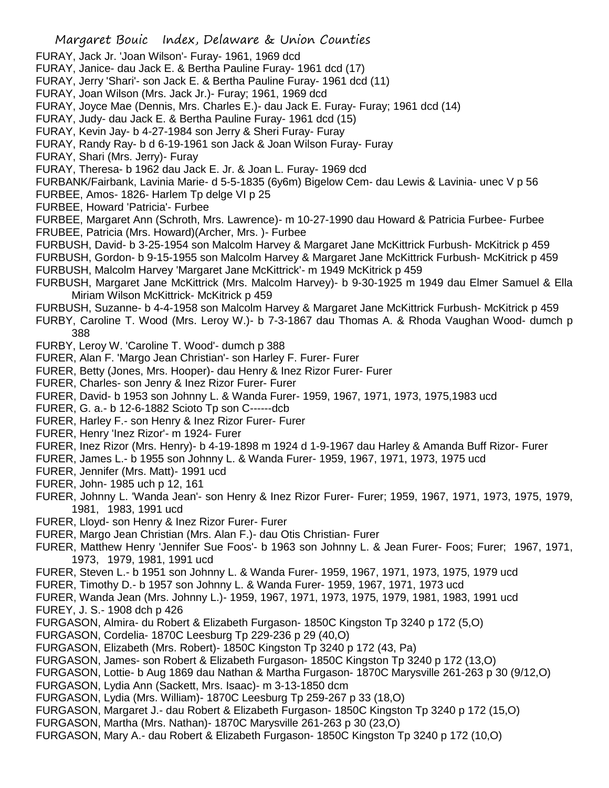FURAY, Jack Jr. 'Joan Wilson'- Furay- 1961, 1969 dcd FURAY, Janice- dau Jack E. & Bertha Pauline Furay- 1961 dcd (17) FURAY, Jerry 'Shari'- son Jack E. & Bertha Pauline Furay- 1961 dcd (11) FURAY, Joan Wilson (Mrs. Jack Jr.)- Furay; 1961, 1969 dcd FURAY, Joyce Mae (Dennis, Mrs. Charles E.)- dau Jack E. Furay- Furay; 1961 dcd (14) FURAY, Judy- dau Jack E. & Bertha Pauline Furay- 1961 dcd (15) FURAY, Kevin Jay- b 4-27-1984 son Jerry & Sheri Furay- Furay FURAY, Randy Ray- b d 6-19-1961 son Jack & Joan Wilson Furay- Furay FURAY, Shari (Mrs. Jerry)- Furay FURAY, Theresa- b 1962 dau Jack E. Jr. & Joan L. Furay- 1969 dcd FURBANK/Fairbank, Lavinia Marie- d 5-5-1835 (6y6m) Bigelow Cem- dau Lewis & Lavinia- unec V p 56 FURBEE, Amos- 1826- Harlem Tp delge VI p 25 FURBEE, Howard 'Patricia'- Furbee FURBEE, Margaret Ann (Schroth, Mrs. Lawrence)- m 10-27-1990 dau Howard & Patricia Furbee- Furbee FRUBEE, Patricia (Mrs. Howard)(Archer, Mrs. )- Furbee FURBUSH, David- b 3-25-1954 son Malcolm Harvey & Margaret Jane McKittrick Furbush- McKitrick p 459 FURBUSH, Gordon- b 9-15-1955 son Malcolm Harvey & Margaret Jane McKittrick Furbush- McKitrick p 459 FURBUSH, Malcolm Harvey 'Margaret Jane McKittrick'- m 1949 McKitrick p 459 FURBUSH, Margaret Jane McKittrick (Mrs. Malcolm Harvey)- b 9-30-1925 m 1949 dau Elmer Samuel & Ella Miriam Wilson McKittrick- McKitrick p 459 FURBUSH, Suzanne- b 4-4-1958 son Malcolm Harvey & Margaret Jane McKittrick Furbush- McKitrick p 459 FURBY, Caroline T. Wood (Mrs. Leroy W.)- b 7-3-1867 dau Thomas A. & Rhoda Vaughan Wood- dumch p 388 FURBY, Leroy W. 'Caroline T. Wood'- dumch p 388 FURER, Alan F. 'Margo Jean Christian'- son Harley F. Furer- Furer FURER, Betty (Jones, Mrs. Hooper)- dau Henry & Inez Rizor Furer- Furer FURER, Charles- son Jenry & Inez Rizor Furer- Furer FURER, David- b 1953 son Johnny L. & Wanda Furer- 1959, 1967, 1971, 1973, 1975,1983 ucd FURER, G. a.- b 12-6-1882 Scioto Tp son C------dcb FURER, Harley F.- son Henry & Inez Rizor Furer- Furer FURER, Henry 'Inez Rizor'- m 1924- Furer FURER, Inez Rizor (Mrs. Henry)- b 4-19-1898 m 1924 d 1-9-1967 dau Harley & Amanda Buff Rizor- Furer FURER, James L.- b 1955 son Johnny L. & Wanda Furer- 1959, 1967, 1971, 1973, 1975 ucd FURER, Jennifer (Mrs. Matt)- 1991 ucd FURER, John- 1985 uch p 12, 161 FURER, Johnny L. 'Wanda Jean'- son Henry & Inez Rizor Furer- Furer; 1959, 1967, 1971, 1973, 1975, 1979, 1981, 1983, 1991 ucd FURER, Lloyd- son Henry & Inez Rizor Furer- Furer FURER, Margo Jean Christian (Mrs. Alan F.)- dau Otis Christian- Furer FURER, Matthew Henry 'Jennifer Sue Foos'- b 1963 son Johnny L. & Jean Furer- Foos; Furer; 1967, 1971, 1973, 1979, 1981, 1991 ucd FURER, Steven L.- b 1951 son Johnny L. & Wanda Furer- 1959, 1967, 1971, 1973, 1975, 1979 ucd FURER, Timothy D.- b 1957 son Johnny L. & Wanda Furer- 1959, 1967, 1971, 1973 ucd FURER, Wanda Jean (Mrs. Johnny L.)- 1959, 1967, 1971, 1973, 1975, 1979, 1981, 1983, 1991 ucd FUREY, J. S.- 1908 dch p 426 FURGASON, Almira- du Robert & Elizabeth Furgason- 1850C Kingston Tp 3240 p 172 (5,O) FURGASON, Cordelia- 1870C Leesburg Tp 229-236 p 29 (40,O) FURGASON, Elizabeth (Mrs. Robert)- 1850C Kingston Tp 3240 p 172 (43, Pa) FURGASON, James- son Robert & Elizabeth Furgason- 1850C Kingston Tp 3240 p 172 (13,O) FURGASON, Lottie- b Aug 1869 dau Nathan & Martha Furgason- 1870C Marysville 261-263 p 30 (9/12,O) FURGASON, Lydia Ann (Sackett, Mrs. Isaac)- m 3-13-1850 dcm FURGASON, Lydia (Mrs. William)- 1870C Leesburg Tp 259-267 p 33 (18,O) FURGASON, Margaret J.- dau Robert & Elizabeth Furgason- 1850C Kingston Tp 3240 p 172 (15,O) FURGASON, Martha (Mrs. Nathan)- 1870C Marysville 261-263 p 30 (23,O) FURGASON, Mary A.- dau Robert & Elizabeth Furgason- 1850C Kingston Tp 3240 p 172 (10,O)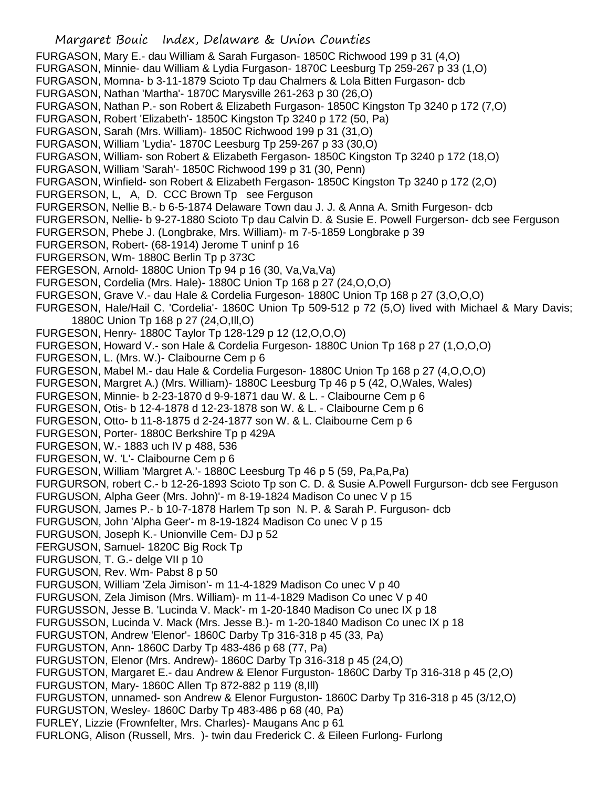FURGASON, Mary E.- dau William & Sarah Furgason- 1850C Richwood 199 p 31 (4,O) FURGASON, Minnie- dau William & Lydia Furgason- 1870C Leesburg Tp 259-267 p 33 (1,O) FURGASON, Momna- b 3-11-1879 Scioto Tp dau Chalmers & Lola Bitten Furgason- dcb FURGASON, Nathan 'Martha'- 1870C Marysville 261-263 p 30 (26,O) FURGASON, Nathan P.- son Robert & Elizabeth Furgason- 1850C Kingston Tp 3240 p 172 (7,O) FURGASON, Robert 'Elizabeth'- 1850C Kingston Tp 3240 p 172 (50, Pa) FURGASON, Sarah (Mrs. William)- 1850C Richwood 199 p 31 (31,O) FURGASON, William 'Lydia'- 1870C Leesburg Tp 259-267 p 33 (30,O) FURGASON, William- son Robert & Elizabeth Fergason- 1850C Kingston Tp 3240 p 172 (18,O) FURGASON, William 'Sarah'- 1850C Richwood 199 p 31 (30, Penn) FURGASON, Winfield- son Robert & Elizabeth Fergason- 1850C Kingston Tp 3240 p 172 (2,O) FURGERSON, L, A, D. CCC Brown Tp see Ferguson FURGERSON, Nellie B.- b 6-5-1874 Delaware Town dau J. J. & Anna A. Smith Furgeson- dcb FURGERSON, Nellie- b 9-27-1880 Scioto Tp dau Calvin D. & Susie E. Powell Furgerson- dcb see Ferguson FURGERSON, Phebe J. (Longbrake, Mrs. William)- m 7-5-1859 Longbrake p 39 FURGERSON, Robert- (68-1914) Jerome T uninf p 16 FURGERSON, Wm- 1880C Berlin Tp p 373C FERGESON, Arnold- 1880C Union Tp 94 p 16 (30, Va,Va,Va) FURGESON, Cordelia (Mrs. Hale)- 1880C Union Tp 168 p 27 (24,O,O,O) FURGESON, Grave V.- dau Hale & Cordelia Furgeson- 1880C Union Tp 168 p 27 (3,O,O,O) FURGESON, Hale/Hail C. 'Cordelia'- 1860C Union Tp 509-512 p 72 (5,O) lived with Michael & Mary Davis; 1880C Union Tp 168 p 27 (24,O,Ill,O) FURGESON, Henry- 1880C Taylor Tp 128-129 p 12 (12,O,O,O) FURGESON, Howard V.- son Hale & Cordelia Furgeson- 1880C Union Tp 168 p 27 (1,O,O,O) FURGESON, L. (Mrs. W.)- Claibourne Cem p 6 FURGESON, Mabel M.- dau Hale & Cordelia Furgeson- 1880C Union Tp 168 p 27 (4,O,O,O) FURGESON, Margret A.) (Mrs. William)- 1880C Leesburg Tp 46 p 5 (42, O,Wales, Wales) FURGESON, Minnie- b 2-23-1870 d 9-9-1871 dau W. & L. - Claibourne Cem p 6 FURGESON, Otis- b 12-4-1878 d 12-23-1878 son W. & L. - Claibourne Cem p 6 FURGESON, Otto- b 11-8-1875 d 2-24-1877 son W. & L. Claibourne Cem p 6 FURGESON, Porter- 1880C Berkshire Tp p 429A FURGESON, W.- 1883 uch IV p 488, 536 FURGESON, W. 'L'- Claibourne Cem p 6 FURGESON, William 'Margret A.'- 1880C Leesburg Tp 46 p 5 (59, Pa,Pa,Pa) FURGURSON, robert C.- b 12-26-1893 Scioto Tp son C. D. & Susie A.Powell Furgurson- dcb see Ferguson FURGUSON, Alpha Geer (Mrs. John)'- m 8-19-1824 Madison Co unec V p 15 FURGUSON, James P.- b 10-7-1878 Harlem Tp son N. P. & Sarah P. Furguson- dcb FURGUSON, John 'Alpha Geer'- m 8-19-1824 Madison Co unec V p 15 FURGUSON, Joseph K.- Unionville Cem- DJ p 52 FERGUSON, Samuel- 1820C Big Rock Tp FURGUSON, T. G.- delge VII p 10 FURGUSON, Rev. Wm- Pabst 8 p 50 FURGUSON, William 'Zela Jimison'- m 11-4-1829 Madison Co unec V p 40 FURGUSON, Zela Jimison (Mrs. William)- m 11-4-1829 Madison Co unec V p 40 FURGUSSON, Jesse B. 'Lucinda V. Mack'- m 1-20-1840 Madison Co unec IX p 18 FURGUSSON, Lucinda V. Mack (Mrs. Jesse B.)- m 1-20-1840 Madison Co unec IX p 18 FURGUSTON, Andrew 'Elenor'- 1860C Darby Tp 316-318 p 45 (33, Pa) FURGUSTON, Ann- 1860C Darby Tp 483-486 p 68 (77, Pa) FURGUSTON, Elenor (Mrs. Andrew)- 1860C Darby Tp 316-318 p 45 (24,O) FURGUSTON, Margaret E.- dau Andrew & Elenor Furguston- 1860C Darby Tp 316-318 p 45 (2,O) FURGUSTON, Mary- 1860C Allen Tp 872-882 p 119 (8,Ill) FURGUSTON, unnamed- son Andrew & Elenor Furguston- 1860C Darby Tp 316-318 p 45 (3/12,O) FURGUSTON, Wesley- 1860C Darby Tp 483-486 p 68 (40, Pa) FURLEY, Lizzie (Frownfelter, Mrs. Charles)- Maugans Anc p 61 FURLONG, Alison (Russell, Mrs. )- twin dau Frederick C. & Eileen Furlong- Furlong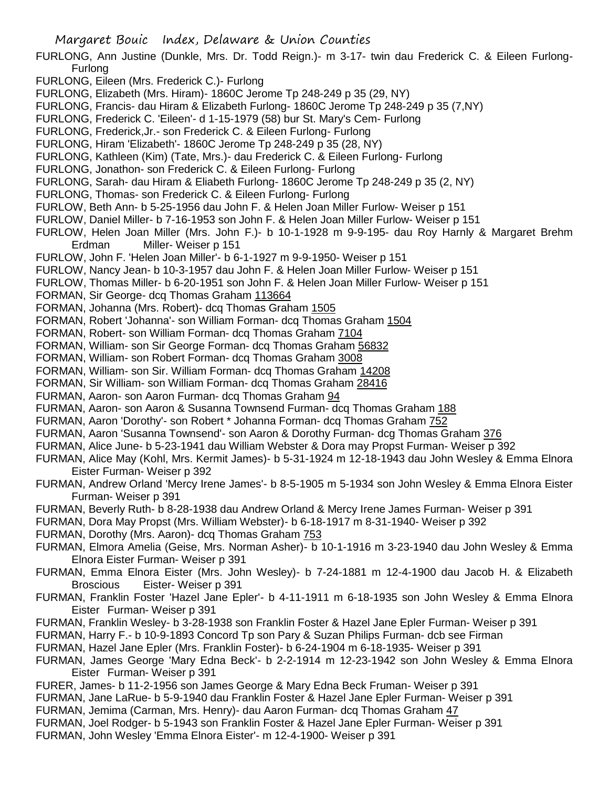- FURLONG, Ann Justine (Dunkle, Mrs. Dr. Todd Reign.)- m 3-17- twin dau Frederick C. & Eileen Furlong-Furlong
- FURLONG, Eileen (Mrs. Frederick C.)- Furlong
- FURLONG, Elizabeth (Mrs. Hiram)- 1860C Jerome Tp 248-249 p 35 (29, NY)
- FURLONG, Francis- dau Hiram & Elizabeth Furlong- 1860C Jerome Tp 248-249 p 35 (7,NY)
- FURLONG, Frederick C. 'Eileen'- d 1-15-1979 (58) bur St. Mary's Cem- Furlong
- FURLONG, Frederick,Jr.- son Frederick C. & Eileen Furlong- Furlong
- FURLONG, Hiram 'Elizabeth'- 1860C Jerome Tp 248-249 p 35 (28, NY)
- FURLONG, Kathleen (Kim) (Tate, Mrs.)- dau Frederick C. & Eileen Furlong- Furlong
- FURLONG, Jonathon- son Frederick C. & Eileen Furlong- Furlong
- FURLONG, Sarah- dau Hiram & Eliabeth Furlong- 1860C Jerome Tp 248-249 p 35 (2, NY)
- FURLONG, Thomas- son Frederick C. & Eileen Furlong- Furlong
- FURLOW, Beth Ann- b 5-25-1956 dau John F. & Helen Joan Miller Furlow- Weiser p 151
- FURLOW, Daniel Miller- b 7-16-1953 son John F. & Helen Joan Miller Furlow- Weiser p 151
- FURLOW, Helen Joan Miller (Mrs. John F.)- b 10-1-1928 m 9-9-195- dau Roy Harnly & Margaret Brehm Erdman Miller- Weiser p 151
- FURLOW, John F. 'Helen Joan Miller'- b 6-1-1927 m 9-9-1950- Weiser p 151
- FURLOW, Nancy Jean- b 10-3-1957 dau John F. & Helen Joan Miller Furlow- Weiser p 151
- FURLOW, Thomas Miller- b 6-20-1951 son John F. & Helen Joan Miller Furlow- Weiser p 151
- FORMAN, Sir George- dcq Thomas Graham 113664
- FORMAN, Johanna (Mrs. Robert)- dcq Thomas Graham 1505
- FORMAN, Robert 'Johanna'- son William Forman- dcq Thomas Graham 1504
- FORMAN, Robert- son William Forman- dcq Thomas Graham 7104
- FORMAN, William- son Sir George Forman- dcq Thomas Graham 56832
- FORMAN, William- son Robert Forman- dcq Thomas Graham 3008
- FORMAN, William- son Sir. William Forman- dcq Thomas Graham 14208
- FORMAN, Sir William- son William Forman- dcq Thomas Graham 28416
- FURMAN, Aaron- son Aaron Furman- dcq Thomas Graham 94
- FURMAN, Aaron- son Aaron & Susanna Townsend Furman- dcq Thomas Graham 188
- FURMAN, Aaron 'Dorothy'- son Robert \* Johanna Forman- dcq Thomas Graham 752
- FURMAN, Aaron 'Susanna Townsend'- son Aaron & Dorothy Furman- dcg Thomas Graham 376
- FURMAN, Alice June- b 5-23-1941 dau William Webster & Dora may Propst Furman- Weiser p 392
- FURMAN, Alice May (Kohl, Mrs. Kermit James)- b 5-31-1924 m 12-18-1943 dau John Wesley & Emma Elnora Eister Furman- Weiser p 392
- FURMAN, Andrew Orland 'Mercy Irene James'- b 8-5-1905 m 5-1934 son John Wesley & Emma Elnora Eister Furman- Weiser p 391
- FURMAN, Beverly Ruth- b 8-28-1938 dau Andrew Orland & Mercy Irene James Furman- Weiser p 391
- FURMAN, Dora May Propst (Mrs. William Webster)- b 6-18-1917 m 8-31-1940- Weiser p 392
- FURMAN, Dorothy (Mrs. Aaron)- dcq Thomas Graham 753
- FURMAN, Elmora Amelia (Geise, Mrs. Norman Asher)- b 10-1-1916 m 3-23-1940 dau John Wesley & Emma Elnora Eister Furman- Weiser p 391
- FURMAN, Emma Elnora Eister (Mrs. John Wesley)- b 7-24-1881 m 12-4-1900 dau Jacob H. & Elizabeth Broscious Eister- Weiser p 391
- FURMAN, Franklin Foster 'Hazel Jane Epler'- b 4-11-1911 m 6-18-1935 son John Wesley & Emma Elnora Eister Furman- Weiser p 391
- FURMAN, Franklin Wesley- b 3-28-1938 son Franklin Foster & Hazel Jane Epler Furman- Weiser p 391
- FURMAN, Harry F.- b 10-9-1893 Concord Tp son Pary & Suzan Philips Furman- dcb see Firman
- FURMAN, Hazel Jane Epler (Mrs. Franklin Foster)- b 6-24-1904 m 6-18-1935- Weiser p 391
- FURMAN, James George 'Mary Edna Beck'- b 2-2-1914 m 12-23-1942 son John Wesley & Emma Elnora Eister Furman- Weiser p 391
- FURER, James- b 11-2-1956 son James George & Mary Edna Beck Fruman- Weiser p 391
- FURMAN, Jane LaRue- b 5-9-1940 dau Franklin Foster & Hazel Jane Epler Furman- Weiser p 391
- FURMAN, Jemima (Carman, Mrs. Henry)- dau Aaron Furman- dcq Thomas Graham 47
- FURMAN, Joel Rodger- b 5-1943 son Franklin Foster & Hazel Jane Epler Furman- Weiser p 391
- FURMAN, John Wesley 'Emma Elnora Eister'- m 12-4-1900- Weiser p 391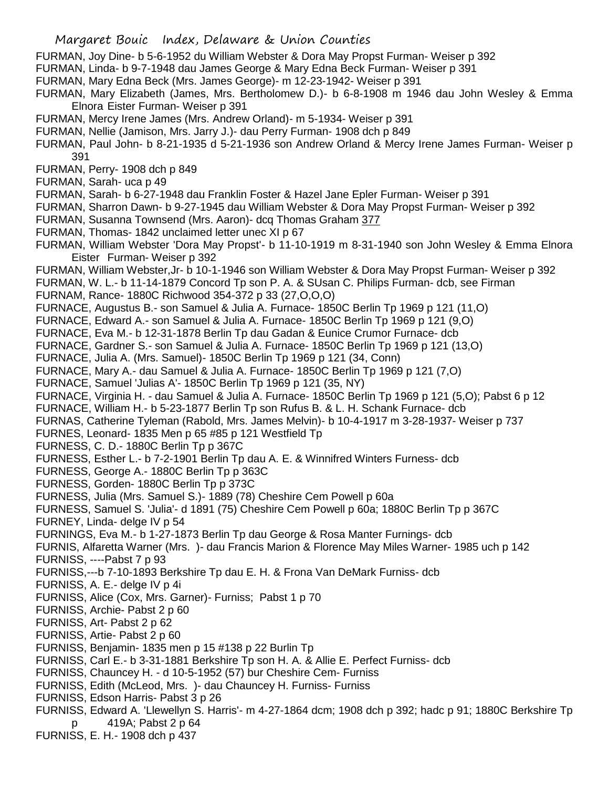- FURMAN, Joy Dine- b 5-6-1952 du William Webster & Dora May Propst Furman- Weiser p 392
- FURMAN, Linda- b 9-7-1948 dau James George & Mary Edna Beck Furman- Weiser p 391
- FURMAN, Mary Edna Beck (Mrs. James George)- m 12-23-1942- Weiser p 391
- FURMAN, Mary Elizabeth (James, Mrs. Bertholomew D.)- b 6-8-1908 m 1946 dau John Wesley & Emma Elnora Eister Furman- Weiser p 391
- FURMAN, Mercy Irene James (Mrs. Andrew Orland)- m 5-1934- Weiser p 391
- FURMAN, Nellie (Jamison, Mrs. Jarry J.)- dau Perry Furman- 1908 dch p 849
- FURMAN, Paul John- b 8-21-1935 d 5-21-1936 son Andrew Orland & Mercy Irene James Furman- Weiser p 391
- FURMAN, Perry- 1908 dch p 849
- FURMAN, Sarah- uca p 49
- FURMAN, Sarah- b 6-27-1948 dau Franklin Foster & Hazel Jane Epler Furman- Weiser p 391
- FURMAN, Sharron Dawn- b 9-27-1945 dau William Webster & Dora May Propst Furman- Weiser p 392
- FURMAN, Susanna Townsend (Mrs. Aaron)- dcq Thomas Graham 377
- FURMAN, Thomas- 1842 unclaimed letter unec XI p 67
- FURMAN, William Webster 'Dora May Propst'- b 11-10-1919 m 8-31-1940 son John Wesley & Emma Elnora Eister Furman- Weiser p 392
- FURMAN, William Webster,Jr- b 10-1-1946 son William Webster & Dora May Propst Furman- Weiser p 392
- FURMAN, W. L.- b 11-14-1879 Concord Tp son P. A. & SUsan C. Philips Furman- dcb, see Firman
- FURNAM, Rance- 1880C Richwood 354-372 p 33 (27,O,O,O)
- FURNACE, Augustus B.- son Samuel & Julia A. Furnace- 1850C Berlin Tp 1969 p 121 (11,O)
- FURNACE, Edward A.- son Samuel & Julia A. Furnace- 1850C Berlin Tp 1969 p 121 (9,O)
- FURNACE, Eva M.- b 12-31-1878 Berlin Tp dau Gadan & Eunice Crumor Furnace- dcb
- FURNACE, Gardner S.- son Samuel & Julia A. Furnace- 1850C Berlin Tp 1969 p 121 (13,O)
- FURNACE, Julia A. (Mrs. Samuel)- 1850C Berlin Tp 1969 p 121 (34, Conn)
- FURNACE, Mary A.- dau Samuel & Julia A. Furnace- 1850C Berlin Tp 1969 p 121 (7,O)
- FURNACE, Samuel 'Julias A'- 1850C Berlin Tp 1969 p 121 (35, NY)
- FURNACE, Virginia H. dau Samuel & Julia A. Furnace- 1850C Berlin Tp 1969 p 121 (5,O); Pabst 6 p 12
- FURNACE, William H.- b 5-23-1877 Berlin Tp son Rufus B. & L. H. Schank Furnace- dcb
- FURNAS, Catherine Tyleman (Rabold, Mrs. James Melvin)- b 10-4-1917 m 3-28-1937- Weiser p 737
- FURNES, Leonard- 1835 Men p 65 #85 p 121 Westfield Tp
- FURNESS, C. D.- 1880C Berlin Tp p 367C
- FURNESS, Esther L.- b 7-2-1901 Berlin Tp dau A. E. & Winnifred Winters Furness- dcb
- FURNESS, George A.- 1880C Berlin Tp p 363C
- FURNESS, Gorden- 1880C Berlin Tp p 373C
- FURNESS, Julia (Mrs. Samuel S.)- 1889 (78) Cheshire Cem Powell p 60a
- FURNESS, Samuel S. 'Julia'- d 1891 (75) Cheshire Cem Powell p 60a; 1880C Berlin Tp p 367C
- FURNEY, Linda- delge IV p 54
- FURNINGS, Eva M.- b 1-27-1873 Berlin Tp dau George & Rosa Manter Furnings- dcb
- FURNIS, Alfaretta Warner (Mrs. )- dau Francis Marion & Florence May Miles Warner- 1985 uch p 142 FURNISS, ----Pabst 7 p 93
- FURNISS,---b 7-10-1893 Berkshire Tp dau E. H. & Frona Van DeMark Furniss- dcb
- FURNISS, A. E.- delge IV p 4i
- FURNISS, Alice (Cox, Mrs. Garner)- Furniss; Pabst 1 p 70
- FURNISS, Archie- Pabst 2 p 60
- FURNISS, Art- Pabst 2 p 62
- FURNISS, Artie- Pabst 2 p 60
- FURNISS, Benjamin- 1835 men p 15 #138 p 22 Burlin Tp
- FURNISS, Carl E.- b 3-31-1881 Berkshire Tp son H. A. & Allie E. Perfect Furniss- dcb
- FURNISS, Chauncey H. d 10-5-1952 (57) bur Cheshire Cem- Furniss
- FURNISS, Edith (McLeod, Mrs. )- dau Chauncey H. Furniss- Furniss
- FURNISS, Edson Harris- Pabst 3 p 26
- FURNISS, Edward A. 'Llewellyn S. Harris'- m 4-27-1864 dcm; 1908 dch p 392; hadc p 91; 1880C Berkshire Tp p 419A; Pabst 2 p 64
- FURNISS, E. H.- 1908 dch p 437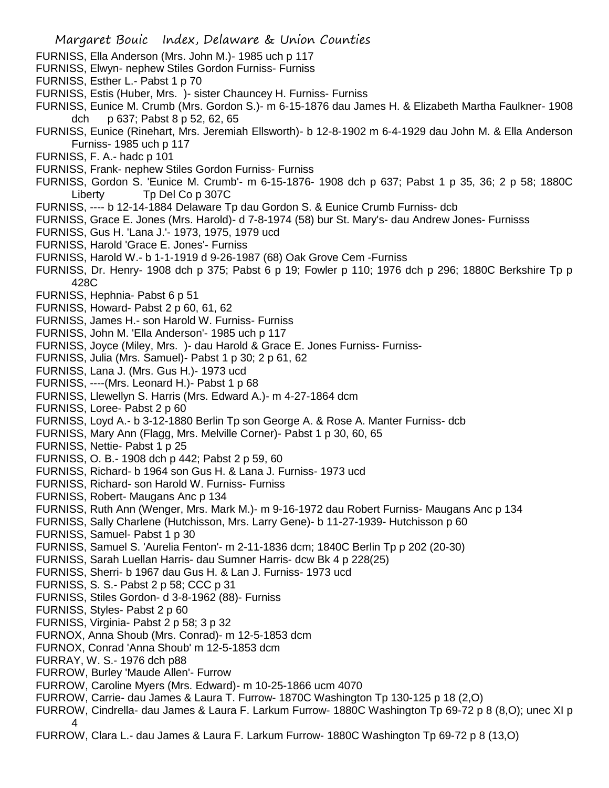Margaret Bouic Index, Delaware & Union Counties FURNISS, Ella Anderson (Mrs. John M.)- 1985 uch p 117 FURNISS, Elwyn- nephew Stiles Gordon Furniss- Furniss FURNISS, Esther L.- Pabst 1 p 70 FURNISS, Estis (Huber, Mrs. )- sister Chauncey H. Furniss- Furniss FURNISS, Eunice M. Crumb (Mrs. Gordon S.)- m 6-15-1876 dau James H. & Elizabeth Martha Faulkner- 1908 dch p 637; Pabst 8 p 52, 62, 65 FURNISS, Eunice (Rinehart, Mrs. Jeremiah Ellsworth)- b 12-8-1902 m 6-4-1929 dau John M. & Ella Anderson Furniss- 1985 uch p 117 FURNISS, F. A.- hadc p 101 FURNISS, Frank- nephew Stiles Gordon Furniss- Furniss FURNISS, Gordon S. 'Eunice M. Crumb'- m 6-15-1876- 1908 dch p 637; Pabst 1 p 35, 36; 2 p 58; 1880C Liberty Tp Del Co p 307C FURNISS, ---- b 12-14-1884 Delaware Tp dau Gordon S. & Eunice Crumb Furniss- dcb FURNISS, Grace E. Jones (Mrs. Harold)- d 7-8-1974 (58) bur St. Mary's- dau Andrew Jones- Furnisss FURNISS, Gus H. 'Lana J.'- 1973, 1975, 1979 ucd FURNISS, Harold 'Grace E. Jones'- Furniss FURNISS, Harold W.- b 1-1-1919 d 9-26-1987 (68) Oak Grove Cem -Furniss FURNISS, Dr. Henry- 1908 dch p 375; Pabst 6 p 19; Fowler p 110; 1976 dch p 296; 1880C Berkshire Tp p 428C FURNISS, Hephnia- Pabst 6 p 51 FURNISS, Howard- Pabst 2 p 60, 61, 62 FURNISS, James H.- son Harold W. Furniss- Furniss FURNISS, John M. 'Ella Anderson'- 1985 uch p 117 FURNISS, Joyce (Miley, Mrs. )- dau Harold & Grace E. Jones Furniss- Furniss-FURNISS, Julia (Mrs. Samuel)- Pabst 1 p 30; 2 p 61, 62 FURNISS, Lana J. (Mrs. Gus H.)- 1973 ucd FURNISS, ----(Mrs. Leonard H.)- Pabst 1 p 68 FURNISS, Llewellyn S. Harris (Mrs. Edward A.)- m 4-27-1864 dcm FURNISS, Loree- Pabst 2 p 60 FURNISS, Loyd A.- b 3-12-1880 Berlin Tp son George A. & Rose A. Manter Furniss- dcb FURNISS, Mary Ann (Flagg, Mrs. Melville Corner)- Pabst 1 p 30, 60, 65 FURNISS, Nettie- Pabst 1 p 25 FURNISS, O. B.- 1908 dch p 442; Pabst 2 p 59, 60 FURNISS, Richard- b 1964 son Gus H. & Lana J. Furniss- 1973 ucd FURNISS, Richard- son Harold W. Furniss- Furniss FURNISS, Robert- Maugans Anc p 134 FURNISS, Ruth Ann (Wenger, Mrs. Mark M.)- m 9-16-1972 dau Robert Furniss- Maugans Anc p 134 FURNISS, Sally Charlene (Hutchisson, Mrs. Larry Gene)- b 11-27-1939- Hutchisson p 60 FURNISS, Samuel- Pabst 1 p 30 FURNISS, Samuel S. 'Aurelia Fenton'- m 2-11-1836 dcm; 1840C Berlin Tp p 202 (20-30) FURNISS, Sarah Luellan Harris- dau Sumner Harris- dcw Bk 4 p 228(25) FURNISS, Sherri- b 1967 dau Gus H. & Lan J. Furniss- 1973 ucd FURNISS, S. S.- Pabst 2 p 58; CCC p 31 FURNISS, Stiles Gordon- d 3-8-1962 (88)- Furniss FURNISS, Styles- Pabst 2 p 60 FURNISS, Virginia- Pabst 2 p 58; 3 p 32 FURNOX, Anna Shoub (Mrs. Conrad)- m 12-5-1853 dcm FURNOX, Conrad 'Anna Shoub' m 12-5-1853 dcm FURRAY, W. S.- 1976 dch p88 FURROW, Burley 'Maude Allen'- Furrow FURROW, Caroline Myers (Mrs. Edward)- m 10-25-1866 ucm 4070 FURROW, Carrie- dau James & Laura T. Furrow- 1870C Washington Tp 130-125 p 18 (2,O) FURROW, Cindrella- dau James & Laura F. Larkum Furrow- 1880C Washington Tp 69-72 p 8 (8,O); unec XI p 4 FURROW, Clara L.- dau James & Laura F. Larkum Furrow- 1880C Washington Tp 69-72 p 8 (13,O)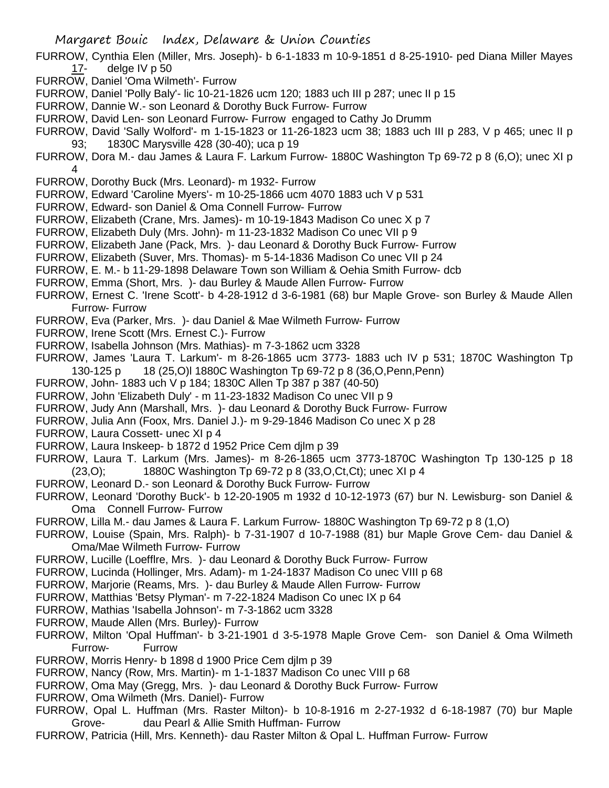- FURROW, Cynthia Elen (Miller, Mrs. Joseph)- b 6-1-1833 m 10-9-1851 d 8-25-1910- ped Diana Miller Mayes 17- delge IV p 50
- FURROW, Daniel 'Oma Wilmeth'- Furrow
- FURROW, Daniel 'Polly Baly'- lic 10-21-1826 ucm 120; 1883 uch III p 287; unec II p 15
- FURROW, Dannie W.- son Leonard & Dorothy Buck Furrow- Furrow
- FURROW, David Len- son Leonard Furrow- Furrow engaged to Cathy Jo Drumm
- FURROW, David 'Sally Wolford'- m 1-15-1823 or 11-26-1823 ucm 38; 1883 uch III p 283, V p 465; unec II p 93; 1830C Marysville 428 (30-40); uca p 19
- FURROW, Dora M.- dau James & Laura F. Larkum Furrow- 1880C Washington Tp 69-72 p 8 (6,O); unec XI p 4
- FURROW, Dorothy Buck (Mrs. Leonard)- m 1932- Furrow
- FURROW, Edward 'Caroline Myers'- m 10-25-1866 ucm 4070 1883 uch V p 531
- FURROW, Edward- son Daniel & Oma Connell Furrow- Furrow
- FURROW, Elizabeth (Crane, Mrs. James)- m 10-19-1843 Madison Co unec X p 7
- FURROW, Elizabeth Duly (Mrs. John)- m 11-23-1832 Madison Co unec VII p 9
- FURROW, Elizabeth Jane (Pack, Mrs. )- dau Leonard & Dorothy Buck Furrow- Furrow
- FURROW, Elizabeth (Suver, Mrs. Thomas)- m 5-14-1836 Madison Co unec VII p 24
- FURROW, E. M.- b 11-29-1898 Delaware Town son William & Oehia Smith Furrow- dcb
- FURROW, Emma (Short, Mrs. )- dau Burley & Maude Allen Furrow- Furrow
- FURROW, Ernest C. 'Irene Scott'- b 4-28-1912 d 3-6-1981 (68) bur Maple Grove- son Burley & Maude Allen Furrow- Furrow
- FURROW, Eva (Parker, Mrs. )- dau Daniel & Mae Wilmeth Furrow- Furrow
- FURROW, Irene Scott (Mrs. Ernest C.)- Furrow
- FURROW, Isabella Johnson (Mrs. Mathias)- m 7-3-1862 ucm 3328
- FURROW, James 'Laura T. Larkum'- m 8-26-1865 ucm 3773- 1883 uch IV p 531; 1870C Washington Tp 130-125 p 18 (25,O)l 1880C Washington Tp 69-72 p 8 (36,O,Penn,Penn)
- FURROW, John- 1883 uch V p 184; 1830C Allen Tp 387 p 387 (40-50)
- FURROW, John 'Elizabeth Duly' m 11-23-1832 Madison Co unec VII p 9
- FURROW, Judy Ann (Marshall, Mrs. )- dau Leonard & Dorothy Buck Furrow- Furrow
- FURROW, Julia Ann (Foox, Mrs. Daniel J.)- m 9-29-1846 Madison Co unec X p 28
- FURROW, Laura Cossett- unec XI p 4
- FURROW, Laura Inskeep- b 1872 d 1952 Price Cem djlm p 39
- FURROW, Laura T. Larkum (Mrs. James)- m 8-26-1865 ucm 3773-1870C Washington Tp 130-125 p 18 (23,O); 1880C Washington Tp 69-72 p 8 (33,O,Ct,Ct); unec XI p 4
- FURROW, Leonard D.- son Leonard & Dorothy Buck Furrow- Furrow
- FURROW, Leonard 'Dorothy Buck'- b 12-20-1905 m 1932 d 10-12-1973 (67) bur N. Lewisburg- son Daniel & Oma Connell Furrow- Furrow
- FURROW, Lilla M.- dau James & Laura F. Larkum Furrow- 1880C Washington Tp 69-72 p 8 (1,O)
- FURROW, Louise (Spain, Mrs. Ralph)- b 7-31-1907 d 10-7-1988 (81) bur Maple Grove Cem- dau Daniel & Oma/Mae Wilmeth Furrow- Furrow
- FURROW, Lucille (Loefflre, Mrs. )- dau Leonard & Dorothy Buck Furrow- Furrow
- FURROW, Lucinda (Hollinger, Mrs. Adam)- m 1-24-1837 Madison Co unec VIII p 68
- FURROW, Marjorie (Reams, Mrs. )- dau Burley & Maude Allen Furrow- Furrow
- FURROW, Matthias 'Betsy Plyman'- m 7-22-1824 Madison Co unec IX p 64
- FURROW, Mathias 'Isabella Johnson'- m 7-3-1862 ucm 3328
- FURROW, Maude Allen (Mrs. Burley)- Furrow
- FURROW, Milton 'Opal Huffman'- b 3-21-1901 d 3-5-1978 Maple Grove Cem- son Daniel & Oma Wilmeth Furrow- Furrow
- FURROW, Morris Henry- b 1898 d 1900 Price Cem djlm p 39
- FURROW, Nancy (Row, Mrs. Martin)- m 1-1-1837 Madison Co unec VIII p 68
- FURROW, Oma May (Gregg, Mrs. )- dau Leonard & Dorothy Buck Furrow- Furrow
- FURROW, Oma Wilmeth (Mrs. Daniel)- Furrow
- FURROW, Opal L. Huffman (Mrs. Raster Milton)- b 10-8-1916 m 2-27-1932 d 6-18-1987 (70) bur Maple Grove- dau Pearl & Allie Smith Huffman- Furrow
- FURROW, Patricia (Hill, Mrs. Kenneth)- dau Raster Milton & Opal L. Huffman Furrow- Furrow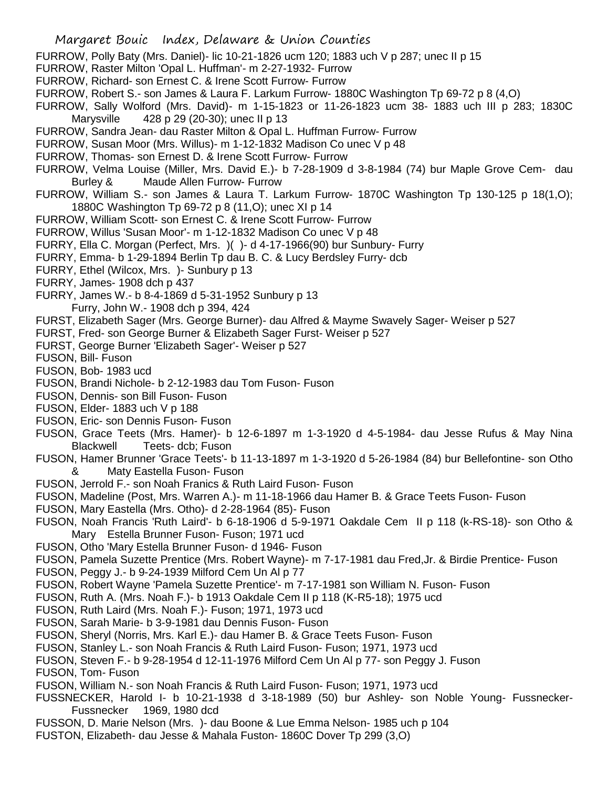- FURROW, Polly Baty (Mrs. Daniel)- lic 10-21-1826 ucm 120; 1883 uch V p 287; unec II p 15
- FURROW, Raster Milton 'Opal L. Huffman'- m 2-27-1932- Furrow
- FURROW, Richard- son Ernest C. & Irene Scott Furrow- Furrow
- FURROW, Robert S.- son James & Laura F. Larkum Furrow- 1880C Washington Tp 69-72 p 8 (4,O)
- FURROW, Sally Wolford (Mrs. David)- m 1-15-1823 or 11-26-1823 ucm 38- 1883 uch III p 283; 1830C Marysville 428 p 29 (20-30); unec II p 13
- FURROW, Sandra Jean- dau Raster Milton & Opal L. Huffman Furrow- Furrow
- FURROW, Susan Moor (Mrs. Willus)- m 1-12-1832 Madison Co unec V p 48
- FURROW, Thomas- son Ernest D. & Irene Scott Furrow- Furrow
- FURROW, Velma Louise (Miller, Mrs. David E.)- b 7-28-1909 d 3-8-1984 (74) bur Maple Grove Cem- dau Burley & Maude Allen Furrow- Furrow
- FURROW, William S.- son James & Laura T. Larkum Furrow- 1870C Washington Tp 130-125 p 18(1,O); 1880C Washington Tp 69-72 p 8 (11,O); unec XI p 14
- FURROW, William Scott- son Ernest C. & Irene Scott Furrow- Furrow
- FURROW, Willus 'Susan Moor'- m 1-12-1832 Madison Co unec V p 48
- FURRY, Ella C. Morgan (Perfect, Mrs. )( )- d 4-17-1966(90) bur Sunbury- Furry
- FURRY, Emma- b 1-29-1894 Berlin Tp dau B. C. & Lucy Berdsley Furry- dcb
- FURRY, Ethel (Wilcox, Mrs. )- Sunbury p 13
- FURRY, James- 1908 dch p 437
- FURRY, James W.- b 8-4-1869 d 5-31-1952 Sunbury p 13
- Furry, John W.- 1908 dch p 394, 424
- FURST, Elizabeth Sager (Mrs. George Burner)- dau Alfred & Mayme Swavely Sager- Weiser p 527
- FURST, Fred- son George Burner & Elizabeth Sager Furst- Weiser p 527
- FURST, George Burner 'Elizabeth Sager'- Weiser p 527
- FUSON, Bill- Fuson
- FUSON, Bob- 1983 ucd
- FUSON, Brandi Nichole- b 2-12-1983 dau Tom Fuson- Fuson
- FUSON, Dennis- son Bill Fuson- Fuson
- FUSON, Elder- 1883 uch V p 188
- FUSON, Eric- son Dennis Fuson- Fuson
- FUSON, Grace Teets (Mrs. Hamer)- b 12-6-1897 m 1-3-1920 d 4-5-1984- dau Jesse Rufus & May Nina Blackwell Teets- dcb; Fuson
- FUSON, Hamer Brunner 'Grace Teets'- b 11-13-1897 m 1-3-1920 d 5-26-1984 (84) bur Bellefontine- son Otho & Maty Eastella Fuson- Fuson
- FUSON, Jerrold F.- son Noah Franics & Ruth Laird Fuson- Fuson
- FUSON, Madeline (Post, Mrs. Warren A.)- m 11-18-1966 dau Hamer B. & Grace Teets Fuson- Fuson
- FUSON, Mary Eastella (Mrs. Otho)- d 2-28-1964 (85)- Fuson
- FUSON, Noah Francis 'Ruth Laird'- b 6-18-1906 d 5-9-1971 Oakdale Cem II p 118 (k-RS-18)- son Otho & Mary Estella Brunner Fuson- Fuson; 1971 ucd
- FUSON, Otho 'Mary Estella Brunner Fuson- d 1946- Fuson
- FUSON, Pamela Suzette Prentice (Mrs. Robert Wayne)- m 7-17-1981 dau Fred,Jr. & Birdie Prentice- Fuson
- FUSON, Peggy J.- b 9-24-1939 Milford Cem Un Al p 77
- FUSON, Robert Wayne 'Pamela Suzette Prentice'- m 7-17-1981 son William N. Fuson- Fuson
- FUSON, Ruth A. (Mrs. Noah F.)- b 1913 Oakdale Cem II p 118 (K-R5-18); 1975 ucd
- FUSON, Ruth Laird (Mrs. Noah F.)- Fuson; 1971, 1973 ucd
- FUSON, Sarah Marie- b 3-9-1981 dau Dennis Fuson- Fuson
- FUSON, Sheryl (Norris, Mrs. Karl E.)- dau Hamer B. & Grace Teets Fuson- Fuson
- FUSON, Stanley L.- son Noah Francis & Ruth Laird Fuson- Fuson; 1971, 1973 ucd
- FUSON, Steven F.- b 9-28-1954 d 12-11-1976 Milford Cem Un Al p 77- son Peggy J. Fuson

FUSON, Tom- Fuson

- FUSON, William N.- son Noah Francis & Ruth Laird Fuson- Fuson; 1971, 1973 ucd
- FUSSNECKER, Harold I- b 10-21-1938 d 3-18-1989 (50) bur Ashley- son Noble Young- Fussnecker-Fussnecker 1969, 1980 dcd
- FUSSON, D. Marie Nelson (Mrs. )- dau Boone & Lue Emma Nelson- 1985 uch p 104
- FUSTON, Elizabeth- dau Jesse & Mahala Fuston- 1860C Dover Tp 299 (3,O)